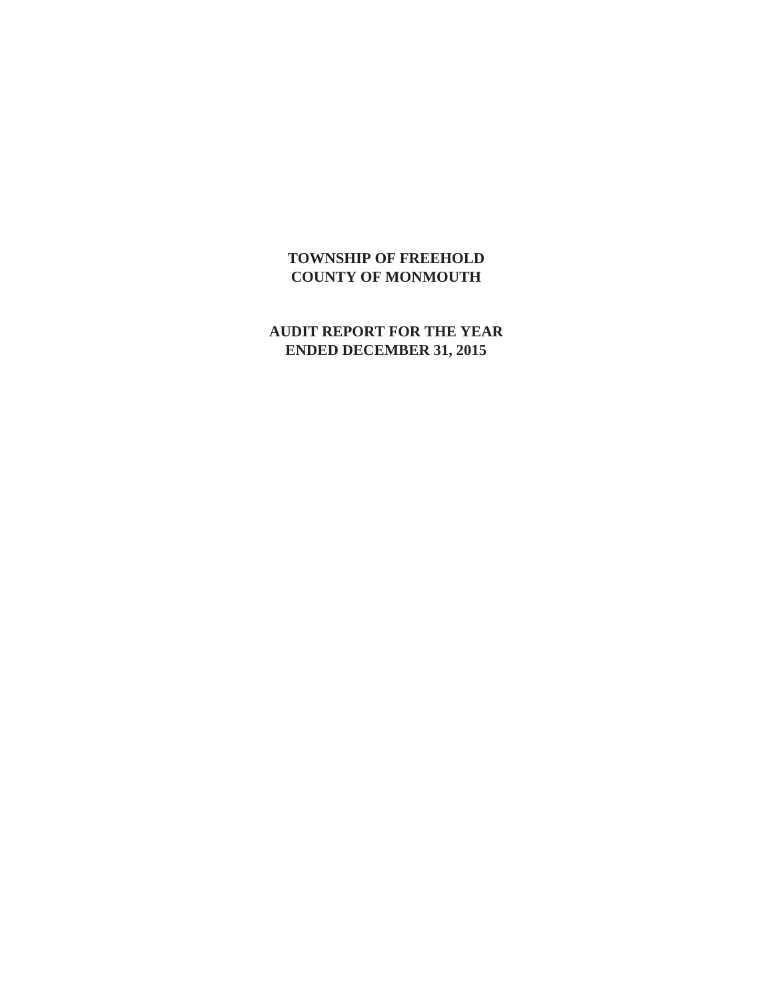### **AUDIT REPORT FOR THE YEAR ENDED DECEMBER 31, 2015**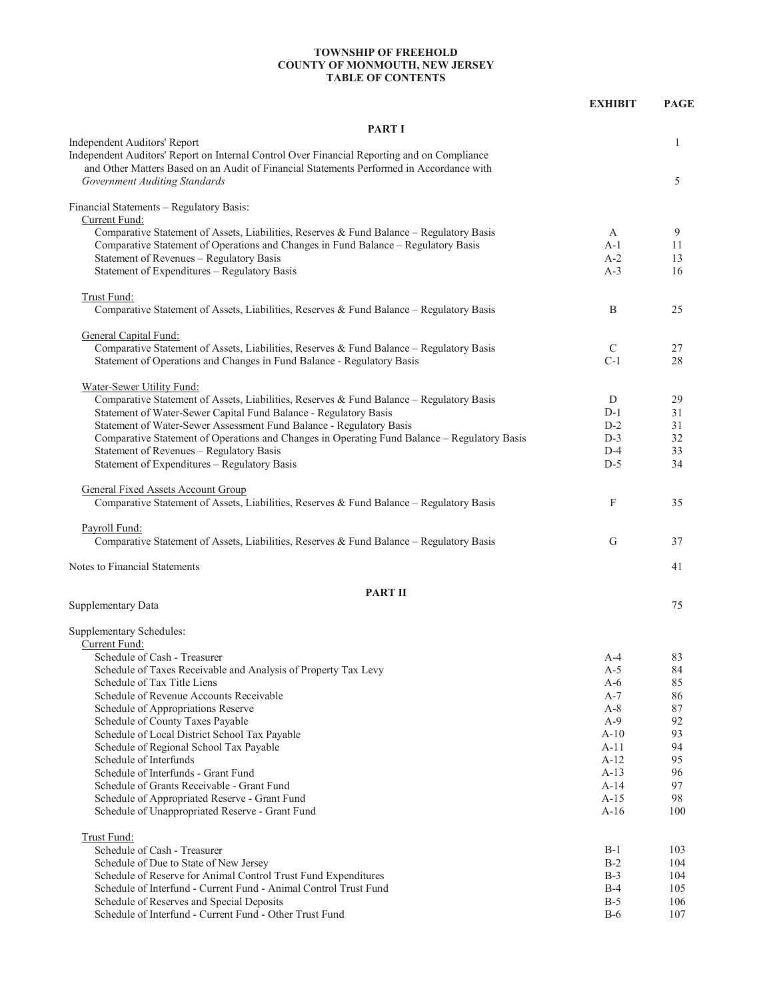### **TOWNSHIP OF FREEHOLD COUNTY OF MONMOUTH, NEW JERSEY TABLE OF CONTENTS**

|                                                                                                                                                                                                                                 | <b>EXHIBIT</b>   | <b>PAGE</b> |
|---------------------------------------------------------------------------------------------------------------------------------------------------------------------------------------------------------------------------------|------------------|-------------|
| <b>PART I</b>                                                                                                                                                                                                                   |                  |             |
| Independent Auditors' Report                                                                                                                                                                                                    |                  | 1           |
| Independent Auditors' Report on Internal Control Over Financial Reporting and on Compliance<br>and Other Matters Based on an Audit of Financial Statements Performed in Accordance with<br><b>Government Auditing Standards</b> |                  | 5           |
| Financial Statements - Regulatory Basis:<br>Current Fund:                                                                                                                                                                       |                  |             |
| Comparative Statement of Assets, Liabilities, Reserves & Fund Balance - Regulatory Basis                                                                                                                                        | A                | 9           |
| Comparative Statement of Operations and Changes in Fund Balance - Regulatory Basis<br>Statement of Revenues - Regulatory Basis                                                                                                  | A-1<br>$A-2$     | 11<br>13    |
| Statement of Expenditures - Regulatory Basis                                                                                                                                                                                    | $A-3$            | 16          |
| Trust Fund:<br>Comparative Statement of Assets, Liabilities, Reserves & Fund Balance - Regulatory Basis                                                                                                                         | B                | 25          |
| General Capital Fund:                                                                                                                                                                                                           |                  |             |
| Comparative Statement of Assets, Liabilities, Reserves & Fund Balance - Regulatory Basis<br>Statement of Operations and Changes in Fund Balance - Regulatory Basis                                                              | C<br>$C-1$       | 27<br>28    |
| Water-Sewer Utility Fund:                                                                                                                                                                                                       |                  |             |
| Comparative Statement of Assets, Liabilities, Reserves & Fund Balance - Regulatory Basis<br>Statement of Water-Sewer Capital Fund Balance - Regulatory Basis                                                                    | D<br>$D-1$       | 29<br>31    |
| Statement of Water-Sewer Assessment Fund Balance - Regulatory Basis                                                                                                                                                             | $D-2$            | 31          |
| Comparative Statement of Operations and Changes in Operating Fund Balance - Regulatory Basis                                                                                                                                    | $D-3$<br>$D-4$   | 32<br>33    |
| Statement of Revenues - Regulatory Basis<br>Statement of Expenditures - Regulatory Basis                                                                                                                                        | $D-5$            | 34          |
| <b>General Fixed Assets Account Group</b><br>Comparative Statement of Assets, Liabilities, Reserves & Fund Balance - Regulatory Basis                                                                                           | F                | 35          |
| Payroll Fund:<br>Comparative Statement of Assets, Liabilities, Reserves & Fund Balance - Regulatory Basis                                                                                                                       | G                | 37          |
| Notes to Financial Statements                                                                                                                                                                                                   |                  | 41          |
| <b>PART II</b>                                                                                                                                                                                                                  |                  |             |
| Supplementary Data                                                                                                                                                                                                              |                  | 75          |
| Supplementary Schedules:                                                                                                                                                                                                        |                  |             |
| Current Fund:<br>Schedule of Cash - Treasurer                                                                                                                                                                                   | $A-4$            | 83          |
| Schedule of Taxes Receivable and Analysis of Property Tax Levy<br>Schedule of Tax Title Liens                                                                                                                                   | $A-5$<br>$A-6$   | 84<br>85    |
| Schedule of Revenue Accounts Receivable                                                                                                                                                                                         | A-7              | 86          |
| Schedule of Appropriations Reserve                                                                                                                                                                                              | $A-8$            | 87          |
| Schedule of County Taxes Payable                                                                                                                                                                                                | $A-9$<br>$A-10$  | 92<br>93    |
| Schedule of Local District School Tax Payable<br>Schedule of Regional School Tax Payable                                                                                                                                        | $A-11$           | 94          |
| Schedule of Interfunds                                                                                                                                                                                                          | $A-12$           | 95          |
| Schedule of Interfunds - Grant Fund                                                                                                                                                                                             | $A-13$           | 96          |
| Schedule of Grants Receivable - Grant Fund                                                                                                                                                                                      | $A-14$           | 97          |
| Schedule of Appropriated Reserve - Grant Fund<br>Schedule of Unappropriated Reserve - Grant Fund                                                                                                                                | $A-15$<br>$A-16$ | 98<br>100   |
| Trust Fund:                                                                                                                                                                                                                     |                  |             |
| Schedule of Cash - Treasurer                                                                                                                                                                                                    | $B-1$            | 103         |
| Schedule of Due to State of New Jersey                                                                                                                                                                                          | $B-2$            | 104         |
| Schedule of Reserve for Animal Control Trust Fund Expenditures<br>Schedule of Interfund - Current Fund - Animal Control Trust Fund                                                                                              | $B-3$<br>$B-4$   | 104         |
| Schedule of Reserves and Special Deposits                                                                                                                                                                                       | $B-5$            | 105<br>106  |
| Schedule of Interfund - Current Fund - Other Trust Fund                                                                                                                                                                         | $B-6$            | 107         |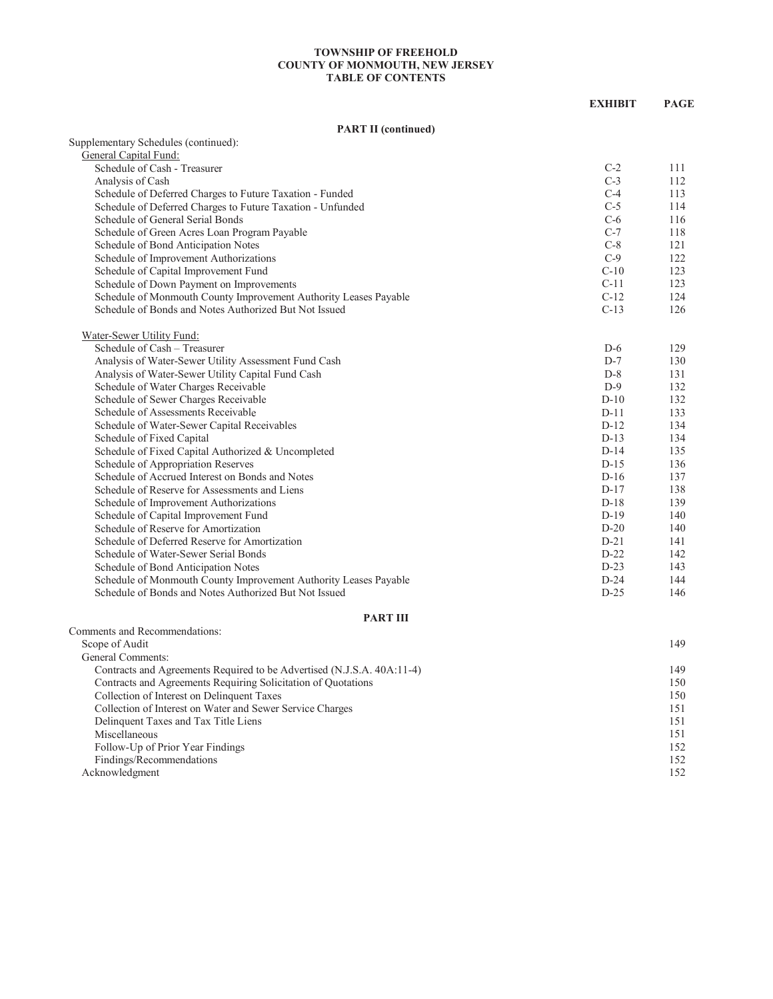### **TOWNSHIP OF FREEHOLD COUNTY OF MONMOUTH, NEW JERSEY TABLE OF CONTENTS**

|                                                                        | <b>EXHIBIT</b> | <b>PAGE</b> |
|------------------------------------------------------------------------|----------------|-------------|
| <b>PART II</b> (continued)                                             |                |             |
| Supplementary Schedules (continued):                                   |                |             |
| General Capital Fund:                                                  |                |             |
| Schedule of Cash - Treasurer                                           | $C-2$          | 111         |
| Analysis of Cash                                                       | $C-3$          | 112         |
| Schedule of Deferred Charges to Future Taxation - Funded               | $C-4$          | 113         |
| Schedule of Deferred Charges to Future Taxation - Unfunded             | $C-5$          | 114         |
| Schedule of General Serial Bonds                                       | $C-6$          | 116         |
| Schedule of Green Acres Loan Program Payable                           | $C-7$          | 118         |
| Schedule of Bond Anticipation Notes                                    | $C-8$          | 121         |
| Schedule of Improvement Authorizations                                 | $C-9$          | 122         |
| Schedule of Capital Improvement Fund                                   | $C-10$         | 123         |
| Schedule of Down Payment on Improvements                               | $C-11$         | 123         |
| Schedule of Monmouth County Improvement Authority Leases Payable       | $C-12$         | 124         |
| Schedule of Bonds and Notes Authorized But Not Issued                  | $C-13$         | 126         |
| Water-Sewer Utility Fund:                                              |                |             |
| Schedule of Cash - Treasurer                                           | $D-6$          | 129         |
| Analysis of Water-Sewer Utility Assessment Fund Cash                   | $D-7$          | 130         |
| Analysis of Water-Sewer Utility Capital Fund Cash                      | $D-8$          | 131         |
| Schedule of Water Charges Receivable                                   | $D-9$          | 132         |
| Schedule of Sewer Charges Receivable                                   | $D-10$         | 132         |
| Schedule of Assessments Receivable                                     | $D-11$         | 133         |
| Schedule of Water-Sewer Capital Receivables                            | $D-12$         | 134         |
| Schedule of Fixed Capital                                              | $D-13$         | 134         |
| Schedule of Fixed Capital Authorized & Uncompleted                     | $D-14$         | 135         |
| Schedule of Appropriation Reserves                                     | $D-15$         | 136         |
| Schedule of Accrued Interest on Bonds and Notes                        | $D-16$         | 137         |
| Schedule of Reserve for Assessments and Liens                          | $D-17$         | 138         |
| Schedule of Improvement Authorizations                                 | $D-18$         | 139         |
| Schedule of Capital Improvement Fund                                   | $D-19$         | 140         |
| Schedule of Reserve for Amortization                                   | $D-20$         | 140         |
| Schedule of Deferred Reserve for Amortization                          | $D-21$         | 141         |
| Schedule of Water-Sewer Serial Bonds                                   | $D-22$         | 142         |
| Schedule of Bond Anticipation Notes                                    | $D-23$         | 143         |
| Schedule of Monmouth County Improvement Authority Leases Payable       | $D-24$         | 144         |
| Schedule of Bonds and Notes Authorized But Not Issued                  | $D-25$         | 146         |
| <b>PART III</b>                                                        |                |             |
| Comments and Recommendations:                                          |                |             |
| Scope of Audit                                                         |                | 149         |
| General Comments:                                                      |                |             |
| Contracts and Agreements Required to be Advertised (N.J.S.A. 40A:11-4) |                | 149         |
| Contracts and Agreements Requiring Solicitation of Quotations          |                | 150         |
| Collection of Interest on Delinquent Taxes                             |                | 150         |
| Collection of Interest on Water and Sewer Service Charges              |                | 151         |
| Delinquent Taxes and Tax Title Liens                                   |                | 151         |
| Miscellaneous                                                          |                | 151         |
| Follow-Up of Prior Year Findings                                       |                | 152         |
| Findings/Recommendations                                               |                | 152         |
| Acknowledgment                                                         |                | 152         |
|                                                                        |                |             |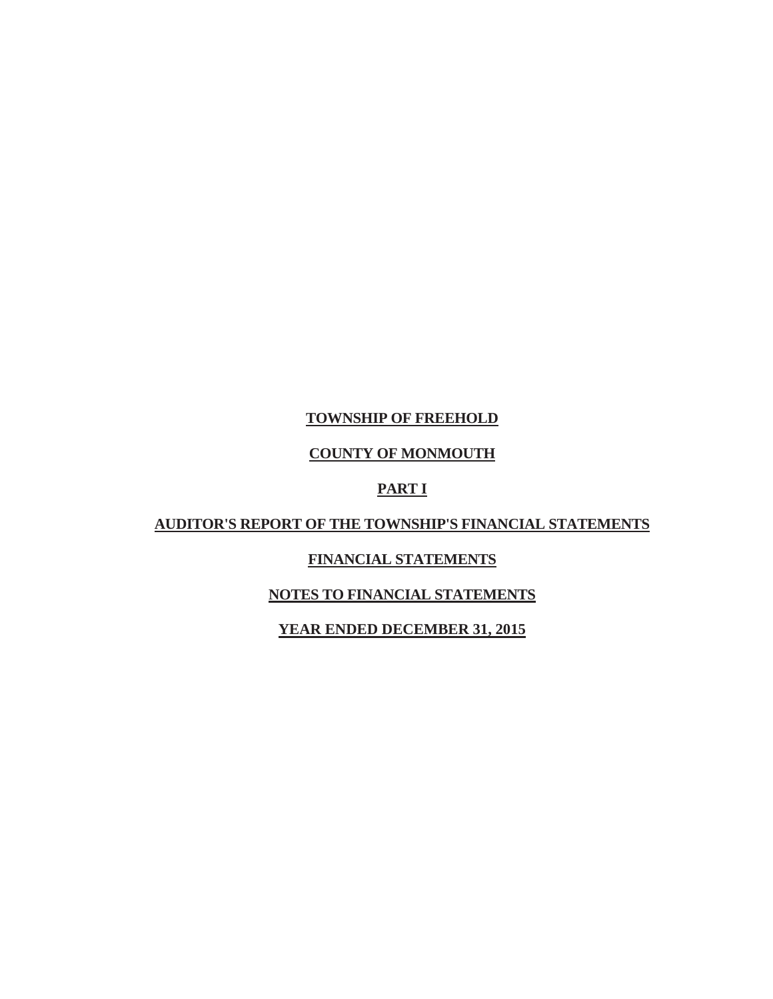### **TOWNSHIP OF FREEHOLD**

### **COUNTY OF MONMOUTH**

### **PART I**

### **AUDITOR'S REPORT OF THE TOWNSHIP'S FINANCIAL STATEMENTS**

### **FINANCIAL STATEMENTS**

### **NOTES TO FINANCIAL STATEMENTS**

### **YEAR ENDED DECEMBER 31, 2015**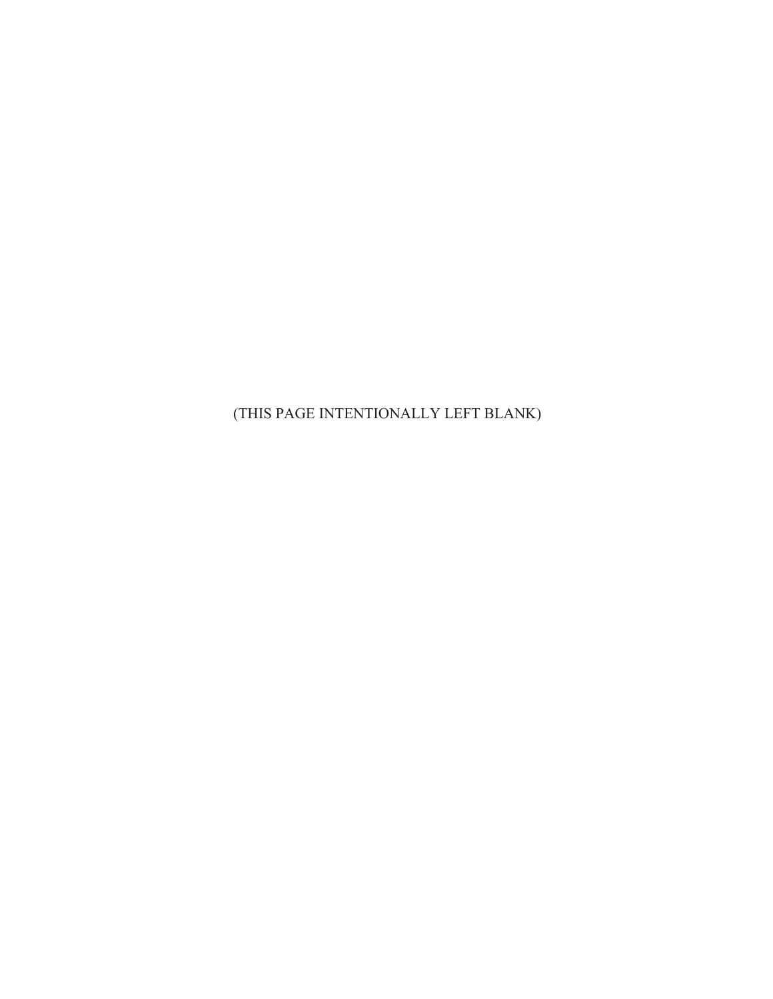(THIS PAGE INTENTIONALLY LEFT BLANK)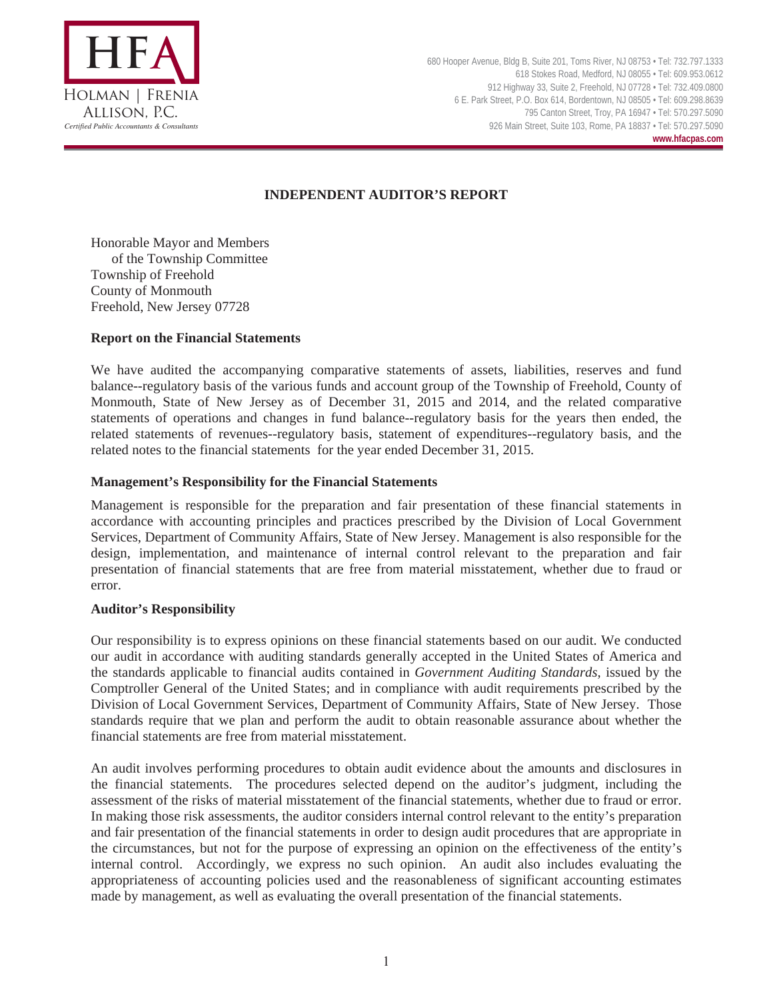

680 Hooper Avenue, Bldg B, Suite 201, Toms River, NJ 08753 • Tel: 732.797.1333 618 Stokes Road, Medford, NJ 08055 • Tel: 609.953.0612 912 Highway 33, Suite 2, Freehold, NJ 07728 • Tel: 732.409.0800 6 E. Park Street, P.O. Box 614, Bordentown, NJ 08505 • Tel: 609.298.8639 795 Canton Street, Troy, PA 16947 • Tel: 570.297.5090 926 Main Street, Suite 103, Rome, PA 18837 • Tel: 570.297.5090 **www.hfacpas.com**

### **INDEPENDENT AUDITOR'S REPORT**

Honorable Mayor and Members of the Township Committee Township of Freehold County of Monmouth Freehold, New Jersey 07728

### **Report on the Financial Statements**

We have audited the accompanying comparative statements of assets, liabilities, reserves and fund balance--regulatory basis of the various funds and account group of the Township of Freehold, County of Monmouth, State of New Jersey as of December 31, 2015 and 2014, and the related comparative statements of operations and changes in fund balance--regulatory basis for the years then ended, the related statements of revenues--regulatory basis, statement of expenditures--regulatory basis, and the related notes to the financial statements for the year ended December 31, 2015.

### **Management's Responsibility for the Financial Statements**

Management is responsible for the preparation and fair presentation of these financial statements in accordance with accounting principles and practices prescribed by the Division of Local Government Services, Department of Community Affairs, State of New Jersey. Management is also responsible for the design, implementation, and maintenance of internal control relevant to the preparation and fair presentation of financial statements that are free from material misstatement, whether due to fraud or error.

### **Auditor's Responsibility**

Our responsibility is to express opinions on these financial statements based on our audit. We conducted our audit in accordance with auditing standards generally accepted in the United States of America and the standards applicable to financial audits contained in *Government Auditing Standards,* issued by the Comptroller General of the United States; and in compliance with audit requirements prescribed by the Division of Local Government Services, Department of Community Affairs, State of New Jersey. Those standards require that we plan and perform the audit to obtain reasonable assurance about whether the financial statements are free from material misstatement.

An audit involves performing procedures to obtain audit evidence about the amounts and disclosures in the financial statements. The procedures selected depend on the auditor's judgment, including the assessment of the risks of material misstatement of the financial statements, whether due to fraud or error. In making those risk assessments, the auditor considers internal control relevant to the entity's preparation and fair presentation of the financial statements in order to design audit procedures that are appropriate in the circumstances, but not for the purpose of expressing an opinion on the effectiveness of the entity's internal control. Accordingly, we express no such opinion. An audit also includes evaluating the appropriateness of accounting policies used and the reasonableness of significant accounting estimates made by management, as well as evaluating the overall presentation of the financial statements.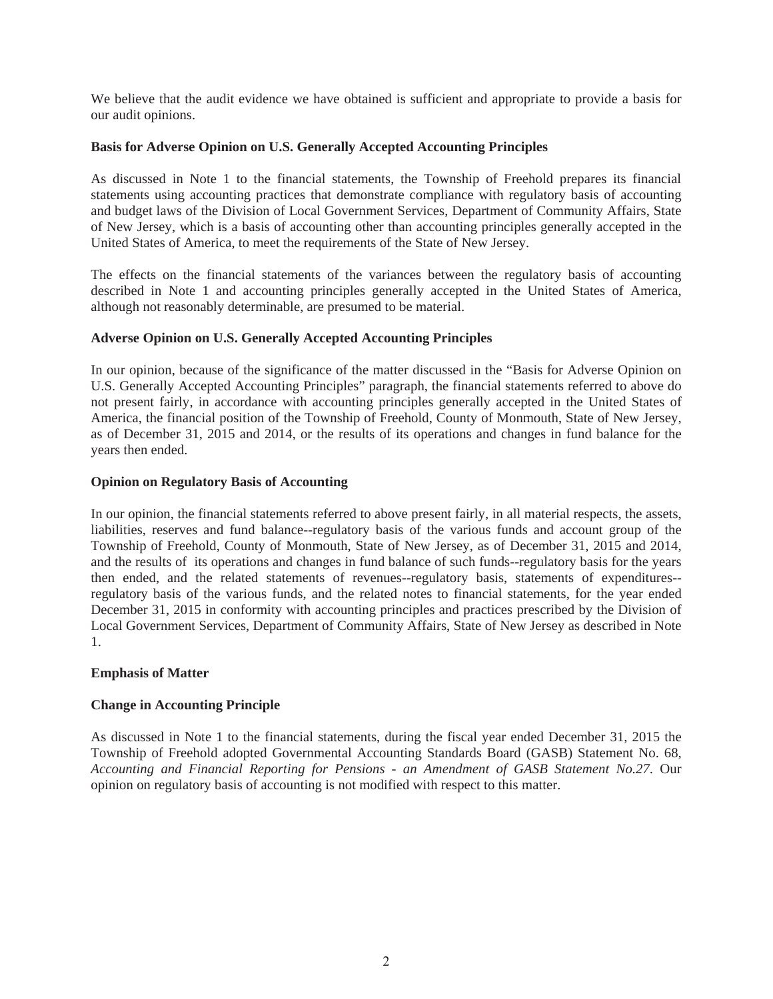We believe that the audit evidence we have obtained is sufficient and appropriate to provide a basis for our audit opinions.

### **Basis for Adverse Opinion on U.S. Generally Accepted Accounting Principles**

As discussed in Note 1 to the financial statements, the Township of Freehold prepares its financial statements using accounting practices that demonstrate compliance with regulatory basis of accounting and budget laws of the Division of Local Government Services, Department of Community Affairs, State of New Jersey, which is a basis of accounting other than accounting principles generally accepted in the United States of America, to meet the requirements of the State of New Jersey.

The effects on the financial statements of the variances between the regulatory basis of accounting described in Note 1 and accounting principles generally accepted in the United States of America, although not reasonably determinable, are presumed to be material.

### **Adverse Opinion on U.S. Generally Accepted Accounting Principles**

In our opinion, because of the significance of the matter discussed in the "Basis for Adverse Opinion on U.S. Generally Accepted Accounting Principles" paragraph, the financial statements referred to above do not present fairly, in accordance with accounting principles generally accepted in the United States of America, the financial position of the Township of Freehold, County of Monmouth, State of New Jersey, as of December 31, 2015 and 2014, or the results of its operations and changes in fund balance for the years then ended.

### **Opinion on Regulatory Basis of Accounting**

In our opinion, the financial statements referred to above present fairly, in all material respects, the assets, liabilities, reserves and fund balance--regulatory basis of the various funds and account group of the Township of Freehold, County of Monmouth, State of New Jersey, as of December 31, 2015 and 2014, and the results of its operations and changes in fund balance of such funds--regulatory basis for the years then ended, and the related statements of revenues--regulatory basis, statements of expenditures- regulatory basis of the various funds, and the related notes to financial statements, for the year ended December 31, 2015 in conformity with accounting principles and practices prescribed by the Division of Local Government Services, Department of Community Affairs, State of New Jersey as described in Note 1.

### **Emphasis of Matter**

### **Change in Accounting Principle**

As discussed in Note 1 to the financial statements, during the fiscal year ended December 31, 2015 the Township of Freehold adopted Governmental Accounting Standards Board (GASB) Statement No. 68*, Accounting and Financial Reporting for Pensions - an Amendment of GASB Statement No.27*. Our opinion on regulatory basis of accounting is not modified with respect to this matter.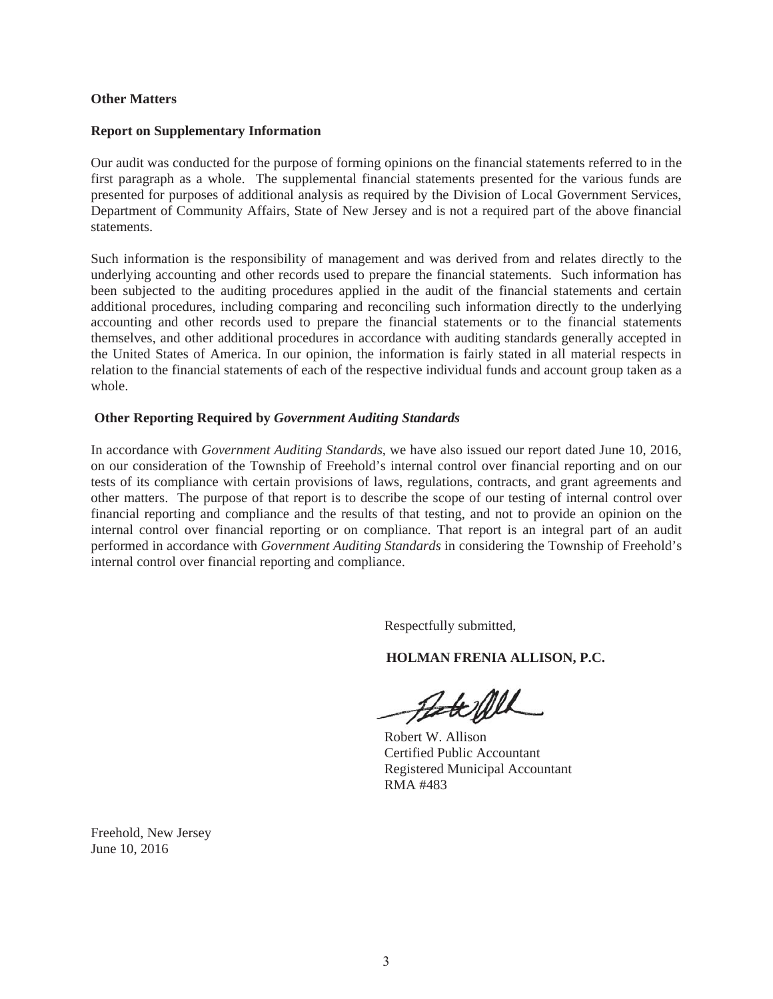### **Other Matters**

### **Report on Supplementary Information**

Our audit was conducted for the purpose of forming opinions on the financial statements referred to in the first paragraph as a whole. The supplemental financial statements presented for the various funds are presented for purposes of additional analysis as required by the Division of Local Government Services, Department of Community Affairs, State of New Jersey and is not a required part of the above financial statements.

Such information is the responsibility of management and was derived from and relates directly to the underlying accounting and other records used to prepare the financial statements. Such information has been subjected to the auditing procedures applied in the audit of the financial statements and certain additional procedures, including comparing and reconciling such information directly to the underlying accounting and other records used to prepare the financial statements or to the financial statements themselves, and other additional procedures in accordance with auditing standards generally accepted in the United States of America. In our opinion, the information is fairly stated in all material respects in relation to the financial statements of each of the respective individual funds and account group taken as a whole.

### **Other Reporting Required by** *Government Auditing Standards*

In accordance with *Government Auditing Standards*, we have also issued our report dated June 10, 2016, on our consideration of the Township of Freehold's internal control over financial reporting and on our tests of its compliance with certain provisions of laws, regulations, contracts, and grant agreements and other matters. The purpose of that report is to describe the scope of our testing of internal control over financial reporting and compliance and the results of that testing, and not to provide an opinion on the internal control over financial reporting or on compliance. That report is an integral part of an audit performed in accordance with *Government Auditing Standards* in considering the Township of Freehold's internal control over financial reporting and compliance.

Respectfully submitted,

 **HOLMAN FRENIA ALLISON, P.C.** 

Feterall

 Robert W. Allison Certified Public Accountant Registered Municipal Accountant RMA #483

Freehold, New Jersey June 10, 2016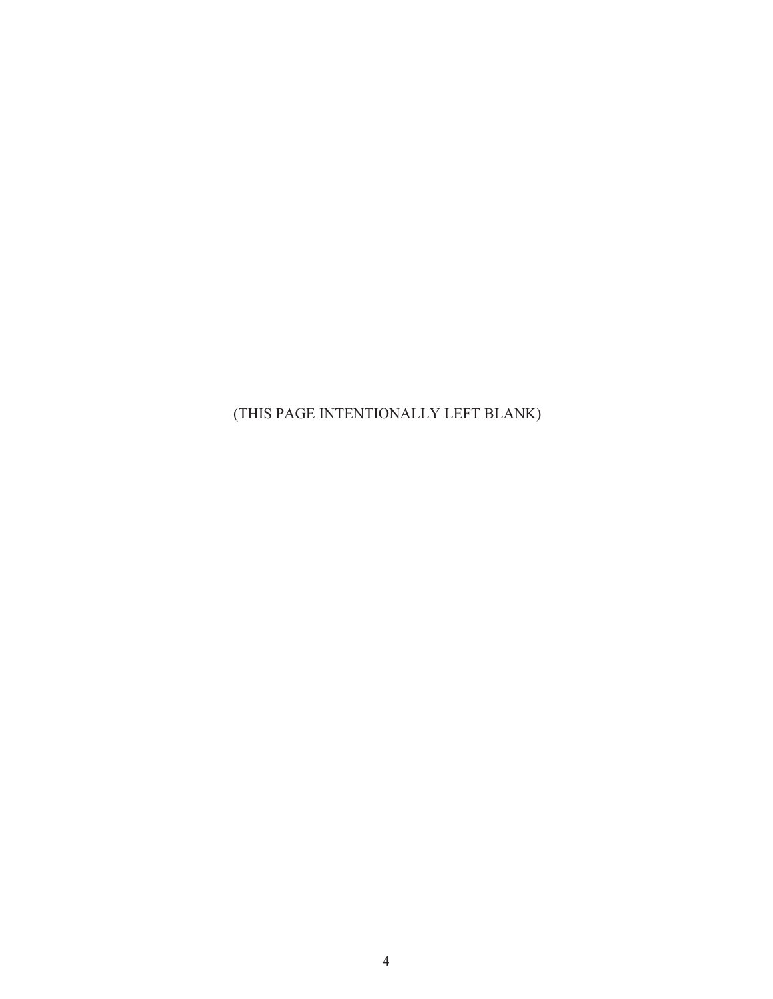(THIS PAGE INTENTIONALLY LEFT BLANK)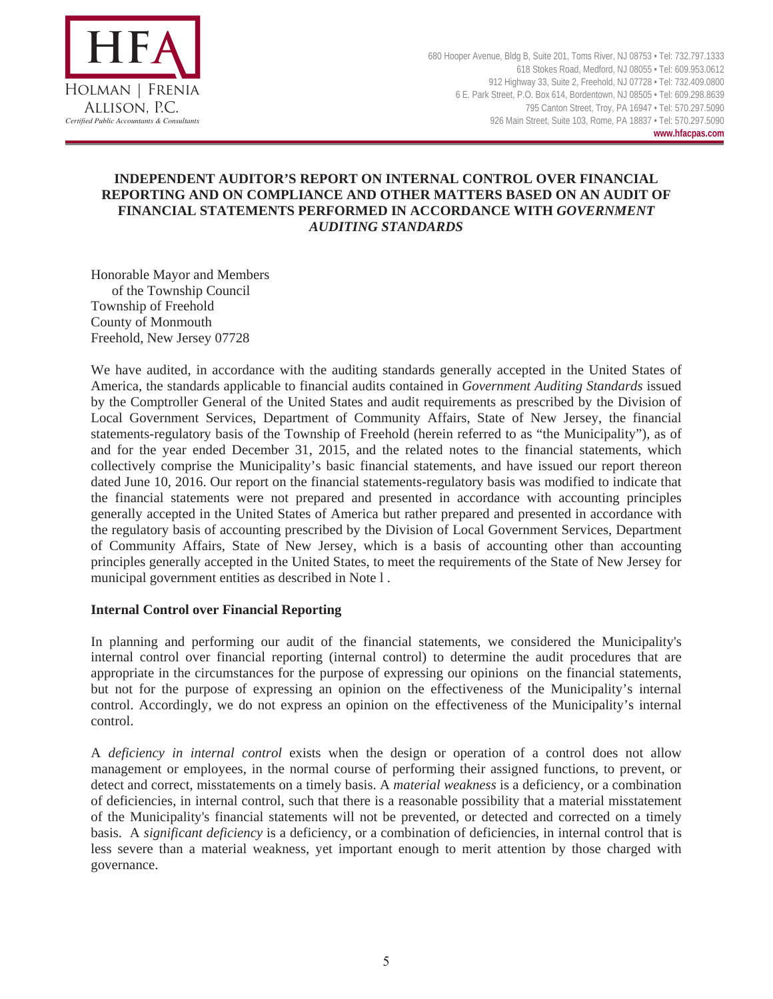

680 Hooper Avenue, Bldg B, Suite 201, Toms River, NJ 08753 • Tel: 732.797.1333 618 Stokes Road, Medford, NJ 08055 • Tel: 609.953.0612 912 Highway 33, Suite 2, Freehold, NJ 07728 • Tel: 732.409.0800 6 E. Park Street, P.O. Box 614, Bordentown, NJ 08505 • Tel: 609.298.8639 795 Canton Street, Troy, PA 16947 • Tel: 570.297.5090 926 Main Street, Suite 103, Rome, PA 18837 • Tel: 570.297.5090 **www.hfacpas.com**

### **INDEPENDENT AUDITOR'S REPORT ON INTERNAL CONTROL OVER FINANCIAL REPORTING AND ON COMPLIANCE AND OTHER MATTERS BASED ON AN AUDIT OF FINANCIAL STATEMENTS PERFORMED IN ACCORDANCE WITH** *GOVERNMENT AUDITING STANDARDS*

Honorable Mayor and Members of the Township Council Township of Freehold County of Monmouth Freehold, New Jersey 07728

We have audited, in accordance with the auditing standards generally accepted in the United States of America, the standards applicable to financial audits contained in *Government Auditing Standards* issued by the Comptroller General of the United States and audit requirements as prescribed by the Division of Local Government Services, Department of Community Affairs, State of New Jersey, the financial statements-regulatory basis of the Township of Freehold (herein referred to as "the Municipality"), as of and for the year ended December 31, 2015, and the related notes to the financial statements, which collectively comprise the Municipality's basic financial statements, and have issued our report thereon dated June 10, 2016. Our report on the financial statements-regulatory basis was modified to indicate that the financial statements were not prepared and presented in accordance with accounting principles generally accepted in the United States of America but rather prepared and presented in accordance with the regulatory basis of accounting prescribed by the Division of Local Government Services, Department of Community Affairs, State of New Jersey, which is a basis of accounting other than accounting principles generally accepted in the United States, to meet the requirements of the State of New Jersey for municipal government entities as described in Note l .

### **Internal Control over Financial Reporting**

In planning and performing our audit of the financial statements, we considered the Municipality's internal control over financial reporting (internal control) to determine the audit procedures that are appropriate in the circumstances for the purpose of expressing our opinions on the financial statements, but not for the purpose of expressing an opinion on the effectiveness of the Municipality's internal control. Accordingly, we do not express an opinion on the effectiveness of the Municipality's internal control.

A *deficiency in internal control* exists when the design or operation of a control does not allow management or employees, in the normal course of performing their assigned functions, to prevent, or detect and correct, misstatements on a timely basis. A *material weakness* is a deficiency, or a combination of deficiencies, in internal control, such that there is a reasonable possibility that a material misstatement of the Municipality's financial statements will not be prevented, or detected and corrected on a timely basis. A *significant deficiency* is a deficiency, or a combination of deficiencies, in internal control that is less severe than a material weakness, yet important enough to merit attention by those charged with governance.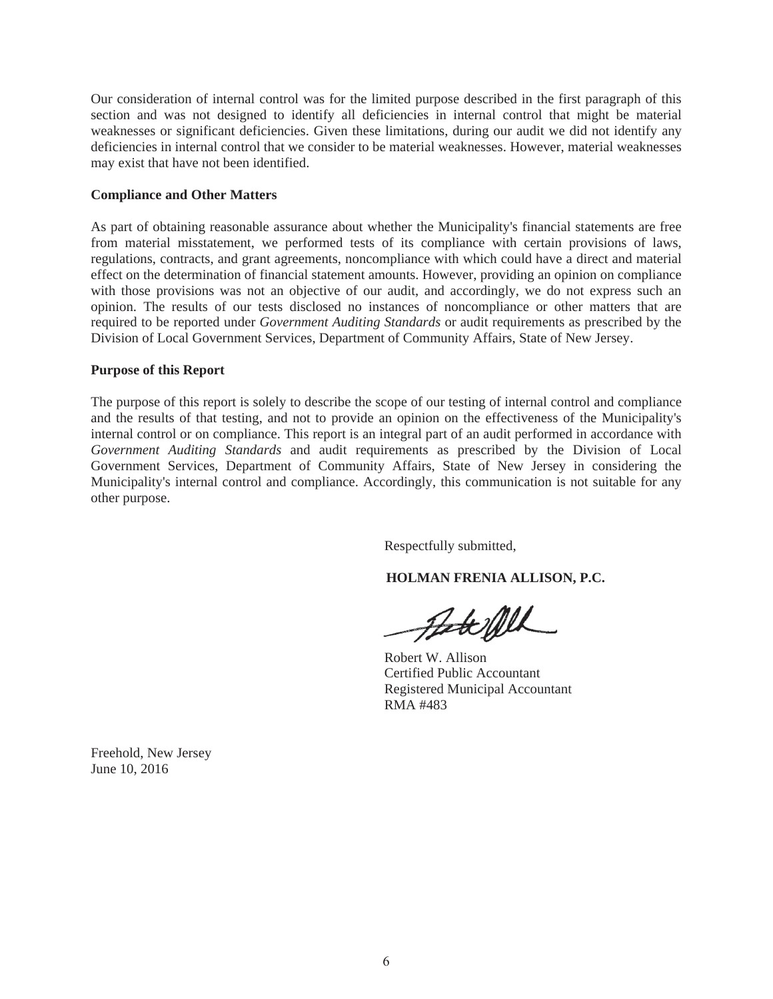Our consideration of internal control was for the limited purpose described in the first paragraph of this section and was not designed to identify all deficiencies in internal control that might be material weaknesses or significant deficiencies. Given these limitations, during our audit we did not identify any deficiencies in internal control that we consider to be material weaknesses. However, material weaknesses may exist that have not been identified.

### **Compliance and Other Matters**

As part of obtaining reasonable assurance about whether the Municipality's financial statements are free from material misstatement, we performed tests of its compliance with certain provisions of laws, regulations, contracts, and grant agreements, noncompliance with which could have a direct and material effect on the determination of financial statement amounts. However, providing an opinion on compliance with those provisions was not an objective of our audit, and accordingly, we do not express such an opinion. The results of our tests disclosed no instances of noncompliance or other matters that are required to be reported under *Government Auditing Standards* or audit requirements as prescribed by the Division of Local Government Services, Department of Community Affairs, State of New Jersey.

### **Purpose of this Report**

The purpose of this report is solely to describe the scope of our testing of internal control and compliance and the results of that testing, and not to provide an opinion on the effectiveness of the Municipality's internal control or on compliance. This report is an integral part of an audit performed in accordance with *Government Auditing Standards* and audit requirements as prescribed by the Division of Local Government Services, Department of Community Affairs, State of New Jersey in considering the Municipality's internal control and compliance. Accordingly, this communication is not suitable for any other purpose.

Respectfully submitted,

**HOLMAN FRENIA ALLISON, P.C.** 

Fett fell

 Robert W. Allison Certified Public Accountant Registered Municipal Accountant RMA #483

Freehold, New Jersey June 10, 2016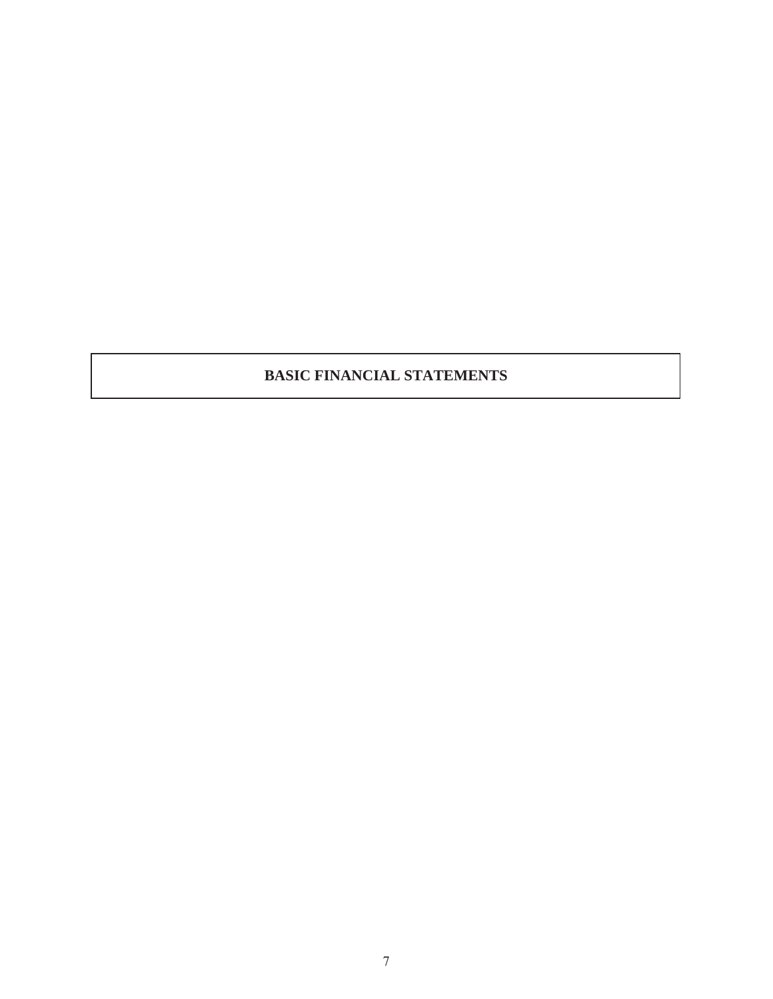### **BASIC FINANCIAL STATEMENTS**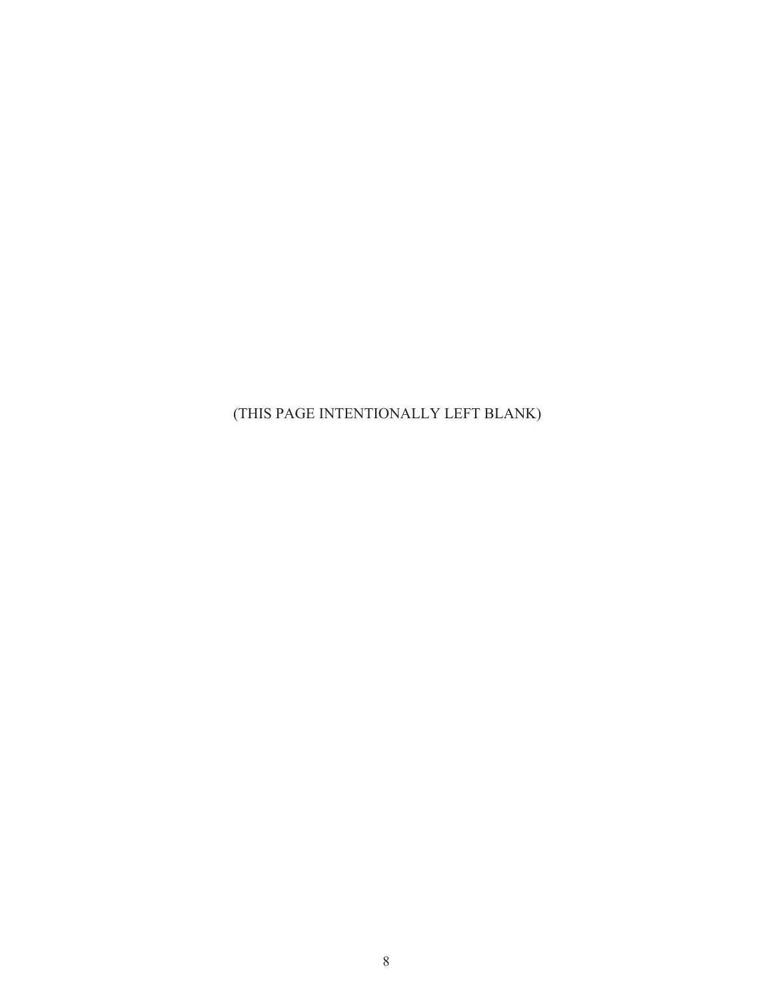(THIS PAGE INTENTIONALLY LEFT BLANK)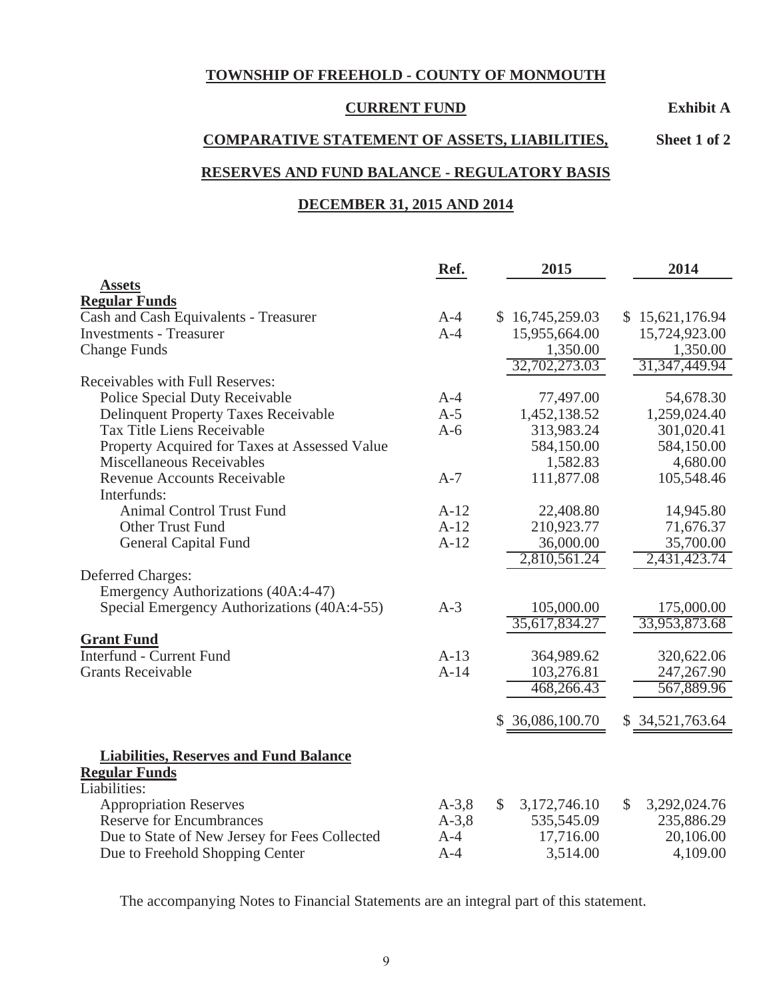### **CURRENT FUND Exhibit A**

### **COMPARATIVE STATEMENT OF ASSETS, LIABILITIES, Sheet 1 of 2**

### **RESERVES AND FUND BALANCE - REGULATORY BASIS**

### **DECEMBER 31, 2015 AND 2014**

|                                               | Ref.    | 2015               | 2014               |
|-----------------------------------------------|---------|--------------------|--------------------|
| <b>Assets</b>                                 |         |                    |                    |
| <b>Regular Funds</b>                          |         |                    |                    |
| Cash and Cash Equivalents - Treasurer         | $A-4$   | \$16,745,259.03    | \$15,621,176.94    |
| <b>Investments - Treasurer</b>                | $A-4$   | 15,955,664.00      | 15,724,923.00      |
| <b>Change Funds</b>                           |         | 1,350.00           | 1,350.00           |
|                                               |         | 32,702,273.03      | 31,347,449.94      |
| Receivables with Full Reserves:               |         |                    |                    |
| Police Special Duty Receivable                | $A-4$   | 77,497.00          | 54,678.30          |
| <b>Delinquent Property Taxes Receivable</b>   | $A-5$   | 1,452,138.52       | 1,259,024.40       |
| Tax Title Liens Receivable                    | $A-6$   | 313,983.24         | 301,020.41         |
| Property Acquired for Taxes at Assessed Value |         | 584,150.00         | 584,150.00         |
| Miscellaneous Receivables                     |         | 1,582.83           | 4,680.00           |
| <b>Revenue Accounts Receivable</b>            | $A-7$   | 111,877.08         | 105,548.46         |
| Interfunds:                                   |         |                    |                    |
| <b>Animal Control Trust Fund</b>              | $A-12$  | 22,408.80          | 14,945.80          |
| <b>Other Trust Fund</b>                       | $A-12$  | 210,923.77         | 71,676.37          |
| <b>General Capital Fund</b>                   | $A-12$  | 36,000.00          | 35,700.00          |
|                                               |         | 2,810,561.24       | 2,431,423.74       |
| Deferred Charges:                             |         |                    |                    |
| Emergency Authorizations (40A:4-47)           |         |                    |                    |
| Special Emergency Authorizations (40A:4-55)   | $A-3$   | 105,000.00         | 175,000.00         |
|                                               |         | 35,617,834.27      | 33,953,873.68      |
| <b>Grant Fund</b>                             |         |                    |                    |
| <b>Interfund - Current Fund</b>               | $A-13$  | 364,989.62         | 320,622.06         |
| <b>Grants Receivable</b>                      | $A-14$  | 103,276.81         | 247,267.90         |
|                                               |         | 468,266.43         | 567,889.96         |
|                                               |         |                    |                    |
|                                               |         | \$ 36,086,100.70   | \$ 34,521,763.64   |
| <b>Liabilities, Reserves and Fund Balance</b> |         |                    |                    |
| <b>Regular Funds</b>                          |         |                    |                    |
| Liabilities:                                  |         |                    |                    |
| <b>Appropriation Reserves</b>                 | $A-3,8$ | \$<br>3,172,746.10 | \$<br>3,292,024.76 |
| <b>Reserve for Encumbrances</b>               | $A-3,8$ | 535,545.09         | 235,886.29         |
| Due to State of New Jersey for Fees Collected | $A-4$   | 17,716.00          | 20,106.00          |
| Due to Freehold Shopping Center               | $A-4$   | 3,514.00           | 4,109.00           |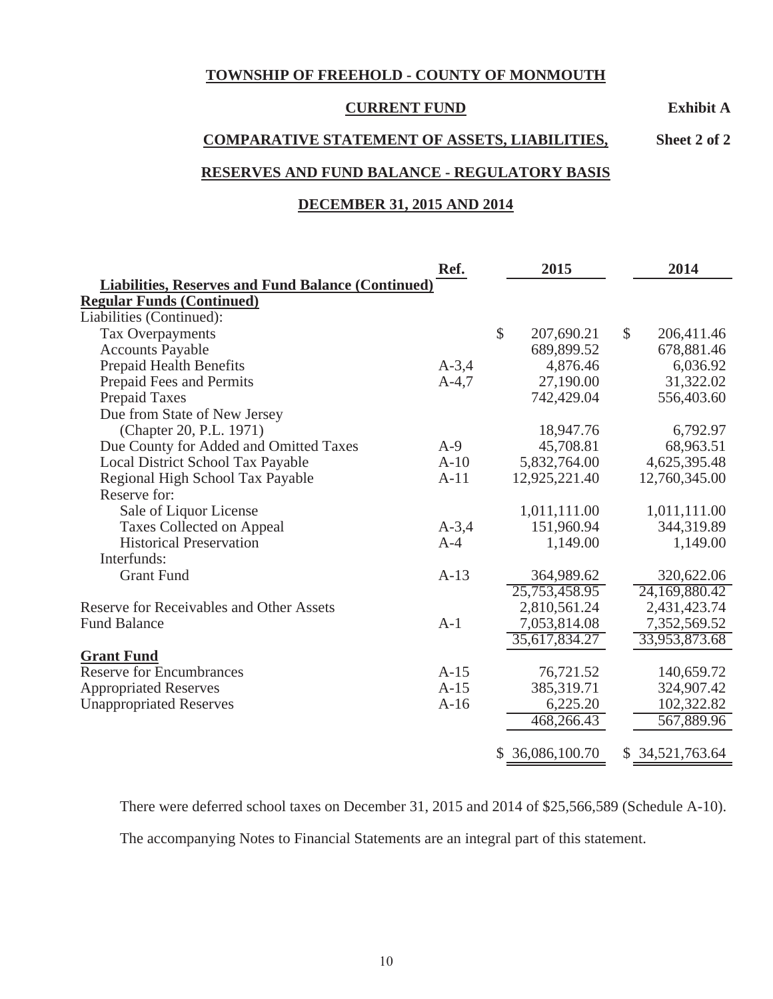### **CURRENT FUND Exhibit A**

### **COMPARATIVE STATEMENT OF ASSETS, LIABILITIES, Sheet 2 of 2**

### **RESERVES AND FUND BALANCE - REGULATORY BASIS**

### **DECEMBER 31, 2015 AND 2014**

|                                                           | Ref.    | 2015                        | 2014            |              |
|-----------------------------------------------------------|---------|-----------------------------|-----------------|--------------|
| <b>Liabilities, Reserves and Fund Balance (Continued)</b> |         |                             |                 |              |
| <b>Regular Funds (Continued)</b>                          |         |                             |                 |              |
| Liabilities (Continued):                                  |         |                             |                 |              |
| Tax Overpayments                                          |         | $\mathcal{S}$<br>207,690.21 | $\mathbb{S}$    | 206,411.46   |
| <b>Accounts Payable</b>                                   |         | 689,899.52                  |                 | 678,881.46   |
| Prepaid Health Benefits                                   | $A-3,4$ | 4,876.46                    |                 | 6,036.92     |
| Prepaid Fees and Permits                                  | $A-4,7$ | 27,190.00                   |                 | 31,322.02    |
| <b>Prepaid Taxes</b>                                      |         | 742,429.04                  |                 | 556,403.60   |
| Due from State of New Jersey                              |         |                             |                 |              |
| (Chapter 20, P.L. 1971)                                   |         | 18,947.76                   |                 | 6,792.97     |
| Due County for Added and Omitted Taxes                    | $A-9$   | 45,708.81                   |                 | 68,963.51    |
| Local District School Tax Payable                         | $A-10$  | 5,832,764.00                |                 | 4,625,395.48 |
| Regional High School Tax Payable                          | $A-11$  | 12,925,221.40               | 12,760,345.00   |              |
| Reserve for:                                              |         |                             |                 |              |
| Sale of Liquor License                                    |         | 1,011,111.00                |                 | 1,011,111.00 |
| <b>Taxes Collected on Appeal</b>                          | $A-3,4$ | 151,960.94                  |                 | 344,319.89   |
| <b>Historical Preservation</b>                            | $A-4$   | 1,149.00                    |                 | 1,149.00     |
| Interfunds:                                               |         |                             |                 |              |
| <b>Grant Fund</b>                                         | $A-13$  | 364,989.62                  |                 | 320,622.06   |
|                                                           |         | 25, 753, 458. 95            | 24,169,880.42   |              |
| <b>Reserve for Receivables and Other Assets</b>           |         | 2,810,561.24                |                 | 2,431,423.74 |
| <b>Fund Balance</b>                                       | $A-1$   | 7,053,814.08                |                 | 7,352,569.52 |
|                                                           |         | 35,617,834.27               | 33,953,873.68   |              |
| <b>Grant Fund</b>                                         |         |                             |                 |              |
| <b>Reserve for Encumbrances</b>                           | $A-15$  | 76,721.52                   |                 | 140,659.72   |
| <b>Appropriated Reserves</b>                              | $A-15$  | 385,319.71                  |                 | 324,907.42   |
| <b>Unappropriated Reserves</b>                            | $A-16$  | 6,225.20                    |                 | 102,322.82   |
|                                                           |         | 468,266.43                  |                 | 567,889.96   |
|                                                           |         |                             |                 |              |
|                                                           |         | 36,086,100.70               | \$34,521,763.64 |              |

There were deferred school taxes on December 31, 2015 and 2014 of \$25,566,589 (Schedule A-10).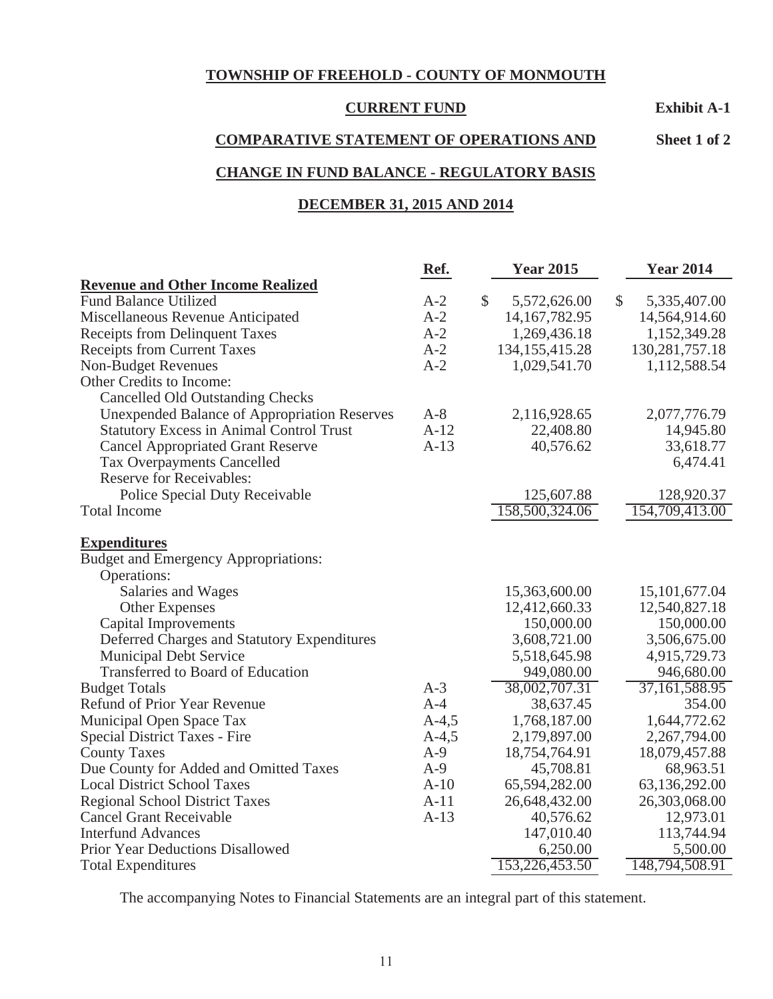### **CURRENT FUND Exhibit A-1**

**COMPARATIVE STATEMENT OF OPERATIONS AND Sheet 1 of 2**

### **CHANGE IN FUND BALANCE - REGULATORY BASIS**

### **DECEMBER 31, 2015 AND 2014**

|                                                     | Ref.    | <b>Year 2015</b>   | <b>Year 2014</b>   |
|-----------------------------------------------------|---------|--------------------|--------------------|
| <b>Revenue and Other Income Realized</b>            |         |                    |                    |
| <b>Fund Balance Utilized</b>                        | $A-2$   | \$<br>5,572,626.00 | \$<br>5,335,407.00 |
| Miscellaneous Revenue Anticipated                   | $A-2$   | 14, 167, 782. 95   | 14,564,914.60      |
| <b>Receipts from Delinquent Taxes</b>               | $A-2$   | 1,269,436.18       | 1,152,349.28       |
| <b>Receipts from Current Taxes</b>                  | $A-2$   | 134, 155, 415.28   | 130, 281, 757. 18  |
| Non-Budget Revenues                                 | $A-2$   | 1,029,541.70       | 1,112,588.54       |
| Other Credits to Income:                            |         |                    |                    |
| <b>Cancelled Old Outstanding Checks</b>             |         |                    |                    |
| <b>Unexpended Balance of Appropriation Reserves</b> | $A-8$   | 2,116,928.65       | 2,077,776.79       |
| <b>Statutory Excess in Animal Control Trust</b>     | $A-12$  | 22,408.80          | 14,945.80          |
| <b>Cancel Appropriated Grant Reserve</b>            | $A-13$  | 40,576.62          | 33,618.77          |
| <b>Tax Overpayments Cancelled</b>                   |         |                    | 6,474.41           |
| <b>Reserve for Receivables:</b>                     |         |                    |                    |
| Police Special Duty Receivable                      |         | 125,607.88         | 128,920.37         |
| <b>Total Income</b>                                 |         | 158,500,324.06     | 154,709,413.00     |
|                                                     |         |                    |                    |
| <b>Expenditures</b>                                 |         |                    |                    |
| <b>Budget and Emergency Appropriations:</b>         |         |                    |                    |
| Operations:                                         |         |                    |                    |
| Salaries and Wages                                  |         | 15,363,600.00      | 15,101,677.04      |
| Other Expenses                                      |         | 12,412,660.33      | 12,540,827.18      |
| <b>Capital Improvements</b>                         |         | 150,000.00         | 150,000.00         |
| Deferred Charges and Statutory Expenditures         |         | 3,608,721.00       | 3,506,675.00       |
| <b>Municipal Debt Service</b>                       |         | 5,518,645.98       | 4,915,729.73       |
| <b>Transferred to Board of Education</b>            |         | 949,080.00         | 946,680.00         |
| <b>Budget Totals</b>                                | $A-3$   | 38,002,707.31      | 37,161,588.95      |
| <b>Refund of Prior Year Revenue</b>                 | $A-4$   | 38,637.45          | 354.00             |
| Municipal Open Space Tax                            | $A-4,5$ | 1,768,187.00       | 1,644,772.62       |
| <b>Special District Taxes - Fire</b>                | $A-4,5$ | 2,179,897.00       | 2,267,794.00       |
| <b>County Taxes</b>                                 | $A-9$   | 18,754,764.91      | 18,079,457.88      |
| Due County for Added and Omitted Taxes              | $A-9$   | 45,708.81          | 68,963.51          |
| <b>Local District School Taxes</b>                  | $A-10$  | 65,594,282.00      | 63,136,292.00      |
| <b>Regional School District Taxes</b>               | $A-11$  | 26,648,432.00      | 26,303,068.00      |
| <b>Cancel Grant Receivable</b>                      | $A-13$  | 40,576.62          | 12,973.01          |
| <b>Interfund Advances</b>                           |         | 147,010.40         | 113,744.94         |
| Prior Year Deductions Disallowed                    |         | 6,250.00           | 5,500.00           |
| <b>Total Expenditures</b>                           |         | 153,226,453.50     | 148,794,508.91     |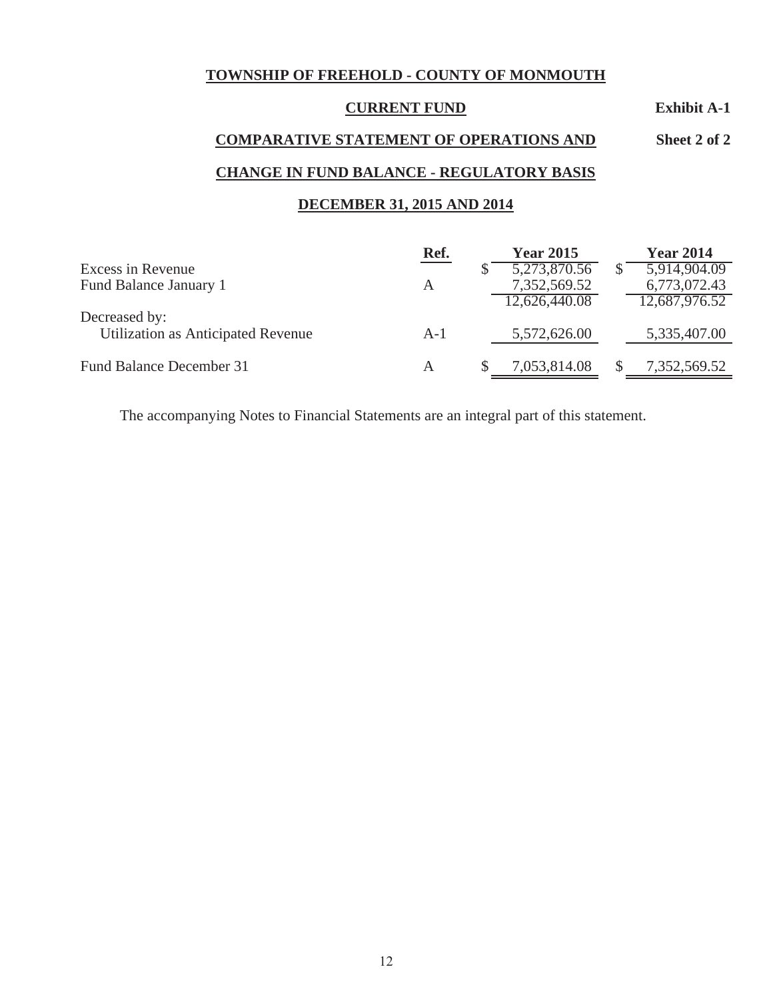### **CURRENT FUND Exhibit A-1**

### **COMPARATIVE STATEMENT OF OPERATIONS AND Sheet 2 of 2**

### **CHANGE IN FUND BALANCE - REGULATORY BASIS**

### **DECEMBER 31, 2015 AND 2014**

|                                    | Ref.  | <b>Year 2015</b> | <b>Year 2014</b> |
|------------------------------------|-------|------------------|------------------|
| Excess in Revenue                  |       | 5,273,870.56     | 5,914,904.09     |
| Fund Balance January 1             | А     | 7,352,569.52     | 6,773,072.43     |
|                                    |       | 12,626,440.08    | 12,687,976.52    |
| Decreased by:                      |       |                  |                  |
| Utilization as Anticipated Revenue | $A-1$ | 5,572,626.00     | 5,335,407.00     |
|                                    |       |                  |                  |
| Fund Balance December 31           | A     | 7,053,814.08     | 7,352,569.52     |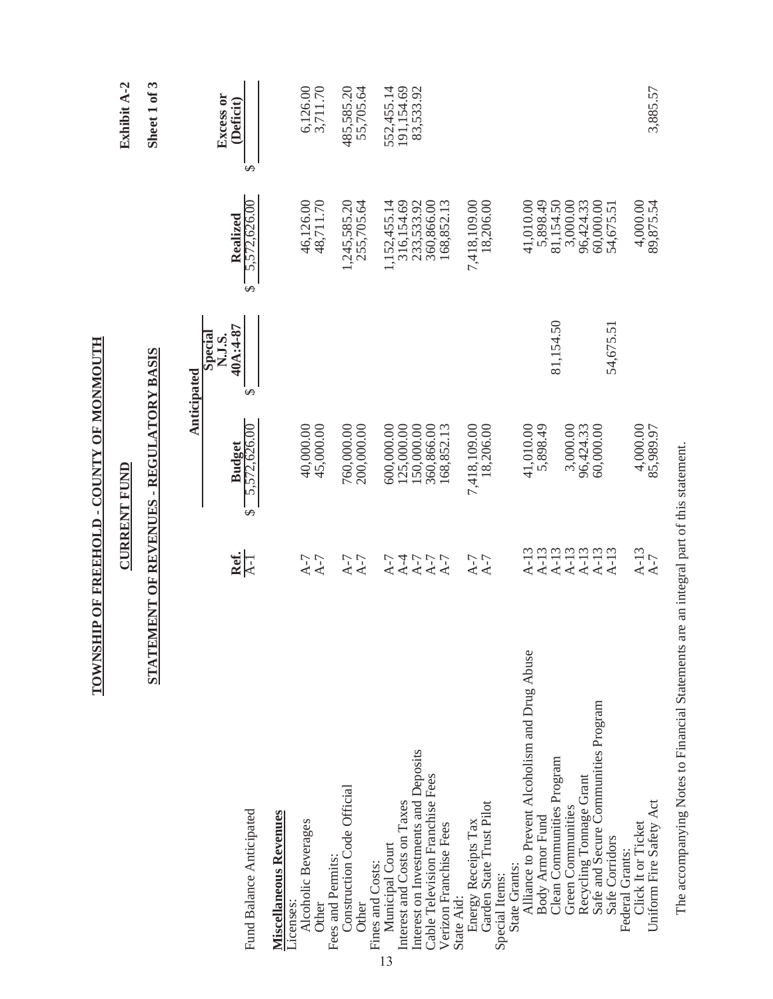|                                                                         |                                | <b>TOWNSHIP OF FREEHOLD - COUNTY OF MONMOUTH</b>   |                                     |                                    |                          |
|-------------------------------------------------------------------------|--------------------------------|----------------------------------------------------|-------------------------------------|------------------------------------|--------------------------|
|                                                                         |                                | <b>CURRENT FUND</b>                                |                                     |                                    | Exhibit A-2              |
| <b>STAT</b>                                                             |                                | EMENT OF REVENUES - REGULATORY BASIS               |                                     |                                    | Sheet 1 of 3             |
|                                                                         |                                |                                                    | $S$ pecial<br>N.J.S.<br>Anticipated |                                    | Excess or                |
| Fund Balance Anticipated                                                | $rac{\text{Ref.}}{\text{A-1}}$ | 5,572,626.00<br><b>Budget</b><br>$\leftrightarrow$ | 40A:4-87<br>$\Theta$                | 5,572,626.00<br>Realized<br>।<br>ऊ | (Deficit)<br>↔           |
| Miscellaneous Revenues                                                  |                                |                                                    |                                     |                                    |                          |
| Alcoholic Beverages<br>Licenses:<br>Other                               | $A-7$<br>$A-7$                 | 45,000.00<br>40,000.00                             |                                     | 46,126.00<br>48,711.70             | 6,126.00<br>3,711.70     |
| Construction Code Official<br>Fees and Permits:<br>Other                | $A-7$<br>$A-7$                 | 760,000.00<br>200,000.00                           |                                     | 1,245,585.20<br>255,705.64         | 485,585.20<br>55,705.64  |
| Fines and Costs:                                                        |                                |                                                    |                                     |                                    |                          |
| Interest and Costs on Taxes<br>Municipal Court                          | $A-4$<br>$A-7$                 | 600,000.00<br>125,000.00                           |                                     | 1,152,455.14<br>316,154.69         | 191,154.69<br>552,455.14 |
| Interest on Investments and Deposits<br>Cable Television Franchise Fees | $A-7$<br>$A-7$                 | 150,000.00<br>360,866.00                           |                                     | 360,866.00<br>233,533.92           | 83,533.92                |
| Verizon Franchise Fees<br>State Aid:                                    | $A-7$                          | 168,852.13                                         |                                     | 168,852.13                         |                          |
| Garden State Trust Pilot<br>Energy Receipts Tax                         | $A-7$<br>$A-7$                 | 7,418,109.00<br>18,206.00                          |                                     | 7,418,109.00<br>18,206.00          |                          |
| <b>State Grants:</b><br>Special Items:                                  |                                |                                                    |                                     |                                    |                          |
| Alliance to Prevent Alcoholism and Drug Abuse<br>Body Armor Fund        | $A-13$<br>$A-13$               | 41,010.00<br>5,898.49                              |                                     | 41,010.00<br>5,898.49              |                          |
| Clean Communities Program                                               | $A-13$                         |                                                    | 81,154.50                           | 81,154.50                          |                          |
| Green Communities                                                       | $A-13$                         | 3,000.00<br>96,424.33                              |                                     | 3,000.00                           |                          |
| Recycling Tomage Grant<br>Safe and Secure Communities Program           | $A-13$<br>$A-13$               | 60,000.00                                          |                                     | 60,000.00<br>96,424.33             |                          |
| Safe Corridors<br>Federal Grants:                                       | $A-13$                         |                                                    | 54,675.51                           | 54,675.51                          |                          |
| Uniform Fire Safety Act<br>Click It or Ticket                           | $A-13$<br>A-7                  | 4,000.00<br>85,989.97                              |                                     | 89,875.54<br>4,000.00              | 3,885.57                 |
|                                                                         |                                |                                                    |                                     |                                    |                          |

The accompanying Notes to Financial Statements are an integral part of this statement. The accompanying Notes to Financial Statements are an integral part of this statement.

 $\frac{11}{13}$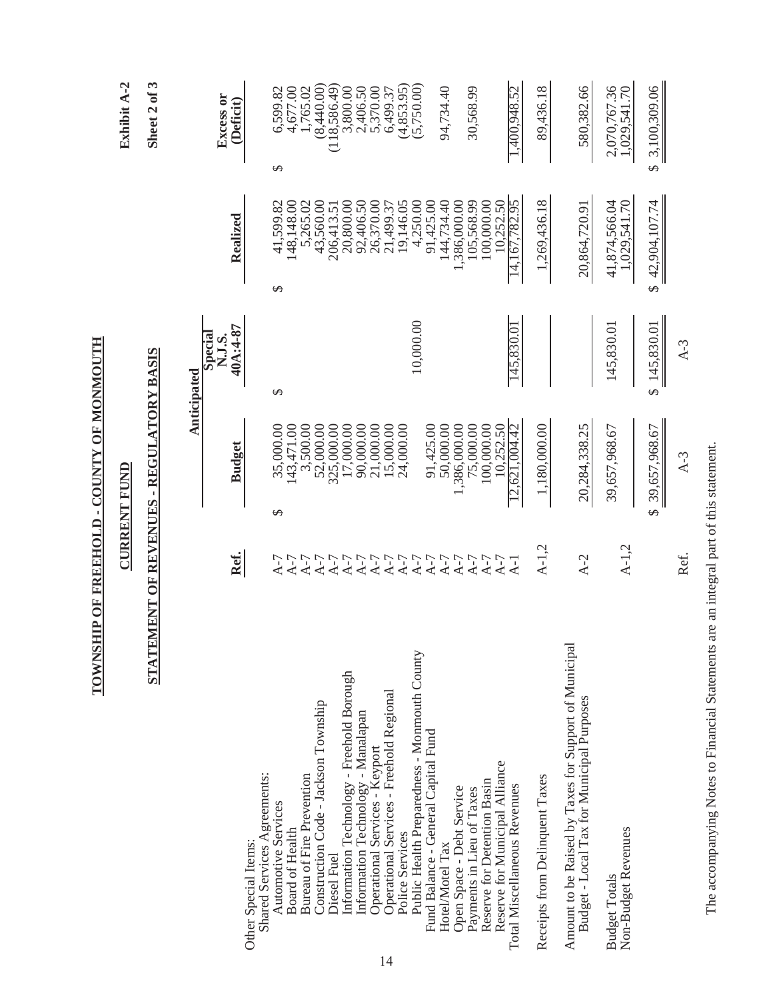|                                                                                                    |                | <b>CURRENT FUND</b>                      |                                              |                               | Exhibit A-2                              |
|----------------------------------------------------------------------------------------------------|----------------|------------------------------------------|----------------------------------------------|-------------------------------|------------------------------------------|
|                                                                                                    |                | STATEMENT OF REVENUES - REGULATORY BASIS |                                              |                               | Sheet 2 of 3                             |
|                                                                                                    | Ref.           | <b>Budget</b>                            | 40A:4-87<br>Special<br>N.J.S.<br>Anticipated | Realized                      | Excess or<br>(Deficit)                   |
| Shared Services Agreements:<br>Other Special Items:                                                |                |                                          |                                              |                               |                                          |
| Automotive Services<br>Board of Health                                                             | $A-7$<br>$A-7$ | 35,000.00<br>143,471.00<br>↔             | $\Theta$                                     | 41,599.82<br>148,148.00<br>↔  | 4,677.00<br>6,599.82<br>↔                |
| Construction Code - Jackson Township<br><b>Bureau of Fire Prevention</b>                           | $A-7$<br>$A-7$ | 3,500.00<br>52,000.00                    |                                              | 43,560.00<br>5,265.02         | $(8,440.00)$<br>$18,586.49)$<br>1,765.02 |
| Information Technology - Freehold Borough<br>Diesel Fuel                                           | $A-7$<br>$A-7$ | 17,000.00<br>325,000.00                  |                                              | 20,800.00<br>206,413.51       |                                          |
| Information Technology - Manalapan                                                                 | $A-7$          | 90,000.00                                |                                              | 92,406.50                     | 3,800.00<br>2,406.50                     |
| Operational Services - Freehold Regional<br>Operational Services - Keyport                         | $A-7$<br>$A-7$ | 21,000.00<br>15,000.00                   |                                              | 26,370.00<br>21,499.37        | 5,370.00<br>6,499.37                     |
| Police Services                                                                                    | $A-7$          | 24,000.00                                |                                              | 19,146.05                     | $(4,853.95)$<br>$(5,750.00)$             |
| Public Health Preparedness - Monmouth County<br>Fund Balance - General Capital Fund                | $A-7$<br>$A-7$ | 91,425.00                                | 10,000.00                                    | 91,425.00<br>4,250.00         |                                          |
| Open Space - Debt Service<br>Hotel/Motel Tax                                                       | $A-7$<br>$A-7$ | 50,000.00<br>1,386,000.00                |                                              | 144,734.40<br>,386,000.00     | 94,734.40                                |
| Payments in Lieu of Taxes                                                                          | $A-7$          | 75,000.00                                |                                              | 105,568.99                    | 30,568.99                                |
| Reserve for Municipal Alliance<br>Reserve for Detention Basin                                      | $A-7$<br>$A-7$ | 100,000.00<br>10,252.50                  |                                              | 100,000.00<br>10,252.50       |                                          |
| Total Miscellaneous Revenues                                                                       | $A-1$          | [2,621,004.42]                           | 145,830.01                                   | 14,167,782.95                 | 1,400,948.52                             |
| Receipts from Delinquent Taxes                                                                     | $A-1,2$        | 1,180,000.00                             |                                              | 1,269,436.18                  | 89,436.18                                |
| Amount to be Raised by Taxes for Support of Municipal<br>Budget - Local Tax for Municipal Purposes | $A-2$          | 20,284,338.25                            |                                              | 20,864,720.91                 | 580,382.66                               |
| Non-Budget Revenues<br><b>Budget Totals</b>                                                        | $A-1,2$        | 39,657,968.67                            | 145,830.01                                   | 41,874,566.04<br>1,029,541.70 | 2,070,767.36<br>1,029,541.70             |
|                                                                                                    |                | 39,657,968.67<br>↮                       | 145,830.01<br>↮                              | 42,904,107.74<br>$\Theta$     | 3,100,309.06<br>Ø                        |
|                                                                                                    | Ref.           | $A-3$                                    | $A-3$                                        |                               |                                          |

TOWNSHIP OF FREEHOLD - COUNTY OF MONMOUTH

The accompanying Notes to Financial Statements are an integral part of this statement. The accompanying Notes to Financial Statements are an integral part of this statement.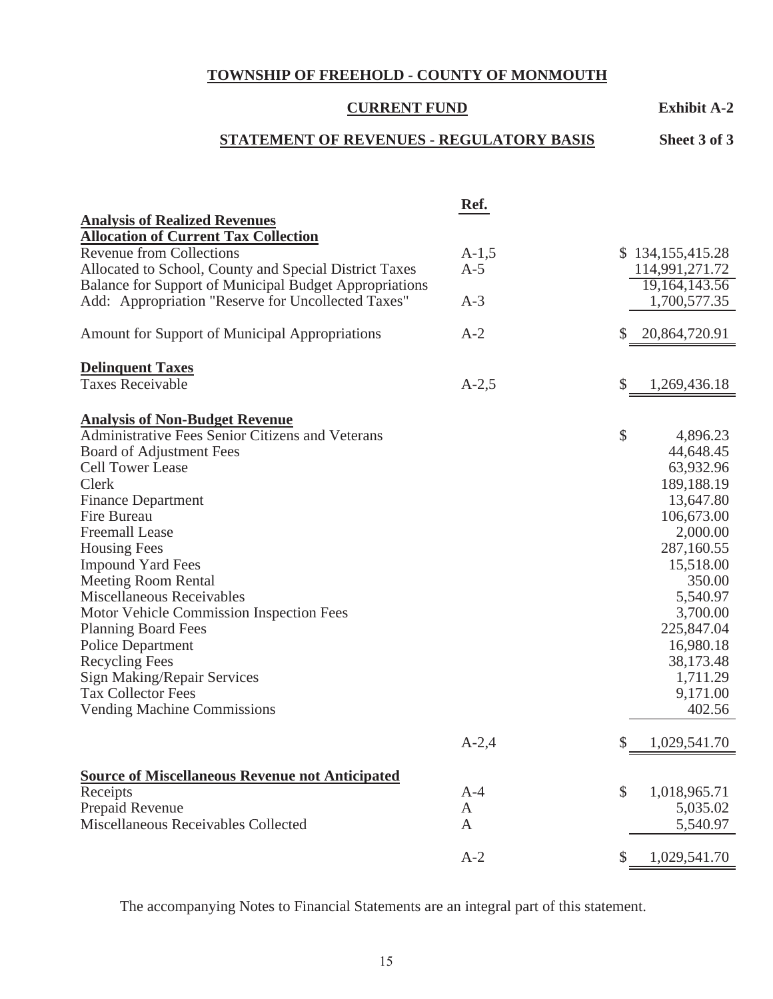### **CURRENT FUND Exhibit A-2**

### **STATEMENT OF REVENUES - REGULATORY BASIS Sheet 3 of 3**

|                                                               | Ref.         |               |                  |
|---------------------------------------------------------------|--------------|---------------|------------------|
| <b>Analysis of Realized Revenues</b>                          |              |               |                  |
| <b>Allocation of Current Tax Collection</b>                   |              |               |                  |
| <b>Revenue from Collections</b>                               | $A-1,5$      |               | \$134,155,415.28 |
| Allocated to School, County and Special District Taxes        | $A-5$        |               | 114,991,271.72   |
| <b>Balance for Support of Municipal Budget Appropriations</b> |              |               | 19, 164, 143. 56 |
| Add: Appropriation "Reserve for Uncollected Taxes"            | $A-3$        |               | 1,700,577.35     |
|                                                               |              |               |                  |
| <b>Amount for Support of Municipal Appropriations</b>         | $A-2$        | $\mathcal{S}$ | 20,864,720.91    |
|                                                               |              |               |                  |
| <b>Delinquent Taxes</b>                                       |              |               |                  |
| <b>Taxes Receivable</b>                                       | $A-2,5$      | $\mathcal{S}$ | 1,269,436.18     |
|                                                               |              |               |                  |
| <b>Analysis of Non-Budget Revenue</b>                         |              |               |                  |
| Administrative Fees Senior Citizens and Veterans              |              | \$            | 4,896.23         |
| Board of Adjustment Fees                                      |              |               | 44,648.45        |
| <b>Cell Tower Lease</b>                                       |              |               | 63,932.96        |
| Clerk                                                         |              |               | 189,188.19       |
| <b>Finance Department</b>                                     |              |               | 13,647.80        |
| Fire Bureau                                                   |              |               | 106,673.00       |
| <b>Freemall Lease</b>                                         |              |               | 2,000.00         |
| <b>Housing Fees</b>                                           |              |               | 287,160.55       |
| <b>Impound Yard Fees</b>                                      |              |               | 15,518.00        |
| <b>Meeting Room Rental</b>                                    |              |               | 350.00           |
| Miscellaneous Receivables                                     |              |               | 5,540.97         |
| Motor Vehicle Commission Inspection Fees                      |              |               | 3,700.00         |
| <b>Planning Board Fees</b>                                    |              |               | 225,847.04       |
| <b>Police Department</b>                                      |              |               | 16,980.18        |
| <b>Recycling Fees</b>                                         |              |               | 38,173.48        |
| Sign Making/Repair Services                                   |              |               | 1,711.29         |
| <b>Tax Collector Fees</b>                                     |              |               | 9,171.00         |
| <b>Vending Machine Commissions</b>                            |              |               | 402.56           |
|                                                               |              |               |                  |
|                                                               | $A-2,4$      |               | 1,029,541.70     |
| <b>Source of Miscellaneous Revenue not Anticipated</b>        |              |               |                  |
| Receipts                                                      | $A-4$        | $\mathcal{S}$ | 1,018,965.71     |
| Prepaid Revenue                                               | A            |               | 5,035.02         |
| Miscellaneous Receivables Collected                           | $\mathbf{A}$ |               | 5,540.97         |
|                                                               |              |               |                  |
|                                                               | $A-2$        | \$            | 1,029,541.70     |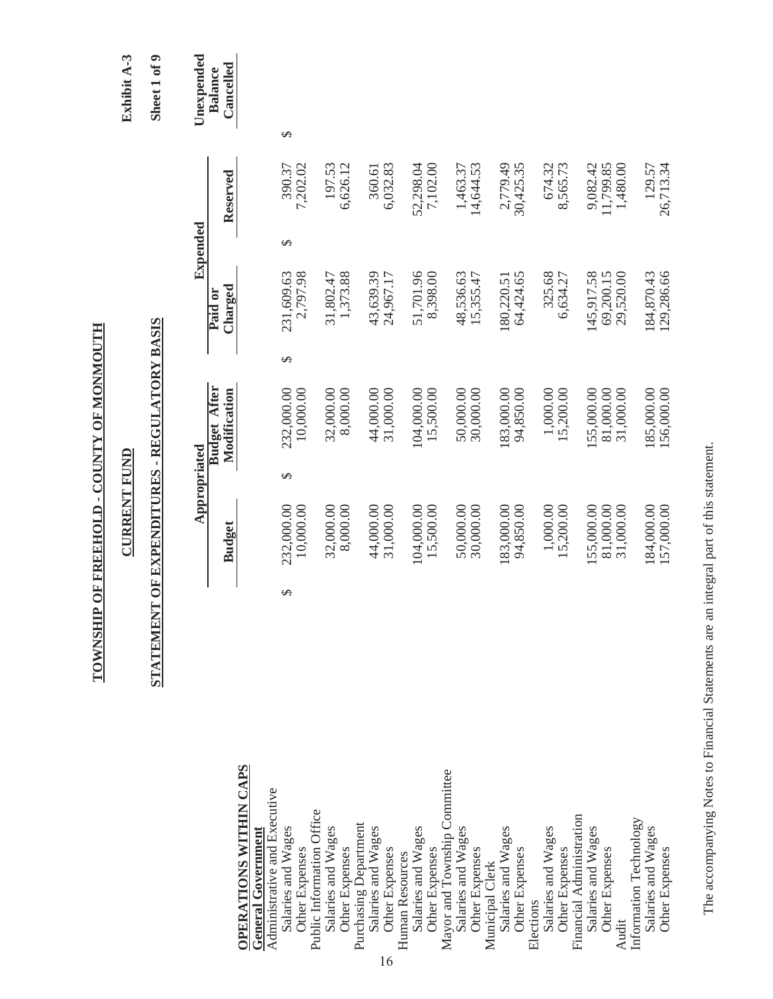|                                                     |                                              | <b>CURRENT FUND</b>     |              |                                     |   |                         |          |                    |   | Exhibit A-3          |
|-----------------------------------------------------|----------------------------------------------|-------------------------|--------------|-------------------------------------|---|-------------------------|----------|--------------------|---|----------------------|
|                                                     | STATEMENT OF EXPENDITURES - REGULATORY BASIS |                         |              |                                     |   |                         |          |                    |   | Sheet 1 of 9         |
|                                                     |                                              |                         | Appropriated |                                     |   |                         | Expended |                    |   | Unexpended           |
|                                                     |                                              | <b>Budget</b>           |              | <b>Budget After</b><br>Modification |   | Charged<br>Paid or      |          | Reserved           |   | Cancelled<br>Balance |
| OPERATIONS WITHIN CAPS<br><b>General Government</b> |                                              |                         |              |                                     |   |                         |          |                    |   |                      |
| Administrative and Executive                        |                                              |                         |              |                                     |   |                         |          |                    |   |                      |
| Salaries and Wages<br>Other Expenses                | ↮                                            | 10,000.00<br>232,000.00 | ↔            | 232,000.00<br>10,000.00             | ↔ | 2,797.98<br>231,609.63  | ↮        | 390.37<br>7,202.02 | ↔ |                      |
| Public Information Office                           |                                              |                         |              |                                     |   |                         |          |                    |   |                      |
| Salaries and Wages                                  |                                              | 32,000.00               |              | 32,000.00                           |   | 31,802.47               |          | 197.53             |   |                      |
| Purchasing Department<br>Other Expenses             |                                              | 8,000.00                |              | 8,000.00                            |   | 1,373.88                |          | 6,626.12           |   |                      |
| Salaries and Wages                                  |                                              | 44,000.00               |              | 44,000.00                           |   | 43,639.39               |          | 360.61             |   |                      |
| Other Expenses                                      |                                              | 31,000.00               |              | 31,000.00                           |   | 24,967.17               |          | 6,032.83           |   |                      |
| Human Resources                                     |                                              |                         |              |                                     |   |                         |          |                    |   |                      |
| Salaries and Wages                                  |                                              | 104,000.00              |              | 104,000.00                          |   | 51,701.96               |          | 52,298.04          |   |                      |
| Other Expenses                                      |                                              | 15,500.00               |              | 15,500.00                           |   | 8,398.00                |          | 7,102.00           |   |                      |
| Mayor and Township Committee                        |                                              |                         |              |                                     |   |                         |          |                    |   |                      |
| Salaries and Wages                                  |                                              | 50,000.00               |              | 50,000.00                           |   | 48,536.63               |          | 1,463.37           |   |                      |
| Other Expenses<br>Municipal Clerk                   |                                              | 30,000.00               |              | 30,000.00                           |   | 15,355.47               |          | 14,644.53          |   |                      |
| Salaries and Wages                                  |                                              | 183,000.00              |              | 183,000.00                          |   | 180,220.51              |          | 2,779.49           |   |                      |
| Other Expenses                                      |                                              | 94,850.00               |              | 94,850.00                           |   | 64,424.65               |          | 30,425.35          |   |                      |
| Elections                                           |                                              |                         |              |                                     |   |                         |          |                    |   |                      |
| Salaries and Wages                                  |                                              | 1,000.00                |              | 1,000.00                            |   | 325.68                  |          | 674.32             |   |                      |
| Other Expenses                                      |                                              | 15,200.00               |              | 15,200.00                           |   | 6,634.27                |          | 8,565.73           |   |                      |
| Financial Administration                            |                                              |                         |              |                                     |   |                         |          |                    |   |                      |
| Salaries and Wages                                  |                                              | 155,000.00              |              | 155,000.00                          |   | 145,917.58<br>69,200.15 |          | 9,082.42           |   |                      |
| Other Expenses                                      |                                              | 81,000.00               |              | 81,000.00                           |   |                         |          | 11,799.85          |   |                      |
| Audit                                               |                                              | 31,000.00               |              | 31,000.00                           |   | 29,520.00               |          | 1,480.00           |   |                      |
| Information Technology                              |                                              |                         |              |                                     |   |                         |          |                    |   |                      |
| Salaries and Wages                                  |                                              | 184,000.00              |              | 185,000.00                          |   | 184,870.43              |          | 129.57             |   |                      |
| Other Expenses                                      |                                              | 157,000.00              |              | 156,000.00                          |   | 129,286.66              |          | 26,713.34          |   |                      |

The accompanying Notes to Financial Statements are an integral part of this statement. The accompanying Notes to Financial Statements are an integral part of this statement.

### $f\,9$ led

**TOWNSHIP OF FREEHOLD - COUNTY OF MONMOUTH**

TOWNSHIP OF FREEHOLD - COUNTY OF MONMOUTH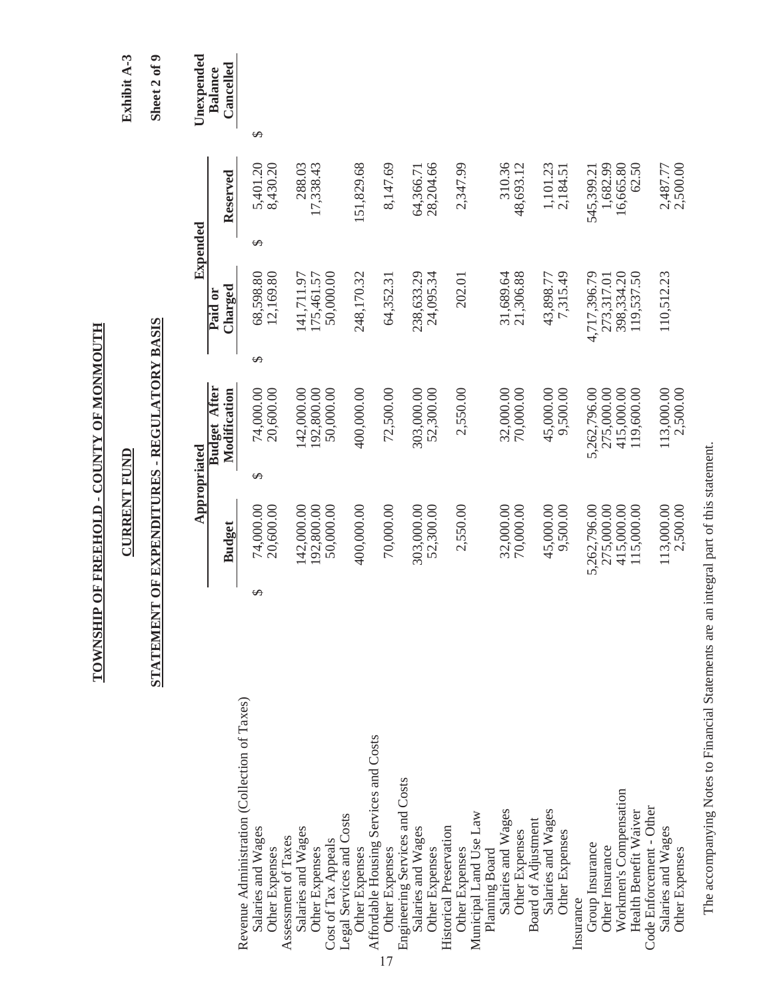### TOWNSHIP OF FREEHOLD - COUNTY OF MONMOUTH **TOWNSHIP OF FREEHOLD - COUNTY OF MONMOUTH**

## **CURRENT FUND Exhibit A-3 CURRENT FUND**

# **STATEMENT OF EXPENDITURES - REGULATORY BASIS Sheet 2 of 9** STATEMENT OF EXPENDITURES - REGULATORY BASIS

|                                              |   |               | Appropriated |                                     |   |                    | Expended |                      | Unexpended                  |
|----------------------------------------------|---|---------------|--------------|-------------------------------------|---|--------------------|----------|----------------------|-----------------------------|
|                                              |   | <b>Budget</b> |              | <b>Budget After</b><br>Modification |   | Charged<br>Paid or |          | Reserved             | Cancelled<br><b>Balance</b> |
| Revenue Administration (Collection of Taxes) |   |               |              |                                     |   |                    |          |                      |                             |
| Salaries and Wages                           | ↮ | 74,000.00     | ↔            | 74,000.00                           | ↮ | 68,598.80          | ↮        |                      | ↮                           |
| Other Expenses                               |   | 20,600.00     |              | 20,600.00                           |   | 12,169.80          |          | 5,401.20<br>8,430.20 |                             |
| Assessment of Taxes                          |   |               |              |                                     |   |                    |          |                      |                             |
| Salaries and Wages                           |   | 142,000.00    |              | 42,000.00                           |   | 141,711.97         |          | 288.03               |                             |
| Other Expenses                               |   | 192,800.00    |              | 192,800.00                          |   | 175,461.57         |          | 17,338.43            |                             |
| Cost of Tax Appeals                          |   | 50,000.00     |              | 50,000.00                           |   | 50,000.00          |          |                      |                             |
| Legal Services and Costs                     |   |               |              |                                     |   |                    |          |                      |                             |
| Other Expenses                               |   | 400,000.00    |              | 400,000.00                          |   | 248,170.32         |          | 151,829.68           |                             |
| Affordable Housing Services and Costs        |   |               |              |                                     |   |                    |          |                      |                             |
| Other Expenses<br>17                         |   | 70,000.00     |              | 72,500.00                           |   | 64,352.31          |          | 8,147.69             |                             |
| Engineering Services and Costs               |   |               |              |                                     |   |                    |          |                      |                             |
| Salaries and Wages                           |   | 303,000.00    |              | 303,000.00                          |   | 238,633.29         |          | 64,366.71            |                             |
| Other Expenses                               |   | 52,300.00     |              | 52,300.00                           |   | 24,095.34          |          | 28,204.66            |                             |
| <b>Historical Preservation</b>               |   |               |              |                                     |   |                    |          |                      |                             |
| Other Expenses                               |   | 2,550.00      |              | 2,550.00                            |   | 202.01             |          | 2,347.99             |                             |
| Municipal Land Use Law                       |   |               |              |                                     |   |                    |          |                      |                             |
| Planning Board                               |   |               |              |                                     |   |                    |          |                      |                             |
| Salaries and Wages                           |   | 32,000.00     |              | 32,000.00                           |   | 31,689.64          |          | 310.36               |                             |
| Other Expenses                               |   | 70,000.00     |              | 70,000.00                           |   | 21,306.88          |          | 48,693.12            |                             |
| <b>Board of Adjustment</b>                   |   |               |              |                                     |   |                    |          |                      |                             |
| Salaries and Wages                           |   | 45,000.00     |              | 45,000.00                           |   | 43,898.77          |          | 1,101.23<br>2,184.51 |                             |
| Other Expenses                               |   | 9,500.00      |              | 9,500.00                            |   | 7,315.49           |          |                      |                             |
| Insurance                                    |   |               |              |                                     |   |                    |          |                      |                             |
| Group Insurance                              |   | 5,262,796.00  |              | 5,262,796.00                        |   | 4,717,396.79       |          | 545,399.21           |                             |
| Other Insurance                              |   | 275,000.00    |              | 275,000.00                          |   | 273,317.01         |          | 1,682.99             |                             |
| Workmen's Compensation                       |   | 415,000.00    |              | 415,000.00                          |   | 398,334.20         |          | 16,665.80            |                             |
| Health Benefit Waiver                        |   | 115,000.00    |              | 119,600.00                          |   | 119,537.50         |          | 62.50                |                             |
| Code Enforcement - Other                     |   |               |              |                                     |   |                    |          |                      |                             |
| Salaries and Wages                           |   | 113,000.00    |              | 113,000.00                          |   | 110,512.23         |          | 2,487.77             |                             |
| Other Expenses                               |   | 2,500.00      |              | 2,500.00                            |   |                    |          | 2,500.00             |                             |

The accompanying Notes to Financial Statements are an integral part of this statement. The accompanying Notes to Financial Statements are an integral part of this statement.

### Sheet 2 of 9

Exhibit A-3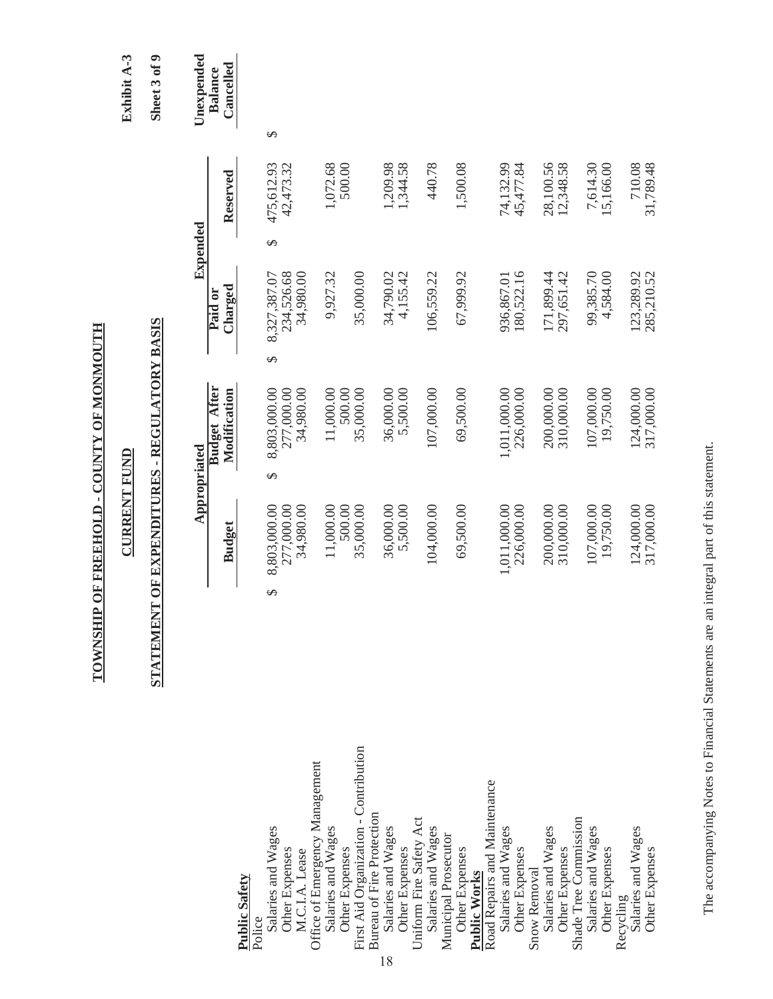| Exhibit A-3         | Sheet 3 of 9                                 | Unexpended<br>Expended | Cancelled<br><b>Balance</b><br>Reserved            |                                | $\Theta$<br>475,612.93<br>$\Theta$ | 42,473.32<br>34,980.00                |                                                  | 1,072.68<br>9,927.32 | 500.00         | 35,000.00                             |                                 | 1,209.98<br>1,344.58<br>34,790.02<br>4,155.42 |                         | 440.78                   |                      | 1,500.08<br>67,999.92 |                     |                              | 74,132.99<br>45,477.84                                 |              | 28,100.56                | 12,348.58                |                       | 7,614.30<br>99,385.70 | 5,166.00<br>4,584.00 |           | 710.08                   | 31,789.48                |
|---------------------|----------------------------------------------|------------------------|----------------------------------------------------|--------------------------------|------------------------------------|---------------------------------------|--------------------------------------------------|----------------------|----------------|---------------------------------------|---------------------------------|-----------------------------------------------|-------------------------|--------------------------|----------------------|-----------------------|---------------------|------------------------------|--------------------------------------------------------|--------------|--------------------------|--------------------------|-----------------------|-----------------------|----------------------|-----------|--------------------------|--------------------------|
|                     |                                              |                        | Charged<br>Paid or<br>Budget After<br>Modification |                                | 8,327,387.07<br>↔<br>8,803,000.00  | 234,526.68<br>34,980.00<br>277,000.00 |                                                  | 11,000.00            | 500.00         | 35,000.00                             |                                 | 36,000.00<br>5,500.00                         |                         | 106,559.22<br>107,000.00 |                      | 69,500.00             |                     |                              | 180,522.16<br>936,867.01<br>1,011,000.00<br>226,000.00 |              | 171,899.44<br>200,000.00 | 297,651.42<br>310,000.00 |                       | 107,000.00            | 19,750.00            |           | 123,289.92<br>124,000.00 | 285,210.52<br>317,000.00 |
| <b>CURRENT FUND</b> | STATEMENT OF EXPENDITURES - REGULATORY BASIS | Appropriated           | <b>Budget</b>                                      |                                | ↮<br>8,803,000.00<br>↔             | 277,000.00                            | 34,980.00                                        | 11,000.00            | 500.00         | 35,000.00                             |                                 | 36,000.00<br>5,500.00                         |                         | 104,000.00               |                      | 69,500.00             |                     |                              | 226,000.00<br>1,011,000.00                             |              | 200,000.00               | 310,000.00               |                       | 107,000.00            | 19,750.00            |           | 124,000.00               | 317,000.00               |
|                     |                                              |                        |                                                    | <b>Public Safety</b><br>Police | Salaries and Wages                 | Other Expenses                        | Office of Emergency Management<br>M.C.I.A. Lease | Salaries and Wages   | Other Expenses | First Aid Organization - Contribution | Bureau of Fire Protection<br>18 | Salaries and Wages<br>Other Expenses          | Uniform Fire Safety Act | Salaries and Wages       | Municipal Prosecutor | Other Expenses        | <b>Public Works</b> | Road Repairs and Maintenance | Salaries and Wages<br>Other Expenses                   | Snow Removal | Salaries and Wages       | Other Expenses           | Shade Tree Commission | Salaries and Wages    | Other Expenses       | Recycling | Salaries and Wages       | Other Expenses           |

The accompanying Notes to Financial Statements are an integral part of this statement. The accompanying Notes to Financial Statements are an integral part of this statement.

**TOWNSHIP OF FREEHOLD - COUNTY OF MONMOUTH**

TOWNSHIP OF FREEHOLD - COUNTY OF MONMOUTH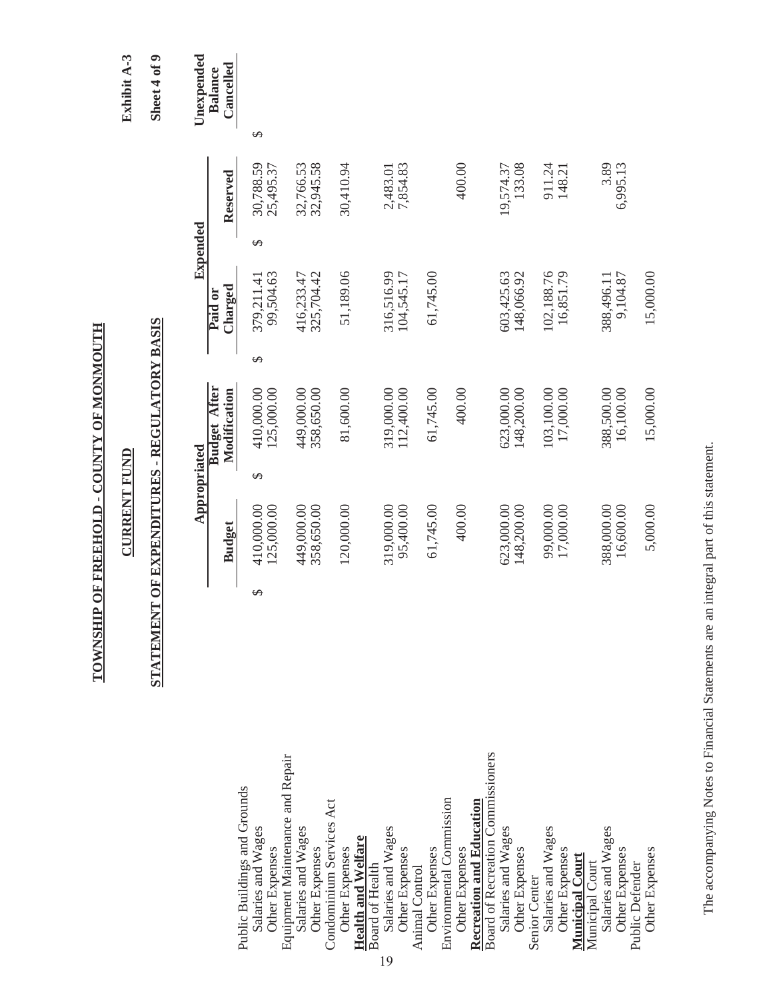| J<br>・・・・・<br>i<br>;<br>֖֖֖֖ׅ֪ׅ֖ׅ֖ׅ֖ׅ֧ׅ֖֧֪ׅ֖֧֚֚֚֚֚֚֚֚֚֚֚֚֚֚֚֚֚֚֚֚֚֚֚֚֚֚֚֚֚֚֚֚֡֝֝֝֝֝֝֝<br>-<br>-<br>-                                        |  |
|---------------------------------------------------------------------------------------------------------------------------------------------|--|
| ・・・・・・く                                                                                                                                     |  |
| ֧֧֧֧֧֧֧֧֧֧֧֧֧֧֧֧֧֧֧֧֧֡֓֓֝֓֝֓֝֬֝֓֓֝֬֓֝֓֝֬֓֝֓֝֬֝֬֟֩֓֓֝֬֓֓֝֬֓֝<br>֧֧֖֧֧ׅ֧֧֧֪ׅ֧֧֪ׅ֧֧֧֪ׅ֧֧֧֧֧֧֧֛֪֪֪֪֪֪֪֪֪֪֪֪֪֪֪ׅ֧֚֚֚֚֚֚֚֚֚֚֚֚֚֚֚֚֚֚֜֜֝֬֓֜֝֬֝֓֓֟֓ |  |
| ;<br>ו<br>;                                                                                                                                 |  |

## **CURRENT FUND Exhibit A-3 CURRENT FUND**

# **STATEMENT OF EXPENDITURES - REGULATORY BASIS Sheet 4 of 9** STATEMENT OF EXPENDITURES - REGULATORY BASIS

|                                                                      |   | Appropriated  |   |                                     |   |                    | Expended |                        | Unexpended                  |  |
|----------------------------------------------------------------------|---|---------------|---|-------------------------------------|---|--------------------|----------|------------------------|-----------------------------|--|
|                                                                      |   | <b>Budget</b> |   | <b>Budget After</b><br>Modification |   | Charged<br>Paid or |          | Reserved               | Cancelled<br><b>Balance</b> |  |
| Public Buildings and Grounds                                         |   |               |   |                                     |   |                    |          |                        |                             |  |
| Salaries and Wages                                                   | ↮ | 410,000.00    | ↔ | 410,000.00                          | ↮ | 379,211.41         | ↮        | 30,788.59<br>25,495.37 | ↮                           |  |
| Other Expenses                                                       |   | 125,000.00    |   | 125,000.00                          |   | 99,504.63          |          |                        |                             |  |
| Equipment Maintenance and Repair<br>Salaries and Wages               |   | 449,000.00    |   | 449,000.00                          |   | 416,233.47         |          |                        |                             |  |
| Other Expenses                                                       |   | 358,650.00    |   | 358,650.00                          |   | 325,704.42         |          | 32,766.53<br>32,945.58 |                             |  |
| Condominium Services Act                                             |   |               |   |                                     |   |                    |          |                        |                             |  |
| Other Expenses                                                       |   | 120,000.00    |   | 81,600.00                           |   | 51,189.06          |          | 30,410.94              |                             |  |
| <b>Health and Welfare</b>                                            |   |               |   |                                     |   |                    |          |                        |                             |  |
| Board of Health                                                      |   |               |   |                                     |   |                    |          |                        |                             |  |
| Salaries and Wages<br>Other Expenses                                 |   | 319,000.00    |   | 319,000.00<br>112,400.00            |   | 316,516.99         |          | 2,483.01               |                             |  |
|                                                                      |   | 95,400.00     |   |                                     |   | 104,545.17         |          | 7,854.83               |                             |  |
| Animal Control                                                       |   |               |   |                                     |   |                    |          |                        |                             |  |
| Other Expenses                                                       |   | 61,745.00     |   | 61,745.00                           |   | 61,745.00          |          |                        |                             |  |
| Environmental Commission                                             |   |               |   |                                     |   |                    |          |                        |                             |  |
| Other Expenses                                                       |   | 400.00        |   | 400.00                              |   |                    |          | 400.00                 |                             |  |
|                                                                      |   |               |   |                                     |   |                    |          |                        |                             |  |
| <b>Recreation and Education</b><br>Board of Recreation Commissioners |   |               |   |                                     |   |                    |          |                        |                             |  |
| Salaries and Wages                                                   |   | 623,000.00    |   | 623,000.00                          |   | 603,425.63         |          | 19,574.37              |                             |  |
| Other Expenses                                                       |   | 148,200.00    |   | 148,200.00                          |   | 148,066.92         |          | 133.08                 |                             |  |
| Senior Center                                                        |   |               |   |                                     |   |                    |          |                        |                             |  |
| Salaries and Wages                                                   |   | 99,000.00     |   | 103,100.00                          |   | 102,188.76         |          | 911.24                 |                             |  |
|                                                                      |   | 17,000.00     |   | 17,000.00                           |   | 16,851.79          |          | 148.21                 |                             |  |
| Other Expenses<br>Municipal Court                                    |   |               |   |                                     |   |                    |          |                        |                             |  |
| Municipal Court                                                      |   |               |   |                                     |   |                    |          |                        |                             |  |
|                                                                      |   | 388,000.00    |   | 388,500.00                          |   | 388,496.11         |          | 3.89                   |                             |  |
| Salaries and Wages<br>Other Expenses                                 |   | 16,600.00     |   | 16,100.00                           |   | 9,104.87           |          | 6,995.13               |                             |  |
| Public Defender                                                      |   |               |   |                                     |   |                    |          |                        |                             |  |
| Other Expenses                                                       |   | 5,000.00      |   | 15,000.00                           |   | 15,000.00          |          |                        |                             |  |

 $19$ 

The accompanying Notes to Financial Statements are an integral part of this statement. The accompanying Notes to Financial Statements are an integral part of this statement.

Exhibit A-3 Sheet 4 of 9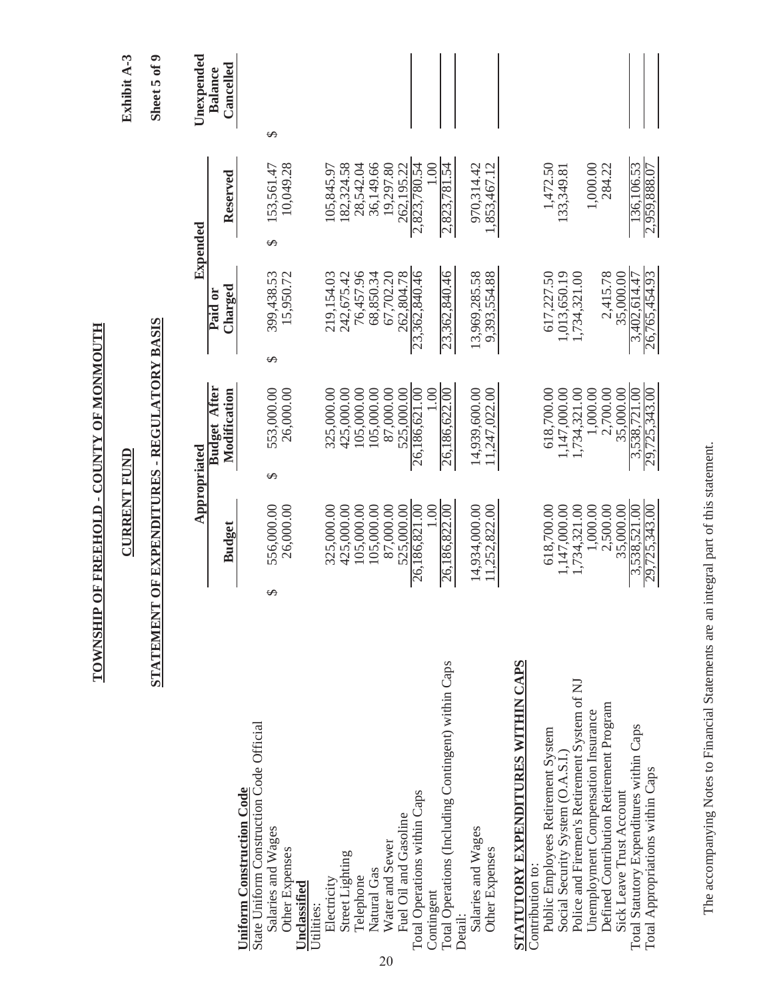|                                                                                                                                                                                                                                                        | Appropriated<br>26,000.00<br>26,186,821.00<br>1.00<br>556,000.00<br>325,000.00<br>425,000.00<br>525,000.00<br>105,000.00<br>105,000.00<br>87,000.00<br><b>Budget</b><br>↔ | STATEMENT OF EXPENDITURES - REGULATORY BASIS<br><b>Budget After</b><br>1.00<br>Modification<br>553,000.00<br>26,000.00<br>325,000.00<br>425,000.00<br>105,000.00<br>05,000.00<br>87,000.00<br>525,000.00<br>26,186,621.00<br>$\Theta$ | 23,362,840.46<br>76,457.96<br>262,804.78<br>242,675.42<br>68,850.34<br>67,702.20<br>399,438.53<br>15,950.72<br>219,154.03<br>Charged<br>Paid or<br>$\Theta$ | 36,149.66<br>10,049.28<br>2,823,780.54<br>153,561.47<br>182,324.58<br>28,542.04<br>19,297.80<br>262,195.22<br>1.00<br>105,845.97<br>Reserved<br>Expended<br>$\Theta$ | Exhibit A-3<br>Sheet 5 of 9<br>Unexpended<br>Cancelled<br><b>Balance</b><br>$\Theta$ |
|--------------------------------------------------------------------------------------------------------------------------------------------------------------------------------------------------------------------------------------------------------|---------------------------------------------------------------------------------------------------------------------------------------------------------------------------|---------------------------------------------------------------------------------------------------------------------------------------------------------------------------------------------------------------------------------------|-------------------------------------------------------------------------------------------------------------------------------------------------------------|----------------------------------------------------------------------------------------------------------------------------------------------------------------------|--------------------------------------------------------------------------------------|
| Total Operations (Including Contingent) within Caps                                                                                                                                                                                                    | 14,934,000.00<br>26,186,822.00<br>11,252,822.00                                                                                                                           | 26,186,622.00<br>14,939,600.00<br>11,247,022.00                                                                                                                                                                                       | 23,362,840.46<br>13,969,285.58<br>9,393,554.88                                                                                                              | 2,823,781.54<br>970,314.42<br>1,853,467.12                                                                                                                           |                                                                                      |
| STATUTORY EXPENDITURES WITHIN CAPS<br>Police and Firemen's Retirement System of NJ<br>Defined Contribution Retirement Program<br>Unemployment Compensation Insurance<br>Total Statutory Expenditures within Caps<br>Public Employees Retirement System | 618,700.00<br>2,500.00<br>35,000.00<br>1,147,000.00<br>1,000.00<br>3,538,521.00<br>1,734,321.00<br>29,725,343.00                                                          | 618,700.00<br>1,000.00<br>2,700.00<br>35,000.00<br>1,147,000.00<br>1,734,321.00<br>3,538,721.00<br>29,725,343.00                                                                                                                      | 617,227.50<br>1,734,321.00<br>35,000.00<br>2,415.78<br>1,013,650.19<br>26,765,454.93<br>3.402.614.47                                                        | 1,472.50<br>1,000.00<br>136,106.53<br>284.22<br>2,959,888.07<br>133,349.81                                                                                           |                                                                                      |

The accompanying Notes to Financial Statements are an integral part of this statement. The accompanying Notes to Financial Statements are an integral part of this statement.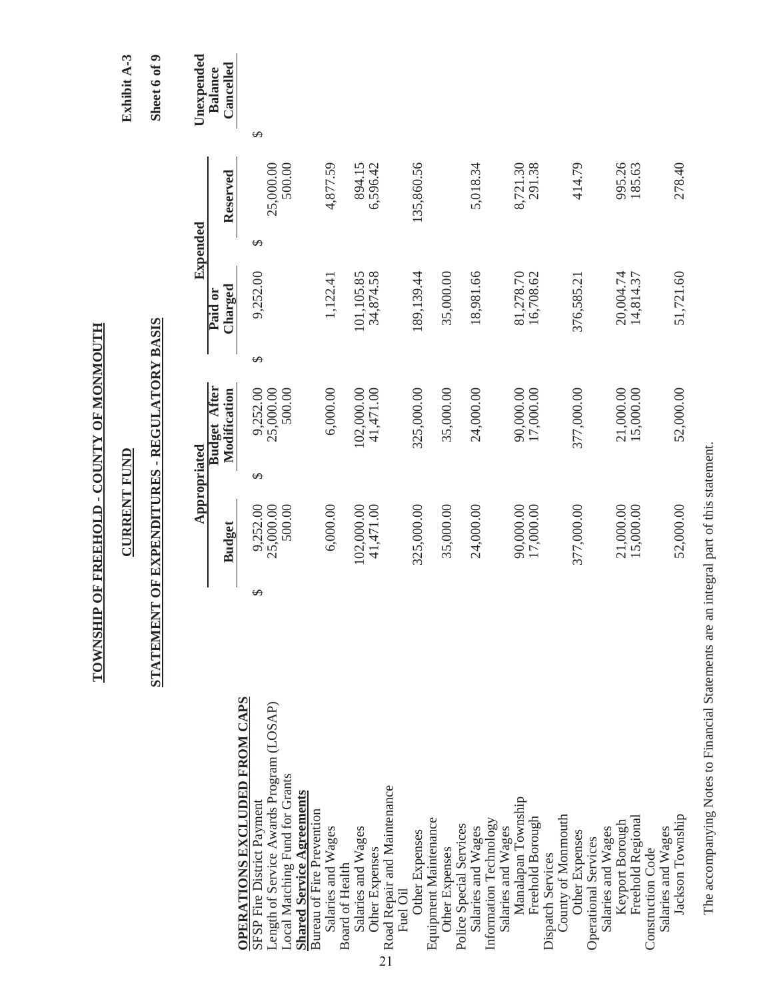| -<br>-<br>-                   |  |
|-------------------------------|--|
|                               |  |
|                               |  |
|                               |  |
|                               |  |
|                               |  |
| <br> <br> <br> <br> <br> <br> |  |
|                               |  |
|                               |  |
|                               |  |
|                               |  |
|                               |  |
|                               |  |
|                               |  |
|                               |  |
|                               |  |
|                               |  |
|                               |  |
| <b>C</b><br>1                 |  |
| i                             |  |
| j                             |  |
|                               |  |
|                               |  |
|                               |  |
|                               |  |
| ,,,,,,,                       |  |
|                               |  |
|                               |  |

## **CURRENT FUND Exhibit A-3 CURRENT FUND**

# **STATEMENT OF EXPENDITURES - REGULATORY BASIS Sheet 6 of 9** STATEMENT OF EXPENDITURES - REGULATORY BASIS

|                                                                    |   |               | Appropriated |                                     |   |                    | Expended |            | Unexpended                  |
|--------------------------------------------------------------------|---|---------------|--------------|-------------------------------------|---|--------------------|----------|------------|-----------------------------|
|                                                                    |   | <b>Budget</b> |              | <b>Budget After</b><br>Modification |   | Charged<br>Paid or |          | Reserved   | Cancelled<br><b>Balance</b> |
| <b>OPERATIONS EXCLUDED FROM CAPS</b>                               |   |               |              |                                     |   |                    |          |            |                             |
| SFSP Fire District Payment                                         | ↮ | 9,252.00      | ↮            | 9,252.00                            | ↔ | 9,252.00           | ↮        |            | ↮                           |
| Length of Service Awards Program (LOSAP)                           |   | 25,000.00     |              | 25,000.00                           |   |                    |          | 25,000.00  |                             |
| Local Matching Fund for Grants<br><b>Shared Service Agreements</b> |   | 500.00        |              | 500.00                              |   |                    |          | 500.00     |                             |
| Bureau of Fire Prevention                                          |   |               |              |                                     |   |                    |          |            |                             |
| Salaries and Wages                                                 |   | 6,000.00      |              | 6,000.00                            |   | 1,122.41           |          | 4,877.59   |                             |
| Board of Health                                                    |   |               |              |                                     |   |                    |          |            |                             |
| Salaries and Wages                                                 |   | 102,000.00    |              | 102,000.00<br>41,471.00             |   | 101,105.85         |          | 894.15     |                             |
| Other Expenses                                                     |   | 41,471.00     |              |                                     |   | 34,874.58          |          | 6,596.42   |                             |
| 22 Road Repair and Maintenance<br>Fuel Oil                         |   |               |              |                                     |   |                    |          |            |                             |
| Other Expenses                                                     |   | 325,000.00    |              | 325,000.00                          |   | 189,139.44         |          | 135,860.56 |                             |
| Equipment Maintenance                                              |   |               |              |                                     |   |                    |          |            |                             |
| Other Expenses                                                     |   | 35,000.00     |              | 35,000.00                           |   | 35,000.00          |          |            |                             |
| Police Special Services                                            |   |               |              |                                     |   |                    |          |            |                             |
| Salaries and Wages                                                 |   | 24,000.00     |              | 24,000.00                           |   | 18,981.66          |          | 5,018.34   |                             |
| Information Technology                                             |   |               |              |                                     |   |                    |          |            |                             |
| Salaries and Wages                                                 |   |               |              |                                     |   |                    |          |            |                             |
| Manalapan Township                                                 |   | 90,000.00     |              | 90,000.00<br>17,000.00              |   | 81,278.70          |          | 8,721.30   |                             |
| Freehold Borough                                                   |   | 17,000.00     |              |                                     |   | 16,708.62          |          | 291.38     |                             |
| Dispatch Services                                                  |   |               |              |                                     |   |                    |          |            |                             |
| County of Monmouth                                                 |   |               |              |                                     |   |                    |          |            |                             |
| Other Expenses                                                     |   | 377,000.00    |              | 377,000.00                          |   | 376,585.21         |          | 414.79     |                             |
| <b>Operational Services</b>                                        |   |               |              |                                     |   |                    |          |            |                             |
| Salaries and Wages                                                 |   |               |              |                                     |   |                    |          |            |                             |
| Keyport Borough                                                    |   | 21,000.00     |              | $21,000.00$<br>$15,000.00$          |   | 20,004.74          |          | 995.26     |                             |
| Freehold Regional                                                  |   | 15,000.00     |              |                                     |   | 14,814.37          |          | 185.63     |                             |
| <b>Construction Code</b>                                           |   |               |              |                                     |   |                    |          |            |                             |
| Jackson Township<br>Salaries and Wages                             |   | 52,000.00     |              | 52,000.00                           |   | 51,721.60          |          | 278.40     |                             |
|                                                                    |   |               |              |                                     |   |                    |          |            |                             |

The accompanying Notes to Financial Statements are an integral part of this statement. The accompanying Notes to Financial Statements are an integral part of this statement.

Sheet 6 of 9

Exhibit A-3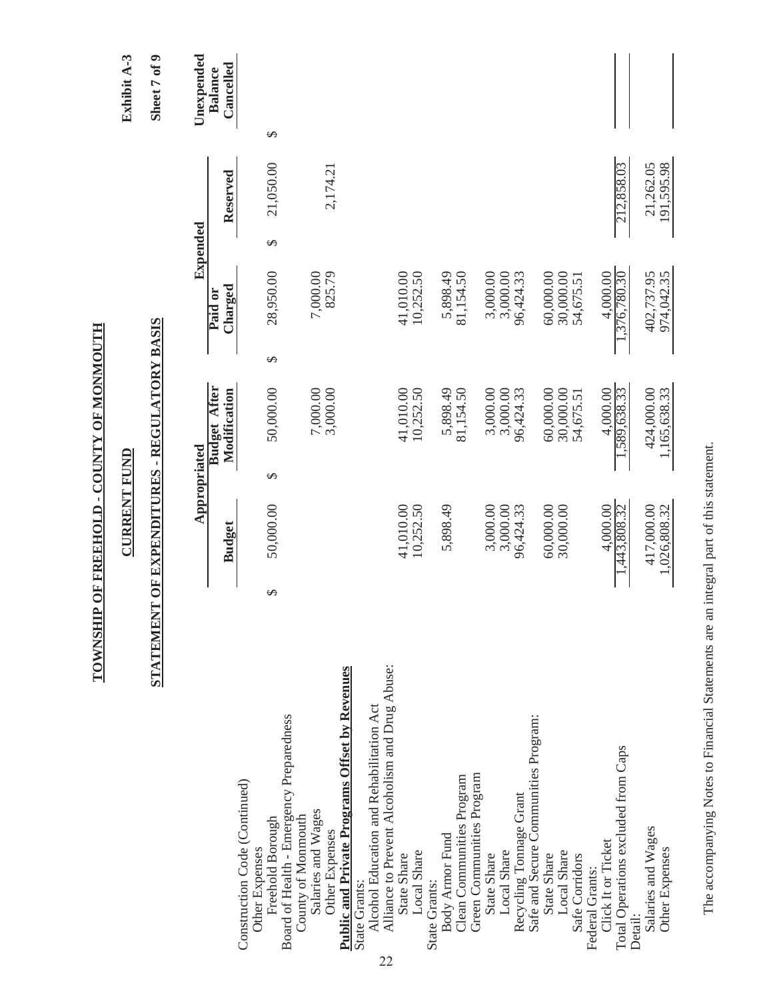| TOWNSHI                                                                                    |   |                            |          | P OF FREEHOLD - COUNTY OF MONMOUTH           |          |                          |          |                         |                             |
|--------------------------------------------------------------------------------------------|---|----------------------------|----------|----------------------------------------------|----------|--------------------------|----------|-------------------------|-----------------------------|
|                                                                                            |   | <b>CURRENT FUND</b>        |          |                                              |          |                          |          |                         | Exhibit A-3                 |
|                                                                                            |   |                            |          | STATEMENT OF EXPENDITURES - REGULATORY BASIS |          |                          |          |                         | Sheet 7 of 9                |
|                                                                                            |   | Appropriated               |          |                                              |          |                          | Expended |                         | Unexpended                  |
|                                                                                            |   | <b>Budget</b>              |          | <b>Budget After</b><br>Modification          |          | Charged<br>Paid or       |          | Reserved                | Cancelled<br><b>Balance</b> |
| Board of Health - Emergency Preparedness<br>Construction Code (Continued)                  | ↔ | 50,000.00                  | $\Theta$ | 50,000.00                                    | $\Theta$ | 28,950.00                | $\Theta$ | 21,050.00               | $\Theta$                    |
| Public and Private Programs Offset by Revenues                                             |   |                            |          | 7,000.00<br>3,000.00                         |          | 7,000.00<br>825.79       |          | 2,174.21                |                             |
| Alliance to Prevent Alcoholism and Drug Abuse:<br>Alcohol Education and Rehabilitation Act |   |                            |          |                                              |          |                          |          |                         |                             |
|                                                                                            |   | 41,010.00<br>10,252.50     |          | 41,010.00<br>10,252.50                       |          | 41,010.00<br>10,252.50   |          |                         |                             |
| Clean Communities Program                                                                  |   | 5,898.49                   |          | 81,154.50<br>5,898.49                        |          | 5,898.49<br>81,154.50    |          |                         |                             |
| Green Communities Program                                                                  |   | 3,000.00                   |          | 3,000.00                                     |          | 3,000.00                 |          |                         |                             |
|                                                                                            |   | 3,000.00                   |          | 3,000.00                                     |          | 3,000.00                 |          |                         |                             |
| Safe and Secure Communities Program:                                                       |   | 96,424.33                  |          | 96,424.33                                    |          | 96,424.33                |          |                         |                             |
|                                                                                            |   | 60,000.00<br>30,000.00     |          | 60,000.00<br>30,000.00                       |          | 60,000.00<br>30,000.00   |          |                         |                             |
|                                                                                            |   |                            |          | 54,675.51                                    |          | 54,675.51                |          |                         |                             |
| Total Operations excluded from Caps                                                        |   | 4,000.00<br>,443,808.32    |          | 4,000.00<br>,589,638.33                      |          | 4,000.00<br>,376,780.30  |          | 212,858.03              |                             |
|                                                                                            |   | 417,000.00<br>1,026,808.32 |          | 424,000.00<br>1,165,638.33                   |          | 402,737.95<br>974,042.35 |          | 191,595.98<br>21,262.05 |                             |
|                                                                                            |   |                            |          |                                              |          |                          |          |                         |                             |

The accompanying Notes to Financial Statements are an integral part of this statement. The accompanying Notes to Financial Statements are an integral part of this statement.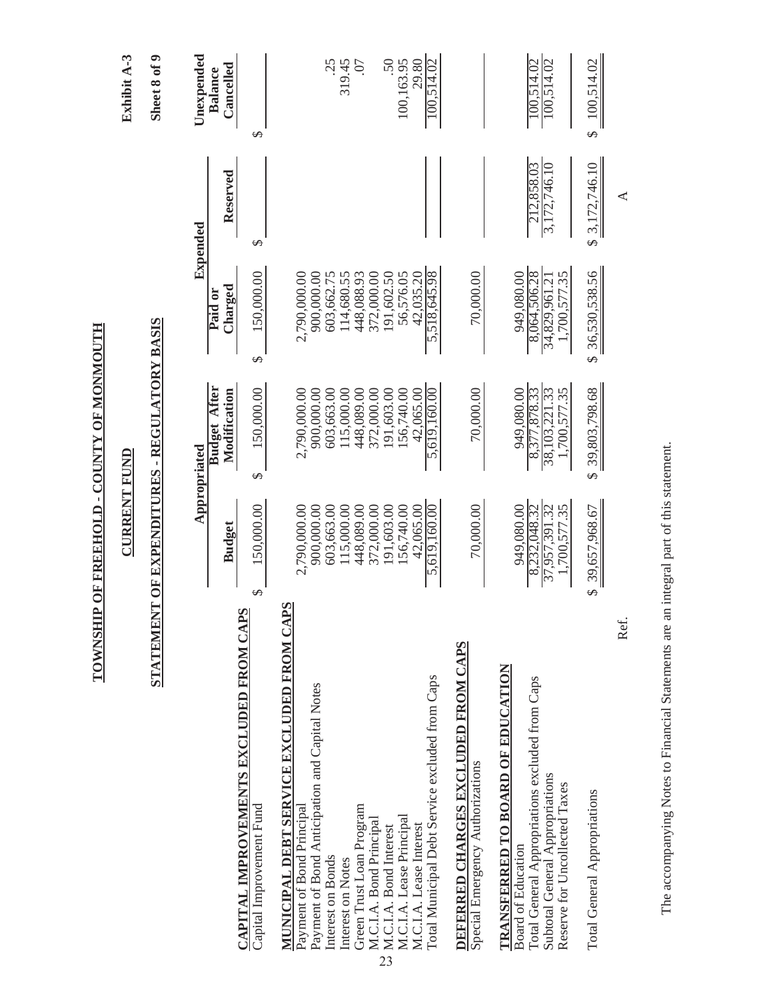TOWNSHIP OF FREEHOLD - COUNTY OF MONMOUTH

The accompanying Notes to Financial Statements are an integral part of this statement. The accompanying Notes to Financial Statements are an integral part of this statement.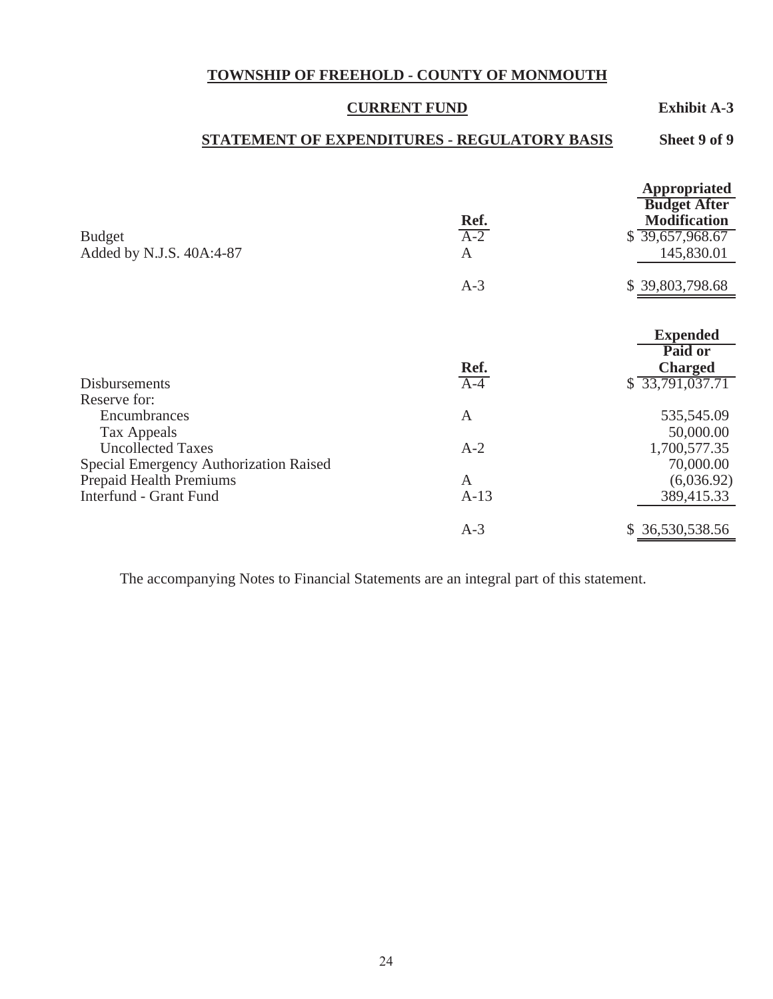### **CURRENT FUND Exhibit A-3**

### **STATEMENT OF EXPENDITURES - REGULATORY BASIS Sheet 9 of 9**

|                                        |              | <b>Appropriated</b>                        |
|----------------------------------------|--------------|--------------------------------------------|
|                                        | Ref.         | <b>Budget After</b><br><b>Modification</b> |
| <b>Budget</b>                          | $A-2$        | \$39,657,968.67                            |
| Added by N.J.S. 40A:4-87               | A            | 145,830.01                                 |
|                                        | $A-3$        | \$39,803,798.68                            |
|                                        |              |                                            |
|                                        |              | <b>Expended</b>                            |
|                                        |              | Paid or                                    |
|                                        | Ref.         | <b>Charged</b>                             |
| <b>Disbursements</b>                   | $A-4$        | $\sqrt{33,791,037.71}$                     |
| Reserve for:                           |              |                                            |
| Encumbrances                           | $\mathbf{A}$ | 535,545.09                                 |
| Tax Appeals                            |              | 50,000.00                                  |
| <b>Uncollected Taxes</b>               | $A-2$        | 1,700,577.35                               |
| Special Emergency Authorization Raised |              | 70,000.00                                  |
| <b>Prepaid Health Premiums</b>         | A            | (6,036.92)                                 |
| <b>Interfund - Grant Fund</b>          | $A-13$       | 389,415.33                                 |
|                                        | $A-3$        | 36,530,538.56<br>\$                        |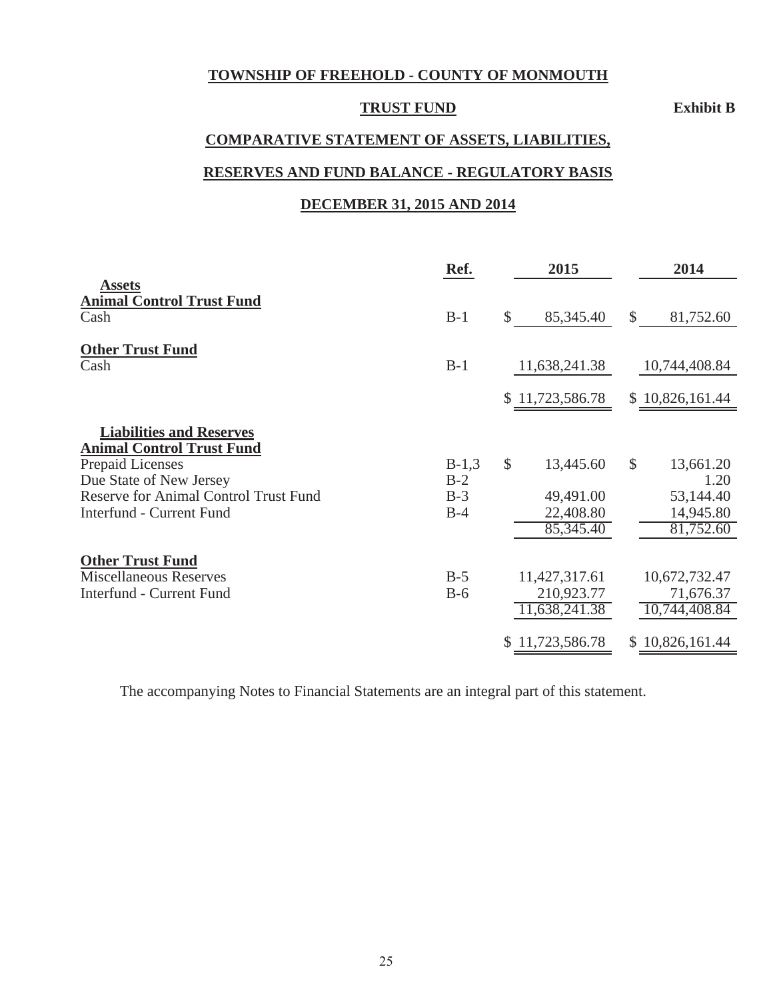### **TRUST FUND Exhibit B**

### **COMPARATIVE STATEMENT OF ASSETS, LIABILITIES,**

### **RESERVES AND FUND BALANCE - REGULATORY BASIS**

### **DECEMBER 31, 2015 AND 2014**

|                                                                                                                                                                                                              | Ref.                               | 2015                                                                | 2014                                                                        |
|--------------------------------------------------------------------------------------------------------------------------------------------------------------------------------------------------------------|------------------------------------|---------------------------------------------------------------------|-----------------------------------------------------------------------------|
| <b>Assets</b><br><b>Animal Control Trust Fund</b><br>Cash                                                                                                                                                    | $B-1$                              | $\mathcal{S}$<br>85,345.40                                          | $\mathbb{S}$<br>81,752.60                                                   |
| <b>Other Trust Fund</b><br>Cash                                                                                                                                                                              | $B-1$                              | 11,638,241.38                                                       | 10,744,408.84                                                               |
|                                                                                                                                                                                                              |                                    | \$11,723,586.78                                                     | \$10,826,161.44                                                             |
| <b>Liabilities and Reserves</b><br><b>Animal Control Trust Fund</b><br><b>Prepaid Licenses</b><br>Due State of New Jersey<br><b>Reserve for Animal Control Trust Fund</b><br><b>Interfund - Current Fund</b> | $B-1,3$<br>$B-2$<br>$B-3$<br>$B-4$ | $\mathcal{S}$<br>13,445.60<br>49,491.00<br>22,408.80<br>85,345.40   | $\mathcal{S}$<br>13,661.20<br>1.20<br>53,144.40<br>14,945.80<br>81,752.60   |
| <b>Other Trust Fund</b><br><b>Miscellaneous Reserves</b><br><b>Interfund - Current Fund</b>                                                                                                                  | $B-5$<br>$B-6$                     | 11,427,317.61<br>210,923.77<br>11,638,241.38<br>11,723,586.78<br>\$ | 10,672,732.47<br>71,676.37<br>$\overline{10,744,408.84}$<br>\$10,826,161.44 |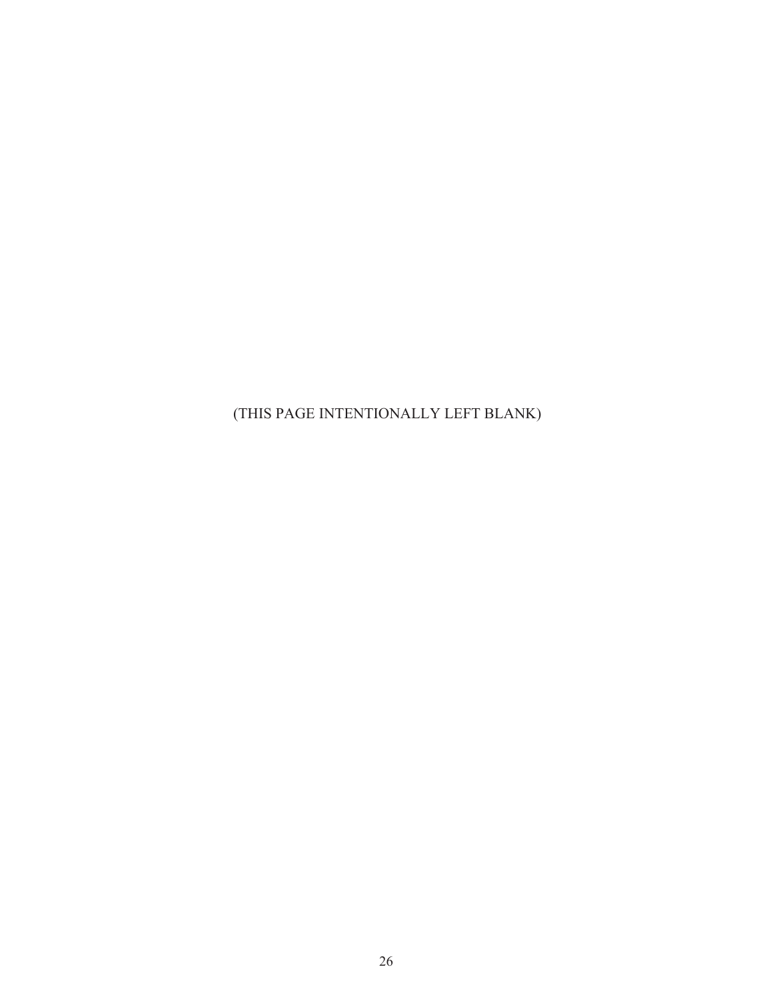(THIS PAGE INTENTIONALLY LEFT BLANK)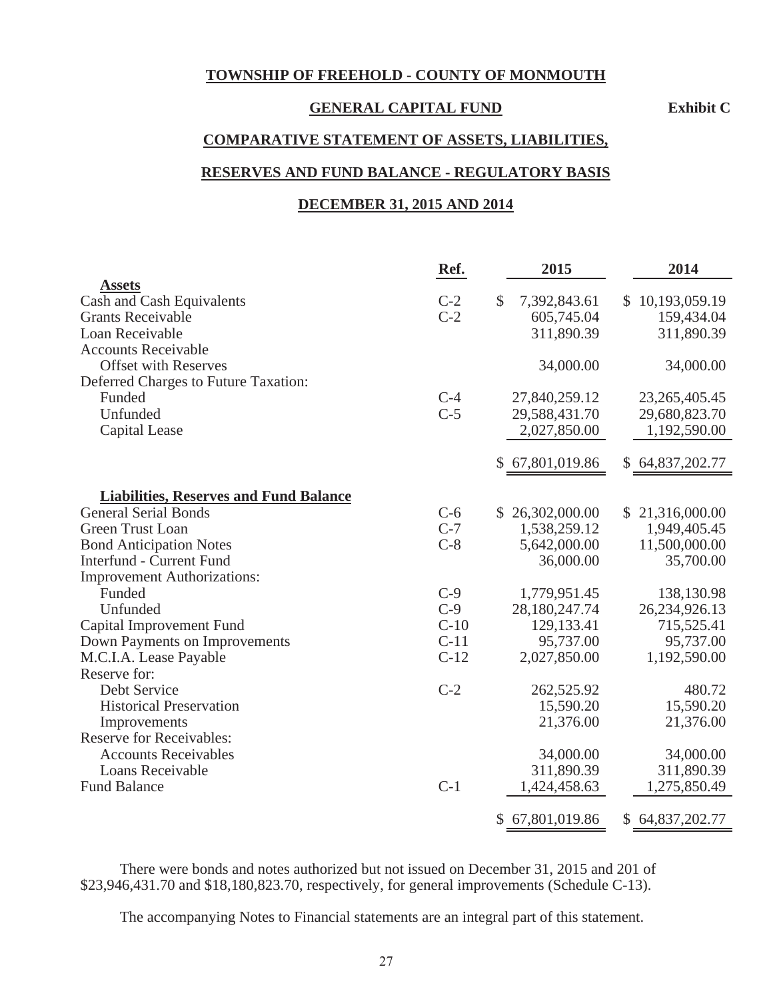### **GENERAL CAPITAL FUND Exhibit C**

### **COMPARATIVE STATEMENT OF ASSETS, LIABILITIES,**

### **RESERVES AND FUND BALANCE - REGULATORY BASIS**

### **DECEMBER 31, 2015 AND 2014**

|                                               | Ref.   | 2015               | 2014             |
|-----------------------------------------------|--------|--------------------|------------------|
| <b>Assets</b>                                 |        |                    |                  |
| Cash and Cash Equivalents                     | $C-2$  | \$<br>7,392,843.61 | \$10,193,059.19  |
| <b>Grants Receivable</b>                      | $C-2$  | 605,745.04         | 159,434.04       |
| Loan Receivable                               |        | 311,890.39         | 311,890.39       |
| <b>Accounts Receivable</b>                    |        |                    |                  |
| <b>Offset with Reserves</b>                   |        | 34,000.00          | 34,000.00        |
| Deferred Charges to Future Taxation:          |        |                    |                  |
| Funded                                        | $C-4$  | 27,840,259.12      | 23, 265, 405. 45 |
| Unfunded                                      | $C-5$  | 29,588,431.70      | 29,680,823.70    |
| Capital Lease                                 |        | 2,027,850.00       | 1,192,590.00     |
|                                               |        | \$67,801,019.86    | \$64,837,202.77  |
|                                               |        |                    |                  |
| <b>Liabilities, Reserves and Fund Balance</b> |        |                    |                  |
| <b>General Serial Bonds</b>                   | $C-6$  | \$26,302,000.00    | \$21,316,000.00  |
| <b>Green Trust Loan</b>                       | $C-7$  | 1,538,259.12       | 1,949,405.45     |
| <b>Bond Anticipation Notes</b>                | $C-8$  | 5,642,000.00       | 11,500,000.00    |
| <b>Interfund - Current Fund</b>               |        | 36,000.00          | 35,700.00        |
| <b>Improvement Authorizations:</b>            |        |                    |                  |
| Funded                                        | $C-9$  | 1,779,951.45       | 138,130.98       |
| Unfunded                                      | $C-9$  | 28,180,247.74      | 26,234,926.13    |
| Capital Improvement Fund                      | $C-10$ | 129,133.41         | 715,525.41       |
| Down Payments on Improvements                 | $C-11$ | 95,737.00          | 95,737.00        |
| M.C.I.A. Lease Payable                        | $C-12$ | 2,027,850.00       | 1,192,590.00     |
| Reserve for:                                  |        |                    |                  |
| Debt Service                                  | $C-2$  | 262,525.92         | 480.72           |
| <b>Historical Preservation</b>                |        | 15,590.20          | 15,590.20        |
| Improvements                                  |        | 21,376.00          | 21,376.00        |
| <b>Reserve for Receivables:</b>               |        |                    |                  |
| <b>Accounts Receivables</b>                   |        | 34,000.00          | 34,000.00        |
| Loans Receivable                              |        | 311,890.39         | 311,890.39       |
| <b>Fund Balance</b>                           | $C-1$  | 1,424,458.63       | 1,275,850.49     |
|                                               |        | \$67,801,019.86    | \$64,837,202.77  |

There were bonds and notes authorized but not issued on December 31, 2015 and 201 of \$23,946,431.70 and \$18,180,823.70, respectively, for general improvements (Schedule C-13).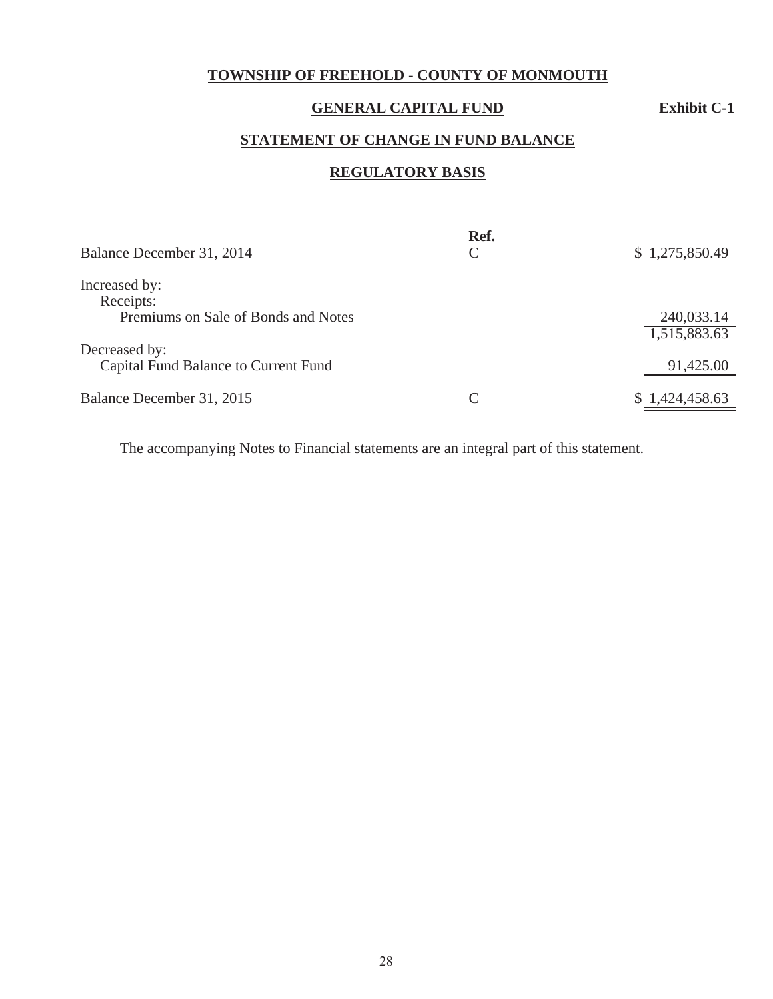### **GENERAL CAPITAL FUND Exhibit C-1**

### **STATEMENT OF CHANGE IN FUND BALANCE**

### **REGULATORY BASIS**

| Balance December 31, 2014                             | Ref. | \$1,275,850.49             |
|-------------------------------------------------------|------|----------------------------|
| Increased by:<br>Receipts:                            |      |                            |
| Premiums on Sale of Bonds and Notes                   |      | 240,033.14<br>1,515,883.63 |
| Decreased by:<br>Capital Fund Balance to Current Fund |      | 91,425.00                  |
| Balance December 31, 2015                             |      | \$1,424,458.63             |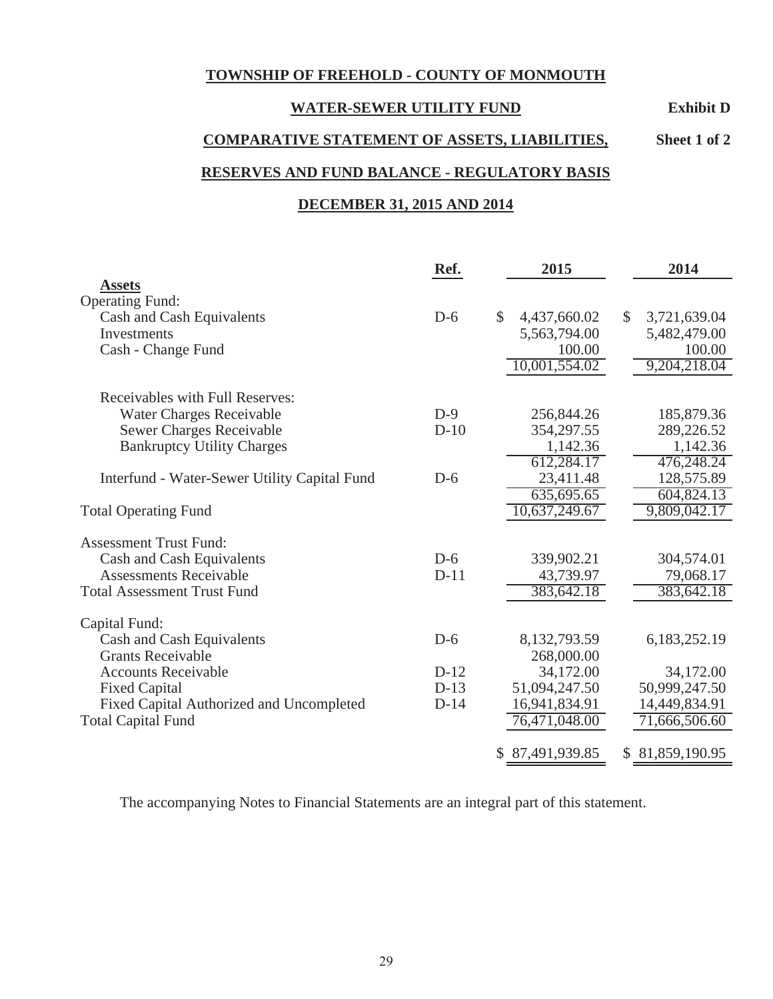### **WATER-SEWER UTILITY FUND Exhibit D**

### **COMPARATIVE STATEMENT OF ASSETS, LIABILITIES, Sheet 1 of 2**

### **RESERVES AND FUND BALANCE - REGULATORY BASIS**

### **DECEMBER 31, 2015 AND 2014**

|                                              | Ref.   | 2015                          | 2014                         |
|----------------------------------------------|--------|-------------------------------|------------------------------|
| <b>Assets</b>                                |        |                               |                              |
| <b>Operating Fund:</b>                       |        |                               |                              |
| Cash and Cash Equivalents                    | $D-6$  | $\mathcal{S}$<br>4,437,660.02 | $\mathbb{S}$<br>3,721,639.04 |
| Investments                                  |        | 5,563,794.00                  | 5,482,479.00                 |
| Cash - Change Fund                           |        | 100.00                        | 100.00                       |
|                                              |        | 10,001,554.02                 | 9,204,218.04                 |
| Receivables with Full Reserves:              |        |                               |                              |
| <b>Water Charges Receivable</b>              | $D-9$  | 256,844.26                    | 185,879.36                   |
| <b>Sewer Charges Receivable</b>              | $D-10$ | 354,297.55                    | 289,226.52                   |
| <b>Bankruptcy Utility Charges</b>            |        | 1,142.36                      | 1,142.36                     |
|                                              |        | 612,284.17                    | 476,248.24                   |
| Interfund - Water-Sewer Utility Capital Fund | $D-6$  | 23,411.48                     | 128,575.89                   |
|                                              |        | 635,695.65                    | 604,824.13                   |
| <b>Total Operating Fund</b>                  |        | 10,637,249.67                 | 9,809,042.17                 |
| <b>Assessment Trust Fund:</b>                |        |                               |                              |
| Cash and Cash Equivalents                    | $D-6$  | 339,902.21                    | 304,574.01                   |
| <b>Assessments Receivable</b>                | $D-11$ | 43,739.97                     | 79,068.17                    |
| <b>Total Assessment Trust Fund</b>           |        | 383,642.18                    | 383,642.18                   |
| Capital Fund:                                |        |                               |                              |
| Cash and Cash Equivalents                    | $D-6$  | 8,132,793.59                  | 6,183,252.19                 |
| <b>Grants Receivable</b>                     |        | 268,000.00                    |                              |
| <b>Accounts Receivable</b>                   | $D-12$ | 34,172.00                     | 34,172.00                    |
| <b>Fixed Capital</b>                         | $D-13$ | 51,094,247.50                 | 50,999,247.50                |
| Fixed Capital Authorized and Uncompleted     | $D-14$ | 16,941,834.91                 | 14,449,834.91                |
| <b>Total Capital Fund</b>                    |        | 76,471,048.00                 | 71,666,506.60                |
|                                              |        |                               |                              |
|                                              |        | \$87,491,939.85               | \$ 81,859,190.95             |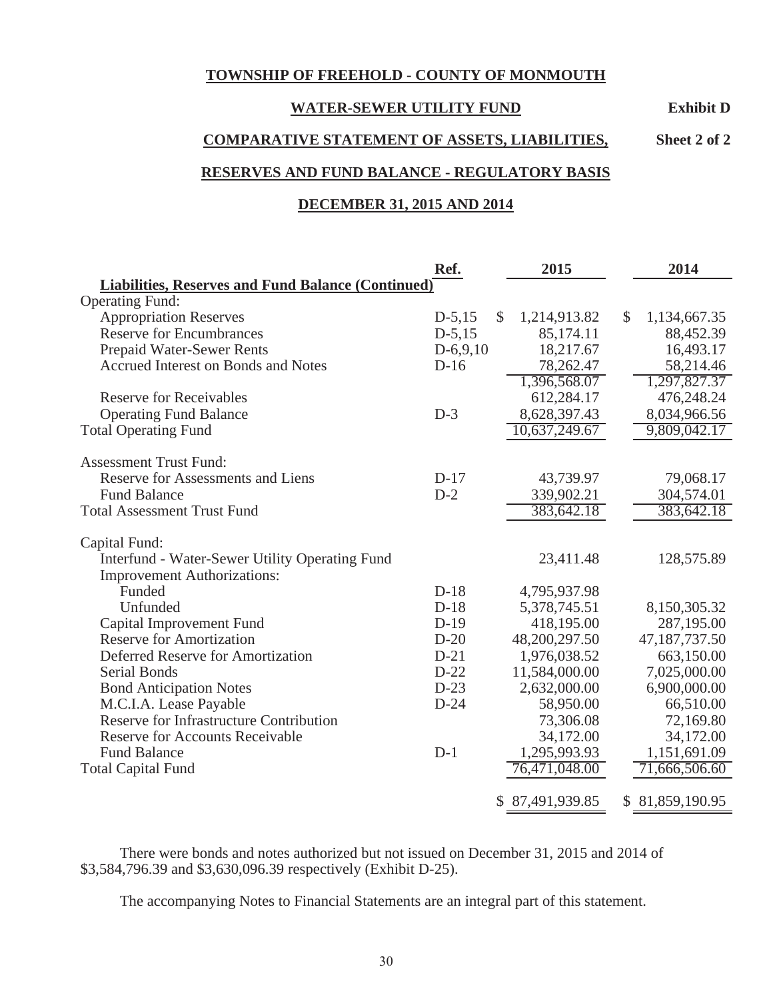### **WATER-SEWER UTILITY FUND Exhibit D**

### **COMPARATIVE STATEMENT OF ASSETS, LIABILITIES, Sheet 2 of 2**

### **RESERVES AND FUND BALANCE - REGULATORY BASIS**

### **DECEMBER 31, 2015 AND 2014**

|                                                    | Ref.       | 2015                          |               | 2014             |
|----------------------------------------------------|------------|-------------------------------|---------------|------------------|
| Liabilities, Reserves and Fund Balance (Continued) |            |                               |               |                  |
| <b>Operating Fund:</b>                             |            |                               |               |                  |
| <b>Appropriation Reserves</b>                      | $D-5,15$   | $\mathcal{S}$<br>1,214,913.82 | $\mathcal{S}$ | 1,134,667.35     |
| <b>Reserve for Encumbrances</b>                    | $D-5,15$   | 85,174.11                     |               | 88,452.39        |
| Prepaid Water-Sewer Rents                          | $D-6,9,10$ | 18,217.67                     |               | 16,493.17        |
| Accrued Interest on Bonds and Notes                | $D-16$     | 78,262.47                     |               | 58,214.46        |
|                                                    |            | 1,396,568.07                  |               | 1,297,827.37     |
| <b>Reserve for Receivables</b>                     |            | 612,284.17                    |               | 476,248.24       |
| <b>Operating Fund Balance</b>                      | $D-3$      | 8,628,397.43                  |               | 8,034,966.56     |
| <b>Total Operating Fund</b>                        |            | 10,637,249.67                 |               | 9,809,042.17     |
| <b>Assessment Trust Fund:</b>                      |            |                               |               |                  |
| <b>Reserve for Assessments and Liens</b>           | $D-17$     | 43,739.97                     |               | 79,068.17        |
| <b>Fund Balance</b>                                | $D-2$      | 339,902.21                    |               | 304,574.01       |
| <b>Total Assessment Trust Fund</b>                 |            | 383,642.18                    |               | 383,642.18       |
| Capital Fund:                                      |            |                               |               |                  |
| Interfund - Water-Sewer Utility Operating Fund     |            | 23,411.48                     |               | 128,575.89       |
| <b>Improvement Authorizations:</b>                 |            |                               |               |                  |
| Funded                                             | $D-18$     | 4,795,937.98                  |               |                  |
| Unfunded                                           | $D-18$     | 5,378,745.51                  |               | 8,150,305.32     |
| Capital Improvement Fund                           | $D-19$     | 418,195.00                    |               | 287,195.00       |
| <b>Reserve for Amortization</b>                    | $D-20$     | 48,200,297.50                 |               | 47,187,737.50    |
| <b>Deferred Reserve for Amortization</b>           | $D-21$     | 1,976,038.52                  |               | 663,150.00       |
| <b>Serial Bonds</b>                                | $D-22$     | 11,584,000.00                 |               | 7,025,000.00     |
| <b>Bond Anticipation Notes</b>                     | $D-23$     | 2,632,000.00                  |               | 6,900,000.00     |
| M.C.I.A. Lease Payable                             | $D-24$     | 58,950.00                     |               | 66,510.00        |
| Reserve for Infrastructure Contribution            |            | 73,306.08                     |               | 72,169.80        |
| <b>Reserve for Accounts Receivable</b>             |            | 34,172.00                     |               | 34,172.00        |
| <b>Fund Balance</b>                                | $D-1$      | 1,295,993.93                  |               | 1,151,691.09     |
| <b>Total Capital Fund</b>                          |            | 76,471,048.00                 |               | 71,666,506.60    |
|                                                    |            | \$87,491,939.85               |               | \$ 81,859,190.95 |

There were bonds and notes authorized but not issued on December 31, 2015 and 2014 of \$3,584,796.39 and \$3,630,096.39 respectively (Exhibit D-25).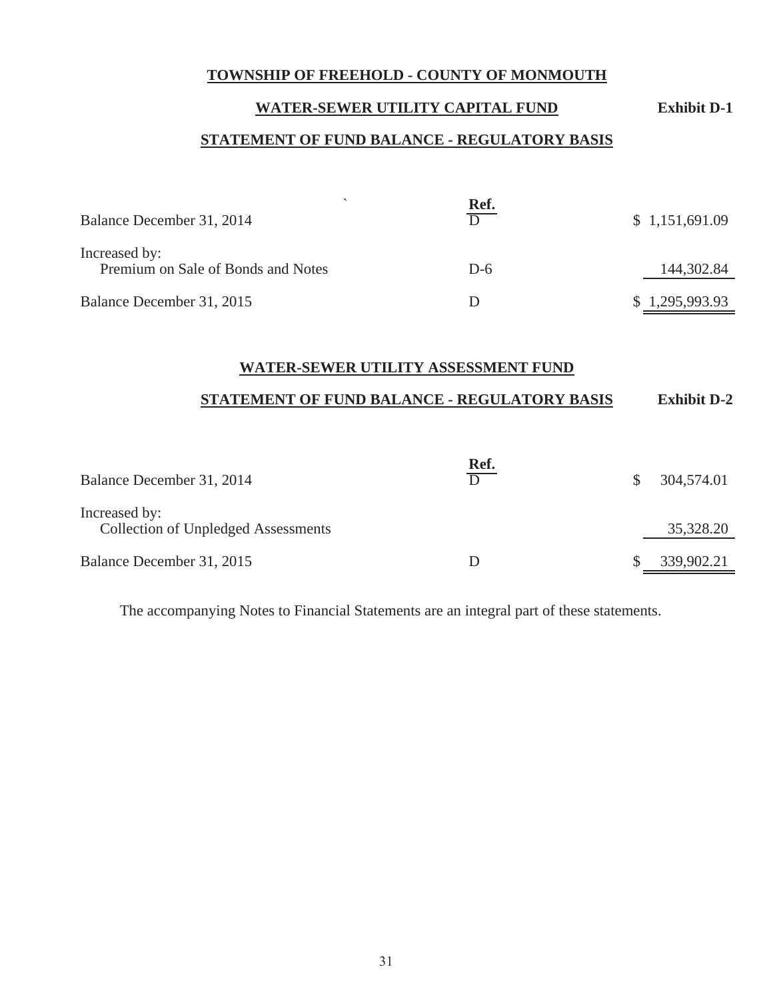# **WATER-SEWER UTILITY CAPITAL FUND Exhibit D-1**

# **STATEMENT OF FUND BALANCE - REGULATORY BASIS**

| Balance December 31, 2014                           | Ref.  | \$1,151,691.09 |
|-----------------------------------------------------|-------|----------------|
| Increased by:<br>Premium on Sale of Bonds and Notes | $D-6$ | 144,302.84     |
| Balance December 31, 2015                           |       | \$1,295,993.93 |

#### **WATER-SEWER UTILITY ASSESSMENT FUND**

# **STATEMENT OF FUND BALANCE - REGULATORY BASIS Exhibit D-2**

| Balance December 31, 2014                                   | Ref. | 304,574.01 |
|-------------------------------------------------------------|------|------------|
| Increased by:<br><b>Collection of Unpledged Assessments</b> |      | 35,328.20  |
| Balance December 31, 2015                                   |      | 339,902.21 |

The accompanying Notes to Financial Statements are an integral part of these statements.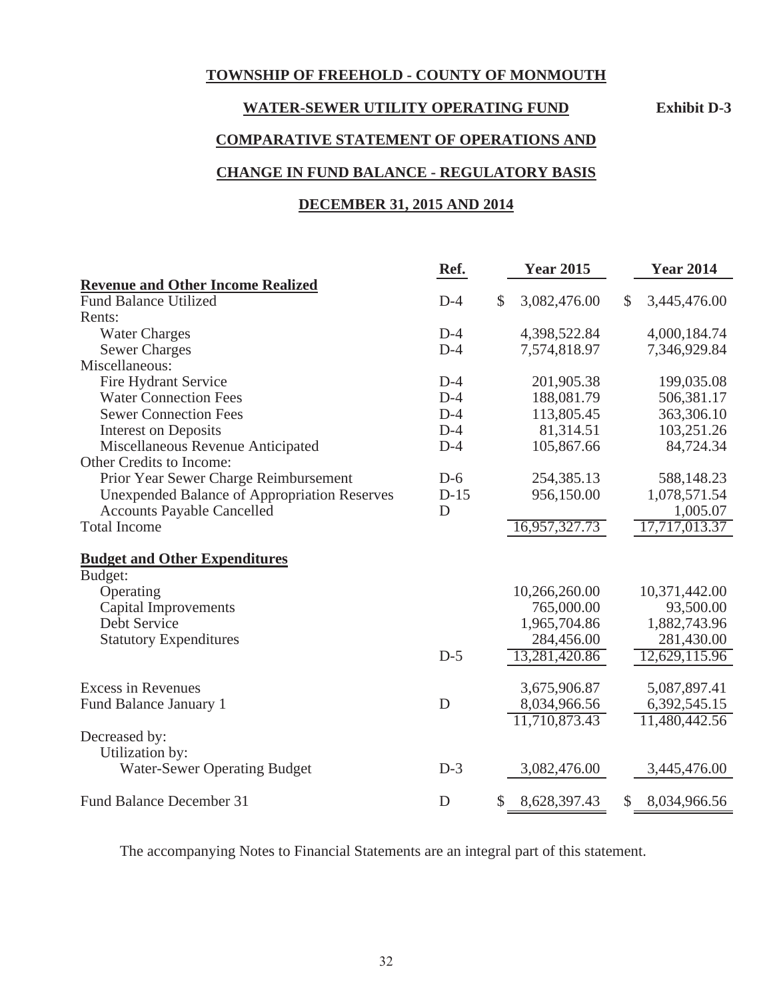## **WATER-SEWER UTILITY OPERATING FUND Exhibit D-3**

# **COMPARATIVE STATEMENT OF OPERATIONS AND**

# **CHANGE IN FUND BALANCE - REGULATORY BASIS**

## **DECEMBER 31, 2015 AND 2014**

|                                                     | Ref.   | <b>Year 2015</b>   | <b>Year 2014</b>             |
|-----------------------------------------------------|--------|--------------------|------------------------------|
| <b>Revenue and Other Income Realized</b>            |        |                    |                              |
| <b>Fund Balance Utilized</b>                        | $D-4$  | \$<br>3,082,476.00 | $\mathbb{S}$<br>3,445,476.00 |
| Rents:                                              |        |                    |                              |
| <b>Water Charges</b>                                | $D-4$  | 4,398,522.84       | 4,000,184.74                 |
| <b>Sewer Charges</b>                                | $D-4$  | 7,574,818.97       | 7,346,929.84                 |
| Miscellaneous:                                      |        |                    |                              |
| Fire Hydrant Service                                | $D-4$  | 201,905.38         | 199,035.08                   |
| <b>Water Connection Fees</b>                        | $D-4$  | 188,081.79         | 506,381.17                   |
| <b>Sewer Connection Fees</b>                        | $D-4$  | 113,805.45         | 363,306.10                   |
| <b>Interest on Deposits</b>                         | $D-4$  | 81,314.51          | 103,251.26                   |
| Miscellaneous Revenue Anticipated                   | $D-4$  | 105,867.66         | 84,724.34                    |
| Other Credits to Income:                            |        |                    |                              |
| Prior Year Sewer Charge Reimbursement               | $D-6$  | 254,385.13         | 588,148.23                   |
| <b>Unexpended Balance of Appropriation Reserves</b> | $D-15$ | 956,150.00         | 1,078,571.54                 |
| <b>Accounts Payable Cancelled</b>                   | D      |                    | 1,005.07                     |
| <b>Total Income</b>                                 |        | 16,957,327.73      | 17,717,013.37                |
|                                                     |        |                    |                              |
| <b>Budget and Other Expenditures</b>                |        |                    |                              |
| Budget:                                             |        |                    |                              |
| Operating                                           |        | 10,266,260.00      | 10,371,442.00                |
| <b>Capital Improvements</b><br>Debt Service         |        | 765,000.00         | 93,500.00                    |
|                                                     |        | 1,965,704.86       | 1,882,743.96                 |
| <b>Statutory Expenditures</b>                       | $D-5$  | 284,456.00         | 281,430.00                   |
|                                                     |        | 13,281,420.86      | 12,629,115.96                |
| <b>Excess in Revenues</b>                           |        | 3,675,906.87       | 5,087,897.41                 |
| Fund Balance January 1                              | D      | 8,034,966.56       | 6,392,545.15                 |
|                                                     |        | 11,710,873.43      | 11,480,442.56                |
| Decreased by:                                       |        |                    |                              |
| Utilization by:                                     |        |                    |                              |
| <b>Water-Sewer Operating Budget</b>                 | $D-3$  | 3,082,476.00       | 3,445,476.00                 |
|                                                     |        |                    |                              |
| <b>Fund Balance December 31</b>                     | D      | 8,628,397.43<br>\$ | \$<br>8,034,966.56           |

The accompanying Notes to Financial Statements are an integral part of this statement.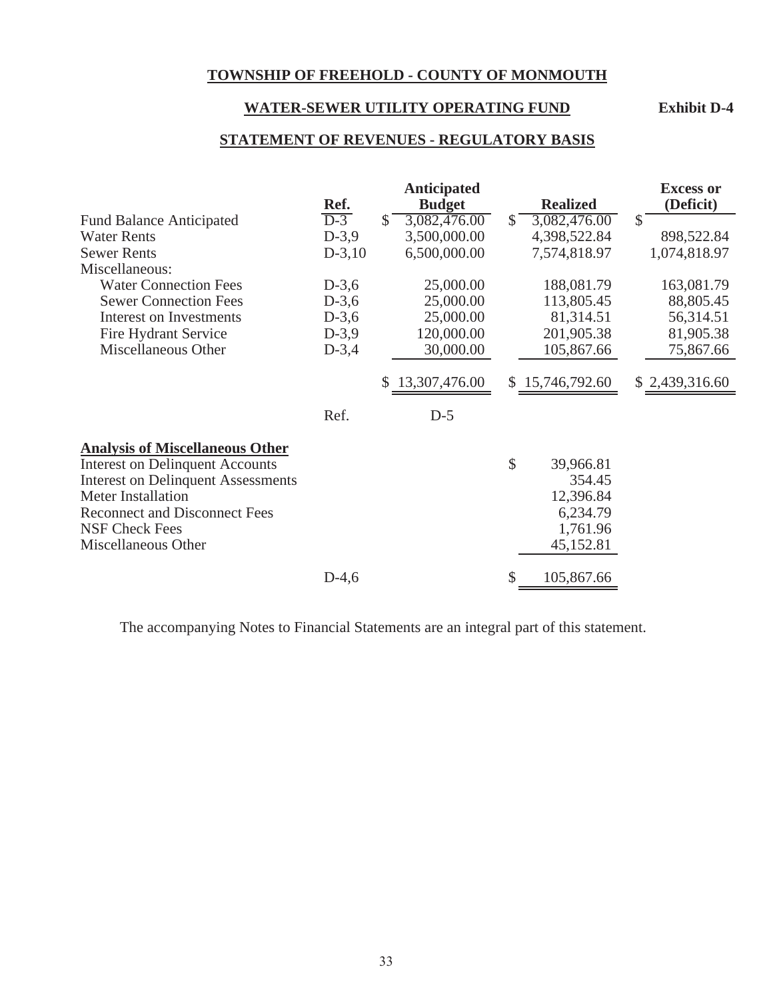# **WATER-SEWER UTILITY OPERATING FUND Exhibit D-4**

# **STATEMENT OF REVENUES - REGULATORY BASIS**

|                                           |          | <b>Anticipated</b> |                              |                 | <b>Excess or</b> |
|-------------------------------------------|----------|--------------------|------------------------------|-----------------|------------------|
|                                           | Ref.     |                    | <b>Budget</b>                | <b>Realized</b> | (Deficit)        |
| <b>Fund Balance Anticipated</b>           | $D-3$    | \$                 | 3,082,476.00<br>$\mathbb{S}$ | 3,082,476.00    | $\mathcal{S}$    |
| <b>Water Rents</b>                        | $D-3,9$  |                    | 3,500,000.00                 | 4,398,522.84    | 898,522.84       |
| <b>Sewer Rents</b>                        | $D-3,10$ |                    | 6,500,000.00                 | 7,574,818.97    | 1,074,818.97     |
| Miscellaneous:                            |          |                    |                              |                 |                  |
| <b>Water Connection Fees</b>              | $D-3,6$  |                    | 25,000.00                    | 188,081.79      | 163,081.79       |
| <b>Sewer Connection Fees</b>              | $D-3,6$  |                    | 25,000.00                    | 113,805.45      | 88,805.45        |
| Interest on Investments                   | $D-3,6$  |                    | 25,000.00                    | 81,314.51       | 56,314.51        |
| Fire Hydrant Service                      | $D-3,9$  |                    | 120,000.00                   | 201,905.38      | 81,905.38        |
| Miscellaneous Other                       | $D-3,4$  |                    | 30,000.00                    | 105,867.66      | 75,867.66        |
|                                           |          | 13,307,476.00      |                              | \$15,746,792.60 | \$2,439,316.60   |
|                                           | Ref.     | $D-5$              |                              |                 |                  |
| <b>Analysis of Miscellaneous Other</b>    |          |                    |                              |                 |                  |
| <b>Interest on Delinquent Accounts</b>    |          |                    | \$                           | 39,966.81       |                  |
| <b>Interest on Delinquent Assessments</b> |          |                    |                              | 354.45          |                  |
| <b>Meter Installation</b>                 |          |                    |                              | 12,396.84       |                  |
| <b>Reconnect and Disconnect Fees</b>      |          |                    |                              | 6,234.79        |                  |
| <b>NSF Check Fees</b>                     |          |                    |                              | 1,761.96        |                  |
| Miscellaneous Other                       |          |                    |                              | 45,152.81       |                  |
|                                           | $D-4,6$  |                    | S                            | 105,867.66      |                  |

The accompanying Notes to Financial Statements are an integral part of this statement.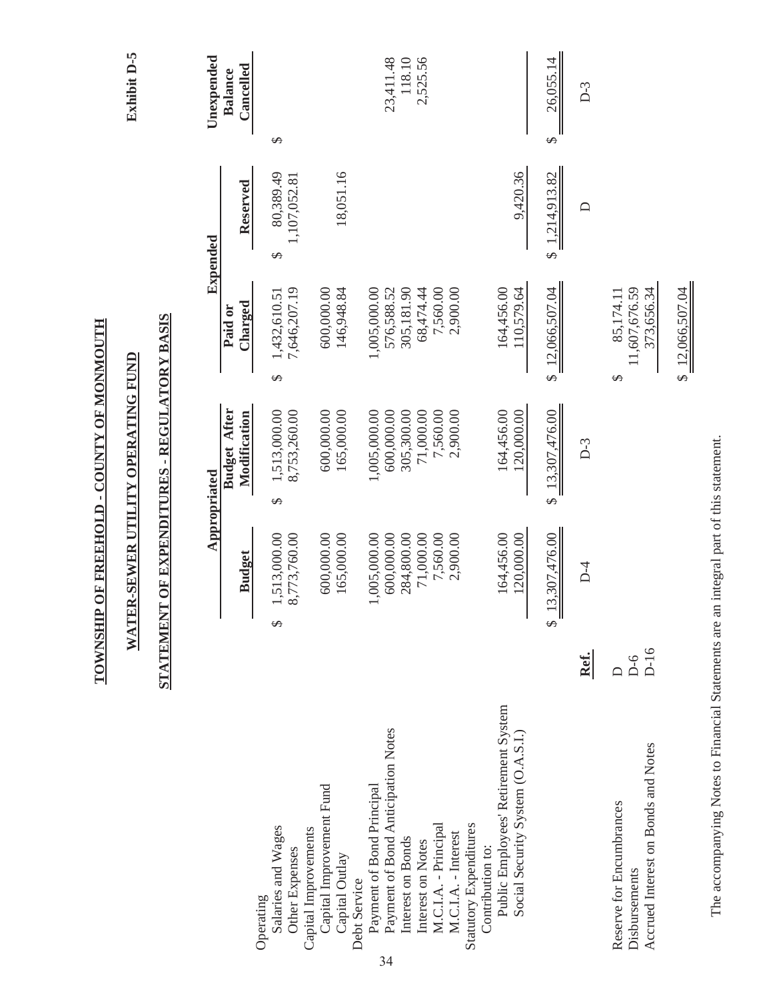|                                                                                  |                            |                                   | STATEMENT OF EXPENDITURES - REGULATORY BASIS |                                               |                       |                        |
|----------------------------------------------------------------------------------|----------------------------|-----------------------------------|----------------------------------------------|-----------------------------------------------|-----------------------|------------------------|
|                                                                                  |                            |                                   | Appropriated                                 |                                               | Expended              | Unexpended             |
|                                                                                  |                            | <b>Budget</b>                     | <b>Budget After</b><br>Modification          | Paid or                                       | Reserved              | <b>Balance</b>         |
| Operating                                                                        |                            |                                   |                                              | Charged                                       |                       | Cancelled              |
| Salaries and Wages                                                               |                            | 1,513,000.00<br>$\leftrightarrow$ | 1,513,000.00<br>↮                            | 1,432,610.51<br>∽                             | 80,389.49<br>$\Theta$ | ↮                      |
| Other Expenses                                                                   |                            | 8,773,760.00                      | 8,753,260.00                                 | 7,646,207.19                                  | 1,107,052.81          |                        |
| Capital Improvements                                                             |                            |                                   |                                              |                                               |                       |                        |
| Capital Improvement Fund                                                         |                            | 600,000.00                        | 600,000.00                                   | 600,000.00                                    |                       |                        |
| Capital Outlay<br>Debt Service                                                   |                            | 165,000.00                        | 165,000.00                                   | 146,948.84                                    | 18,051.16             |                        |
| Payment of Bond Principal                                                        |                            | 1,005,000.00                      | 1,005,000.00                                 | 1,005,000.00                                  |                       |                        |
| Payment of Bond Anticipation Notes                                               |                            | 600,000.00                        | 600,000.00                                   | 576,588.52                                    |                       | 23,411.48              |
| Interest on Bonds                                                                |                            | 284,800.00                        | 305,300.00                                   | 305,181.90                                    |                       | 118.10                 |
| Interest on Notes                                                                |                            | 71,000.00                         | 71,000.00                                    | 68,474.44                                     |                       | 2,525.56               |
| M.C.I.A. - Principal                                                             |                            | 7,560.00                          | 7,560.00                                     | 7,560.00                                      |                       |                        |
| M.C.I.A. - Interest                                                              |                            | 2,900.00                          | 2,900.00                                     | 2,900.00                                      |                       |                        |
| <b>Statutory Expenditures</b><br>Contribution to:                                |                            |                                   |                                              |                                               |                       |                        |
| Public Employees' Retirement System                                              |                            | 164.456.00                        | 164.456.00                                   | 164.456.00                                    |                       |                        |
| Social Security System (O.A.S.I.)                                                |                            | 120,000.00                        | 120,000.00                                   | 110,579.64                                    | 9,420.36              |                        |
|                                                                                  |                            | 13,307,476.00<br>$\varphi$        | \$13,307,476.00                              | \$12,066,507.04                               | \$1,214,913.82        | 26,055.14<br>$\varphi$ |
|                                                                                  | Ref.                       | $D-4$                             | $D-3$                                        |                                               | $\Box$                | $D-3$                  |
| Accrued Interest on Bonds and Notes<br>Reserve for Encumbrances<br>Disbursements | D-6<br>D-16<br>$\triangle$ |                                   |                                              | 373,656.34<br>11,607,676.59<br>85,174.11<br>S |                       |                        |
|                                                                                  |                            |                                   |                                              | \$12,066,507.04                               |                       |                        |

The accompanying Notes to Financial Statements are an integral part of this statement. The accompanying Notes to Financial Statements are an integral part of this statement.

Exhibit D-5 **WATER-SEWER UTILITY OPERATING FUND Exhibit D-5**

**TOWNSHIP OF FREEHOLD - COUNTY OF MONMOUTH**

WATER-SEWER UTILITY OPERATING FUND

TOWNSHIP OF FREEHOLD - COUNTY OF MONMOUTH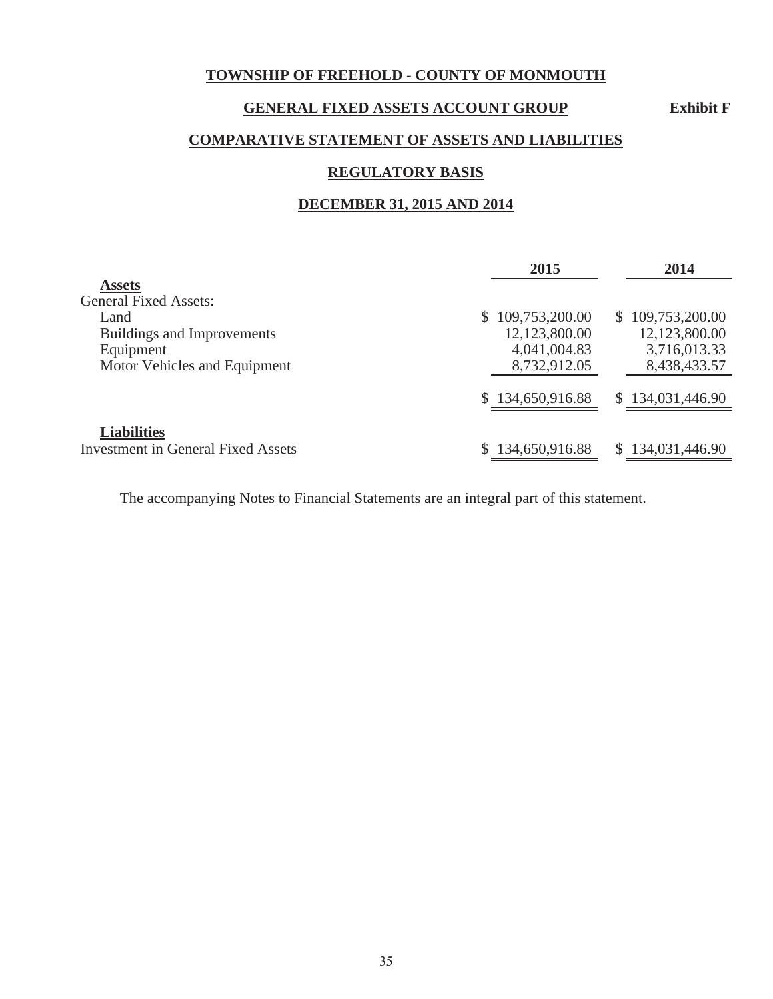# **GENERAL FIXED ASSETS ACCOUNT GROUP Exhibit F**

# **COMPARATIVE STATEMENT OF ASSETS AND LIABILITIES**

# **REGULATORY BASIS**

# **DECEMBER 31, 2015 AND 2014**

|                                               | 2015                 | 2014             |
|-----------------------------------------------|----------------------|------------------|
| <b>Assets</b><br><b>General Fixed Assets:</b> |                      |                  |
| Land                                          | 109,753,200.00<br>S. | \$109,753,200.00 |
| Buildings and Improvements                    | 12,123,800.00        | 12,123,800.00    |
| Equipment                                     | 4,041,004.83         | 3,716,013.33     |
| Motor Vehicles and Equipment                  | 8,732,912.05         | 8,438,433.57     |
|                                               | \$134,650,916.88     | \$134,031,446.90 |
| <b>Liabilities</b>                            |                      |                  |
| <b>Investment in General Fixed Assets</b>     | 134,650,916.88       | \$134,031,446.90 |

The accompanying Notes to Financial Statements are an integral part of this statement.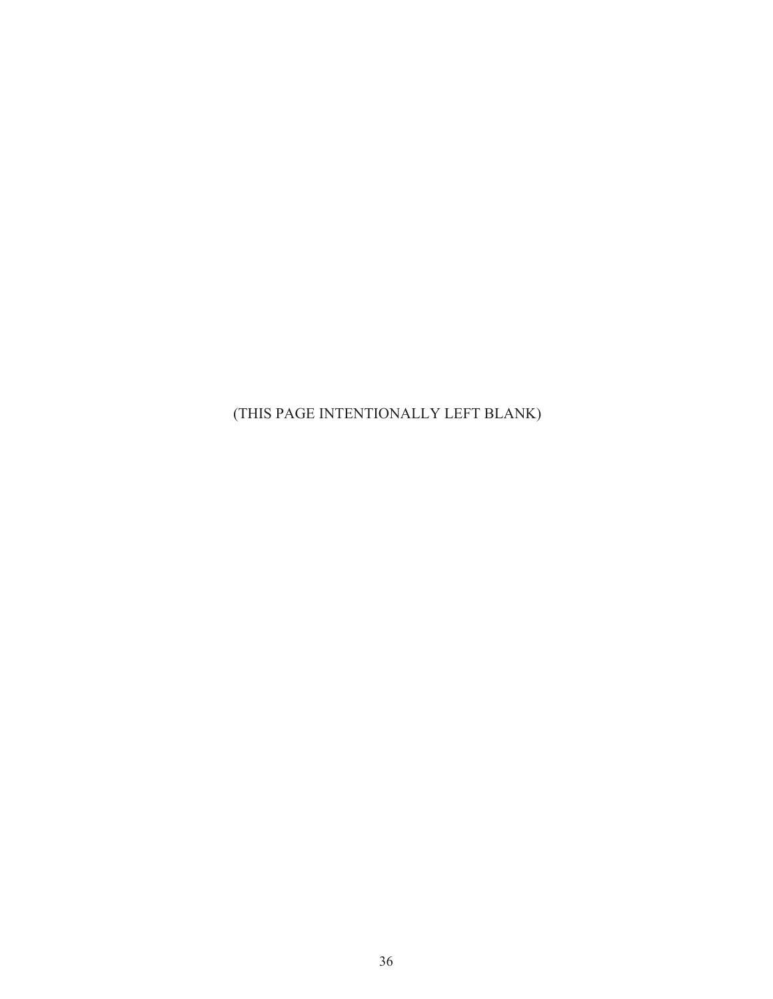(THIS PAGE INTENTIONALLY LEFT BLANK)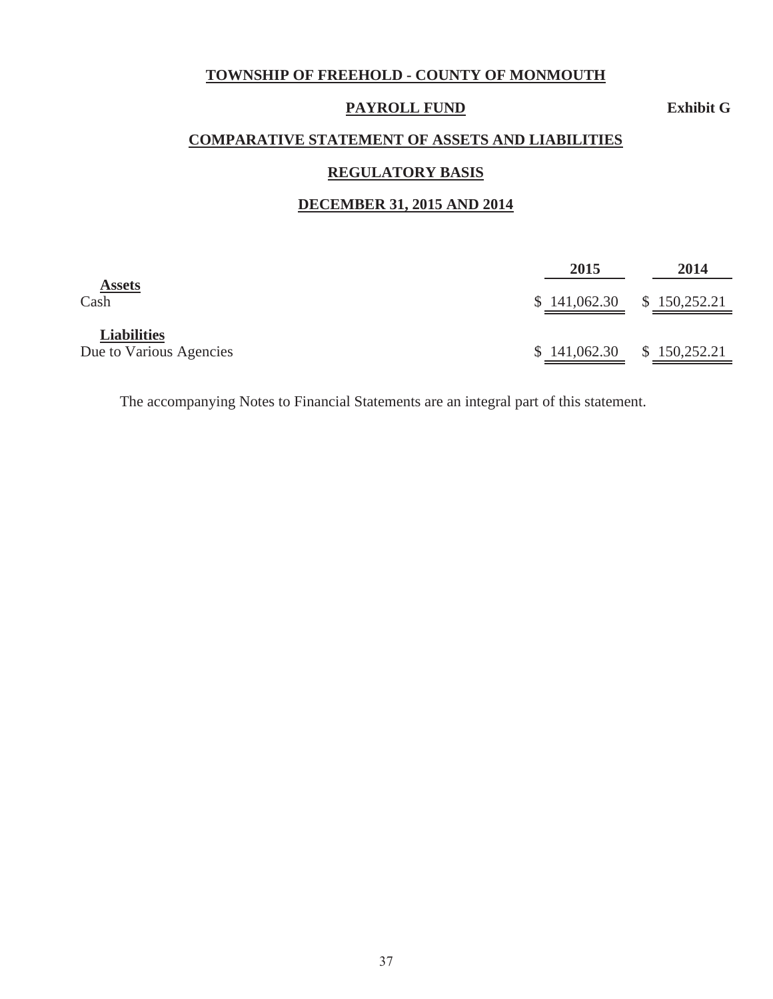# **PAYROLL FUND Exhibit G**

# **COMPARATIVE STATEMENT OF ASSETS AND LIABILITIES**

# **REGULATORY BASIS**

# **DECEMBER 31, 2015 AND 2014**

|                         | 2015                        | 2014         |
|-------------------------|-----------------------------|--------------|
| <b>Assets</b><br>Cash   | $$141,062.30$ $$150,252.21$ |              |
| <b>Liabilities</b>      |                             |              |
| Due to Various Agencies | \$141,062.30                | \$150,252.21 |

The accompanying Notes to Financial Statements are an integral part of this statement.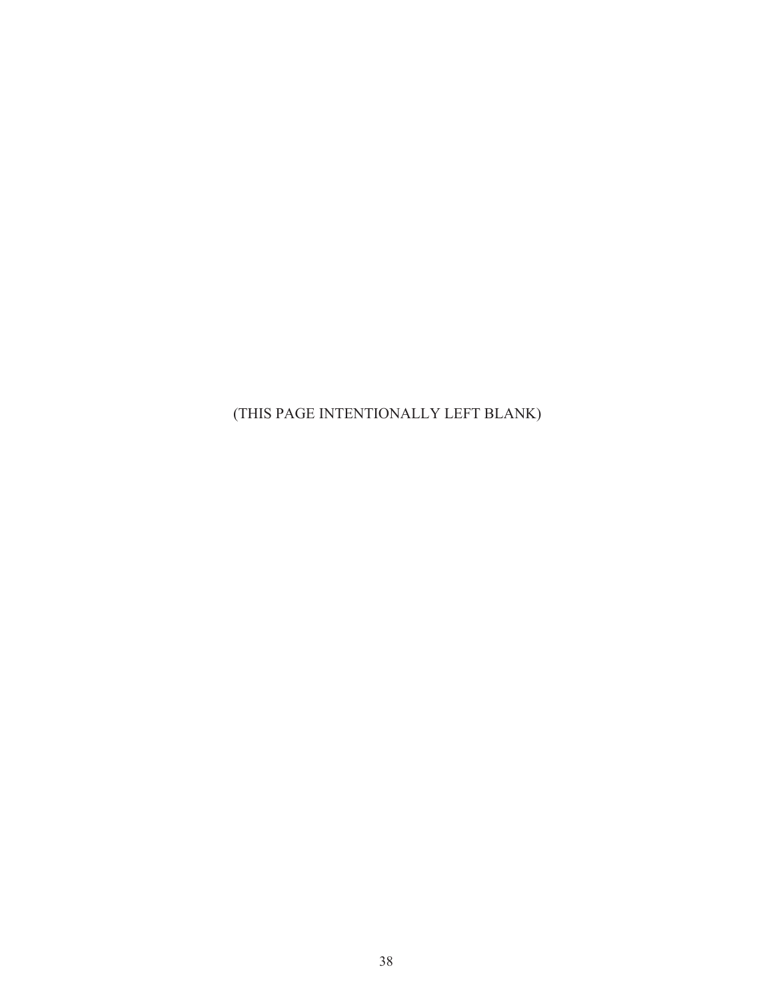(THIS PAGE INTENTIONALLY LEFT BLANK)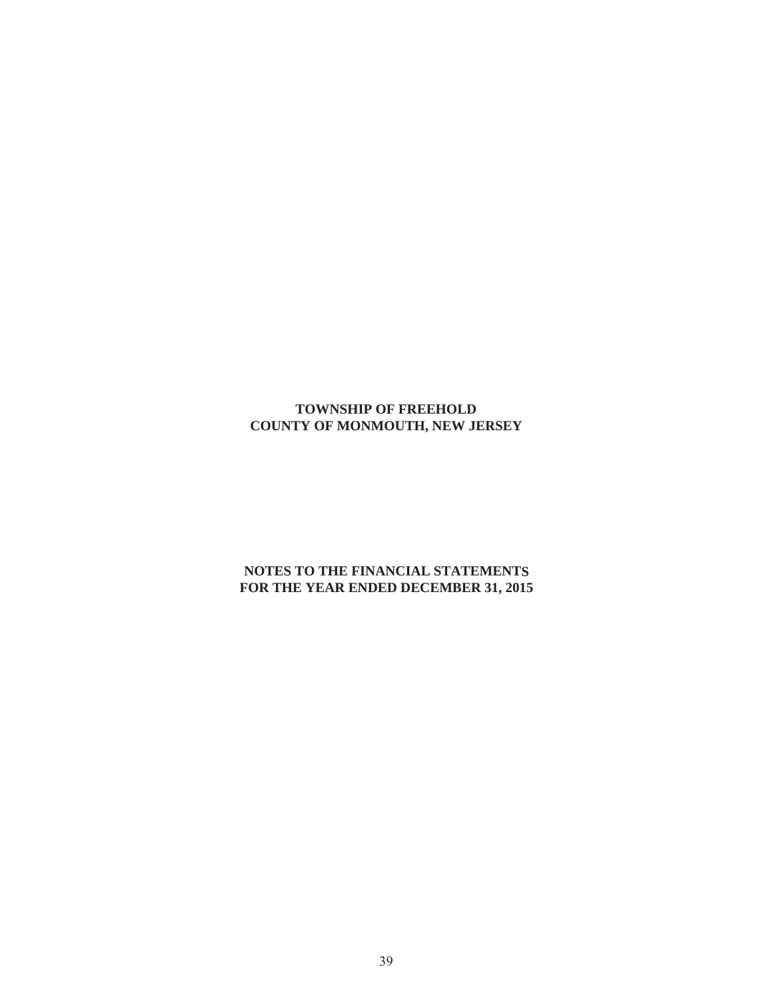# **TOWNSHIP OF FREEHOLD COUNTY OF MONMOUTH, NEW JERSEY**

## **FOR THE YEAR ENDED DECEMBER 31, 2015 NOTES TO THE FINANCIAL STATEMENTS**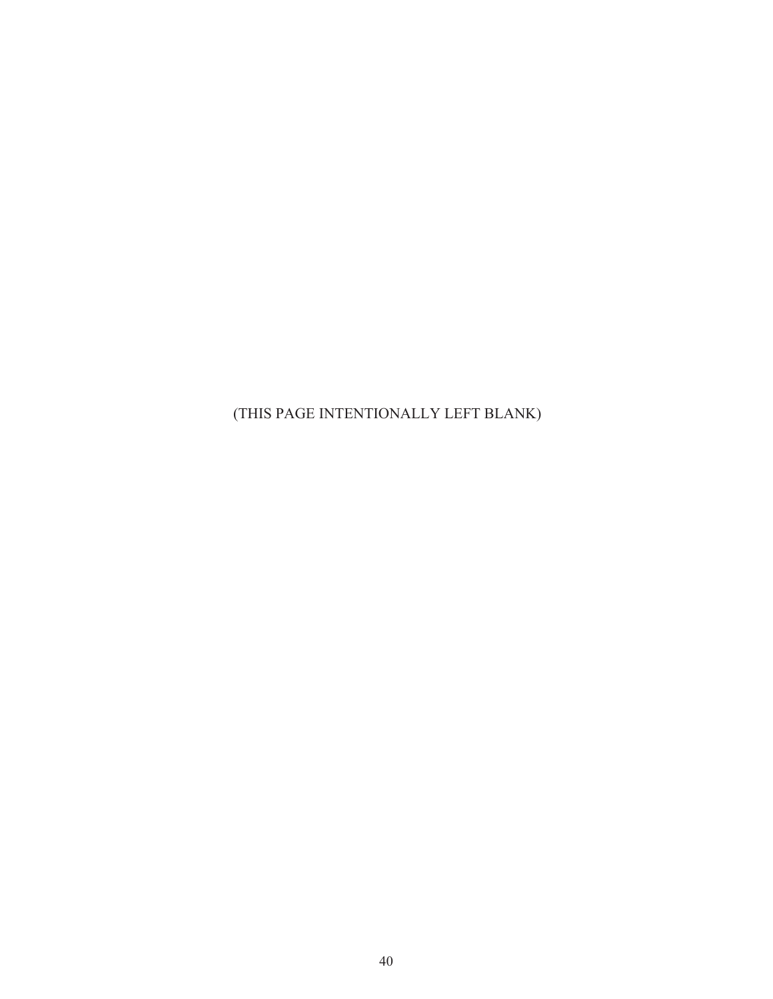(THIS PAGE INTENTIONALLY LEFT BLANK)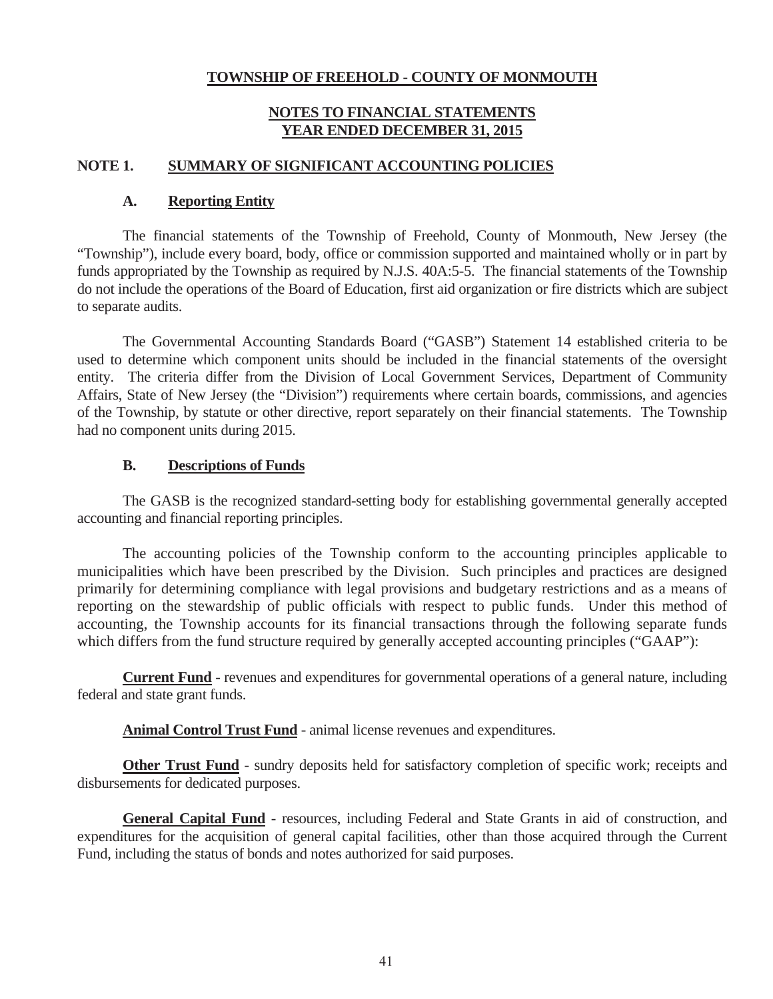# **NOTES TO FINANCIAL STATEMENTS YEAR ENDED DECEMBER 31, 2015**

## **NOTE 1. SUMMARY OF SIGNIFICANT ACCOUNTING POLICIES**

#### **A. Reporting Entity**

 The financial statements of the Township of Freehold, County of Monmouth, New Jersey (the "Township"), include every board, body, office or commission supported and maintained wholly or in part by funds appropriated by the Township as required by N.J.S. 40A:5-5. The financial statements of the Township do not include the operations of the Board of Education, first aid organization or fire districts which are subject to separate audits.

 The Governmental Accounting Standards Board ("GASB") Statement 14 established criteria to be used to determine which component units should be included in the financial statements of the oversight entity. The criteria differ from the Division of Local Government Services, Department of Community Affairs, State of New Jersey (the "Division") requirements where certain boards, commissions, and agencies of the Township, by statute or other directive, report separately on their financial statements. The Township had no component units during 2015.

## **B. Descriptions of Funds**

 The GASB is the recognized standard-setting body for establishing governmental generally accepted accounting and financial reporting principles.

 The accounting policies of the Township conform to the accounting principles applicable to municipalities which have been prescribed by the Division. Such principles and practices are designed primarily for determining compliance with legal provisions and budgetary restrictions and as a means of reporting on the stewardship of public officials with respect to public funds. Under this method of accounting, the Township accounts for its financial transactions through the following separate funds which differs from the fund structure required by generally accepted accounting principles ("GAAP"):

 **Current Fund** - revenues and expenditures for governmental operations of a general nature, including federal and state grant funds.

 **Animal Control Trust Fund** - animal license revenues and expenditures.

**Other Trust Fund** - sundry deposits held for satisfactory completion of specific work; receipts and disbursements for dedicated purposes.

 **General Capital Fund** - resources, including Federal and State Grants in aid of construction, and expenditures for the acquisition of general capital facilities, other than those acquired through the Current Fund, including the status of bonds and notes authorized for said purposes.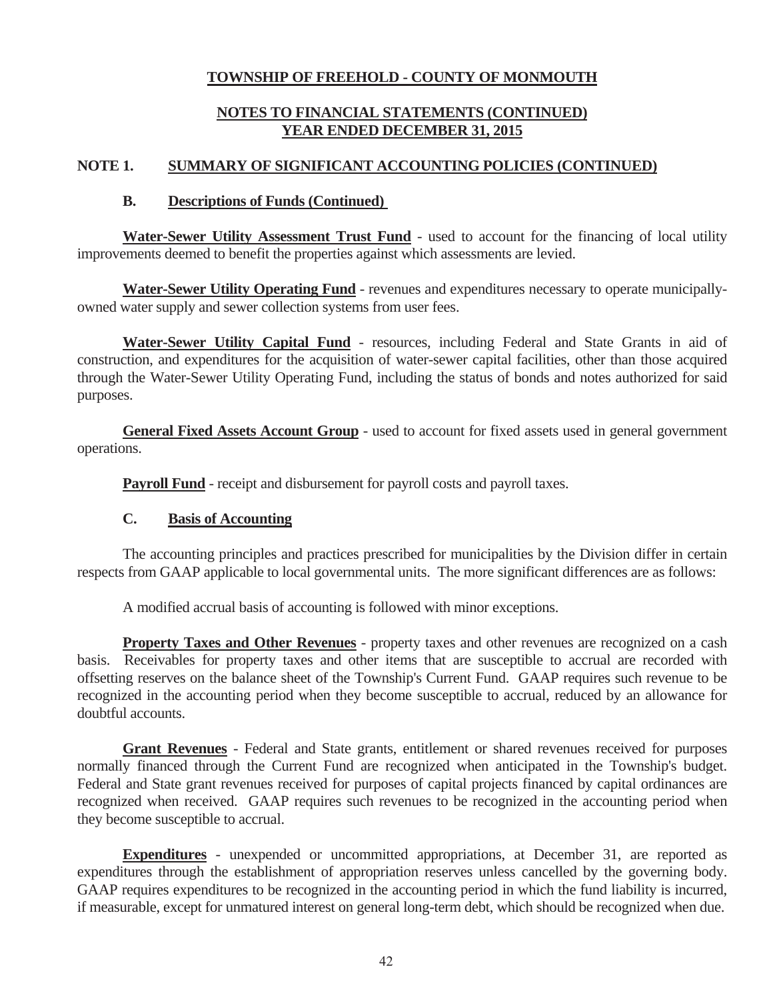# **NOTES TO FINANCIAL STATEMENTS (CONTINUED) YEAR ENDED DECEMBER 31, 2015**

# **NOTE 1. SUMMARY OF SIGNIFICANT ACCOUNTING POLICIES (CONTINUED)**

## **B. Descriptions of Funds (Continued)**

 **Water-Sewer Utility Assessment Trust Fund** - used to account for the financing of local utility improvements deemed to benefit the properties against which assessments are levied.

**Water-Sewer Utility Operating Fund** - revenues and expenditures necessary to operate municipallyowned water supply and sewer collection systems from user fees.

 **Water-Sewer Utility Capital Fund** - resources, including Federal and State Grants in aid of construction, and expenditures for the acquisition of water-sewer capital facilities, other than those acquired through the Water-Sewer Utility Operating Fund, including the status of bonds and notes authorized for said purposes.

 **General Fixed Assets Account Group** - used to account for fixed assets used in general government operations.

**Payroll Fund** - receipt and disbursement for payroll costs and payroll taxes.

# **C. Basis of Accounting**

 The accounting principles and practices prescribed for municipalities by the Division differ in certain respects from GAAP applicable to local governmental units. The more significant differences are as follows:

A modified accrual basis of accounting is followed with minor exceptions.

**Property Taxes and Other Revenues** - property taxes and other revenues are recognized on a cash basis. Receivables for property taxes and other items that are susceptible to accrual are recorded with offsetting reserves on the balance sheet of the Township's Current Fund. GAAP requires such revenue to be recognized in the accounting period when they become susceptible to accrual, reduced by an allowance for doubtful accounts.

 **Grant Revenues** - Federal and State grants, entitlement or shared revenues received for purposes normally financed through the Current Fund are recognized when anticipated in the Township's budget. Federal and State grant revenues received for purposes of capital projects financed by capital ordinances are recognized when received. GAAP requires such revenues to be recognized in the accounting period when they become susceptible to accrual.

 **Expenditures** - unexpended or uncommitted appropriations, at December 31, are reported as expenditures through the establishment of appropriation reserves unless cancelled by the governing body. GAAP requires expenditures to be recognized in the accounting period in which the fund liability is incurred, if measurable, except for unmatured interest on general long-term debt, which should be recognized when due.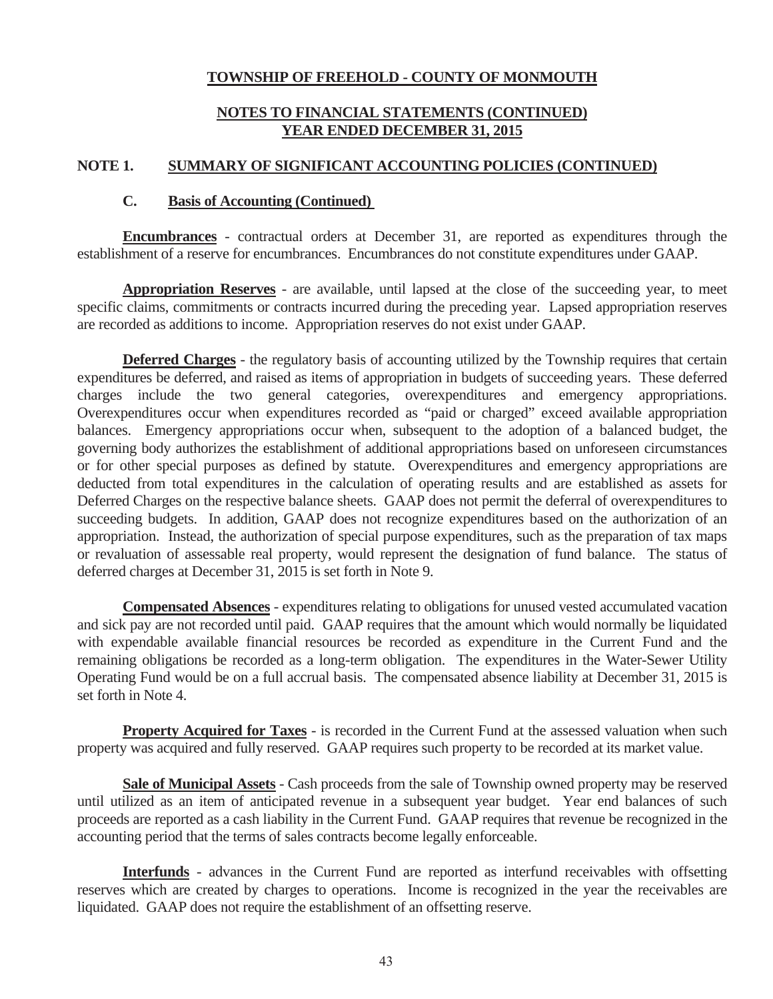# **NOTES TO FINANCIAL STATEMENTS (CONTINUED) YEAR ENDED DECEMBER 31, 2015**

# **NOTE 1. SUMMARY OF SIGNIFICANT ACCOUNTING POLICIES (CONTINUED)**

#### **C. Basis of Accounting (Continued)**

 **Encumbrances** - contractual orders at December 31, are reported as expenditures through the establishment of a reserve for encumbrances. Encumbrances do not constitute expenditures under GAAP.

 **Appropriation Reserves** - are available, until lapsed at the close of the succeeding year, to meet specific claims, commitments or contracts incurred during the preceding year. Lapsed appropriation reserves are recorded as additions to income. Appropriation reserves do not exist under GAAP.

**Deferred Charges** - the regulatory basis of accounting utilized by the Township requires that certain expenditures be deferred, and raised as items of appropriation in budgets of succeeding years. These deferred charges include the two general categories, overexpenditures and emergency appropriations. Overexpenditures occur when expenditures recorded as "paid or charged" exceed available appropriation balances. Emergency appropriations occur when, subsequent to the adoption of a balanced budget, the governing body authorizes the establishment of additional appropriations based on unforeseen circumstances or for other special purposes as defined by statute. Overexpenditures and emergency appropriations are deducted from total expenditures in the calculation of operating results and are established as assets for Deferred Charges on the respective balance sheets. GAAP does not permit the deferral of overexpenditures to succeeding budgets. In addition, GAAP does not recognize expenditures based on the authorization of an appropriation. Instead, the authorization of special purpose expenditures, such as the preparation of tax maps or revaluation of assessable real property, would represent the designation of fund balance. The status of deferred charges at December 31, 2015 is set forth in Note 9.

 **Compensated Absences** - expenditures relating to obligations for unused vested accumulated vacation and sick pay are not recorded until paid. GAAP requires that the amount which would normally be liquidated with expendable available financial resources be recorded as expenditure in the Current Fund and the remaining obligations be recorded as a long-term obligation. The expenditures in the Water-Sewer Utility Operating Fund would be on a full accrual basis. The compensated absence liability at December 31, 2015 is set forth in Note 4.

**Property Acquired for Taxes** - is recorded in the Current Fund at the assessed valuation when such property was acquired and fully reserved. GAAP requires such property to be recorded at its market value.

 **Sale of Municipal Assets** - Cash proceeds from the sale of Township owned property may be reserved until utilized as an item of anticipated revenue in a subsequent year budget. Year end balances of such proceeds are reported as a cash liability in the Current Fund. GAAP requires that revenue be recognized in the accounting period that the terms of sales contracts become legally enforceable.

 **Interfunds** - advances in the Current Fund are reported as interfund receivables with offsetting reserves which are created by charges to operations. Income is recognized in the year the receivables are liquidated. GAAP does not require the establishment of an offsetting reserve.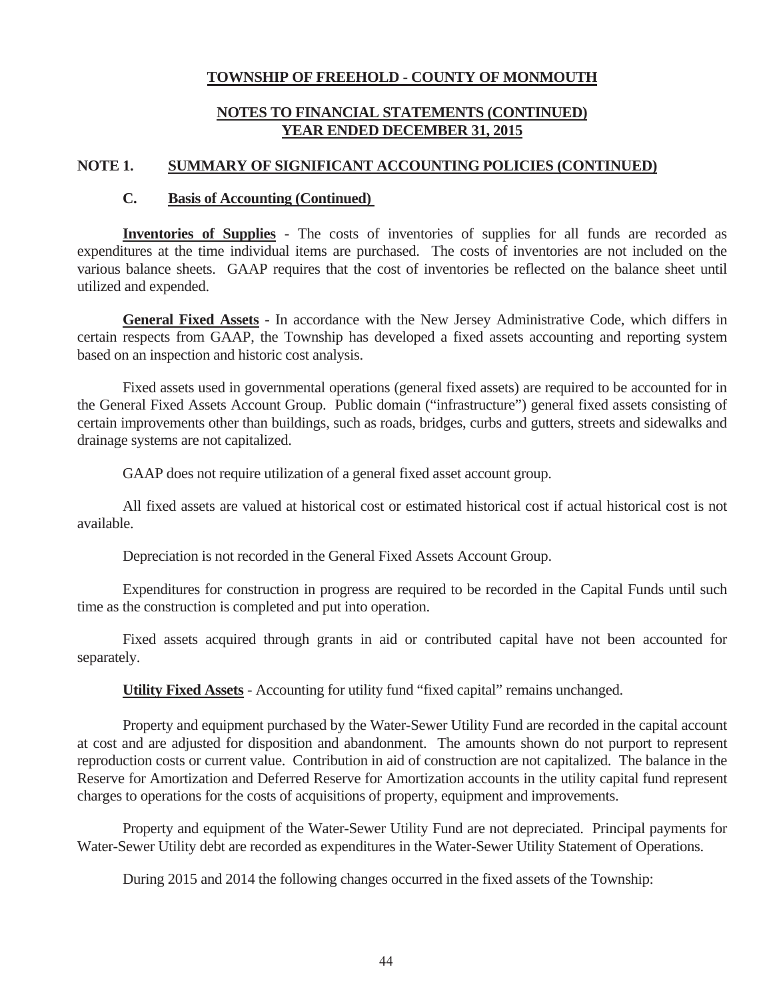# **NOTES TO FINANCIAL STATEMENTS (CONTINUED) YEAR ENDED DECEMBER 31, 2015**

# **NOTE 1. SUMMARY OF SIGNIFICANT ACCOUNTING POLICIES (CONTINUED)**

#### **C. Basis of Accounting (Continued)**

**Inventories of Supplies** - The costs of inventories of supplies for all funds are recorded as expenditures at the time individual items are purchased. The costs of inventories are not included on the various balance sheets. GAAP requires that the cost of inventories be reflected on the balance sheet until utilized and expended.

 **General Fixed Assets** - In accordance with the New Jersey Administrative Code, which differs in certain respects from GAAP, the Township has developed a fixed assets accounting and reporting system based on an inspection and historic cost analysis.

 Fixed assets used in governmental operations (general fixed assets) are required to be accounted for in the General Fixed Assets Account Group. Public domain ("infrastructure") general fixed assets consisting of certain improvements other than buildings, such as roads, bridges, curbs and gutters, streets and sidewalks and drainage systems are not capitalized.

GAAP does not require utilization of a general fixed asset account group.

 All fixed assets are valued at historical cost or estimated historical cost if actual historical cost is not available.

Depreciation is not recorded in the General Fixed Assets Account Group.

 Expenditures for construction in progress are required to be recorded in the Capital Funds until such time as the construction is completed and put into operation.

 Fixed assets acquired through grants in aid or contributed capital have not been accounted for separately.

 **Utility Fixed Assets** - Accounting for utility fund "fixed capital" remains unchanged.

 Property and equipment purchased by the Water-Sewer Utility Fund are recorded in the capital account at cost and are adjusted for disposition and abandonment. The amounts shown do not purport to represent reproduction costs or current value. Contribution in aid of construction are not capitalized. The balance in the Reserve for Amortization and Deferred Reserve for Amortization accounts in the utility capital fund represent charges to operations for the costs of acquisitions of property, equipment and improvements.

 Property and equipment of the Water-Sewer Utility Fund are not depreciated. Principal payments for Water-Sewer Utility debt are recorded as expenditures in the Water-Sewer Utility Statement of Operations.

During 2015 and 2014 the following changes occurred in the fixed assets of the Township: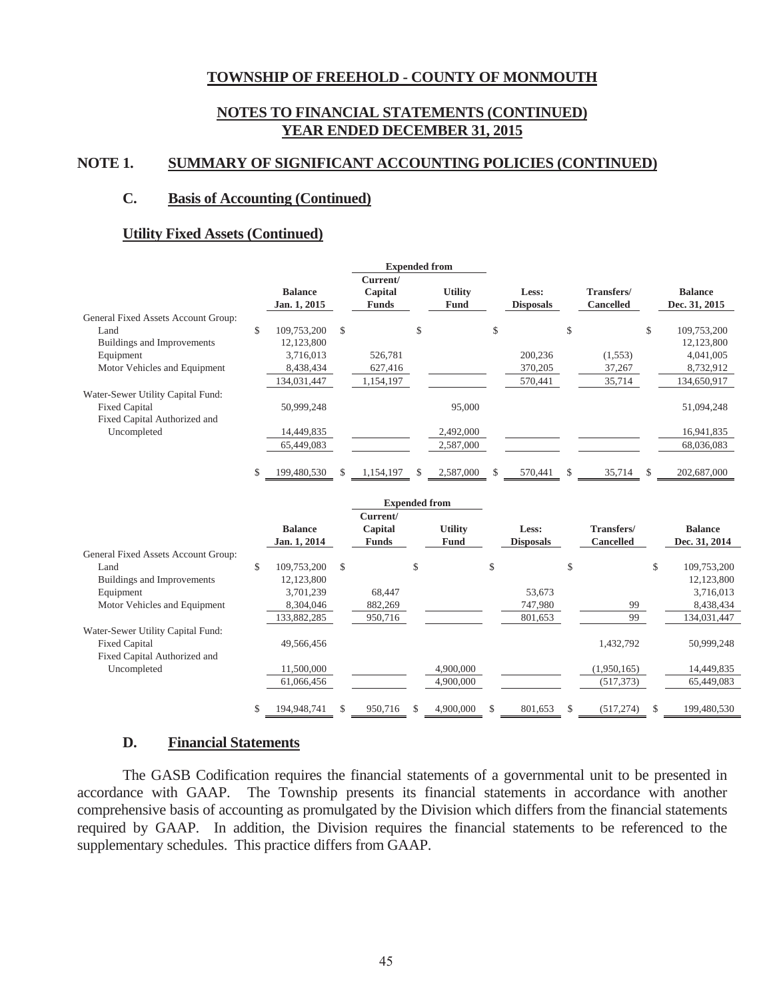# **NOTES TO FINANCIAL STATEMENTS (CONTINUED) YEAR ENDED DECEMBER 31, 2015**

## **NOTE 1. SUMMARY OF SIGNIFICANT ACCOUNTING POLICIES (CONTINUED)**

#### **C. Basis of Accounting (Continued)**

#### **Utility Fixed Assets (Continued)**

|                                                                                           |                                |              |                                     | <b>Expended from</b>          |                           |               |                                |               |                                 |
|-------------------------------------------------------------------------------------------|--------------------------------|--------------|-------------------------------------|-------------------------------|---------------------------|---------------|--------------------------------|---------------|---------------------------------|
|                                                                                           | <b>Balance</b><br>Jan. 1, 2015 |              | Current/<br>Capital<br><b>Funds</b> | <b>Utility</b><br><b>Fund</b> | Less:<br><b>Disposals</b> |               | Transfers/<br><b>Cancelled</b> |               | <b>Balance</b><br>Dec. 31, 2015 |
| General Fixed Assets Account Group:<br>Land                                               | \$<br>109,753,200              | $\mathbb{S}$ |                                     | \$                            | \$                        | $\mathcal{S}$ |                                | $\mathcal{S}$ | 109,753,200                     |
| Buildings and Improvements                                                                | 12,123,800                     |              |                                     |                               |                           |               |                                |               | 12,123,800                      |
| Equipment                                                                                 | 3,716,013                      |              | 526,781                             |                               | 200,236                   |               | (1, 553)                       |               | 4,041,005                       |
| Motor Vehicles and Equipment                                                              | 8,438,434                      |              | 627,416                             |                               | 370,205                   |               | 37,267                         |               | 8,732,912                       |
|                                                                                           | 134,031,447                    |              | 1,154,197                           |                               | 570,441                   |               | 35,714                         |               | 134,650,917                     |
| Water-Sewer Utility Capital Fund:<br><b>Fixed Capital</b><br>Fixed Capital Authorized and | 50,999,248                     |              |                                     | 95,000                        |                           |               |                                |               | 51,094,248                      |
| Uncompleted                                                                               | 14,449,835                     |              |                                     | 2,492,000                     |                           |               |                                |               | 16,941,835                      |
|                                                                                           | 65,449,083                     |              |                                     | 2,587,000                     |                           |               |                                |               | 68,036,083                      |
|                                                                                           | \$<br>199,480,530              | \$           | 1,154,197                           | \$<br>2,587,000               | \$<br>570,441             | \$            | 35,714                         |               | 202,687,000                     |
|                                                                                           |                                |              |                                     | <b>Expended from</b>          |                           |               |                                |               |                                 |
|                                                                                           | <b>Balance</b><br>Jan. 1, 2014 |              | Current/<br>Capital<br><b>Funds</b> | <b>Utility</b><br><b>Fund</b> | Less:<br><b>Disposals</b> |               | Transfers/<br><b>Cancelled</b> |               | <b>Balance</b><br>Dec. 31, 2014 |
| General Fixed Assets Account Group:                                                       |                                |              |                                     |                               |                           |               |                                |               |                                 |
| Land                                                                                      | \$<br>109,753,200              | $\mathbb{S}$ |                                     | \$                            | \$                        | \$            |                                | \$            | 109,753,200                     |
| Buildings and Improvements                                                                | 12,123,800                     |              |                                     |                               |                           |               |                                |               | 12,123,800                      |
| Equipment                                                                                 | 3,701,239                      |              | 68,447                              |                               | 53,673                    |               |                                |               | 3,716,013                       |
| Motor Vehicles and Equipment                                                              | 8,304,046                      |              | 882,269                             |                               | 747,980                   |               | 99                             |               | 8,438,434                       |
|                                                                                           | 133,882,285                    |              | 950,716                             |                               | 801,653                   |               | 99                             |               | 134,031,447                     |
| Water-Sewer Utility Capital Fund:<br><b>Fixed Capital</b><br>Fixed Capital Authorized and | 49,566,456                     |              |                                     |                               |                           |               | 1,432,792                      |               | 50,999,248                      |
| Uncompleted                                                                               | 11,500,000                     |              |                                     | 4,900,000                     |                           |               | (1,950,165)                    |               | 14,449,835                      |
|                                                                                           | 61,066,456                     |              |                                     | 4,900,000                     |                           |               | (517, 373)                     |               | 65,449,083                      |
|                                                                                           | \$<br>194.948.741              | \$           | 950,716                             | \$<br>4,900,000               | \$<br>801.653             | \$            | (517, 274)                     | \$            | 199,480,530                     |

## **D. Financial Statements**

 The GASB Codification requires the financial statements of a governmental unit to be presented in accordance with GAAP. The Township presents its financial statements in accordance with another comprehensive basis of accounting as promulgated by the Division which differs from the financial statements required by GAAP. In addition, the Division requires the financial statements to be referenced to the supplementary schedules. This practice differs from GAAP.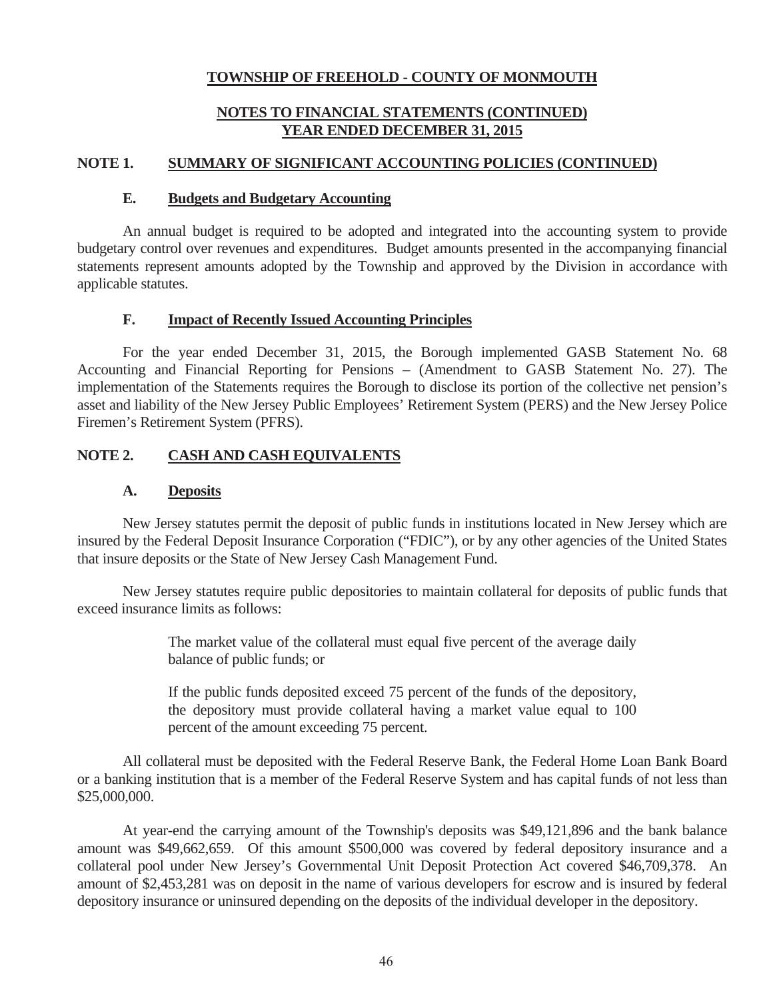# **NOTES TO FINANCIAL STATEMENTS (CONTINUED) YEAR ENDED DECEMBER 31, 2015**

## **NOTE 1. SUMMARY OF SIGNIFICANT ACCOUNTING POLICIES (CONTINUED)**

## **E. Budgets and Budgetary Accounting**

 An annual budget is required to be adopted and integrated into the accounting system to provide budgetary control over revenues and expenditures. Budget amounts presented in the accompanying financial statements represent amounts adopted by the Township and approved by the Division in accordance with applicable statutes.

## **F. Impact of Recently Issued Accounting Principles**

 For the year ended December 31, 2015, the Borough implemented GASB Statement No. 68 Accounting and Financial Reporting for Pensions – (Amendment to GASB Statement No. 27). The implementation of the Statements requires the Borough to disclose its portion of the collective net pension's asset and liability of the New Jersey Public Employees' Retirement System (PERS) and the New Jersey Police Firemen's Retirement System (PFRS).

## **NOTE 2. CASH AND CASH EQUIVALENTS**

## **A. Deposits**

 New Jersey statutes permit the deposit of public funds in institutions located in New Jersey which are insured by the Federal Deposit Insurance Corporation ("FDIC"), or by any other agencies of the United States that insure deposits or the State of New Jersey Cash Management Fund.

 New Jersey statutes require public depositories to maintain collateral for deposits of public funds that exceed insurance limits as follows:

> The market value of the collateral must equal five percent of the average daily balance of public funds; or

> If the public funds deposited exceed 75 percent of the funds of the depository, the depository must provide collateral having a market value equal to 100 percent of the amount exceeding 75 percent.

 All collateral must be deposited with the Federal Reserve Bank, the Federal Home Loan Bank Board or a banking institution that is a member of the Federal Reserve System and has capital funds of not less than \$25,000,000.

 At year-end the carrying amount of the Township's deposits was \$49,121,896 and the bank balance amount was \$49,662,659. Of this amount \$500,000 was covered by federal depository insurance and a collateral pool under New Jersey's Governmental Unit Deposit Protection Act covered \$46,709,378. An amount of \$2,453,281 was on deposit in the name of various developers for escrow and is insured by federal depository insurance or uninsured depending on the deposits of the individual developer in the depository.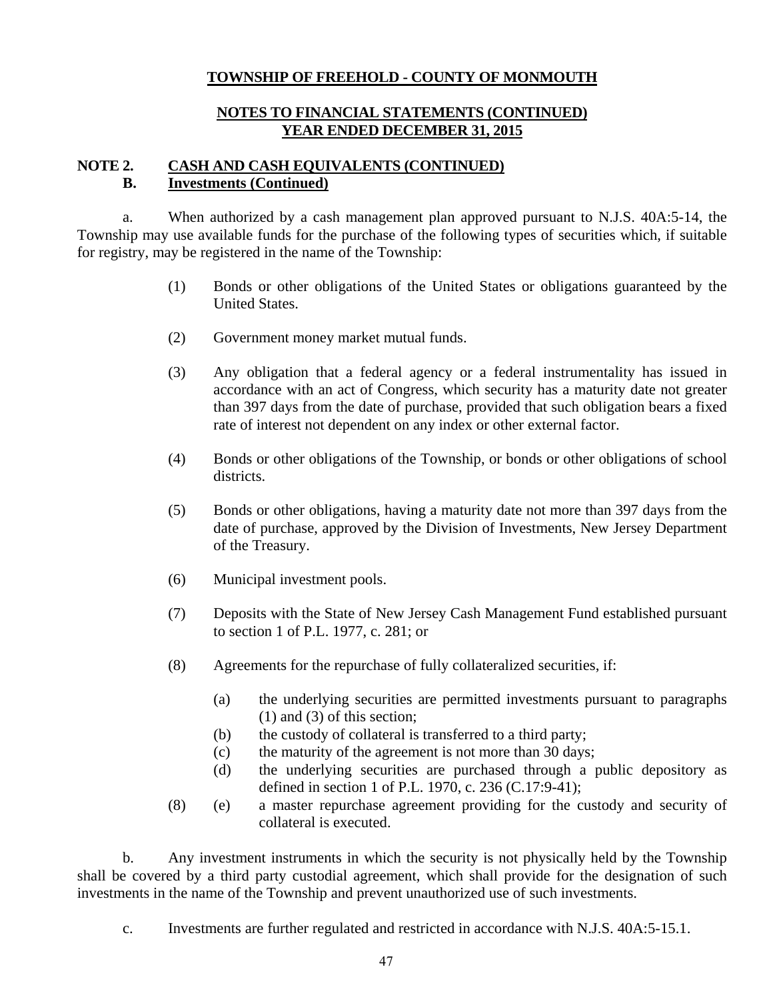# **NOTES TO FINANCIAL STATEMENTS (CONTINUED) YEAR ENDED DECEMBER 31, 2015**

# **NOTE 2. CASH AND CASH EQUIVALENTS (CONTINUED) B. Investments (Continued)**

a. When authorized by a cash management plan approved pursuant to N.J.S. 40A:5-14, the Township may use available funds for the purchase of the following types of securities which, if suitable for registry, may be registered in the name of the Township:

- (1) Bonds or other obligations of the United States or obligations guaranteed by the United States.
- (2) Government money market mutual funds.
- (3) Any obligation that a federal agency or a federal instrumentality has issued in accordance with an act of Congress, which security has a maturity date not greater than 397 days from the date of purchase, provided that such obligation bears a fixed rate of interest not dependent on any index or other external factor.
- (4) Bonds or other obligations of the Township, or bonds or other obligations of school districts.
- (5) Bonds or other obligations, having a maturity date not more than 397 days from the date of purchase, approved by the Division of Investments, New Jersey Department of the Treasury.
- (6) Municipal investment pools.
- (7) Deposits with the State of New Jersey Cash Management Fund established pursuant to section 1 of P.L. 1977, c. 281; or
- (8) Agreements for the repurchase of fully collateralized securities, if:
	- (a) the underlying securities are permitted investments pursuant to paragraphs (1) and (3) of this section;
	- (b) the custody of collateral is transferred to a third party;
	- (c) the maturity of the agreement is not more than 30 days;
	- (d) the underlying securities are purchased through a public depository as defined in section 1 of P.L. 1970, c. 236 (C.17:9-41);
- (8) (e) a master repurchase agreement providing for the custody and security of collateral is executed.

 b. Any investment instruments in which the security is not physically held by the Township shall be covered by a third party custodial agreement, which shall provide for the designation of such investments in the name of the Township and prevent unauthorized use of such investments.

c. Investments are further regulated and restricted in accordance with N.J.S. 40A:5-15.1.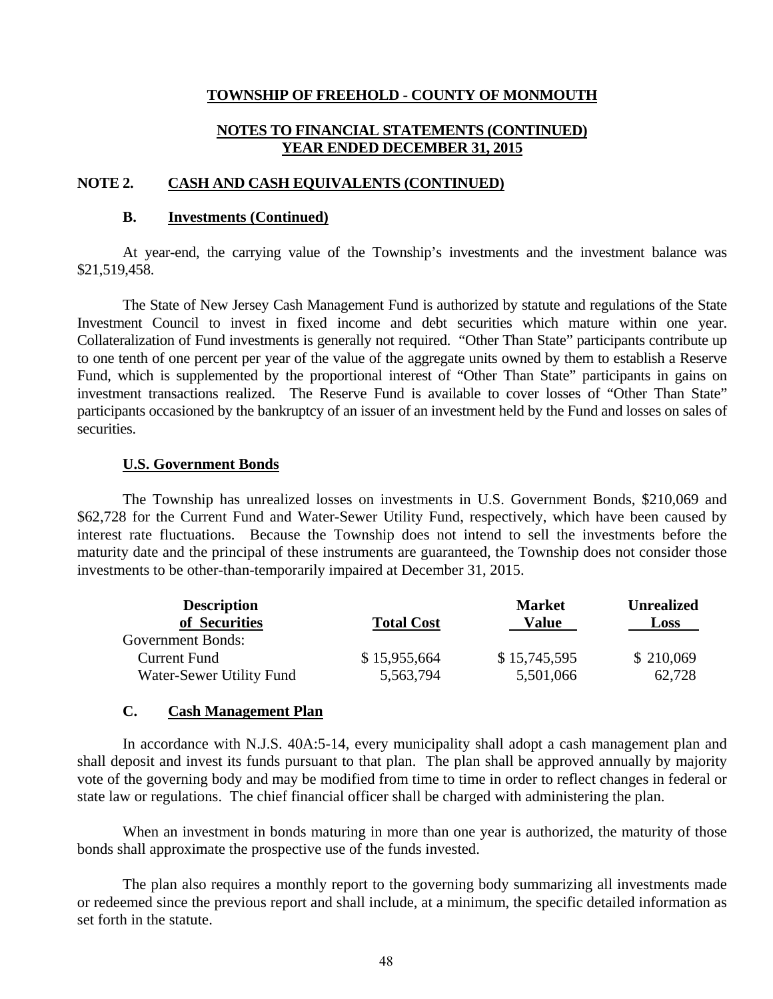## **NOTES TO FINANCIAL STATEMENTS (CONTINUED) YEAR ENDED DECEMBER 31, 2015**

### **NOTE 2. CASH AND CASH EQUIVALENTS (CONTINUED)**

#### **B. Investments (Continued)**

 At year-end, the carrying value of the Township's investments and the investment balance was \$21,519,458.

 The State of New Jersey Cash Management Fund is authorized by statute and regulations of the State Investment Council to invest in fixed income and debt securities which mature within one year. Collateralization of Fund investments is generally not required. "Other Than State" participants contribute up to one tenth of one percent per year of the value of the aggregate units owned by them to establish a Reserve Fund, which is supplemented by the proportional interest of "Other Than State" participants in gains on investment transactions realized. The Reserve Fund is available to cover losses of "Other Than State" participants occasioned by the bankruptcy of an issuer of an investment held by the Fund and losses on sales of securities.

#### **U.S. Government Bonds**

The Township has unrealized losses on investments in U.S. Government Bonds, \$210,069 and \$62,728 for the Current Fund and Water-Sewer Utility Fund, respectively, which have been caused by interest rate fluctuations. Because the Township does not intend to sell the investments before the maturity date and the principal of these instruments are guaranteed, the Township does not consider those investments to be other-than-temporarily impaired at December 31, 2015.

| <b>Description</b>       |                   | <b>Market</b> | <b>Unrealized</b> |
|--------------------------|-------------------|---------------|-------------------|
| of Securities            | <b>Total Cost</b> | Value         | Loss              |
| <b>Government Bonds:</b> |                   |               |                   |
| <b>Current Fund</b>      | \$15,955,664      | \$15,745,595  | \$210,069         |
| Water-Sewer Utility Fund | 5,563,794         | 5,501,066     | 62,728            |

## **C. Cash Management Plan**

 In accordance with N.J.S. 40A:5-14, every municipality shall adopt a cash management plan and shall deposit and invest its funds pursuant to that plan. The plan shall be approved annually by majority vote of the governing body and may be modified from time to time in order to reflect changes in federal or state law or regulations. The chief financial officer shall be charged with administering the plan.

 When an investment in bonds maturing in more than one year is authorized, the maturity of those bonds shall approximate the prospective use of the funds invested.

The plan also requires a monthly report to the governing body summarizing all investments made or redeemed since the previous report and shall include, at a minimum, the specific detailed information as set forth in the statute.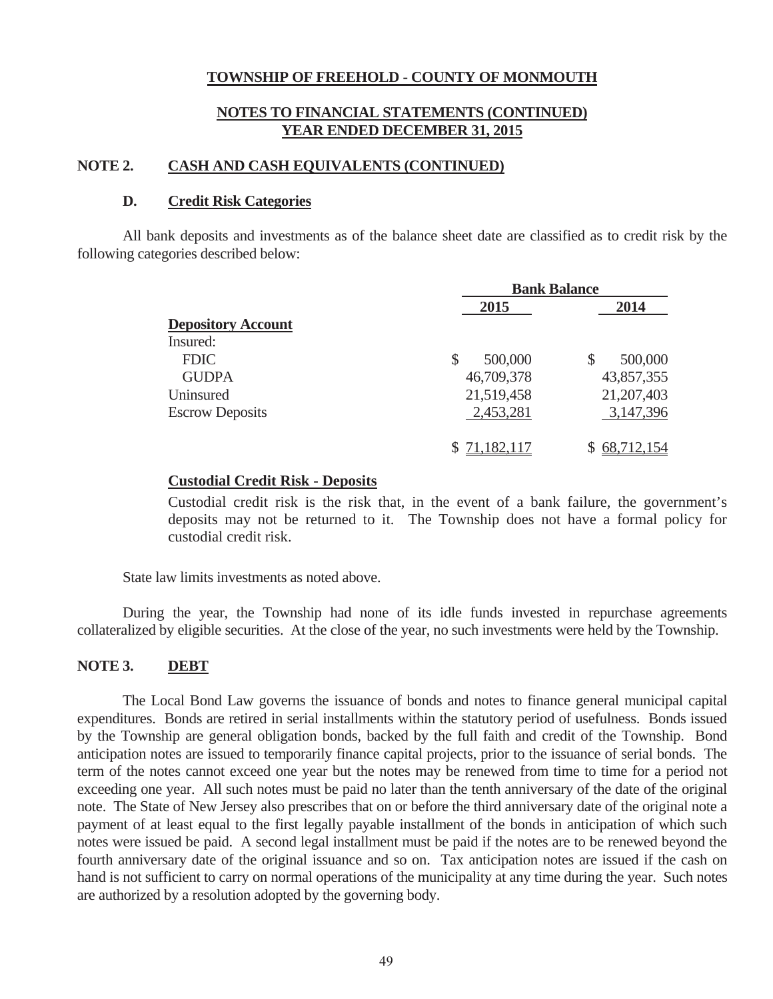# **NOTES TO FINANCIAL STATEMENTS (CONTINUED) YEAR ENDED DECEMBER 31, 2015**

## **NOTE 2. CASH AND CASH EQUIVALENTS (CONTINUED)**

## **D. Credit Risk Categories**

All bank deposits and investments as of the balance sheet date are classified as to credit risk by the following categories described below:

|                           | <b>Bank Balance</b> |              |
|---------------------------|---------------------|--------------|
|                           | 2015                | 2014         |
| <b>Depository Account</b> |                     |              |
| Insured:                  |                     |              |
| <b>FDIC</b>               | \$<br>500,000       | 500,000<br>S |
| <b>GUDPA</b>              | 46,709,378          | 43,857,355   |
| Uninsured                 | 21,519,458          | 21, 207, 403 |
| <b>Escrow Deposits</b>    | 2,453,281           | 3, 147, 396  |
|                           |                     |              |
|                           | 71,182,117          | 68,712,154   |

#### **Custodial Credit Risk - Deposits**

Custodial credit risk is the risk that, in the event of a bank failure, the government's deposits may not be returned to it. The Township does not have a formal policy for custodial credit risk.

State law limits investments as noted above.

 During the year, the Township had none of its idle funds invested in repurchase agreements collateralized by eligible securities. At the close of the year, no such investments were held by the Township.

## **NOTE 3. DEBT**

 The Local Bond Law governs the issuance of bonds and notes to finance general municipal capital expenditures. Bonds are retired in serial installments within the statutory period of usefulness. Bonds issued by the Township are general obligation bonds, backed by the full faith and credit of the Township. Bond anticipation notes are issued to temporarily finance capital projects, prior to the issuance of serial bonds. The term of the notes cannot exceed one year but the notes may be renewed from time to time for a period not exceeding one year. All such notes must be paid no later than the tenth anniversary of the date of the original note. The State of New Jersey also prescribes that on or before the third anniversary date of the original note a payment of at least equal to the first legally payable installment of the bonds in anticipation of which such notes were issued be paid. A second legal installment must be paid if the notes are to be renewed beyond the fourth anniversary date of the original issuance and so on. Tax anticipation notes are issued if the cash on hand is not sufficient to carry on normal operations of the municipality at any time during the year. Such notes are authorized by a resolution adopted by the governing body.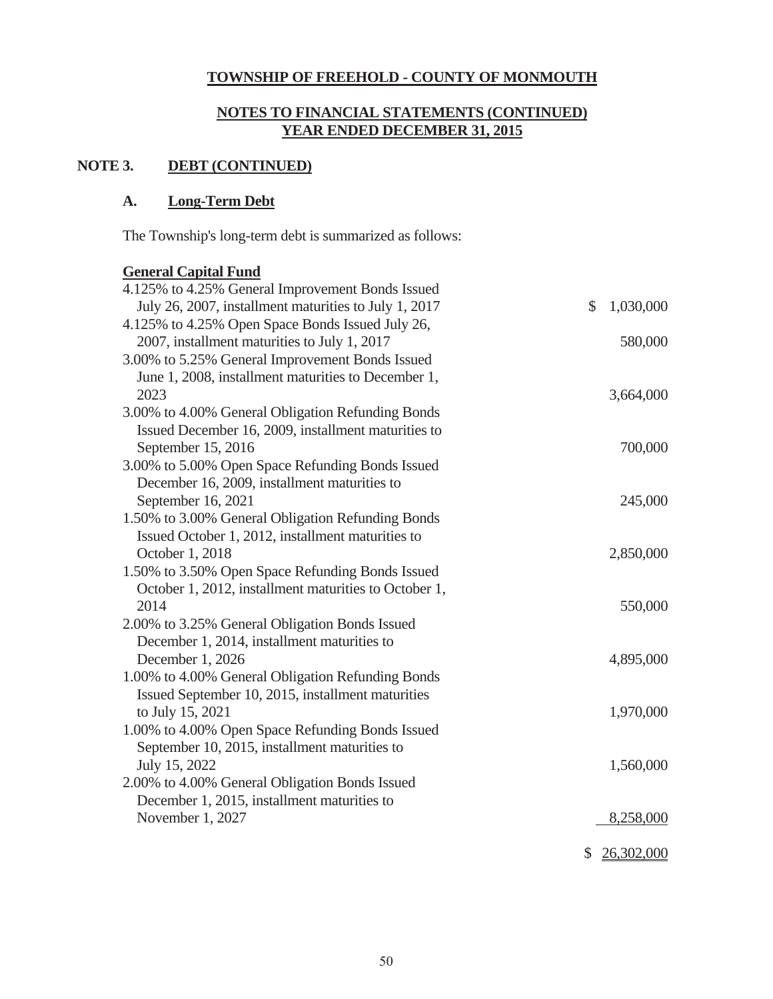# **NOTES TO FINANCIAL STATEMENTS (CONTINUED) YEAR ENDED DECEMBER 31, 2015**

# **NOTE 3. DEBT (CONTINUED)**

# **A. Long-Term Debt**

The Township's long-term debt is summarized as follows:

# **General Capital Fund**

| 4.125% to 4.25% General Improvement Bonds Issued      |                            |
|-------------------------------------------------------|----------------------------|
| July 26, 2007, installment maturities to July 1, 2017 | 1,030,000<br>\$            |
| 4.125% to 4.25% Open Space Bonds Issued July 26,      |                            |
| 2007, installment maturities to July 1, 2017          | 580,000                    |
| 3.00% to 5.25% General Improvement Bonds Issued       |                            |
| June 1, 2008, installment maturities to December 1,   |                            |
| 2023                                                  | 3,664,000                  |
| 3.00% to 4.00% General Obligation Refunding Bonds     |                            |
| Issued December 16, 2009, installment maturities to   |                            |
| September 15, 2016                                    | 700,000                    |
| 3.00% to 5.00% Open Space Refunding Bonds Issued      |                            |
| December 16, 2009, installment maturities to          |                            |
| September 16, 2021                                    | 245,000                    |
| 1.50% to 3.00% General Obligation Refunding Bonds     |                            |
| Issued October 1, 2012, installment maturities to     |                            |
| October 1, 2018                                       | 2,850,000                  |
| 1.50% to 3.50% Open Space Refunding Bonds Issued      |                            |
| October 1, 2012, installment maturities to October 1, |                            |
| 2014                                                  | 550,000                    |
| 2.00% to 3.25% General Obligation Bonds Issued        |                            |
| December 1, 2014, installment maturities to           |                            |
| December 1, 2026                                      | 4,895,000                  |
| 1.00% to 4.00% General Obligation Refunding Bonds     |                            |
| Issued September 10, 2015, installment maturities     |                            |
| to July 15, 2021                                      | 1,970,000                  |
| 1.00% to 4.00% Open Space Refunding Bonds Issued      |                            |
| September 10, 2015, installment maturities to         |                            |
| July 15, 2022                                         | 1,560,000                  |
| 2.00% to 4.00% General Obligation Bonds Issued        |                            |
| December 1, 2015, installment maturities to           |                            |
| November 1, 2027                                      | 8,258,000                  |
|                                                       |                            |
|                                                       | 26,302,000<br>$\mathbb{S}$ |
|                                                       |                            |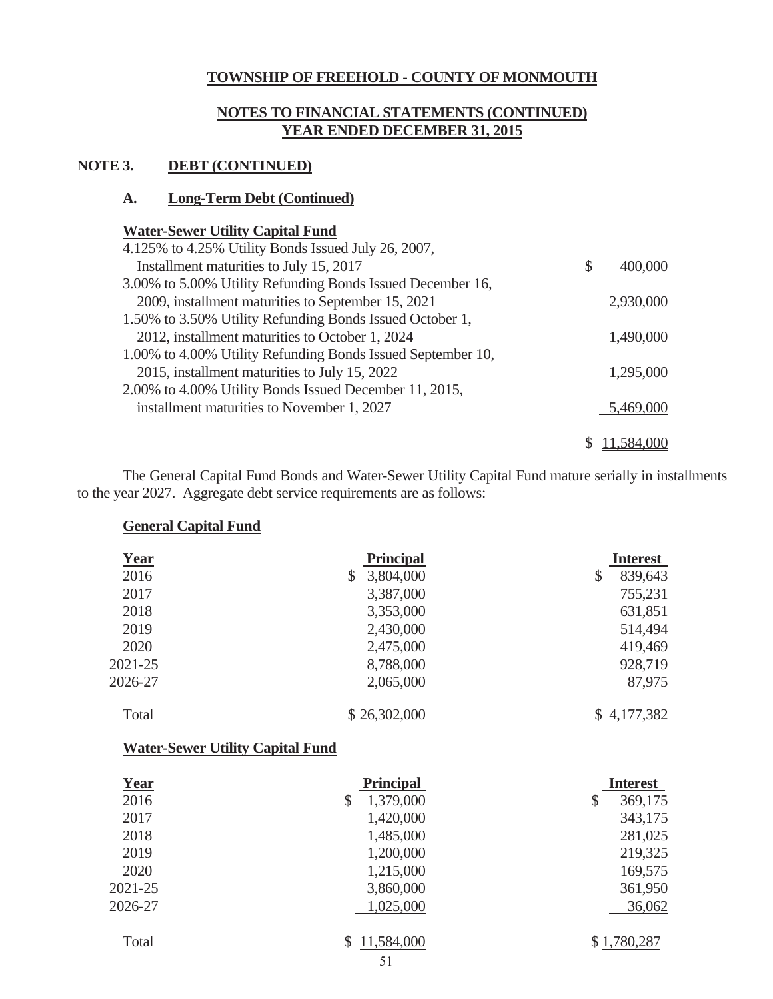# **NOTES TO FINANCIAL STATEMENTS (CONTINUED) YEAR ENDED DECEMBER 31, 2015**

# **NOTE 3. DEBT (CONTINUED)**

# **A. Long-Term Debt (Continued)**

## **Water-Sewer Utility Capital Fund**

| 4.125% to 4.25% Utility Bonds Issued July 26, 2007,         |               |
|-------------------------------------------------------------|---------------|
| Installment maturities to July 15, 2017                     | \$<br>400,000 |
| 3.00% to 5.00% Utility Refunding Bonds Issued December 16,  |               |
| 2009, installment maturities to September 15, 2021          | 2,930,000     |
| 1.50% to 3.50% Utility Refunding Bonds Issued October 1,    |               |
| 2012, installment maturities to October 1, 2024             | 1,490,000     |
| 1.00% to 4.00% Utility Refunding Bonds Issued September 10, |               |
| 2015, installment maturities to July 15, 2022               | 1,295,000     |
| 2.00% to 4.00% Utility Bonds Issued December 11, 2015,      |               |
| installment maturities to November 1, 2027                  | 5,469,000     |
|                                                             |               |
|                                                             | 11,584,000    |

 The General Capital Fund Bonds and Water-Sewer Utility Capital Fund mature serially in installments to the year 2027. Aggregate debt service requirements are as follows:

#### **General Capital Fund**

| <b>Year</b> | <b>Principal</b> | <b>Interest</b> |
|-------------|------------------|-----------------|
| 2016        | 3,804,000<br>\$  | 839,643<br>\$   |
| 2017        | 3,387,000        | 755,231         |
| 2018        | 3,353,000        | 631,851         |
| 2019        | 2,430,000        | 514,494         |
| 2020        | 2,475,000        | 419,469         |
| 2021-25     | 8,788,000        | 928,719         |
| 2026-27     | 2,065,000        | 87,975          |
| Total       | \$26,302,000     | 4,177,382       |

# **Water-Sewer Utility Capital Fund**

| <u>Year</u> | <b>Principal</b> | <b>Interest</b> |
|-------------|------------------|-----------------|
| 2016        | 1,379,000<br>\$  | 369,175<br>\$   |
| 2017        | 1,420,000        | 343,175         |
| 2018        | 1,485,000        | 281,025         |
| 2019        | 1,200,000        | 219,325         |
| 2020        | 1,215,000        | 169,575         |
| 2021-25     | 3,860,000        | 361,950         |
| 2026-27     | 1,025,000        | 36,062          |
| Total       | 11,584,000       | \$1,780,287     |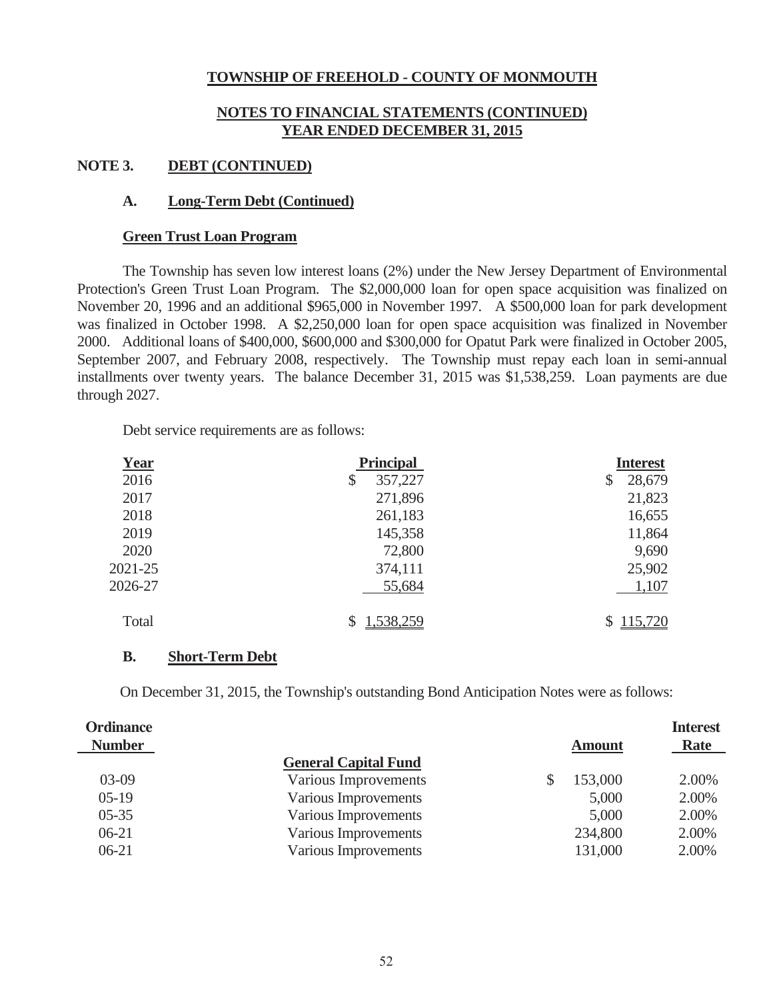# **NOTES TO FINANCIAL STATEMENTS (CONTINUED) YEAR ENDED DECEMBER 31, 2015**

# **NOTE 3. DEBT (CONTINUED)**

## **A. Long-Term Debt (Continued)**

## **Green Trust Loan Program**

 The Township has seven low interest loans (2%) under the New Jersey Department of Environmental Protection's Green Trust Loan Program. The \$2,000,000 loan for open space acquisition was finalized on November 20, 1996 and an additional \$965,000 in November 1997. A \$500,000 loan for park development was finalized in October 1998. A \$2,250,000 loan for open space acquisition was finalized in November 2000. Additional loans of \$400,000, \$600,000 and \$300,000 for Opatut Park were finalized in October 2005, September 2007, and February 2008, respectively. The Township must repay each loan in semi-annual installments over twenty years. The balance December 31, 2015 was \$1,538,259. Loan payments are due through 2027.

Debt service requirements are as follows:

| <b>Year</b> | <b>Principal</b> | <b>Interest</b> |
|-------------|------------------|-----------------|
| 2016        | 357,227<br>\$    | 28,679<br>\$    |
| 2017        | 271,896          | 21,823          |
| 2018        | 261,183          | 16,655          |
| 2019        | 145,358          | 11,864          |
| 2020        | 72,800           | 9,690           |
| 2021-25     | 374,111          | 25,902          |
| 2026-27     | 55,684           | 1,107           |
| Total       | 1,538,259        | \$115,720       |

#### **B. Short-Term Debt**

On December 31, 2015, the Township's outstanding Bond Anticipation Notes were as follows:

| <b>Ordinance</b> |                             |               | <b>Interest</b> |
|------------------|-----------------------------|---------------|-----------------|
| <b>Number</b>    |                             | <b>Amount</b> | Rate            |
|                  | <b>General Capital Fund</b> |               |                 |
| $03-09$          | Various Improvements        | 153,000       | 2.00%           |
| $05-19$          | Various Improvements        | 5,000         | 2.00%           |
| $05 - 35$        | Various Improvements        | 5,000         | 2.00%           |
| $06-21$          | Various Improvements        | 234,800       | 2.00%           |
| $06-21$          | Various Improvements        | 131,000       | 2.00%           |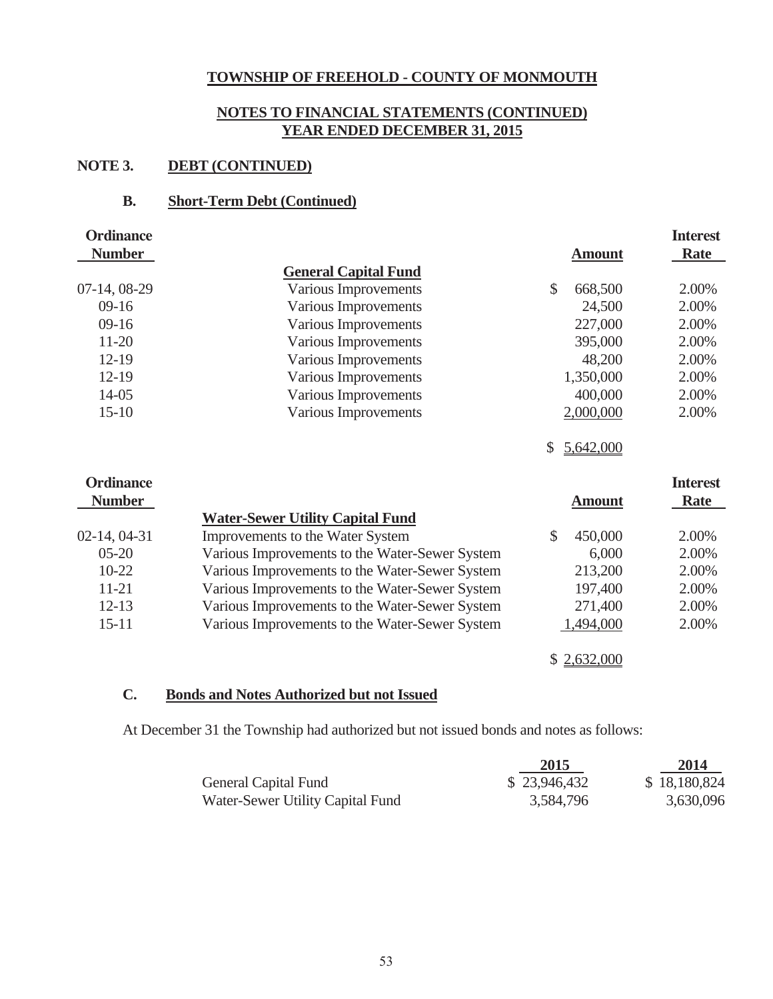# **NOTES TO FINANCIAL STATEMENTS (CONTINUED) YEAR ENDED DECEMBER 31, 2015**

# **NOTE 3. DEBT (CONTINUED)**

## **B. Short-Term Debt (Continued)**

| <b>Ordinance</b><br><b>Number</b> |                                                | <b>Amount</b>             | <b>Interest</b><br>Rate |
|-----------------------------------|------------------------------------------------|---------------------------|-------------------------|
|                                   | <b>General Capital Fund</b>                    |                           |                         |
| $07-14, 08-29$                    | Various Improvements                           | $\mathcal{S}$<br>668,500  | 2.00%                   |
| $09-16$                           | Various Improvements                           | 24,500                    | 2.00%                   |
| $09-16$                           | Various Improvements                           | 227,000                   | 2.00%                   |
| $11 - 20$                         | Various Improvements                           | 395,000                   | 2.00%                   |
| $12-19$                           | Various Improvements                           | 48,200                    | 2.00%                   |
| $12 - 19$                         | Various Improvements                           | 1,350,000                 | 2.00%                   |
| 14-05                             | Various Improvements                           | 400,000                   | 2.00%                   |
| $15 - 10$                         | Various Improvements                           | 2,000,000                 | 2.00%                   |
|                                   |                                                | 5,642,000<br><sup>S</sup> |                         |
| <b>Ordinance</b>                  |                                                |                           | <b>Interest</b>         |
| <b>Number</b>                     |                                                | <b>Amount</b>             | Rate                    |
|                                   | <b>Water-Sewer Utility Capital Fund</b>        |                           |                         |
| $02-14, 04-31$                    | Improvements to the Water System               | $\mathcal{S}$<br>450,000  | 2.00%                   |
| $05 - 20$                         | Various Improvements to the Water-Sewer System | 6,000                     | 2.00%                   |
| $10 - 22$                         | Various Improvements to the Water-Sewer System | 213,200                   | 2.00%                   |
| $11 - 21$                         | Various Improvements to the Water-Sewer System | 197,400                   | 2.00%                   |
| $12 - 13$                         | Various Improvements to the Water-Sewer System | 271,400                   | 2.00%                   |
| $15 - 11$                         | Various Improvements to the Water-Sewer System | 1,494,000                 | 2.00%                   |
|                                   |                                                | \$2,632,000               |                         |

# **C. Bonds and Notes Authorized but not Issued**

At December 31 the Township had authorized but not issued bonds and notes as follows:

|                                  | 2015         | 2014         |
|----------------------------------|--------------|--------------|
| <b>General Capital Fund</b>      | \$23,946,432 | \$18,180,824 |
| Water-Sewer Utility Capital Fund | 3,584,796    | 3,630,096    |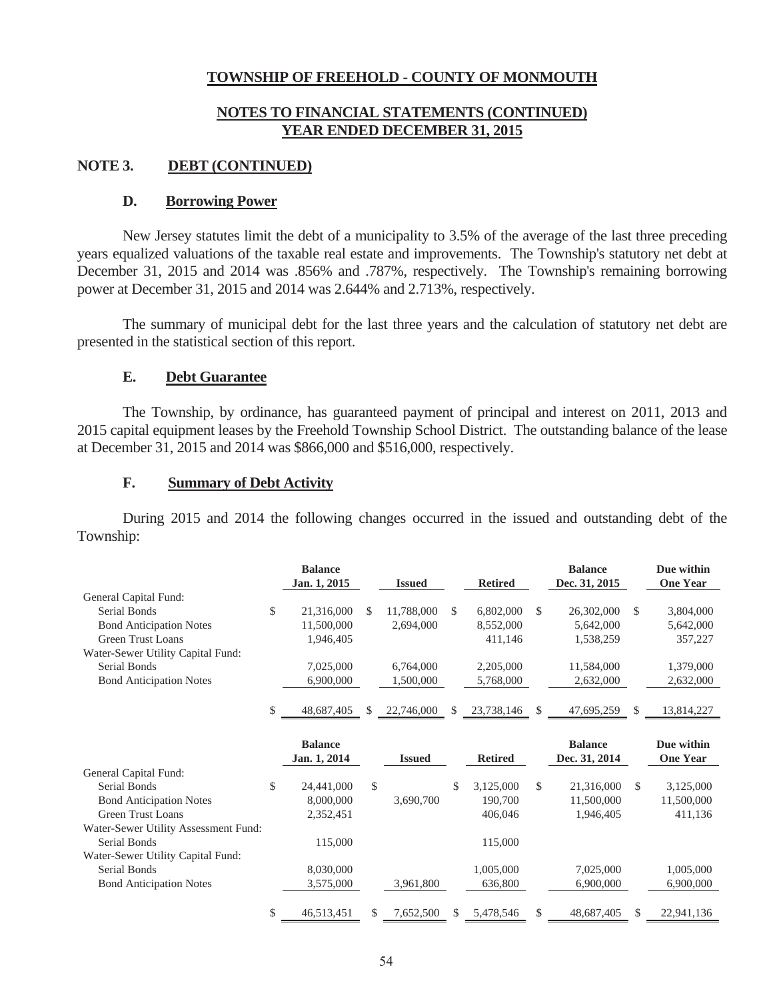# **NOTES TO FINANCIAL STATEMENTS (CONTINUED) YEAR ENDED DECEMBER 31, 2015**

## **NOTE 3. DEBT (CONTINUED)**

#### **D. Borrowing Power**

 New Jersey statutes limit the debt of a municipality to 3.5% of the average of the last three preceding years equalized valuations of the taxable real estate and improvements. The Township's statutory net debt at December 31, 2015 and 2014 was .856% and .787%, respectively. The Township's remaining borrowing power at December 31, 2015 and 2014 was 2.644% and 2.713%, respectively.

 The summary of municipal debt for the last three years and the calculation of statutory net debt are presented in the statistical section of this report.

#### **E. Debt Guarantee**

 The Township, by ordinance, has guaranteed payment of principal and interest on 2011, 2013 and 2015 capital equipment leases by the Freehold Township School District. The outstanding balance of the lease at December 31, 2015 and 2014 was \$866,000 and \$516,000, respectively.

## **F. Summary of Debt Activity**

 During 2015 and 2014 the following changes occurred in the issued and outstanding debt of the Township:

|                                      | <b>Balance</b><br>Jan. 1, 2015 |     | <b>Issued</b> |              | <b>Retired</b> |              | <b>Balance</b><br>Dec. 31, 2015 |     | Due within<br><b>One Year</b> |
|--------------------------------------|--------------------------------|-----|---------------|--------------|----------------|--------------|---------------------------------|-----|-------------------------------|
| General Capital Fund:                |                                |     |               |              |                |              |                                 |     |                               |
| Serial Bonds                         | \$<br>21,316,000               | \$. | 11,788,000    | \$           | 6,802,000      | \$           | 26,302,000                      | \$  | 3,804,000                     |
| <b>Bond Anticipation Notes</b>       | 11,500,000                     |     | 2,694,000     |              | 8,552,000      |              | 5,642,000                       |     | 5,642,000                     |
| Green Trust Loans                    | 1,946,405                      |     |               |              | 411,146        |              | 1,538,259                       |     | 357,227                       |
| Water-Sewer Utility Capital Fund:    |                                |     |               |              |                |              |                                 |     |                               |
| Serial Bonds                         | 7,025,000                      |     | 6,764,000     |              | 2,205,000      |              | 11,584,000                      |     | 1,379,000                     |
| <b>Bond Anticipation Notes</b>       | 6,900,000                      |     | 1,500,000     |              | 5,768,000      |              | 2,632,000                       |     | 2,632,000                     |
|                                      |                                |     |               |              |                |              |                                 |     |                               |
|                                      | \$<br>48,687,405               |     | 22,746,000    | <sup>S</sup> | 23,738,146     | $\mathbb{S}$ | 47,695,259                      | \$. | 13,814,227                    |
|                                      |                                |     |               |              |                |              |                                 |     |                               |
|                                      | <b>Balance</b>                 |     |               |              |                |              | <b>Balance</b>                  |     | Due within                    |
|                                      | Jan. 1, 2014                   |     | <b>Issued</b> |              | <b>Retired</b> |              | Dec. 31, 2014                   |     | <b>One Year</b>               |
| General Capital Fund:                |                                |     |               |              |                |              |                                 |     |                               |
| Serial Bonds                         | \$<br>24,441,000               | \$  |               | \$           | 3,125,000      | \$           | 21,316,000                      | \$  | 3,125,000                     |
| <b>Bond Anticipation Notes</b>       | 8,000,000                      |     | 3,690,700     |              | 190,700        |              | 11,500,000                      |     | 11,500,000                    |
| <b>Green Trust Loans</b>             | 2,352,451                      |     |               |              | 406,046        |              | 1,946,405                       |     | 411,136                       |
| Water-Sewer Utility Assessment Fund: |                                |     |               |              |                |              |                                 |     |                               |
| Serial Bonds                         | 115,000                        |     |               |              | 115,000        |              |                                 |     |                               |
| Water-Sewer Utility Capital Fund:    |                                |     |               |              |                |              |                                 |     |                               |
| Serial Bonds                         | 8,030,000                      |     |               |              | 1,005,000      |              | 7,025,000                       |     | 1,005,000                     |
| <b>Bond Anticipation Notes</b>       | 3,575,000                      |     | 3,961,800     |              | 636,800        |              | 6,900,000                       |     | 6,900,000                     |
|                                      |                                |     |               |              |                |              |                                 |     |                               |
|                                      | \$<br>46,513,451               | \$  | 7,652,500     | S.           | 5,478,546      | \$           | 48,687,405                      | S   | 22,941,136                    |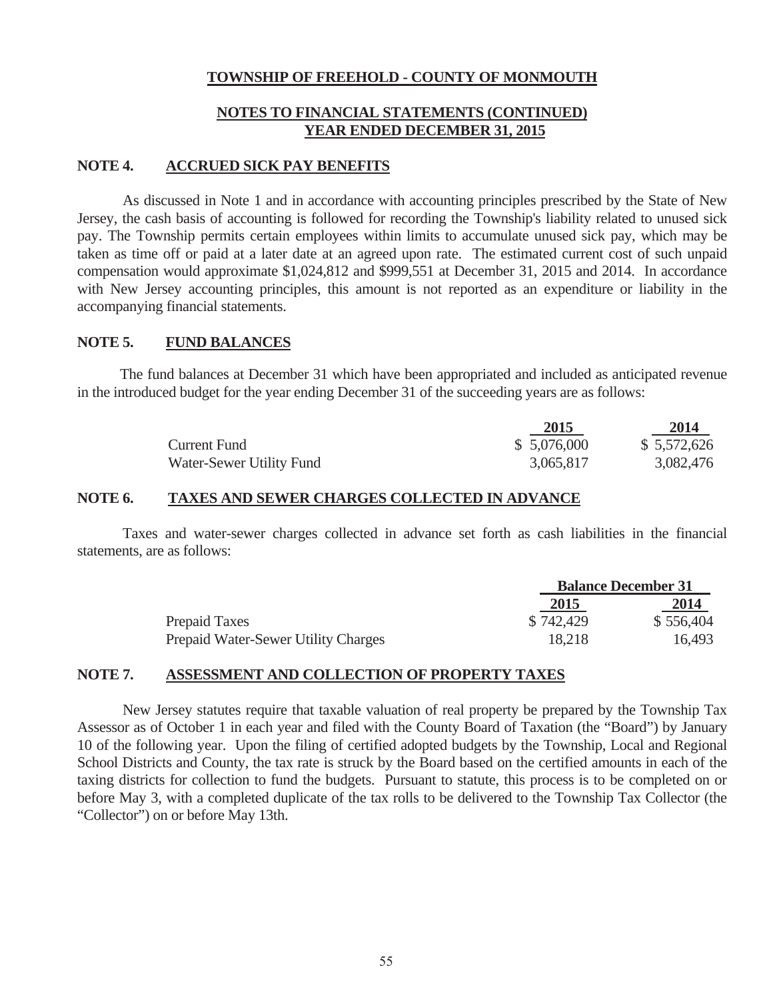# **NOTES TO FINANCIAL STATEMENTS (CONTINUED) YEAR ENDED DECEMBER 31, 2015**

## **NOTE 4. ACCRUED SICK PAY BENEFITS**

 As discussed in Note 1 and in accordance with accounting principles prescribed by the State of New Jersey, the cash basis of accounting is followed for recording the Township's liability related to unused sick pay. The Township permits certain employees within limits to accumulate unused sick pay, which may be taken as time off or paid at a later date at an agreed upon rate. The estimated current cost of such unpaid compensation would approximate \$1,024,812 and \$999,551 at December 31, 2015 and 2014. In accordance with New Jersey accounting principles, this amount is not reported as an expenditure or liability in the accompanying financial statements.

#### **NOTE 5. FUND BALANCES**

 The fund balances at December 31 which have been appropriated and included as anticipated revenue in the introduced budget for the year ending December 31 of the succeeding years are as follows:

|                          | 2015        | 2014        |
|--------------------------|-------------|-------------|
| Current Fund             | \$5,076,000 | \$5,572,626 |
| Water-Sewer Utility Fund | 3,065,817   | 3,082,476   |

## **NOTE 6. TAXES AND SEWER CHARGES COLLECTED IN ADVANCE**

 Taxes and water-sewer charges collected in advance set forth as cash liabilities in the financial statements, are as follows:

|                                     |             | <b>Balance December 31</b> |  |
|-------------------------------------|-------------|----------------------------|--|
|                                     | <u>2015</u> | 2014                       |  |
| Prepaid Taxes                       | \$742,429   | \$556,404                  |  |
| Prepaid Water-Sewer Utility Charges | 18,218      | 16,493                     |  |

#### **NOTE 7. ASSESSMENT AND COLLECTION OF PROPERTY TAXES**

 New Jersey statutes require that taxable valuation of real property be prepared by the Township Tax Assessor as of October 1 in each year and filed with the County Board of Taxation (the "Board") by January 10 of the following year. Upon the filing of certified adopted budgets by the Township, Local and Regional School Districts and County, the tax rate is struck by the Board based on the certified amounts in each of the taxing districts for collection to fund the budgets. Pursuant to statute, this process is to be completed on or before May 3, with a completed duplicate of the tax rolls to be delivered to the Township Tax Collector (the "Collector") on or before May 13th.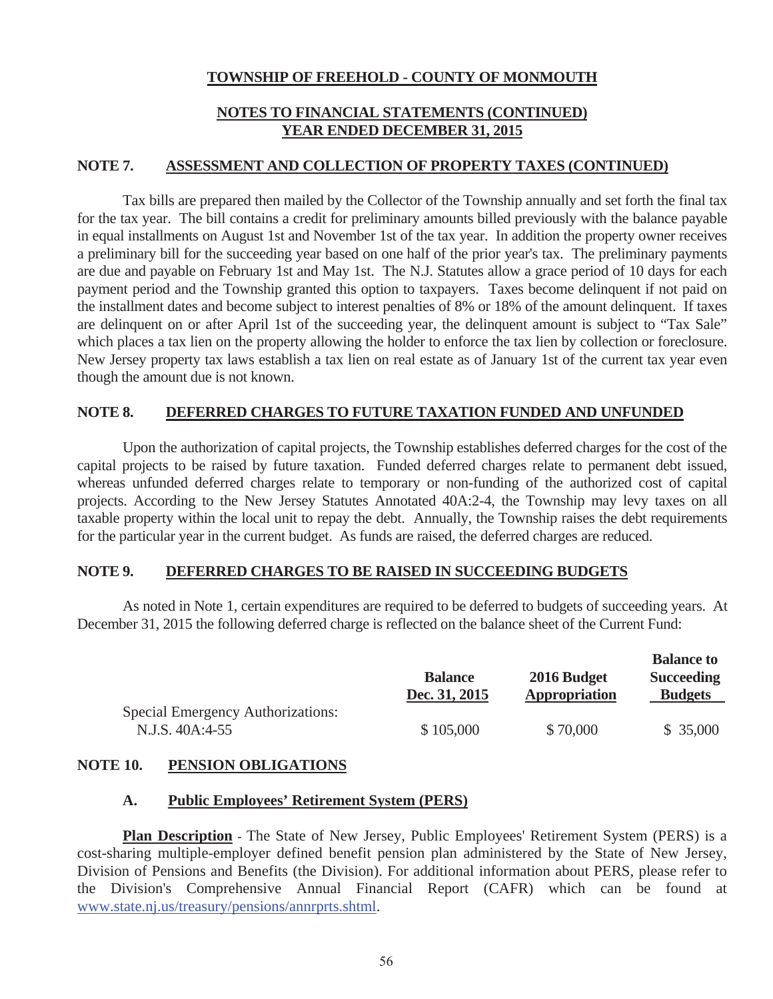# **NOTES TO FINANCIAL STATEMENTS (CONTINUED) YEAR ENDED DECEMBER 31, 2015**

## **NOTE 7. ASSESSMENT AND COLLECTION OF PROPERTY TAXES (CONTINUED)**

 Tax bills are prepared then mailed by the Collector of the Township annually and set forth the final tax for the tax year. The bill contains a credit for preliminary amounts billed previously with the balance payable in equal installments on August 1st and November 1st of the tax year. In addition the property owner receives a preliminary bill for the succeeding year based on one half of the prior year's tax. The preliminary payments are due and payable on February 1st and May 1st. The N.J. Statutes allow a grace period of 10 days for each payment period and the Township granted this option to taxpayers. Taxes become delinquent if not paid on the installment dates and become subject to interest penalties of 8% or 18% of the amount delinquent. If taxes are delinquent on or after April 1st of the succeeding year, the delinquent amount is subject to "Tax Sale" which places a tax lien on the property allowing the holder to enforce the tax lien by collection or foreclosure. New Jersey property tax laws establish a tax lien on real estate as of January 1st of the current tax year even though the amount due is not known.

## **NOTE 8. DEFERRED CHARGES TO FUTURE TAXATION FUNDED AND UNFUNDED**

 Upon the authorization of capital projects, the Township establishes deferred charges for the cost of the capital projects to be raised by future taxation. Funded deferred charges relate to permanent debt issued, whereas unfunded deferred charges relate to temporary or non-funding of the authorized cost of capital projects. According to the New Jersey Statutes Annotated 40A:2-4, the Township may levy taxes on all taxable property within the local unit to repay the debt. Annually, the Township raises the debt requirements for the particular year in the current budget. As funds are raised, the deferred charges are reduced.

## **NOTE 9. DEFERRED CHARGES TO BE RAISED IN SUCCEEDING BUDGETS**

 As noted in Note 1, certain expenditures are required to be deferred to budgets of succeeding years. At December 31, 2015 the following deferred charge is reflected on the balance sheet of the Current Fund:

|                                                             | <b>Balance</b><br>Dec. 31, 2015 | 2016 Budget<br><b>Appropriation</b> | <b>Balance to</b><br><b>Succeeding</b><br><b>Budgets</b> |
|-------------------------------------------------------------|---------------------------------|-------------------------------------|----------------------------------------------------------|
| <b>Special Emergency Authorizations:</b><br>N.J.S. 40A:4-55 | \$105,000                       | \$70,000                            | \$35,000                                                 |

## **NOTE 10. PENSION OBLIGATIONS**

#### **A. Public Employees' Retirement System (PERS)**

**Plan Description -** The State of New Jersey, Public Employees' Retirement System (PERS) is a cost-sharing multiple-employer defined benefit pension plan administered by the State of New Jersey, Division of Pensions and Benefits (the Division). For additional information about PERS, please refer to the Division's Comprehensive Annual Financial Report (CAFR) which can be found at www.state.nj.us/treasury/pensions/annrprts.shtml.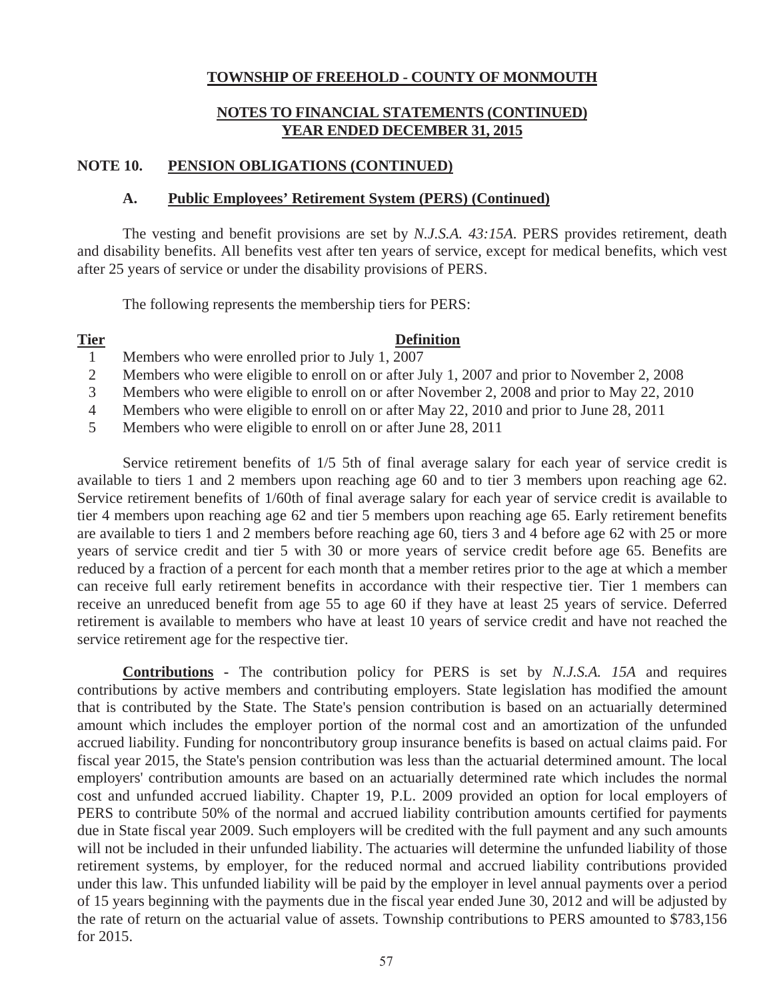# **NOTES TO FINANCIAL STATEMENTS (CONTINUED) YEAR ENDED DECEMBER 31, 2015**

## **NOTE 10. PENSION OBLIGATIONS (CONTINUED)**

#### **A. Public Employees' Retirement System (PERS) (Continued)**

The vesting and benefit provisions are set by *N.J.S.A. 43:15A*. PERS provides retirement, death and disability benefits. All benefits vest after ten years of service, except for medical benefits, which vest after 25 years of service or under the disability provisions of PERS.

The following represents the membership tiers for PERS:

### **Tier Definition**

- 1 Members who were enrolled prior to July 1, 2007
- 2 Members who were eligible to enroll on or after July 1, 2007 and prior to November 2, 2008
- 3 Members who were eligible to enroll on or after November 2, 2008 and prior to May 22, 2010
- 4 Members who were eligible to enroll on or after May 22, 2010 and prior to June 28, 2011
- 5 Members who were eligible to enroll on or after June 28, 2011

Service retirement benefits of 1/5 5th of final average salary for each year of service credit is available to tiers 1 and 2 members upon reaching age 60 and to tier 3 members upon reaching age 62. Service retirement benefits of 1/60th of final average salary for each year of service credit is available to tier 4 members upon reaching age 62 and tier 5 members upon reaching age 65. Early retirement benefits are available to tiers 1 and 2 members before reaching age 60, tiers 3 and 4 before age 62 with 25 or more years of service credit and tier 5 with 30 or more years of service credit before age 65. Benefits are reduced by a fraction of a percent for each month that a member retires prior to the age at which a member can receive full early retirement benefits in accordance with their respective tier. Tier 1 members can receive an unreduced benefit from age 55 to age 60 if they have at least 25 years of service. Deferred retirement is available to members who have at least 10 years of service credit and have not reached the service retirement age for the respective tier.

**Contributions -** The contribution policy for PERS is set by *N.J.S.A. 15A* and requires contributions by active members and contributing employers. State legislation has modified the amount that is contributed by the State. The State's pension contribution is based on an actuarially determined amount which includes the employer portion of the normal cost and an amortization of the unfunded accrued liability. Funding for noncontributory group insurance benefits is based on actual claims paid. For fiscal year 2015, the State's pension contribution was less than the actuarial determined amount. The local employers' contribution amounts are based on an actuarially determined rate which includes the normal cost and unfunded accrued liability. Chapter 19, P.L. 2009 provided an option for local employers of PERS to contribute 50% of the normal and accrued liability contribution amounts certified for payments due in State fiscal year 2009. Such employers will be credited with the full payment and any such amounts will not be included in their unfunded liability. The actuaries will determine the unfunded liability of those retirement systems, by employer, for the reduced normal and accrued liability contributions provided under this law. This unfunded liability will be paid by the employer in level annual payments over a period of 15 years beginning with the payments due in the fiscal year ended June 30, 2012 and will be adjusted by the rate of return on the actuarial value of assets. Township contributions to PERS amounted to \$783,156 for 2015.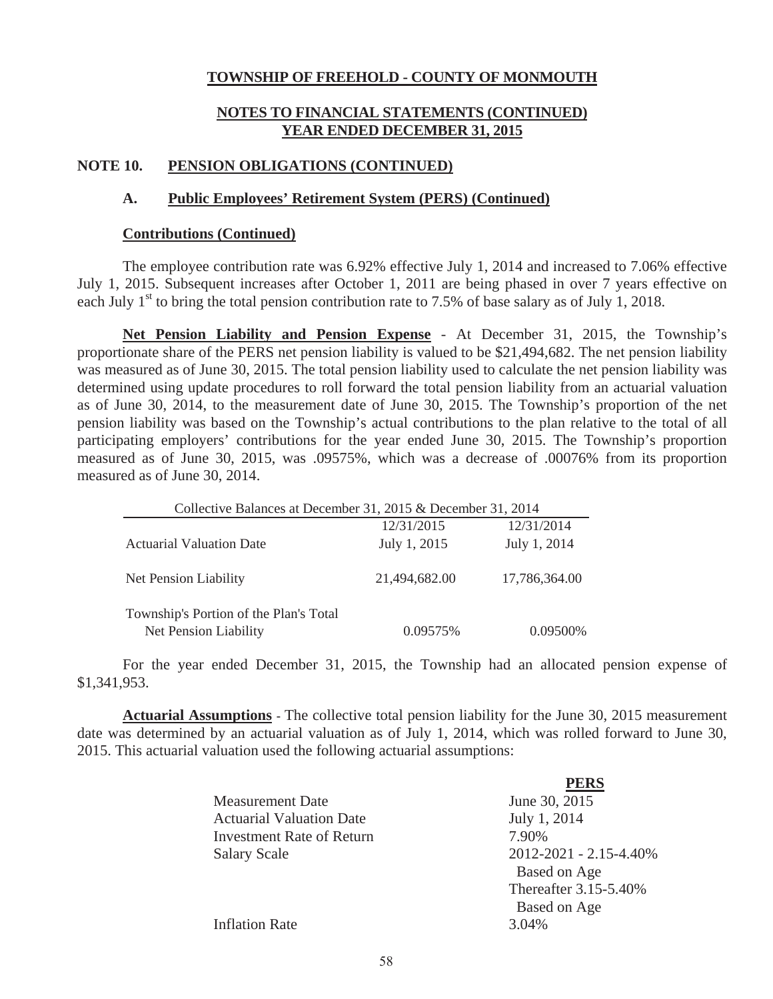# **NOTES TO FINANCIAL STATEMENTS (CONTINUED) YEAR ENDED DECEMBER 31, 2015**

## **NOTE 10. PENSION OBLIGATIONS (CONTINUED)**

## **A. Public Employees' Retirement System (PERS) (Continued)**

#### **Contributions (Continued)**

The employee contribution rate was 6.92% effective July 1, 2014 and increased to 7.06% effective July 1, 2015. Subsequent increases after October 1, 2011 are being phased in over 7 years effective on each July  $1<sup>st</sup>$  to bring the total pension contribution rate to 7.5% of base salary as of July 1, 2018.

**Net Pension Liability and Pension Expense** - At December 31, 2015, the Township's proportionate share of the PERS net pension liability is valued to be \$21,494,682. The net pension liability was measured as of June 30, 2015. The total pension liability used to calculate the net pension liability was determined using update procedures to roll forward the total pension liability from an actuarial valuation as of June 30, 2014, to the measurement date of June 30, 2015. The Township's proportion of the net pension liability was based on the Township's actual contributions to the plan relative to the total of all participating employers' contributions for the year ended June 30, 2015. The Township's proportion measured as of June 30, 2015, was .09575%, which was a decrease of .00076% from its proportion measured as of June 30, 2014.

| Collective Balances at December 31, 2015 & December 31, 2014 |                          |               |  |  |  |  |
|--------------------------------------------------------------|--------------------------|---------------|--|--|--|--|
|                                                              | 12/31/2014<br>12/31/2015 |               |  |  |  |  |
| <b>Actuarial Valuation Date</b>                              | July 1, 2015             | July 1, 2014  |  |  |  |  |
| Net Pension Liability                                        | 21,494,682.00            | 17,786,364.00 |  |  |  |  |
| Township's Portion of the Plan's Total                       |                          |               |  |  |  |  |
| Net Pension Liability                                        | 0.09575%                 | 0.09500\%     |  |  |  |  |

For the year ended December 31, 2015, the Township had an allocated pension expense of \$1,341,953.

**Actuarial Assumptions -** The collective total pension liability for the June 30, 2015 measurement date was determined by an actuarial valuation as of July 1, 2014, which was rolled forward to June 30, 2015. This actuarial valuation used the following actuarial assumptions:

|                                  | <b>PERS</b>            |
|----------------------------------|------------------------|
| <b>Measurement Date</b>          | June 30, 2015          |
| <b>Actuarial Valuation Date</b>  | July 1, 2014           |
| <b>Investment Rate of Return</b> | 7.90%                  |
| <b>Salary Scale</b>              | 2012-2021 - 2.15-4.40% |
|                                  | Based on Age           |
|                                  | Thereafter 3.15-5.40%  |
|                                  | Based on Age           |
| <b>Inflation Rate</b>            | 3.04%                  |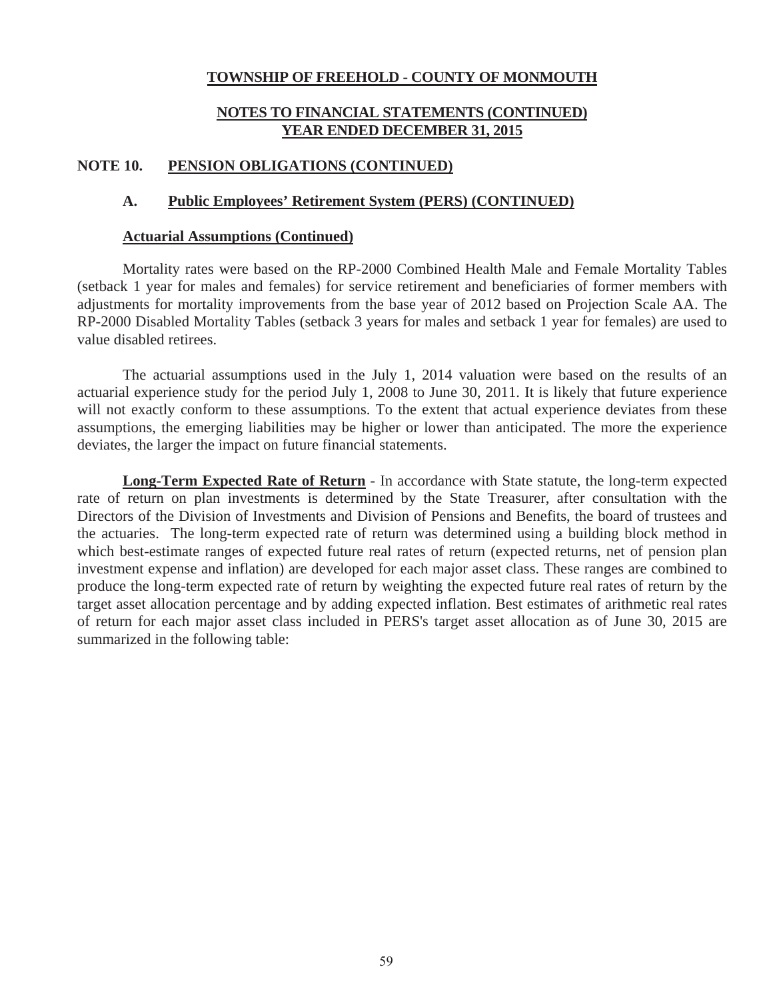# **NOTES TO FINANCIAL STATEMENTS (CONTINUED) YEAR ENDED DECEMBER 31, 2015**

## **NOTE 10. PENSION OBLIGATIONS (CONTINUED)**

## **A. Public Employees' Retirement System (PERS) (CONTINUED)**

#### **Actuarial Assumptions (Continued)**

Mortality rates were based on the RP-2000 Combined Health Male and Female Mortality Tables (setback 1 year for males and females) for service retirement and beneficiaries of former members with adjustments for mortality improvements from the base year of 2012 based on Projection Scale AA. The RP-2000 Disabled Mortality Tables (setback 3 years for males and setback 1 year for females) are used to value disabled retirees.

The actuarial assumptions used in the July 1, 2014 valuation were based on the results of an actuarial experience study for the period July 1, 2008 to June 30, 2011. It is likely that future experience will not exactly conform to these assumptions. To the extent that actual experience deviates from these assumptions, the emerging liabilities may be higher or lower than anticipated. The more the experience deviates, the larger the impact on future financial statements.

**Long-Term Expected Rate of Return** - In accordance with State statute, the long-term expected rate of return on plan investments is determined by the State Treasurer, after consultation with the Directors of the Division of Investments and Division of Pensions and Benefits, the board of trustees and the actuaries. The long-term expected rate of return was determined using a building block method in which best-estimate ranges of expected future real rates of return (expected returns, net of pension plan investment expense and inflation) are developed for each major asset class. These ranges are combined to produce the long-term expected rate of return by weighting the expected future real rates of return by the target asset allocation percentage and by adding expected inflation. Best estimates of arithmetic real rates of return for each major asset class included in PERS's target asset allocation as of June 30, 2015 are summarized in the following table: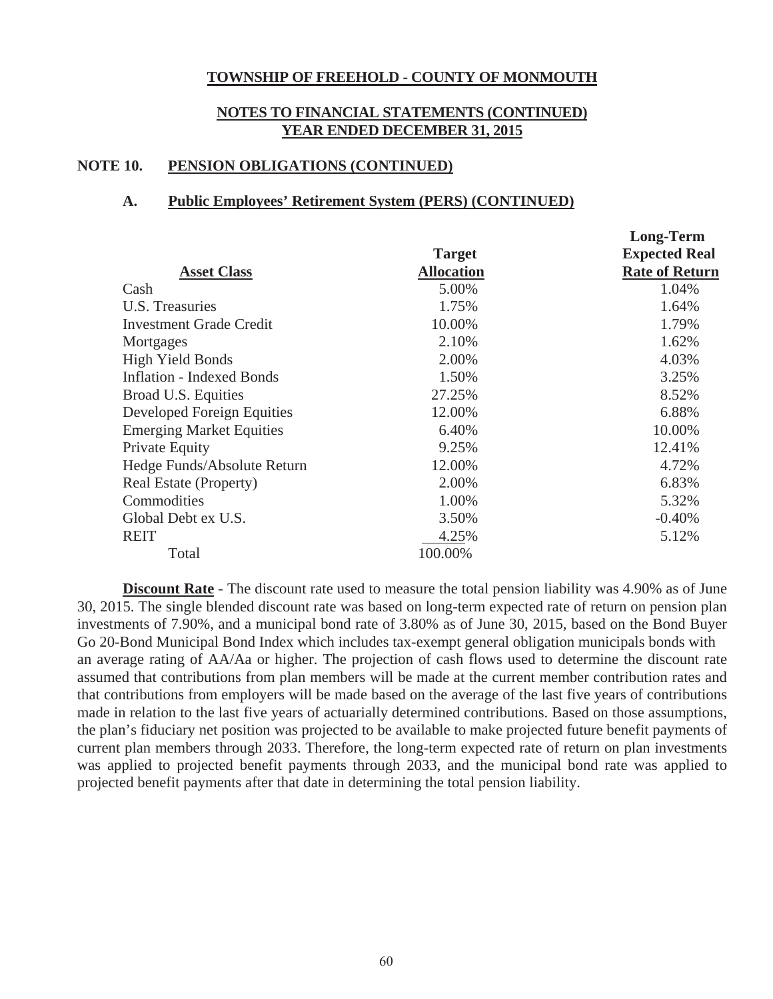# **NOTES TO FINANCIAL STATEMENTS (CONTINUED) YEAR ENDED DECEMBER 31, 2015**

## **NOTE 10. PENSION OBLIGATIONS (CONTINUED)**

## **A. Public Employees' Retirement System (PERS) (CONTINUED)**

|                                  |                   | <b>Long-Term</b>      |
|----------------------------------|-------------------|-----------------------|
|                                  | <b>Target</b>     | <b>Expected Real</b>  |
| <b>Asset Class</b>               | <b>Allocation</b> | <b>Rate of Return</b> |
| Cash                             | 5.00%             | 1.04%                 |
| U.S. Treasuries                  | 1.75%             | 1.64%                 |
| <b>Investment Grade Credit</b>   | 10.00%            | 1.79%                 |
| Mortgages                        | 2.10%             | 1.62%                 |
| <b>High Yield Bonds</b>          | 2.00%             | 4.03%                 |
| <b>Inflation - Indexed Bonds</b> | 1.50%             | 3.25%                 |
| Broad U.S. Equities              | 27.25%            | 8.52%                 |
| Developed Foreign Equities       | 12.00%            | 6.88%                 |
| <b>Emerging Market Equities</b>  | 6.40%             | 10.00%                |
| Private Equity                   | 9.25%             | 12.41%                |
| Hedge Funds/Absolute Return      | 12.00%            | 4.72%                 |
| Real Estate (Property)           | 2.00%             | 6.83%                 |
| Commodities                      | 1.00%             | 5.32%                 |
| Global Debt ex U.S.              | 3.50%             | $-0.40%$              |
| <b>REIT</b>                      | 4.25%             | 5.12%                 |
| Total                            | 100.00%           |                       |
|                                  |                   |                       |

**Discount Rate** - The discount rate used to measure the total pension liability was 4.90% as of June 30, 2015. The single blended discount rate was based on long-term expected rate of return on pension plan investments of 7.90%, and a municipal bond rate of 3.80% as of June 30, 2015, based on the Bond Buyer Go 20-Bond Municipal Bond Index which includes tax-exempt general obligation municipals bonds with an average rating of AA/Aa or higher. The projection of cash flows used to determine the discount rate assumed that contributions from plan members will be made at the current member contribution rates and that contributions from employers will be made based on the average of the last five years of contributions made in relation to the last five years of actuarially determined contributions. Based on those assumptions, the plan's fiduciary net position was projected to be available to make projected future benefit payments of current plan members through 2033. Therefore, the long-term expected rate of return on plan investments was applied to projected benefit payments through 2033, and the municipal bond rate was applied to projected benefit payments after that date in determining the total pension liability.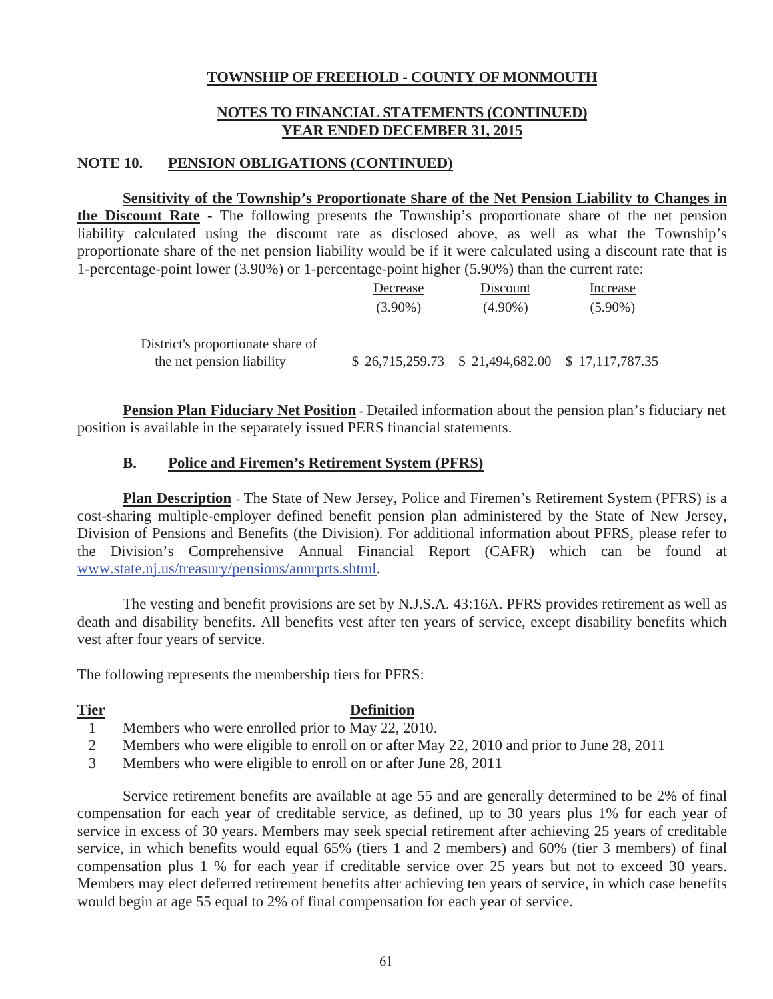# **NOTES TO FINANCIAL STATEMENTS (CONTINUED) YEAR ENDED DECEMBER 31, 2015**

## **NOTE 10. PENSION OBLIGATIONS (CONTINUED)**

**Sensitivity of the Township's Proportionate Share of the Net Pension Liability to Changes in the Discount Rate -** The following presents the Township's proportionate share of the net pension liability calculated using the discount rate as disclosed above, as well as what the Township's proportionate share of the net pension liability would be if it were calculated using a discount rate that is 1-percentage-point lower (3.90%) or 1-percentage-point higher (5.90%) than the current rate:

|                                   | Decrease   | Discount                                        | Increase   |  |
|-----------------------------------|------------|-------------------------------------------------|------------|--|
|                                   | $(3.90\%)$ | $(4.90\%)$                                      | $(5.90\%)$ |  |
| District's proportionate share of |            |                                                 |            |  |
| the net pension liability         |            | \$26,715,259.73 \$21,494,682.00 \$17,117,787.35 |            |  |

**Pension Plan Fiduciary Net Position -** Detailed information about the pension plan's fiduciary net position is available in the separately issued PERS financial statements.

## **B. Police and Firemen's Retirement System (PFRS)**

**Plan Description -** The State of New Jersey, Police and Firemen's Retirement System (PFRS) is a cost-sharing multiple-employer defined benefit pension plan administered by the State of New Jersey, Division of Pensions and Benefits (the Division). For additional information about PFRS, please refer to the Division's Comprehensive Annual Financial Report (CAFR) which can be found at www.state.nj.us/treasury/pensions/annrprts.shtml.

The vesting and benefit provisions are set by N.J.S.A. 43:16A. PFRS provides retirement as well as death and disability benefits. All benefits vest after ten years of service, except disability benefits which vest after four years of service.

The following represents the membership tiers for PFRS:

# **Tier Definition**

- 1 Members who were enrolled prior to May 22, 2010.
- 2 Members who were eligible to enroll on or after May 22, 2010 and prior to June 28, 2011
- 3 Members who were eligible to enroll on or after June 28, 2011

Service retirement benefits are available at age 55 and are generally determined to be 2% of final compensation for each year of creditable service, as defined, up to 30 years plus 1% for each year of service in excess of 30 years. Members may seek special retirement after achieving 25 years of creditable service, in which benefits would equal 65% (tiers 1 and 2 members) and 60% (tier 3 members) of final compensation plus 1 % for each year if creditable service over 25 years but not to exceed 30 years. Members may elect deferred retirement benefits after achieving ten years of service, in which case benefits would begin at age 55 equal to 2% of final compensation for each year of service.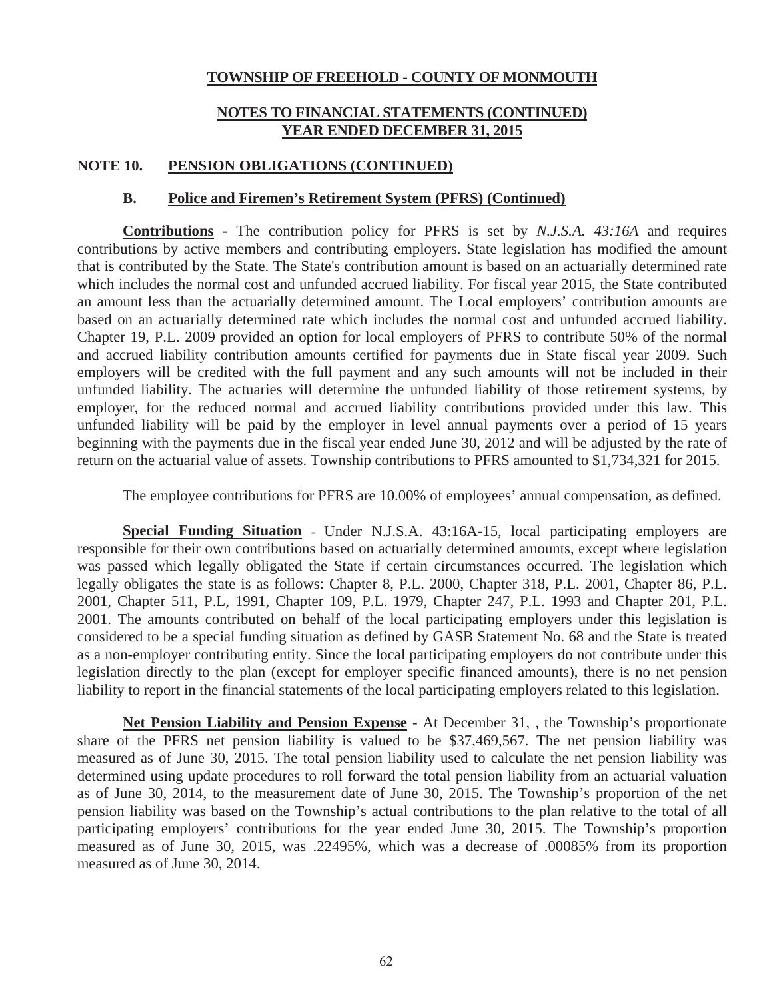# **NOTES TO FINANCIAL STATEMENTS (CONTINUED) YEAR ENDED DECEMBER 31, 2015**

## **NOTE 10. PENSION OBLIGATIONS (CONTINUED)**

#### **B. Police and Firemen's Retirement System (PFRS) (Continued)**

**Contributions -** The contribution policy for PFRS is set by *N.J.S.A. 43:16A* and requires contributions by active members and contributing employers. State legislation has modified the amount that is contributed by the State. The State's contribution amount is based on an actuarially determined rate which includes the normal cost and unfunded accrued liability. For fiscal year 2015, the State contributed an amount less than the actuarially determined amount. The Local employers' contribution amounts are based on an actuarially determined rate which includes the normal cost and unfunded accrued liability. Chapter 19, P.L. 2009 provided an option for local employers of PFRS to contribute 50% of the normal and accrued liability contribution amounts certified for payments due in State fiscal year 2009. Such employers will be credited with the full payment and any such amounts will not be included in their unfunded liability. The actuaries will determine the unfunded liability of those retirement systems, by employer, for the reduced normal and accrued liability contributions provided under this law. This unfunded liability will be paid by the employer in level annual payments over a period of 15 years beginning with the payments due in the fiscal year ended June 30, 2012 and will be adjusted by the rate of return on the actuarial value of assets. Township contributions to PFRS amounted to \$1,734,321 for 2015.

The employee contributions for PFRS are 10.00% of employees' annual compensation, as defined.

**Special Funding Situation -** Under N.J.S.A. 43:16A-15, local participating employers are responsible for their own contributions based on actuarially determined amounts, except where legislation was passed which legally obligated the State if certain circumstances occurred. The legislation which legally obligates the state is as follows: Chapter 8, P.L. 2000, Chapter 318, P.L. 2001, Chapter 86, P.L. 2001, Chapter 511, P.L, 1991, Chapter 109, P.L. 1979, Chapter 247, P.L. 1993 and Chapter 201, P.L. 2001. The amounts contributed on behalf of the local participating employers under this legislation is considered to be a special funding situation as defined by GASB Statement No. 68 and the State is treated as a non-employer contributing entity. Since the local participating employers do not contribute under this legislation directly to the plan (except for employer specific financed amounts), there is no net pension liability to report in the financial statements of the local participating employers related to this legislation.

**Net Pension Liability and Pension Expense** - At December 31, , the Township's proportionate share of the PFRS net pension liability is valued to be \$37,469,567. The net pension liability was measured as of June 30, 2015. The total pension liability used to calculate the net pension liability was determined using update procedures to roll forward the total pension liability from an actuarial valuation as of June 30, 2014, to the measurement date of June 30, 2015. The Township's proportion of the net pension liability was based on the Township's actual contributions to the plan relative to the total of all participating employers' contributions for the year ended June 30, 2015. The Township's proportion measured as of June 30, 2015, was .22495%, which was a decrease of .00085% from its proportion measured as of June 30, 2014.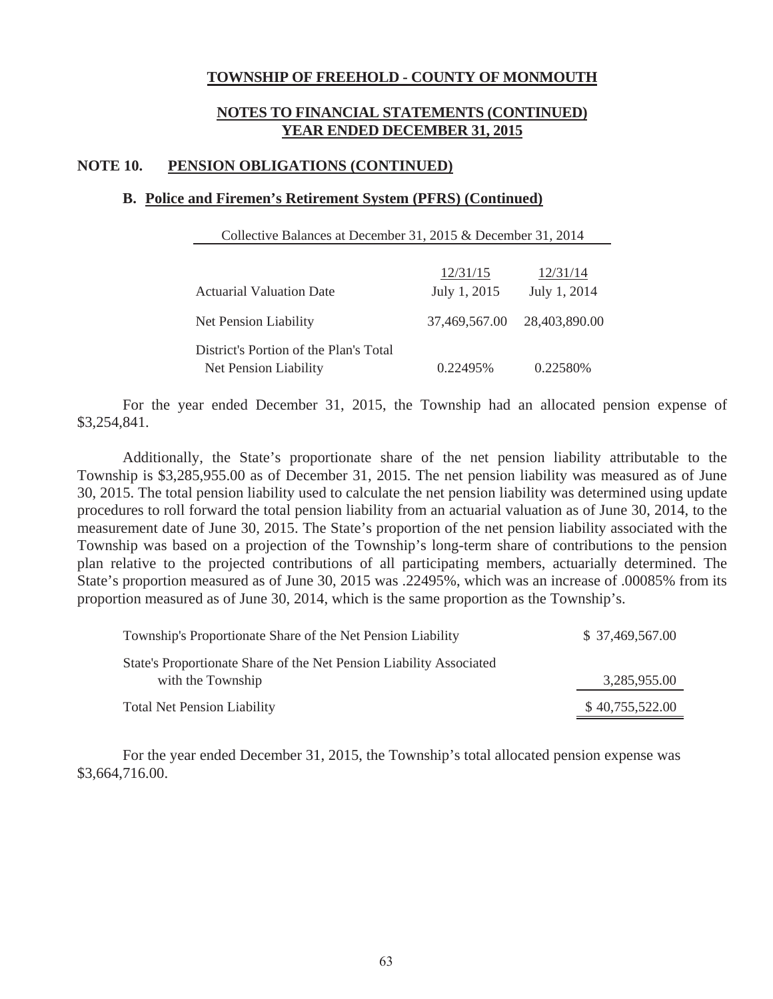# **NOTES TO FINANCIAL STATEMENTS (CONTINUED) YEAR ENDED DECEMBER 31, 2015**

## **NOTE 10. PENSION OBLIGATIONS (CONTINUED)**

#### **B. Police and Firemen's Retirement System (PFRS) (Continued)**

|  |  | Collective Balances at December 31, 2015 & December 31, 2014 |
|--|--|--------------------------------------------------------------|
|  |  |                                                              |

|                                        | 12/31/15                    | 12/31/14     |
|----------------------------------------|-----------------------------|--------------|
| <b>Actuarial Valuation Date</b>        | July 1, 2015                | July 1, 2014 |
| Net Pension Liability                  | 37,469,567.00 28,403,890.00 |              |
| District's Portion of the Plan's Total |                             |              |
| Net Pension Liability                  | 0.22495\%                   | 0.22580\%    |

 For the year ended December 31, 2015, the Township had an allocated pension expense of \$3,254,841.

Additionally, the State's proportionate share of the net pension liability attributable to the Township is \$3,285,955.00 as of December 31, 2015. The net pension liability was measured as of June 30, 2015. The total pension liability used to calculate the net pension liability was determined using update procedures to roll forward the total pension liability from an actuarial valuation as of June 30, 2014, to the measurement date of June 30, 2015. The State's proportion of the net pension liability associated with the Township was based on a projection of the Township's long-term share of contributions to the pension plan relative to the projected contributions of all participating members, actuarially determined. The State's proportion measured as of June 30, 2015 was .22495%, which was an increase of .00085% from its proportion measured as of June 30, 2014, which is the same proportion as the Township's.

| Township's Proportionate Share of the Net Pension Liability         | \$ 37,469,567.00 |
|---------------------------------------------------------------------|------------------|
| State's Proportionate Share of the Net Pension Liability Associated |                  |
| with the Township                                                   | 3,285,955.00     |
| <b>Total Net Pension Liability</b>                                  | \$40,755,522.00  |

 For the year ended December 31, 2015, the Township's total allocated pension expense was \$3,664,716.00.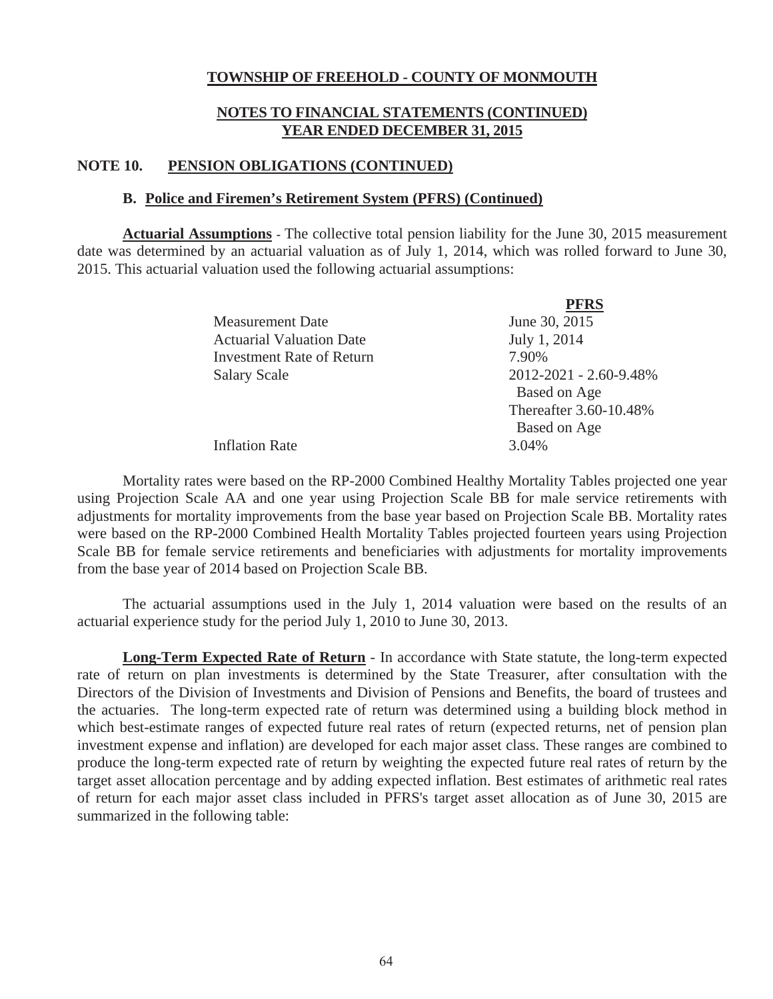# **NOTES TO FINANCIAL STATEMENTS (CONTINUED) YEAR ENDED DECEMBER 31, 2015**

## **NOTE 10. PENSION OBLIGATIONS (CONTINUED)**

#### **B. Police and Firemen's Retirement System (PFRS) (Continued)**

 **Actuarial Assumptions -** The collective total pension liability for the June 30, 2015 measurement date was determined by an actuarial valuation as of July 1, 2014, which was rolled forward to June 30, 2015. This actuarial valuation used the following actuarial assumptions:

|                                  | <b>PFRS</b>            |
|----------------------------------|------------------------|
| <b>Measurement Date</b>          | June 30, 2015          |
| <b>Actuarial Valuation Date</b>  | July 1, 2014           |
| <b>Investment Rate of Return</b> | 7.90%                  |
| <b>Salary Scale</b>              | 2012-2021 - 2.60-9.48% |
|                                  | Based on Age           |
|                                  | Thereafter 3.60-10.48% |
|                                  | Based on Age           |
| <b>Inflation Rate</b>            | 3.04%                  |
|                                  |                        |

Mortality rates were based on the RP-2000 Combined Healthy Mortality Tables projected one year using Projection Scale AA and one year using Projection Scale BB for male service retirements with adjustments for mortality improvements from the base year based on Projection Scale BB. Mortality rates were based on the RP-2000 Combined Health Mortality Tables projected fourteen years using Projection Scale BB for female service retirements and beneficiaries with adjustments for mortality improvements from the base year of 2014 based on Projection Scale BB.

The actuarial assumptions used in the July 1, 2014 valuation were based on the results of an actuarial experience study for the period July 1, 2010 to June 30, 2013.

**Long-Term Expected Rate of Return** - In accordance with State statute, the long-term expected rate of return on plan investments is determined by the State Treasurer, after consultation with the Directors of the Division of Investments and Division of Pensions and Benefits, the board of trustees and the actuaries. The long-term expected rate of return was determined using a building block method in which best-estimate ranges of expected future real rates of return (expected returns, net of pension plan investment expense and inflation) are developed for each major asset class. These ranges are combined to produce the long-term expected rate of return by weighting the expected future real rates of return by the target asset allocation percentage and by adding expected inflation. Best estimates of arithmetic real rates of return for each major asset class included in PFRS's target asset allocation as of June 30, 2015 are summarized in the following table: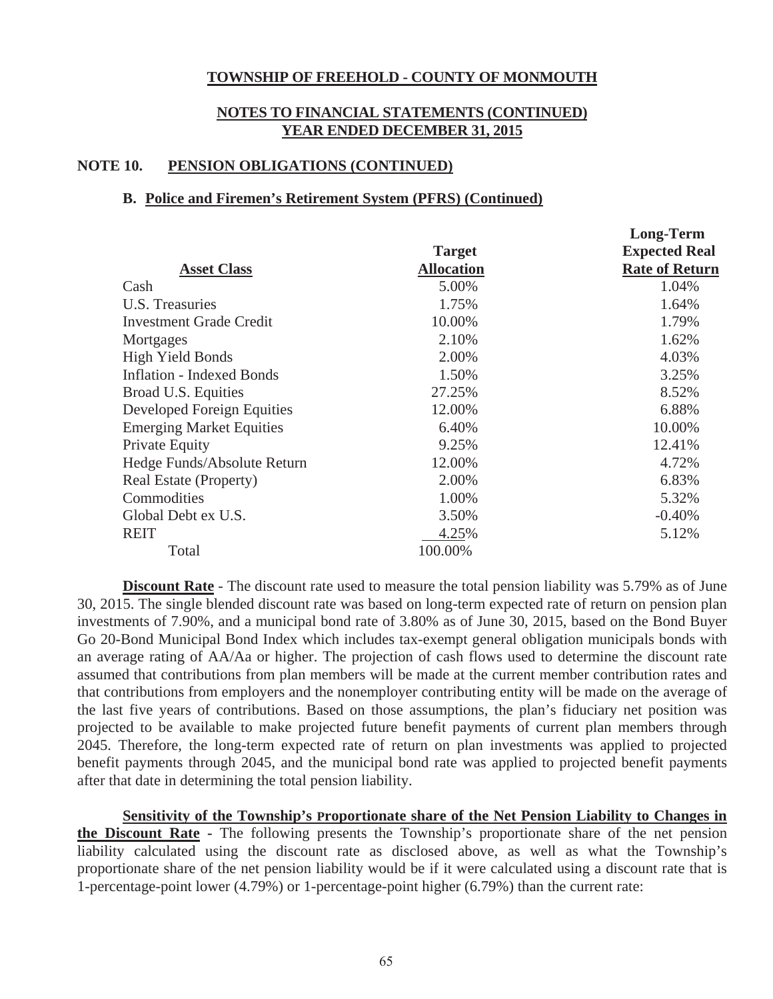# **NOTES TO FINANCIAL STATEMENTS (CONTINUED) YEAR ENDED DECEMBER 31, 2015**

## **NOTE 10. PENSION OBLIGATIONS (CONTINUED)**

#### **B. Police and Firemen's Retirement System (PFRS) (Continued)**

|                                 |                   | <b>Long-Term</b>      |
|---------------------------------|-------------------|-----------------------|
|                                 | <b>Target</b>     | <b>Expected Real</b>  |
| <b>Asset Class</b>              | <b>Allocation</b> | <b>Rate of Return</b> |
| Cash                            | 5.00%             | 1.04%                 |
| U.S. Treasuries                 | 1.75%             | 1.64%                 |
| <b>Investment Grade Credit</b>  | 10.00%            | 1.79%                 |
| Mortgages                       | 2.10%             | 1.62%                 |
| <b>High Yield Bonds</b>         | 2.00%             | 4.03%                 |
| Inflation - Indexed Bonds       | 1.50%             | 3.25%                 |
| Broad U.S. Equities             | 27.25%            | 8.52%                 |
| Developed Foreign Equities      | 12.00%            | 6.88%                 |
| <b>Emerging Market Equities</b> | 6.40%             | 10.00%                |
| Private Equity                  | 9.25%             | 12.41%                |
| Hedge Funds/Absolute Return     | 12.00%            | 4.72%                 |
| Real Estate (Property)          | 2.00%             | 6.83%                 |
| Commodities                     | 1.00%             | 5.32%                 |
| Global Debt ex U.S.             | 3.50%             | $-0.40%$              |
| <b>REIT</b>                     | 4.25%             | 5.12%                 |
| Total                           | 100.00%           |                       |
|                                 |                   |                       |

**Discount Rate** - The discount rate used to measure the total pension liability was 5.79% as of June 30, 2015. The single blended discount rate was based on long-term expected rate of return on pension plan investments of 7.90%, and a municipal bond rate of 3.80% as of June 30, 2015, based on the Bond Buyer Go 20-Bond Municipal Bond Index which includes tax-exempt general obligation municipals bonds with an average rating of AA/Aa or higher. The projection of cash flows used to determine the discount rate assumed that contributions from plan members will be made at the current member contribution rates and that contributions from employers and the nonemployer contributing entity will be made on the average of the last five years of contributions. Based on those assumptions, the plan's fiduciary net position was projected to be available to make projected future benefit payments of current plan members through 2045. Therefore, the long-term expected rate of return on plan investments was applied to projected benefit payments through 2045, and the municipal bond rate was applied to projected benefit payments after that date in determining the total pension liability.

**Sensitivity of the Township's Proportionate share of the Net Pension Liability to Changes in the Discount Rate -** The following presents the Township's proportionate share of the net pension liability calculated using the discount rate as disclosed above, as well as what the Township's proportionate share of the net pension liability would be if it were calculated using a discount rate that is 1-percentage-point lower (4.79%) or 1-percentage-point higher (6.79%) than the current rate: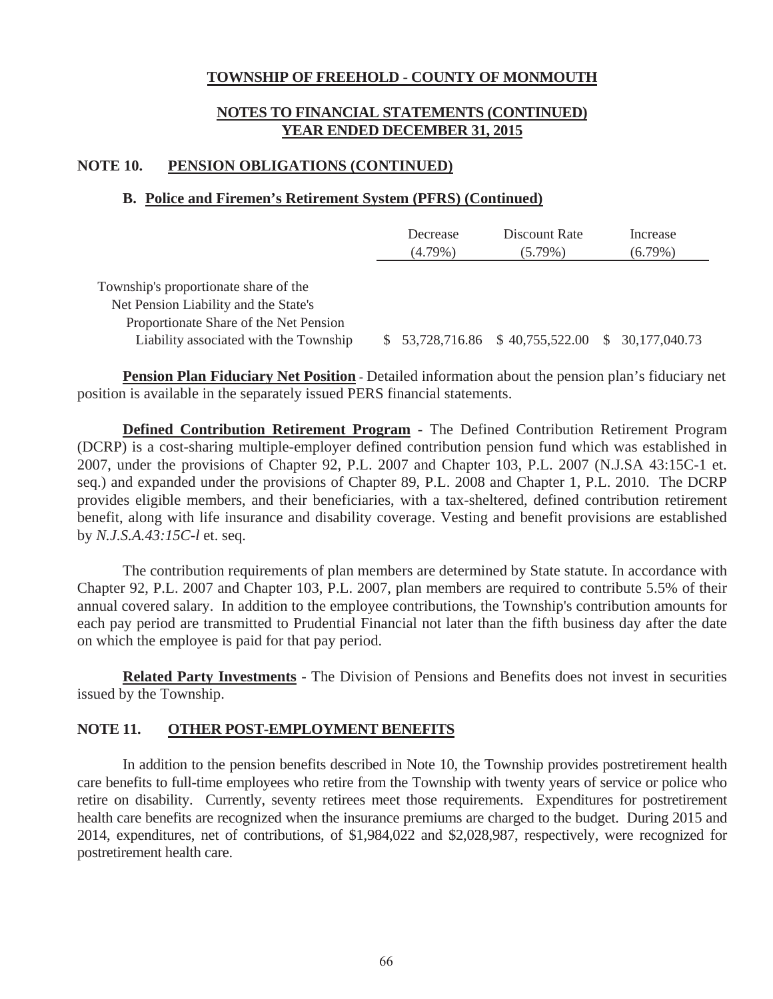# **NOTES TO FINANCIAL STATEMENTS (CONTINUED) YEAR ENDED DECEMBER 31, 2015**

## **NOTE 10. PENSION OBLIGATIONS (CONTINUED)**

## **B. Police and Firemen's Retirement System (PFRS) (Continued)**

|                                                                                                                          | Decrease<br>$(4.79\%)$ | Discount Rate<br>$(5.79\%)$     | Increase<br>$(6.79\%)$ |
|--------------------------------------------------------------------------------------------------------------------------|------------------------|---------------------------------|------------------------|
| Township's proportionate share of the<br>Net Pension Liability and the State's<br>Proportionate Share of the Net Pension |                        |                                 |                        |
| Liability associated with the Township                                                                                   |                        | \$53,728,716.86 \$40,755,522.00 | \$30,177,040.73        |

**Pension Plan Fiduciary Net Position** - Detailed information about the pension plan's fiduciary net position is available in the separately issued PERS financial statements.

**Defined Contribution Retirement Program** - The Defined Contribution Retirement Program (DCRP) is a cost-sharing multiple-employer defined contribution pension fund which was established in 2007, under the provisions of Chapter 92, P.L. 2007 and Chapter 103, P.L. 2007 (N.J.SA 43:15C-1 et. seq.) and expanded under the provisions of Chapter 89, P.L. 2008 and Chapter 1, P.L. 2010. The DCRP provides eligible members, and their beneficiaries, with a tax-sheltered, defined contribution retirement benefit, along with life insurance and disability coverage. Vesting and benefit provisions are established by *N.J.S.A.43:15C-l* et. seq.

The contribution requirements of plan members are determined by State statute. In accordance with Chapter 92, P.L. 2007 and Chapter 103, P.L. 2007, plan members are required to contribute 5.5% of their annual covered salary. In addition to the employee contributions, the Township's contribution amounts for each pay period are transmitted to Prudential Financial not later than the fifth business day after the date on which the employee is paid for that pay period.

**Related Party Investments** - The Division of Pensions and Benefits does not invest in securities issued by the Township.

## **NOTE 11. OTHER POST-EMPLOYMENT BENEFITS**

 In addition to the pension benefits described in Note 10, the Township provides postretirement health care benefits to full-time employees who retire from the Township with twenty years of service or police who retire on disability. Currently, seventy retirees meet those requirements. Expenditures for postretirement health care benefits are recognized when the insurance premiums are charged to the budget. During 2015 and 2014, expenditures, net of contributions, of \$1,984,022 and \$2,028,987, respectively, were recognized for postretirement health care.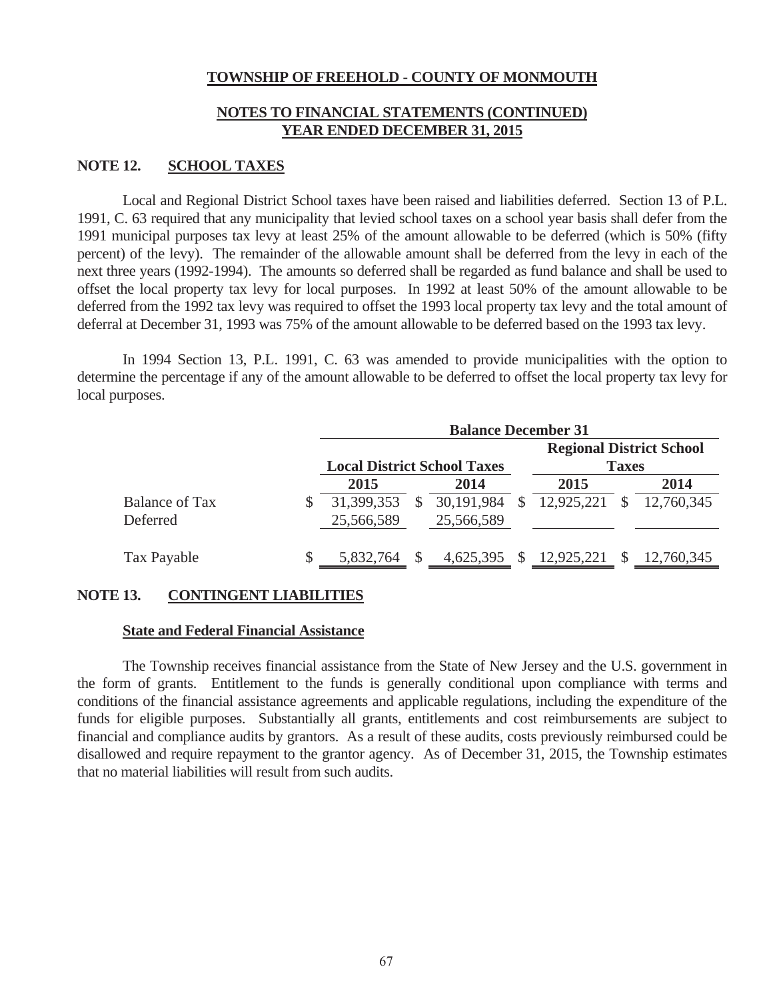### **NOTES TO FINANCIAL STATEMENTS (CONTINUED) YEAR ENDED DECEMBER 31, 2015**

### **NOTE 12. SCHOOL TAXES**

 Local and Regional District School taxes have been raised and liabilities deferred. Section 13 of P.L. 1991, C. 63 required that any municipality that levied school taxes on a school year basis shall defer from the 1991 municipal purposes tax levy at least 25% of the amount allowable to be deferred (which is 50% (fifty percent) of the levy). The remainder of the allowable amount shall be deferred from the levy in each of the next three years (1992-1994). The amounts so deferred shall be regarded as fund balance and shall be used to offset the local property tax levy for local purposes. In 1992 at least 50% of the amount allowable to be deferred from the 1992 tax levy was required to offset the 1993 local property tax levy and the total amount of deferral at December 31, 1993 was 75% of the amount allowable to be deferred based on the 1993 tax levy.

 In 1994 Section 13, P.L. 1991, C. 63 was amended to provide municipalities with the option to determine the percentage if any of the amount allowable to be deferred to offset the local property tax levy for local purposes.

|                | <b>Balance December 31</b>         |              |            |  |                         |              |                                 |
|----------------|------------------------------------|--------------|------------|--|-------------------------|--------------|---------------------------------|
|                |                                    |              |            |  |                         |              | <b>Regional District School</b> |
|                | <b>Local District School Taxes</b> |              |            |  |                         | <b>Taxes</b> |                                 |
|                | 2015                               |              | 2014       |  | 2015                    |              | 2014                            |
| Balance of Tax | \$<br>31,399,353                   | <sup>S</sup> | 30,191,984 |  | 12,925,221              |              | 12,760,345                      |
| Deferred       | 25,566,589                         |              | 25,566,589 |  |                         |              |                                 |
| Tax Payable    | \$<br>5,832,764                    |              |            |  | 4,625,395 \$ 12,925,221 | -S           | 12,760,345                      |

### **NOTE 13. CONTINGENT LIABILITIES**

### **State and Federal Financial Assistance**

 The Township receives financial assistance from the State of New Jersey and the U.S. government in the form of grants. Entitlement to the funds is generally conditional upon compliance with terms and conditions of the financial assistance agreements and applicable regulations, including the expenditure of the funds for eligible purposes. Substantially all grants, entitlements and cost reimbursements are subject to financial and compliance audits by grantors. As a result of these audits, costs previously reimbursed could be disallowed and require repayment to the grantor agency. As of December 31, 2015, the Township estimates that no material liabilities will result from such audits.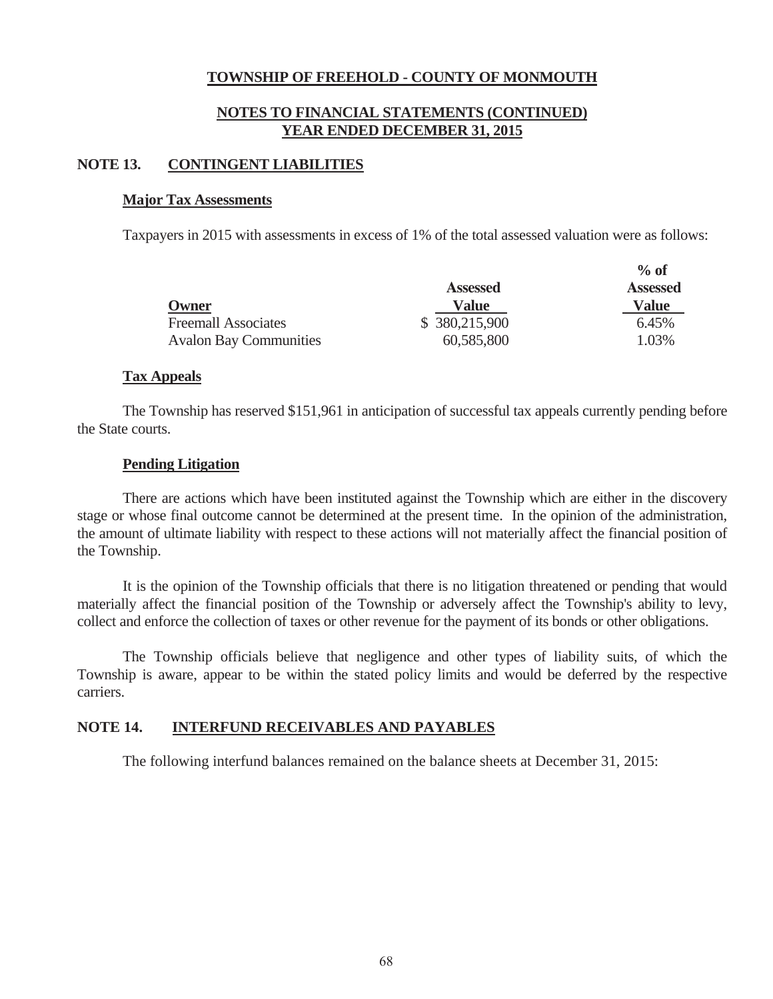### **NOTES TO FINANCIAL STATEMENTS (CONTINUED) YEAR ENDED DECEMBER 31, 2015**

### **NOTE 13. CONTINGENT LIABILITIES**

### **Major Tax Assessments**

Taxpayers in 2015 with assessments in excess of 1% of the total assessed valuation were as follows:

|                               |                 | $\%$ of         |
|-------------------------------|-----------------|-----------------|
|                               | <b>Assessed</b> | <b>Assessed</b> |
| Owner                         | <b>Value</b>    | Value           |
| <b>Freemall Associates</b>    | \$ 380,215,900  | 6.45%           |
| <b>Avalon Bay Communities</b> | 60,585,800      | 1.03%           |

### **Tax Appeals**

 The Township has reserved \$151,961 in anticipation of successful tax appeals currently pending before the State courts.

### **Pending Litigation**

 There are actions which have been instituted against the Township which are either in the discovery stage or whose final outcome cannot be determined at the present time. In the opinion of the administration, the amount of ultimate liability with respect to these actions will not materially affect the financial position of the Township.

 It is the opinion of the Township officials that there is no litigation threatened or pending that would materially affect the financial position of the Township or adversely affect the Township's ability to levy, collect and enforce the collection of taxes or other revenue for the payment of its bonds or other obligations.

 The Township officials believe that negligence and other types of liability suits, of which the Township is aware, appear to be within the stated policy limits and would be deferred by the respective carriers.

### **NOTE 14. INTERFUND RECEIVABLES AND PAYABLES**

The following interfund balances remained on the balance sheets at December 31, 2015: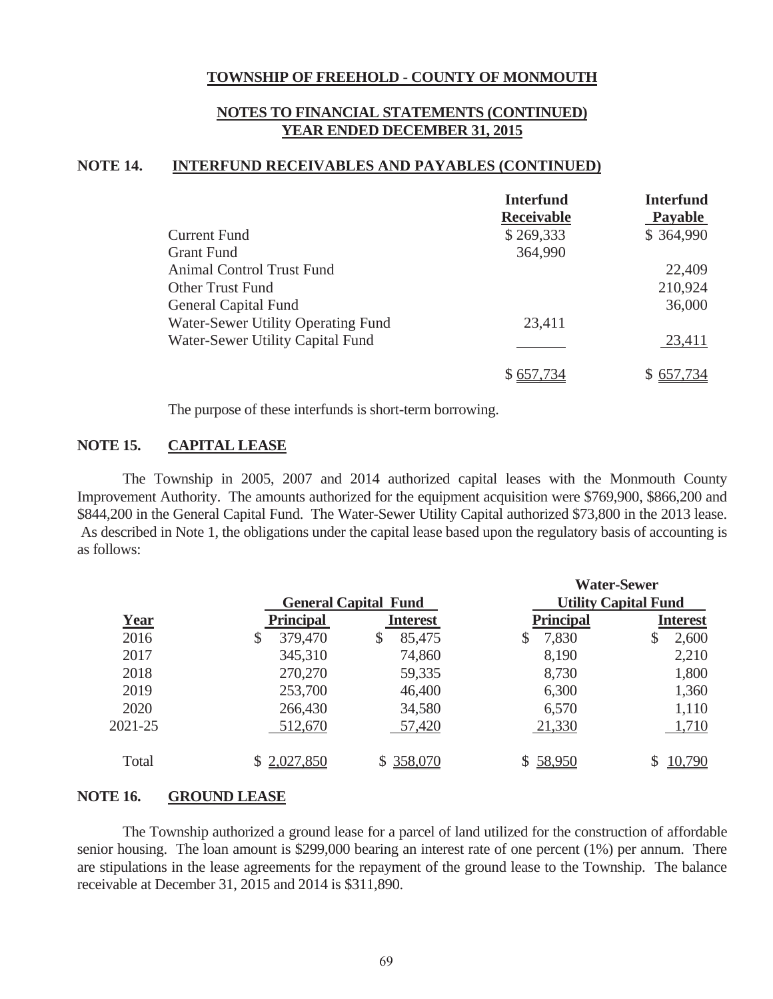### **NOTES TO FINANCIAL STATEMENTS (CONTINUED) YEAR ENDED DECEMBER 31, 2015**

### **NOTE 14. INTERFUND RECEIVABLES AND PAYABLES (CONTINUED)**

|                                    | <b>Interfund</b>  | <b>Interfund</b> |
|------------------------------------|-------------------|------------------|
|                                    | <b>Receivable</b> | Payable          |
| <b>Current Fund</b>                | \$269,333         | \$364,990        |
| <b>Grant Fund</b>                  | 364,990           |                  |
| <b>Animal Control Trust Fund</b>   |                   | 22,409           |
| <b>Other Trust Fund</b>            |                   | 210,924          |
| <b>General Capital Fund</b>        |                   | 36,000           |
| Water-Sewer Utility Operating Fund | 23,411            |                  |
| Water-Sewer Utility Capital Fund   |                   | 23,411           |
|                                    |                   |                  |

The purpose of these interfunds is short-term borrowing.

### **NOTE 15. CAPITAL LEASE**

 The Township in 2005, 2007 and 2014 authorized capital leases with the Monmouth County Improvement Authority. The amounts authorized for the equipment acquisition were \$769,900, \$866,200 and \$844,200 in the General Capital Fund. The Water-Sewer Utility Capital authorized \$73,800 in the 2013 lease. As described in Note 1, the obligations under the capital lease based upon the regulatory basis of accounting is as follows:

|             |                  |                             | <b>Water-Sewer</b> |                             |
|-------------|------------------|-----------------------------|--------------------|-----------------------------|
|             |                  | <b>General Capital Fund</b> |                    | <b>Utility Capital Fund</b> |
| <b>Year</b> | <b>Principal</b> | <b>Interest</b>             | <b>Principal</b>   | <b>Interest</b>             |
| 2016        | 379,470<br>\$    | 85,475<br>\$                | 7,830<br>\$        | 2,600<br>\$                 |
| 2017        | 345,310          | 74,860                      | 8,190              | 2,210                       |
| 2018        | 270,270          | 59,335                      | 8,730              | 1,800                       |
| 2019        | 253,700          | 46,400                      | 6,300              | 1,360                       |
| 2020        | 266,430          | 34,580                      | 6,570              | 1,110                       |
| 2021-25     | 512,670          | 57,420                      | 21,330             | 1,710                       |
| Total       | \$2,027,850      | \$358,070                   | \$58,950           | 10,790                      |

### **NOTE 16. GROUND LEASE**

 The Township authorized a ground lease for a parcel of land utilized for the construction of affordable senior housing. The loan amount is \$299,000 bearing an interest rate of one percent (1%) per annum. There are stipulations in the lease agreements for the repayment of the ground lease to the Township. The balance receivable at December 31, 2015 and 2014 is \$311,890.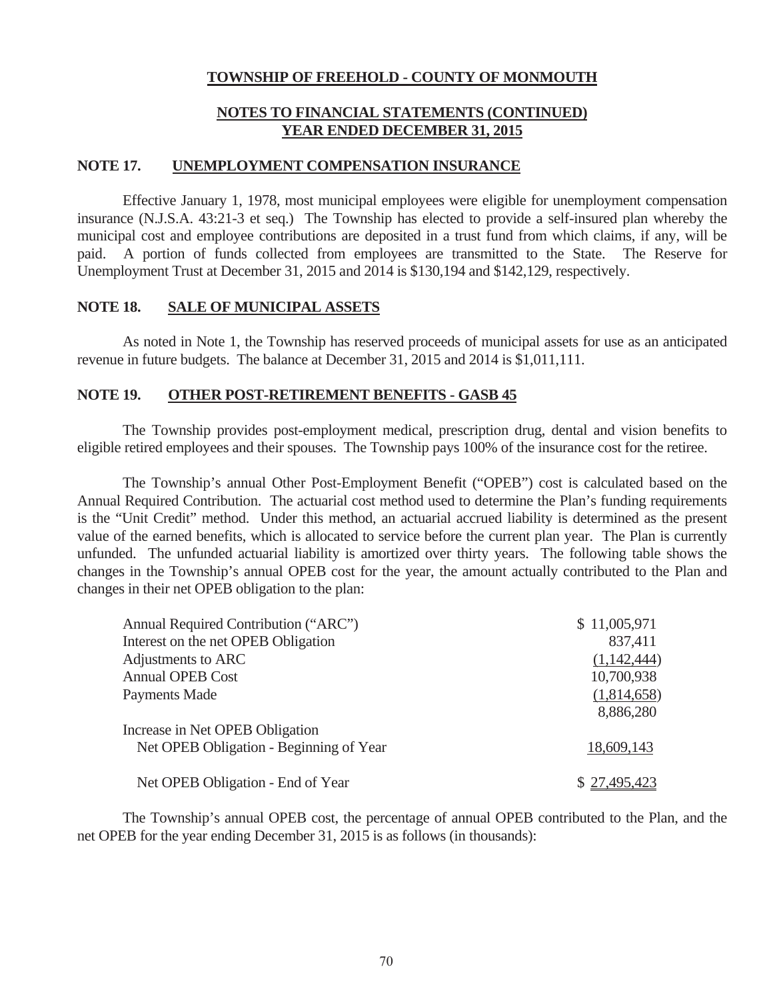### **NOTES TO FINANCIAL STATEMENTS (CONTINUED) YEAR ENDED DECEMBER 31, 2015**

### **NOTE 17. UNEMPLOYMENT COMPENSATION INSURANCE**

 Effective January 1, 1978, most municipal employees were eligible for unemployment compensation insurance (N.J.S.A. 43:21-3 et seq.) The Township has elected to provide a self-insured plan whereby the municipal cost and employee contributions are deposited in a trust fund from which claims, if any, will be paid. A portion of funds collected from employees are transmitted to the State. The Reserve for Unemployment Trust at December 31, 2015 and 2014 is \$130,194 and \$142,129, respectively.

### **NOTE 18. SALE OF MUNICIPAL ASSETS**

As noted in Note 1, the Township has reserved proceeds of municipal assets for use as an anticipated revenue in future budgets. The balance at December 31, 2015 and 2014 is \$1,011,111.

### **NOTE 19. OTHER POST-RETIREMENT BENEFITS - GASB 45**

 The Township provides post-employment medical, prescription drug, dental and vision benefits to eligible retired employees and their spouses. The Township pays 100% of the insurance cost for the retiree.

 The Township's annual Other Post-Employment Benefit ("OPEB") cost is calculated based on the Annual Required Contribution. The actuarial cost method used to determine the Plan's funding requirements is the "Unit Credit" method. Under this method, an actuarial accrued liability is determined as the present value of the earned benefits, which is allocated to service before the current plan year. The Plan is currently unfunded. The unfunded actuarial liability is amortized over thirty years. The following table shows the changes in the Township's annual OPEB cost for the year, the amount actually contributed to the Plan and changes in their net OPEB obligation to the plan:

| Annual Required Contribution ("ARC")    | \$11,005,971 |
|-----------------------------------------|--------------|
| Interest on the net OPEB Obligation     | 837,411      |
| Adjustments to ARC                      | (1,142,444)  |
| <b>Annual OPEB Cost</b>                 | 10,700,938   |
| Payments Made                           | (1,814,658)  |
|                                         | 8,886,280    |
| Increase in Net OPEB Obligation         |              |
| Net OPEB Obligation - Beginning of Year | 18,609,143   |
|                                         |              |
| Net OPEB Obligation - End of Year       | \$27,495,423 |

 The Township's annual OPEB cost, the percentage of annual OPEB contributed to the Plan, and the net OPEB for the year ending December 31, 2015 is as follows (in thousands):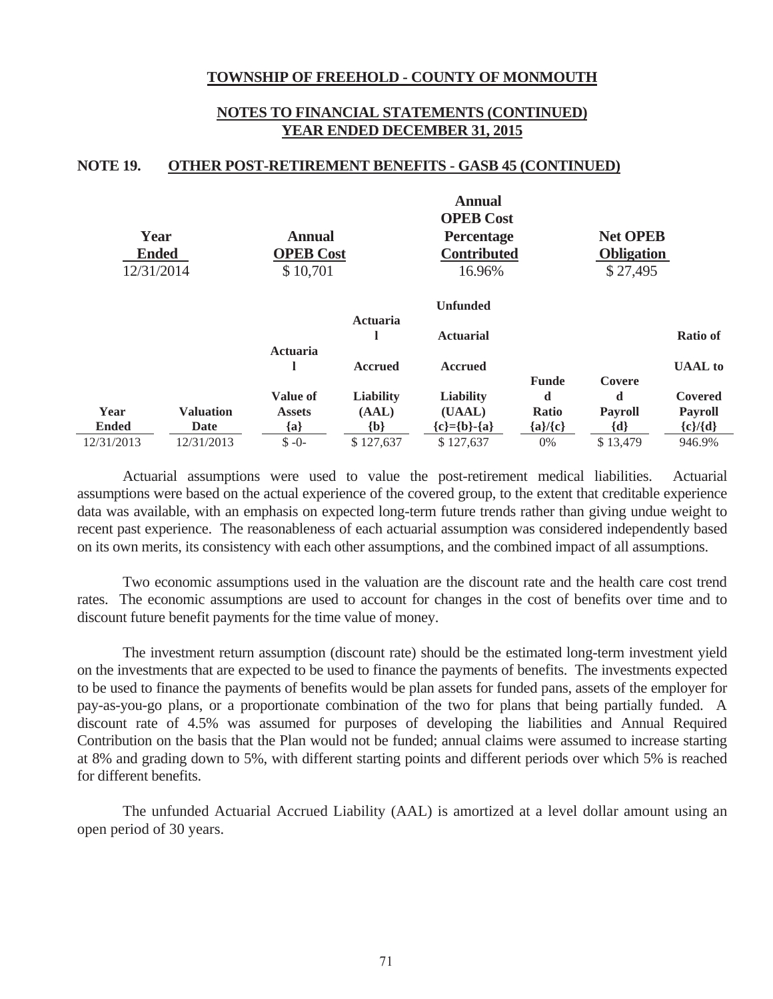### **NOTES TO FINANCIAL STATEMENTS (CONTINUED) YEAR ENDED DECEMBER 31, 2015**

### **NOTE 19. OTHER POST-RETIREMENT BENEFITS - GASB 45 (CONTINUED)**

|              |                  |                  |                  | <b>Annual</b><br><b>OPEB Cost</b> |               |                   |                 |
|--------------|------------------|------------------|------------------|-----------------------------------|---------------|-------------------|-----------------|
| Year         |                  | <b>Annual</b>    |                  | <b>Percentage</b>                 |               | <b>Net OPEB</b>   |                 |
| <b>Ended</b> |                  | <b>OPEB Cost</b> |                  | <b>Contributed</b>                |               | <b>Obligation</b> |                 |
| 12/31/2014   |                  | \$10,701         |                  | 16.96%                            |               | \$27,495          |                 |
|              |                  |                  |                  | <b>Unfunded</b>                   |               |                   |                 |
|              |                  |                  | Actuaria         |                                   |               |                   |                 |
|              |                  |                  |                  | <b>Actuarial</b>                  |               |                   | <b>Ratio of</b> |
|              |                  | Actuaria         |                  |                                   |               |                   |                 |
|              |                  |                  | <b>Accrued</b>   | <b>Accrued</b>                    |               |                   | <b>UAAL</b> to  |
|              |                  |                  |                  |                                   | <b>Funde</b>  | Covere            |                 |
|              |                  | Value of         | <b>Liability</b> | <b>Liability</b>                  | d             | d                 | Covered         |
| Year         | <b>Valuation</b> | <b>Assets</b>    | (AAL)            | (UAAL)                            | Ratio         | <b>Payroll</b>    | <b>Payroll</b>  |
| <b>Ended</b> | Date             | $\{a\}$          | ${b}$            | ${c} = {b} - {a}$                 | ${a}$ / ${c}$ | $\{d\}$           | ${c}$ / ${d}$   |
| 12/31/2013   | 12/31/2013       | $S - 0$          | \$127,637        | \$127,637                         | $0\%$         | \$13,479          | 946.9%          |

 Actuarial assumptions were used to value the post-retirement medical liabilities. Actuarial assumptions were based on the actual experience of the covered group, to the extent that creditable experience data was available, with an emphasis on expected long-term future trends rather than giving undue weight to recent past experience. The reasonableness of each actuarial assumption was considered independently based on its own merits, its consistency with each other assumptions, and the combined impact of all assumptions.

 Two economic assumptions used in the valuation are the discount rate and the health care cost trend rates. The economic assumptions are used to account for changes in the cost of benefits over time and to discount future benefit payments for the time value of money.

 The investment return assumption (discount rate) should be the estimated long-term investment yield on the investments that are expected to be used to finance the payments of benefits. The investments expected to be used to finance the payments of benefits would be plan assets for funded pans, assets of the employer for pay-as-you-go plans, or a proportionate combination of the two for plans that being partially funded. A discount rate of 4.5% was assumed for purposes of developing the liabilities and Annual Required Contribution on the basis that the Plan would not be funded; annual claims were assumed to increase starting at 8% and grading down to 5%, with different starting points and different periods over which 5% is reached for different benefits.

 The unfunded Actuarial Accrued Liability (AAL) is amortized at a level dollar amount using an open period of 30 years.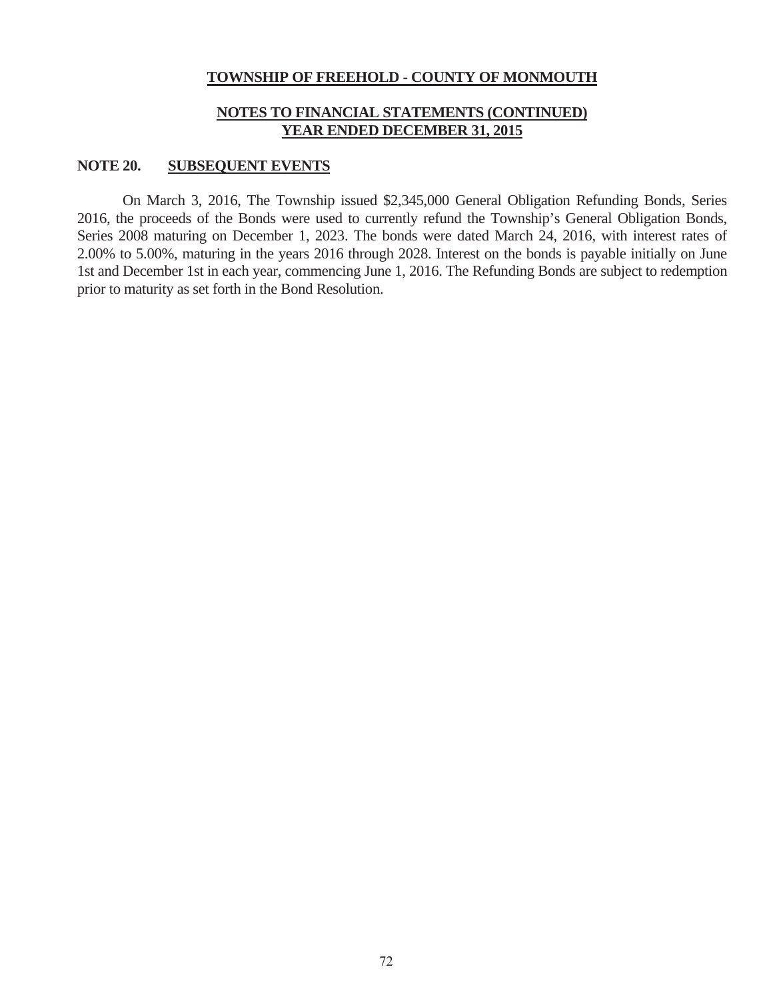### **NOTES TO FINANCIAL STATEMENTS (CONTINUED) YEAR ENDED DECEMBER 31, 2015**

### **NOTE 20. SUBSEQUENT EVENTS**

On March 3, 2016, The Township issued \$2,345,000 General Obligation Refunding Bonds, Series 2016, the proceeds of the Bonds were used to currently refund the Township's General Obligation Bonds, Series 2008 maturing on December 1, 2023. The bonds were dated March 24, 2016, with interest rates of 2.00% to 5.00%, maturing in the years 2016 through 2028. Interest on the bonds is payable initially on June 1st and December 1st in each year, commencing June 1, 2016. The Refunding Bonds are subject to redemption prior to maturity as set forth in the Bond Resolution.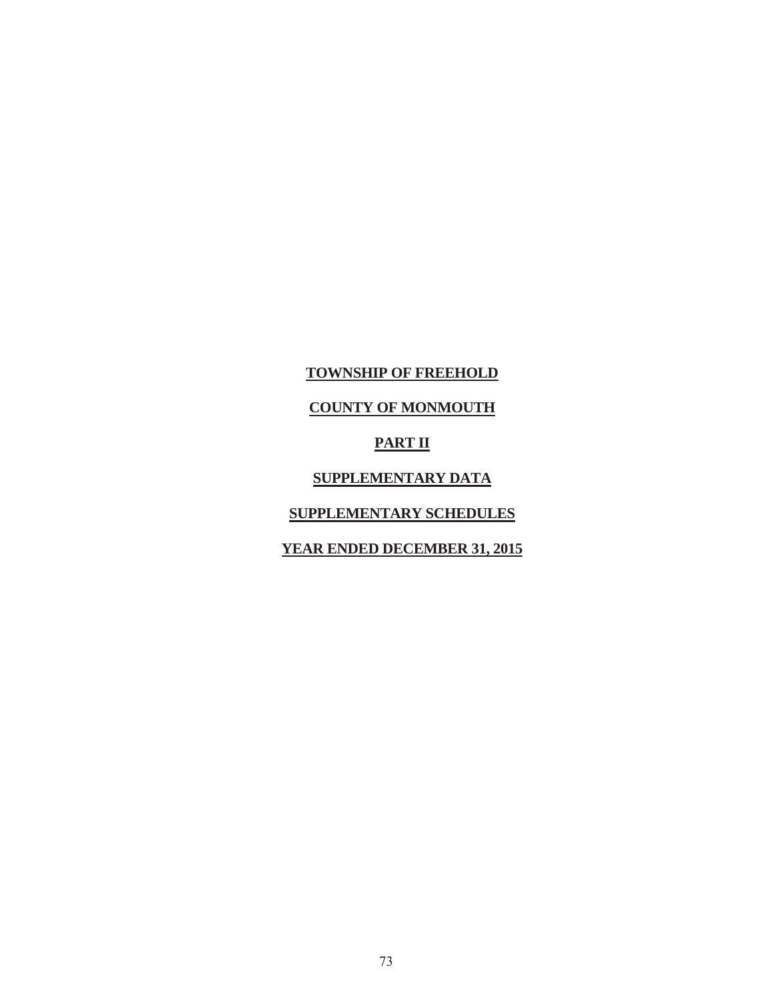**TOWNSHIP OF FREEHOLD** 

 **COUNTY OF MONMOUTH** 

 **PART II** 

 **SUPPLEMENTARY DATA** 

 **SUPPLEMENTARY SCHEDULES** 

 **YEAR ENDED DECEMBER 31, 2015**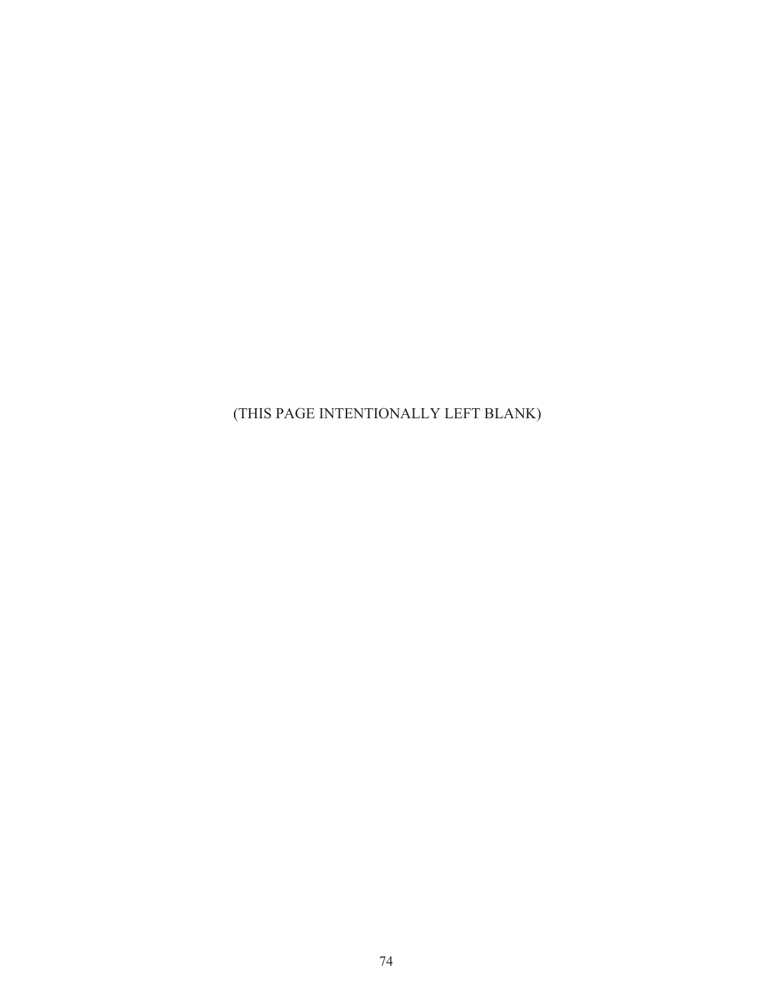(THIS PAGE INTENTIONALLY LEFT BLANK)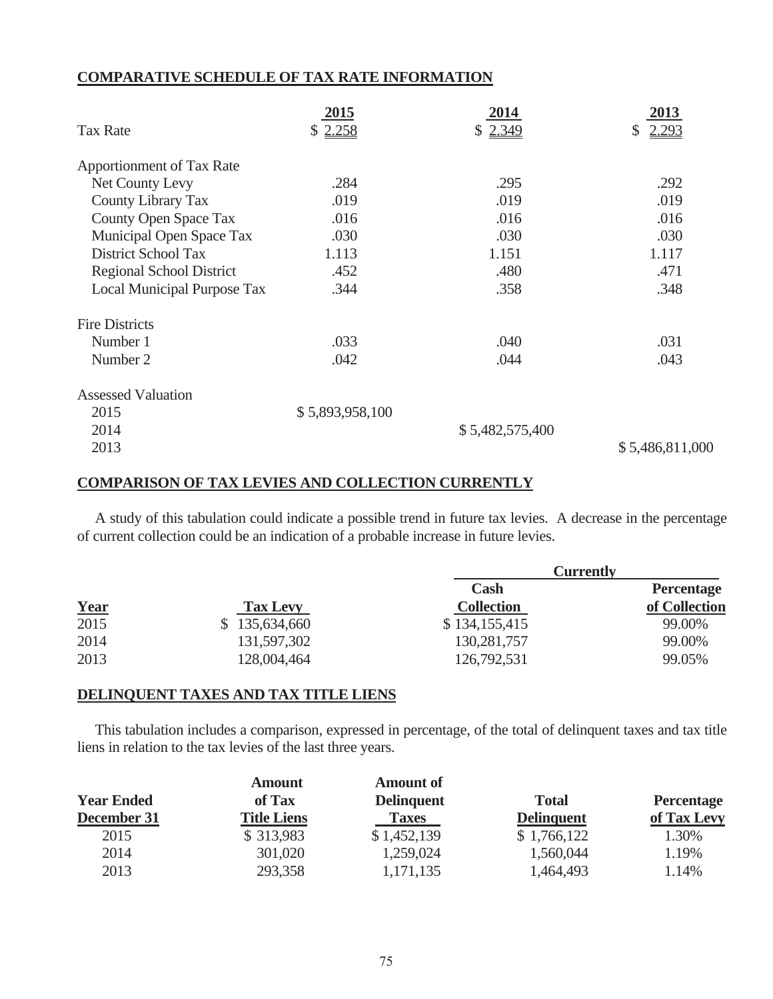### **COMPARATIVE SCHEDULE OF TAX RATE INFORMATION**

| <b>Tax Rate</b>                    | 2015<br>\$2.258 | 2014<br>2.349   | 2013<br>\$<br>2.293 |
|------------------------------------|-----------------|-----------------|---------------------|
| Apportionment of Tax Rate          |                 |                 |                     |
| Net County Levy                    | .284            | .295            | .292                |
| County Library Tax                 | .019            | .019            | .019                |
| <b>County Open Space Tax</b>       | .016            | .016            | .016                |
| Municipal Open Space Tax           | .030            | .030            | .030                |
| District School Tax                | 1.113           | 1.151           | 1.117               |
| <b>Regional School District</b>    | .452            | .480            | .471                |
| <b>Local Municipal Purpose Tax</b> | .344            | .358            | .348                |
| <b>Fire Districts</b>              |                 |                 |                     |
| Number 1                           | .033            | .040            | .031                |
| Number 2                           | .042            | .044            | .043                |
| <b>Assessed Valuation</b>          |                 |                 |                     |
| 2015                               | \$5,893,958,100 |                 |                     |
| 2014                               |                 | \$5,482,575,400 |                     |
| 2013                               |                 |                 | \$5,486,811,000     |

### **COMPARISON OF TAX LEVIES AND COLLECTION CURRENTLY**

 A study of this tabulation could indicate a possible trend in future tax levies. A decrease in the percentage of current collection could be an indication of a probable increase in future levies.

|             |                 | <b>Currently</b>  |                   |  |
|-------------|-----------------|-------------------|-------------------|--|
|             |                 | Cash              | <b>Percentage</b> |  |
| <u>Year</u> | <b>Tax Levy</b> | <b>Collection</b> | of Collection     |  |
| 2015        | \$135,634,660   | \$134,155,415     | 99.00%            |  |
| 2014        | 131,597,302     | 130,281,757       | 99.00%            |  |
| 2013        | 128,004,464     | 126,792,531       | 99.05%            |  |

### **DELINQUENT TAXES AND TAX TITLE LIENS**

 This tabulation includes a comparison, expressed in percentage, of the total of delinquent taxes and tax title liens in relation to the tax levies of the last three years.

|                                  | <b>Amount</b>                | <b>Amount of</b>                  |                                   |                                  |
|----------------------------------|------------------------------|-----------------------------------|-----------------------------------|----------------------------------|
| <b>Year Ended</b><br>December 31 | of Tax<br><b>Title Liens</b> | <b>Delinquent</b><br><b>Taxes</b> | <b>Total</b><br><b>Delinquent</b> | <b>Percentage</b><br>of Tax Levy |
| 2015                             | \$313,983                    | \$1,452,139                       | \$1,766,122                       | 1.30%                            |
| 2014                             | 301,020                      | 1,259,024                         | 1,560,044                         | 1.19%                            |
| 2013                             | 293,358                      | 1,171,135                         | 1,464,493                         | 1.14%                            |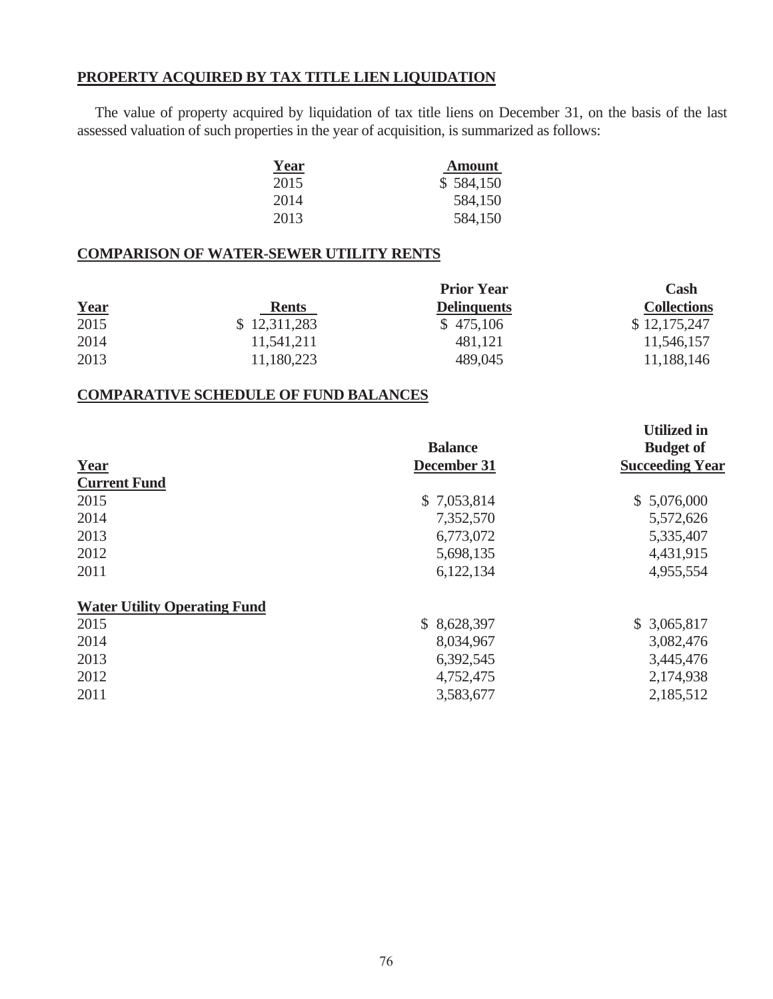### **PROPERTY ACQUIRED BY TAX TITLE LIEN LIQUIDATION**

 The value of property acquired by liquidation of tax title liens on December 31, on the basis of the last assessed valuation of such properties in the year of acquisition, is summarized as follows:

| Year<br>____ | <b>Amount</b> |
|--------------|---------------|
| 2015         | \$584,150     |
| 2014         | 584,150       |
| 2013         | 584,150       |

### **COMPARISON OF WATER-SEWER UTILITY RENTS**

|             |              | <b>Prior Year</b>  | Cash               |
|-------------|--------------|--------------------|--------------------|
| <b>Year</b> | <b>Rents</b> | <b>Delinquents</b> | <b>Collections</b> |
| 2015        | \$12,311,283 | \$475,106          | \$12,175,247       |
| 2014        | 11,541,211   | 481,121            | 11,546,157         |
| 2013        | 11,180,223   | 489,045            | 11,188,146         |

### **COMPARATIVE SCHEDULE OF FUND BALANCES**

|                | <b>Utilized in</b>     |
|----------------|------------------------|
| <b>Balance</b> | <b>Budget of</b>       |
| December 31    | <b>Succeeding Year</b> |
|                |                        |
| \$7,053,814    | \$5,076,000            |
| 7,352,570      | 5,572,626              |
| 6,773,072      | 5,335,407              |
| 5,698,135      | 4,431,915              |
| 6,122,134      | 4,955,554              |
|                |                        |
| \$8,628,397    | \$3,065,817            |
| 8,034,967      | 3,082,476              |
| 6,392,545      | 3,445,476              |
| 4,752,475      | 2,174,938              |
| 3,583,677      | 2,185,512              |
|                |                        |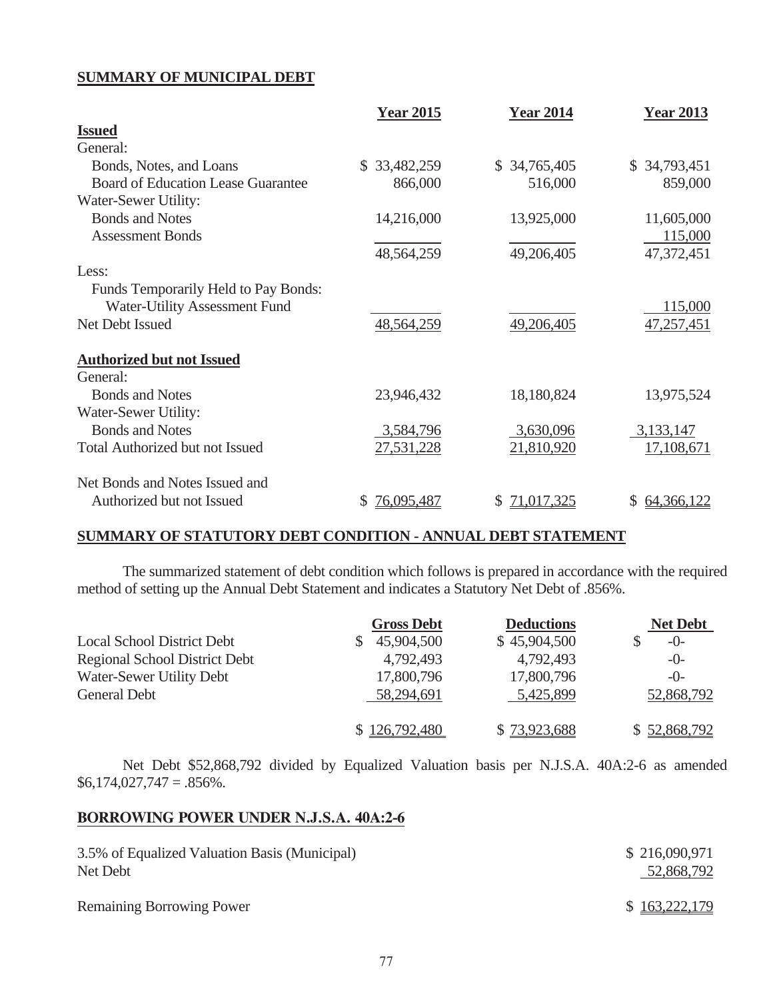### **SUMMARY OF MUNICIPAL DEBT**

|                                           | <b>Year 2015</b> | <b>Year 2014</b> | <b>Year 2013</b> |
|-------------------------------------------|------------------|------------------|------------------|
| <b>Issued</b>                             |                  |                  |                  |
| General:                                  |                  |                  |                  |
| Bonds, Notes, and Loans                   | \$33,482,259     | \$34,765,405     | \$34,793,451     |
| <b>Board of Education Lease Guarantee</b> | 866,000          | 516,000          | 859,000          |
| Water-Sewer Utility:                      |                  |                  |                  |
| <b>Bonds and Notes</b>                    | 14,216,000       | 13,925,000       | 11,605,000       |
| <b>Assessment Bonds</b>                   |                  |                  | 115,000          |
|                                           | 48,564,259       | 49,206,405       | 47,372,451       |
| Less:                                     |                  |                  |                  |
| Funds Temporarily Held to Pay Bonds:      |                  |                  |                  |
| <b>Water-Utility Assessment Fund</b>      |                  |                  | 115,000          |
| Net Debt Issued                           | 48,564,259       | 49,206,405       | 47,257,451       |
| <b>Authorized but not Issued</b>          |                  |                  |                  |
| General:                                  |                  |                  |                  |
| <b>Bonds and Notes</b>                    | 23,946,432       | 18,180,824       | 13,975,524       |
| Water-Sewer Utility:                      |                  |                  |                  |
| <b>Bonds and Notes</b>                    | 3,584,796        | 3,630,096        | 3, 133, 147      |
| <b>Total Authorized but not Issued</b>    | 27,531,228       | 21,810,920       | 17,108,671       |
| Net Bonds and Notes Issued and            |                  |                  |                  |
| Authorized but not Issued                 | 76,095,487       | 71,017,325<br>S  | 64,366,122<br>S  |

### **SUMMARY OF STATUTORY DEBT CONDITION - ANNUAL DEBT STATEMENT**

 The summarized statement of debt condition which follows is prepared in accordance with the required method of setting up the Annual Debt Statement and indicates a Statutory Net Debt of .856%.

|                                      | <b>Gross Debt</b> | <b>Deductions</b> | <b>Net Debt</b> |
|--------------------------------------|-------------------|-------------------|-----------------|
| <b>Local School District Debt</b>    | 45,904,500        | \$45,904,500      | $-()$           |
| <b>Regional School District Debt</b> | 4,792,493         | 4,792,493         | $-0-$           |
| Water-Sewer Utility Debt             | 17,800,796        | 17,800,796        | $-()$ -         |
| <b>General Debt</b>                  | 58,294,691        | 5,425,899         | 52,868,792      |
|                                      | \$126,792,480     | \$73,923,688      | \$52,868,792    |

 Net Debt \$52,868,792 divided by Equalized Valuation basis per N.J.S.A. 40A:2-6 as amended  $$6,174,027,747 = .856\%$ .

### **BORROWING POWER UNDER N.J.S.A. 40A:2-6**

| 3.5% of Equalized Valuation Basis (Municipal) | \$216,090,971 |
|-----------------------------------------------|---------------|
| Net Debt                                      | 52,868,792    |
| <b>Remaining Borrowing Power</b>              | \$163,222,179 |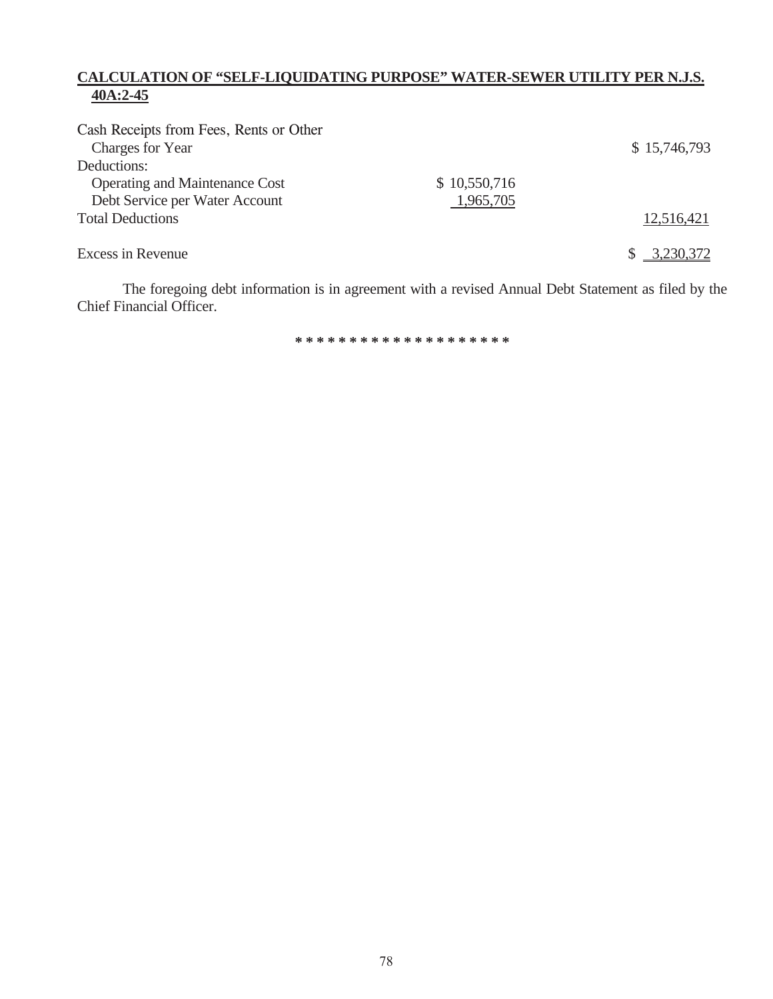### **CALCULATION OF "SELF-LIQUIDATING PURPOSE" WATER-SEWER UTILITY PER N.J.S. 40A:2-45**

| Cash Receipts from Fees, Rents or Other |              |              |
|-----------------------------------------|--------------|--------------|
| Charges for Year                        |              | \$15,746,793 |
| Deductions:                             |              |              |
| <b>Operating and Maintenance Cost</b>   | \$10,550,716 |              |
| Debt Service per Water Account          | 1,965,705    |              |
| <b>Total Deductions</b>                 |              | 12,516,421   |
| Excess in Revenue                       |              | \$3,230,372  |

 The foregoing debt information is in agreement with a revised Annual Debt Statement as filed by the Chief Financial Officer.

 **\* \* \* \* \* \* \* \* \* \* \* \* \* \* \* \* \* \* \* \***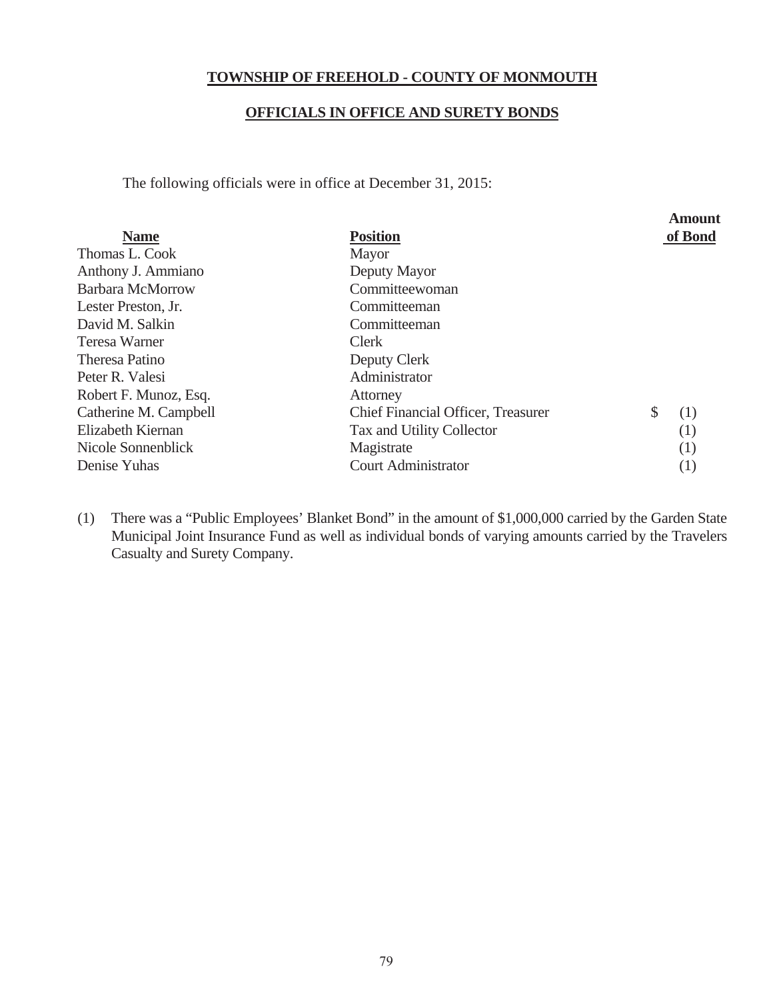### **OFFICIALS IN OFFICE AND SURETY BONDS**

The following officials were in office at December 31, 2015:

|                         |                                           | <b>Amount</b> |
|-------------------------|-------------------------------------------|---------------|
| <b>Name</b>             | <b>Position</b>                           | of Bond       |
| Thomas L. Cook          | Mayor                                     |               |
| Anthony J. Ammiano      | Deputy Mayor                              |               |
| <b>Barbara McMorrow</b> | Committeewoman                            |               |
| Lester Preston, Jr.     | Committeeman                              |               |
| David M. Salkin         | Committeeman                              |               |
| Teresa Warner           | <b>Clerk</b>                              |               |
| Theresa Patino          | Deputy Clerk                              |               |
| Peter R. Valesi         | Administrator                             |               |
| Robert F. Munoz, Esq.   | Attorney                                  |               |
| Catherine M. Campbell   | <b>Chief Financial Officer, Treasurer</b> | (1)           |
| Elizabeth Kiernan       | Tax and Utility Collector                 | (1)           |
| Nicole Sonnenblick      | Magistrate                                | (1)           |
| Denise Yuhas            | <b>Court Administrator</b>                | (1)           |

(1) There was a "Public Employees' Blanket Bond" in the amount of \$1,000,000 carried by the Garden State Municipal Joint Insurance Fund as well as individual bonds of varying amounts carried by the Travelers Casualty and Surety Company.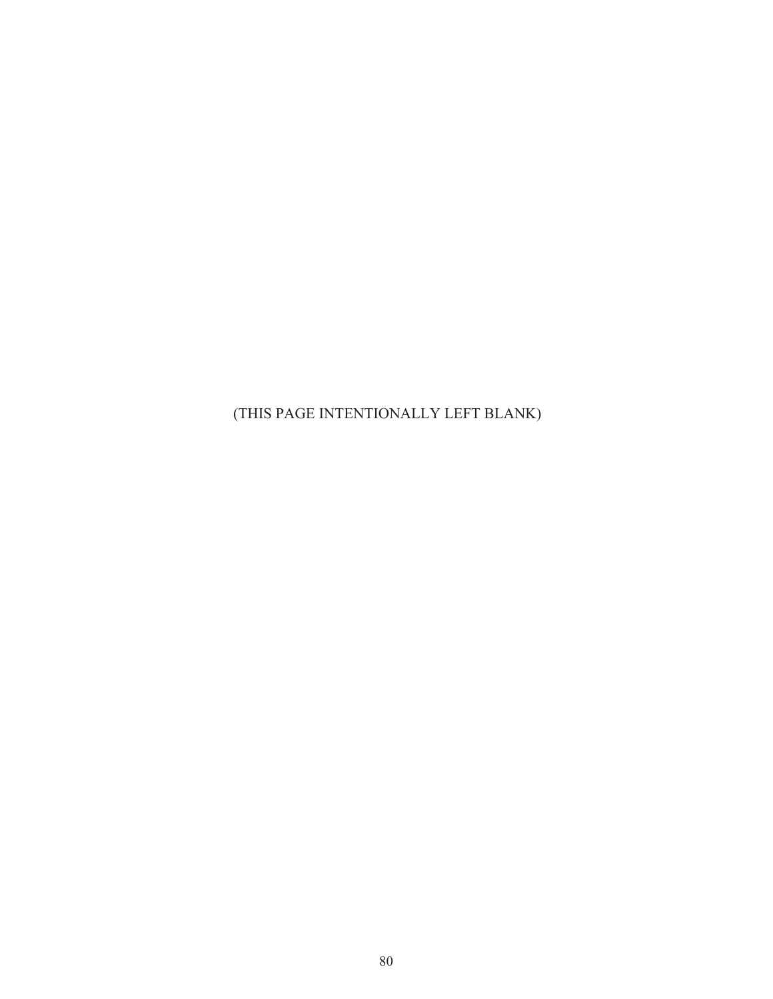(THIS PAGE INTENTIONALLY LEFT BLANK)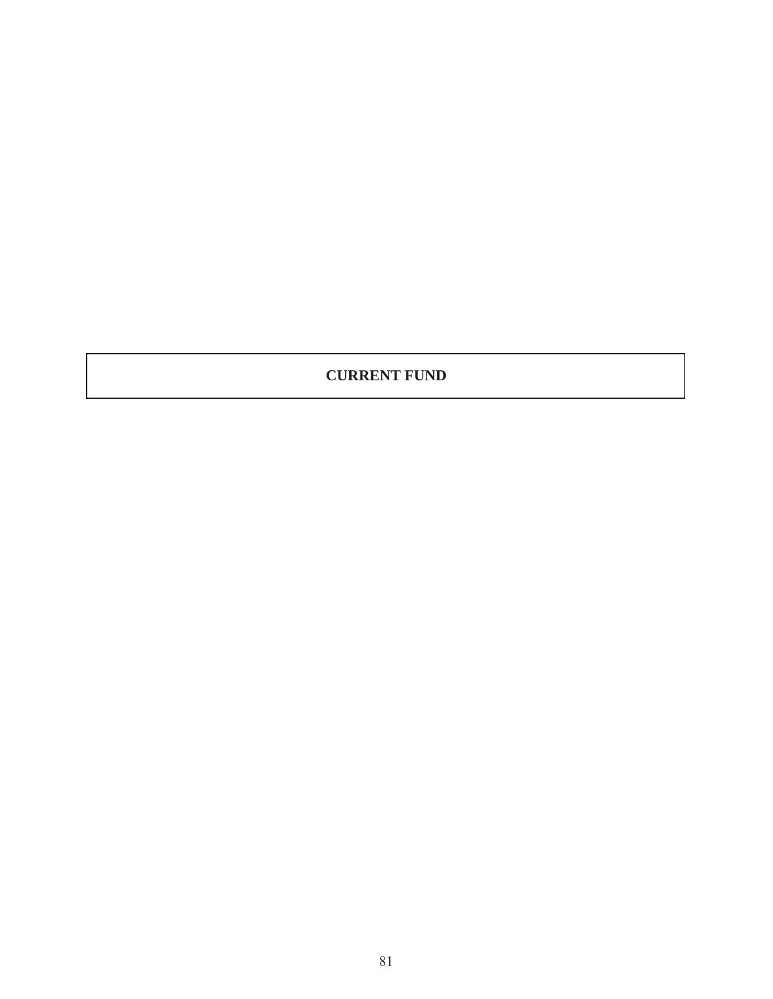### **CURRENT FUND**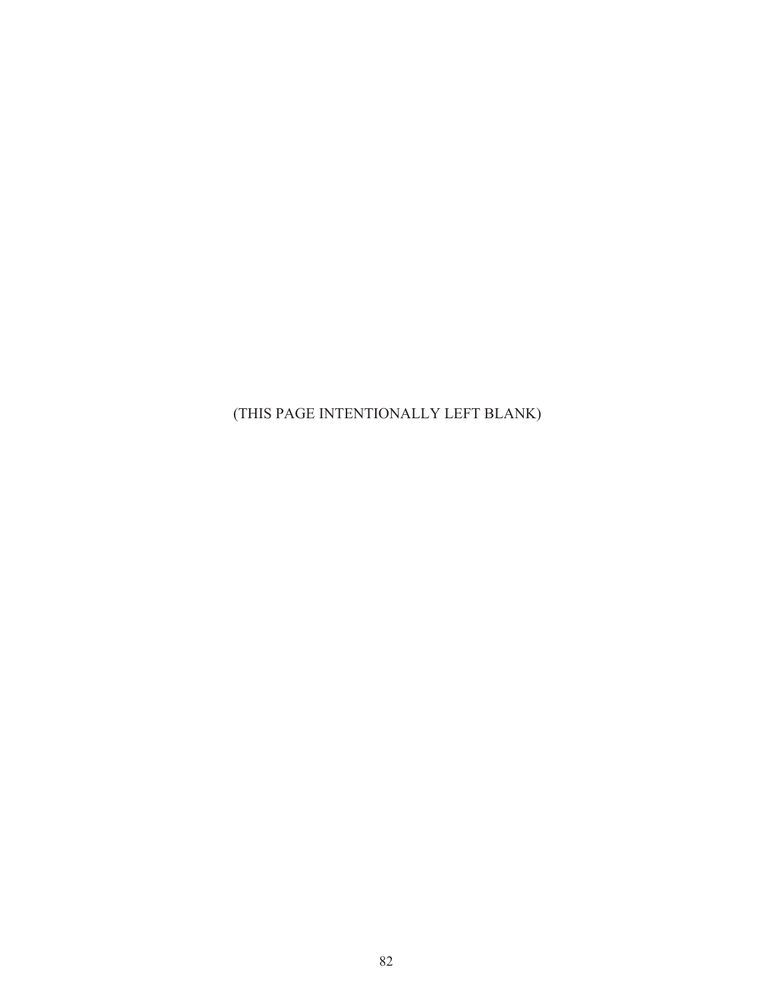(THIS PAGE INTENTIONALLY LEFT BLANK)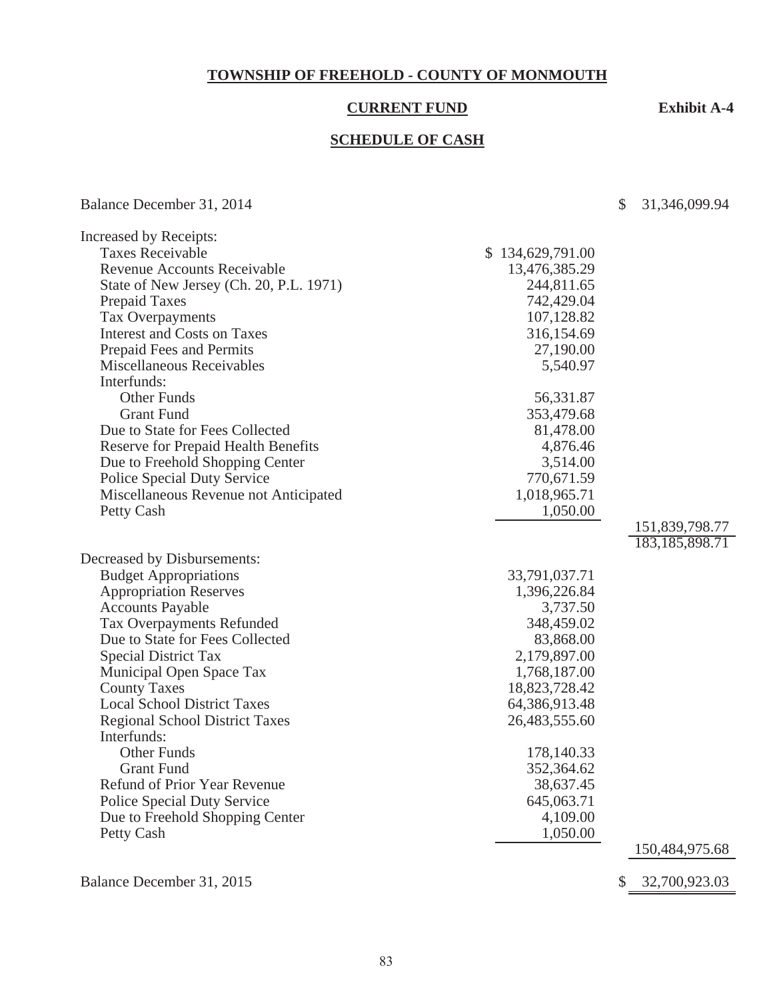### **CURRENT FUND Exhibit A-4**

\$ 31, 346, 099.94

### **SCHEDULE OF CASH**

|  | Balance December 31, 2014 |  |  |
|--|---------------------------|--|--|
|--|---------------------------|--|--|

| Increased by Receipts:                     |                  |                     |
|--------------------------------------------|------------------|---------------------|
| <b>Taxes Receivable</b>                    | \$134,629,791.00 |                     |
| <b>Revenue Accounts Receivable</b>         | 13,476,385.29    |                     |
| State of New Jersey (Ch. 20, P.L. 1971)    | 244,811.65       |                     |
| Prepaid Taxes                              | 742,429.04       |                     |
| Tax Overpayments                           | 107,128.82       |                     |
| <b>Interest and Costs on Taxes</b>         | 316,154.69       |                     |
| Prepaid Fees and Permits                   | 27,190.00        |                     |
| Miscellaneous Receivables                  | 5,540.97         |                     |
| Interfunds:                                |                  |                     |
| <b>Other Funds</b>                         | 56,331.87        |                     |
| <b>Grant Fund</b>                          | 353,479.68       |                     |
| Due to State for Fees Collected            | 81,478.00        |                     |
| <b>Reserve for Prepaid Health Benefits</b> | 4,876.46         |                     |
| Due to Freehold Shopping Center            | 3,514.00         |                     |
| <b>Police Special Duty Service</b>         | 770,671.59       |                     |
| Miscellaneous Revenue not Anticipated      | 1,018,965.71     |                     |
| Petty Cash                                 | 1,050.00         |                     |
|                                            |                  | 151,839,798.77      |
|                                            |                  | 183, 185, 898. 71   |
| Decreased by Disbursements:                |                  |                     |
| <b>Budget Appropriations</b>               | 33,791,037.71    |                     |
| <b>Appropriation Reserves</b>              | 1,396,226.84     |                     |
| <b>Accounts Payable</b>                    | 3,737.50         |                     |
| <b>Tax Overpayments Refunded</b>           | 348,459.02       |                     |
| Due to State for Fees Collected            | 83,868.00        |                     |
| <b>Special District Tax</b>                | 2,179,897.00     |                     |
| Municipal Open Space Tax                   | 1,768,187.00     |                     |
| <b>County Taxes</b>                        | 18,823,728.42    |                     |
| <b>Local School District Taxes</b>         | 64,386,913.48    |                     |
| <b>Regional School District Taxes</b>      | 26,483,555.60    |                     |
| Interfunds:                                |                  |                     |
| <b>Other Funds</b>                         | 178,140.33       |                     |
| <b>Grant Fund</b>                          | 352,364.62       |                     |
| <b>Refund of Prior Year Revenue</b>        | 38,637.45        |                     |
| <b>Police Special Duty Service</b>         | 645,063.71       |                     |
| Due to Freehold Shopping Center            | 4,109.00         |                     |
| Petty Cash                                 | 1,050.00         |                     |
|                                            |                  | 150,484,975.68      |
|                                            |                  |                     |
| Balance December 31, 2015                  |                  | 32,700,923.03<br>\$ |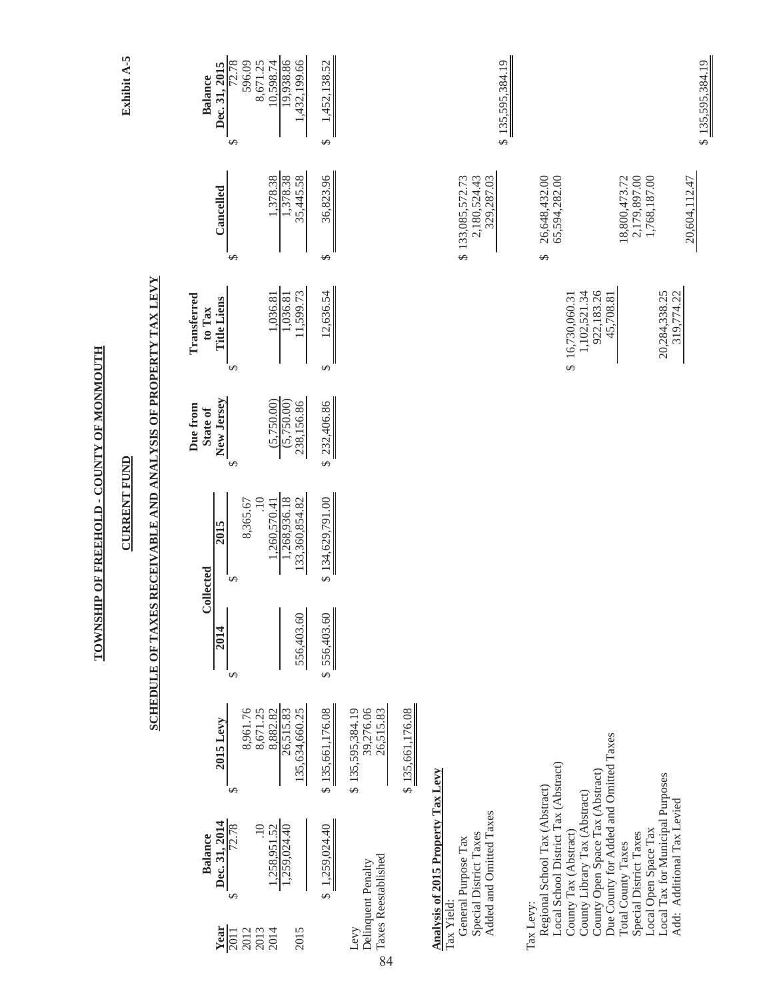# **CURRENT FUND Exhibit A-5 CURRENT FUND**

# SCHEDULE OF TAXES RECEIVABLE AND ANALYSIS OF PROPERTY TAX LEVY **SCHEDULE OF TAXES RECEIVABLE AND ANALYSIS OF PROPERTY TAX LEVY**

| Dec. 31, 2015<br><b>Balance</b>             | 19,938.86<br>596.09<br>72.78<br>10,598.74<br>8,671.25<br>1,432,199.66<br>5   | 1,452,138.52<br>∽ |                                                   |                  |                                                                                                                       |
|---------------------------------------------|------------------------------------------------------------------------------|-------------------|---------------------------------------------------|------------------|-----------------------------------------------------------------------------------------------------------------------|
| Cancelled                                   | $\frac{1,378.38}{1,378.38}$<br>35,445.58                                     | 36,823.96         |                                                   |                  | 2,180,524.43<br>329,287.03<br>\$133,085,572.73                                                                        |
| Transferred<br><b>Title Liens</b><br>to Tax | ∽<br>1,599.73<br>1,036.81<br>1,036.81                                        | 5<br>12,636.54    |                                                   |                  |                                                                                                                       |
| New Jersey<br>Due from<br>State of          | $\frac{(5,750.00)}{238,156.86}$<br>(5,750.00)<br>∽                           | \$232,406.86      |                                                   |                  |                                                                                                                       |
| 2015                                        | 1,268,936.18<br>133,360,854.82<br>$\frac{1}{10}$<br>8,365.67<br>1,260,570.41 | \$134,629,791.00  |                                                   |                  |                                                                                                                       |
| Collected<br>2014                           | 556,403.60<br>∽                                                              | \$556,403.60      |                                                   |                  |                                                                                                                       |
| $2015$ Levy                                 | 8,882.82<br>8,961.76<br>135,634,660.25<br>26,515.83<br>8,671.25<br>G         | \$135,661,176.08  | 39,276.06<br>26,515.83<br>\$135,595,384.19        | \$135,661,176.08 |                                                                                                                       |
| Dec. 31, 2014<br><b>Balance</b>             | 72.78<br>1,258,951.52<br>1,259,024.40<br>↔                                   | \$1,259,024.40    |                                                   |                  | <b>Analysis of 2015 Property Tax Levy</b><br>Added and Omitted Taxes<br>Special District Taxes<br>General Purpose Tax |
|                                             | $\frac{3}{2011}$<br>2013<br>2013<br>2014<br>2015                             |                   | Taxes Reestablished<br>Levy<br>Delinquent Penalty |                  | Tax Yield:                                                                                                            |

### Regional School Tax (Abstract) \$ 26,648,432.00 Local School District Tax (Abstract) 65,594,282.00 Total County Taxes 18,800,473.72 Special District Taxes 2,179,897.00 Local Open Space Tax 1,768,187.00 County Tax (Abstract)  $$$  16,730,060.31 County Library Tax (Abstract)  $1,34$ County Open Space Tax (Abstract) 922,183.26 Due County for Added and Omitted Taxes County Tax (Abstract)<br>County Library Tax (Abstract)<br>County Open Space Tax (Abstract)<br>Due County for Added and Omitted Taxes Tax Levy:<br>Regional School Tax (Abstract)<br>Local School District Tax (Abstract) Special District Taxes<br>Local Open Space Tax Total County Taxes

Local Tax for Municipal Purposes 20,284,338.25 Add: Additional Tax Levied 319,774.22

Local Tax for Municipal Purposes<br>Add: Additional Tax Levied

20,604,112.47

20,604,112.47

20,284,338.25<br>319,774.22

 $\begin{array}{c} 18,800,473,72 \\ 2,179,897.00 \\ 1,768,187.00 \end{array}$ 

\$ 135,595,384.19

\$135,595,384.19

\$ 135,595,384.19

 $$26,648,432.00$ <br>65,594,282.00

 $$16,730,060.31$ <br>1,102,521.34<br>922,183.26

45,708.81

\$135,595,384.19

Exhibit A-5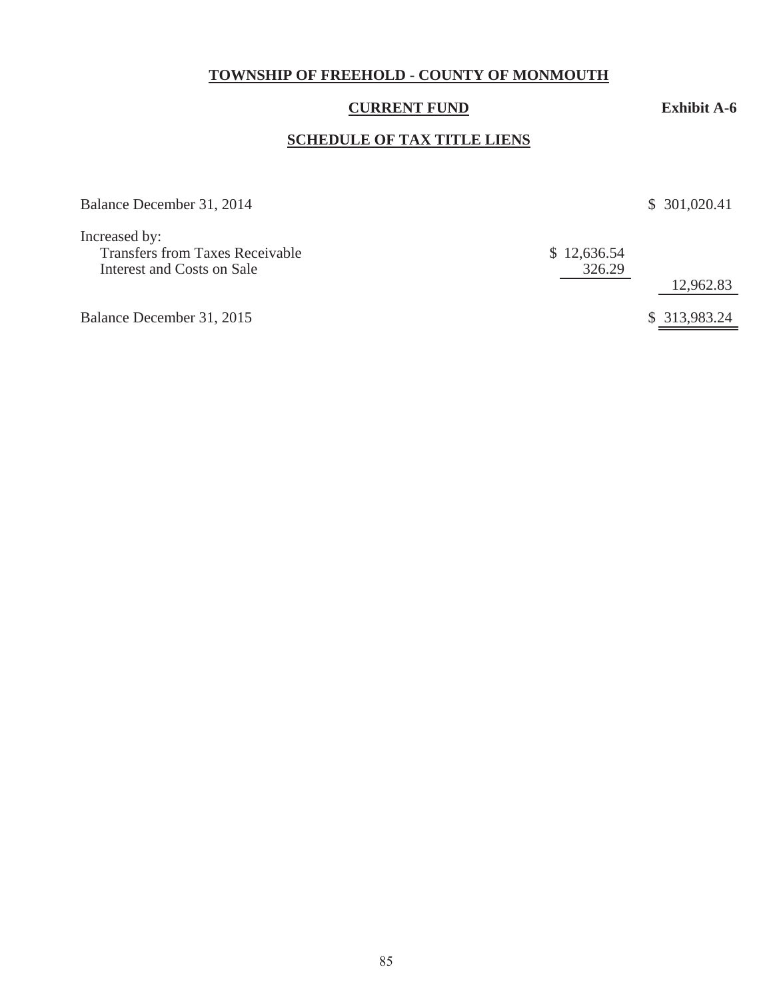### **CURRENT FUND Exhibit A-6**

### **SCHEDULE OF TAX TITLE LIENS**

| Balance December 31, 2014                                                             |                       | \$ 301,020.41 |
|---------------------------------------------------------------------------------------|-----------------------|---------------|
| Increased by:<br><b>Transfers from Taxes Receivable</b><br>Interest and Costs on Sale | \$12,636.54<br>326.29 | 12,962.83     |
| Balance December 31, 2015                                                             |                       | \$ 313,983.24 |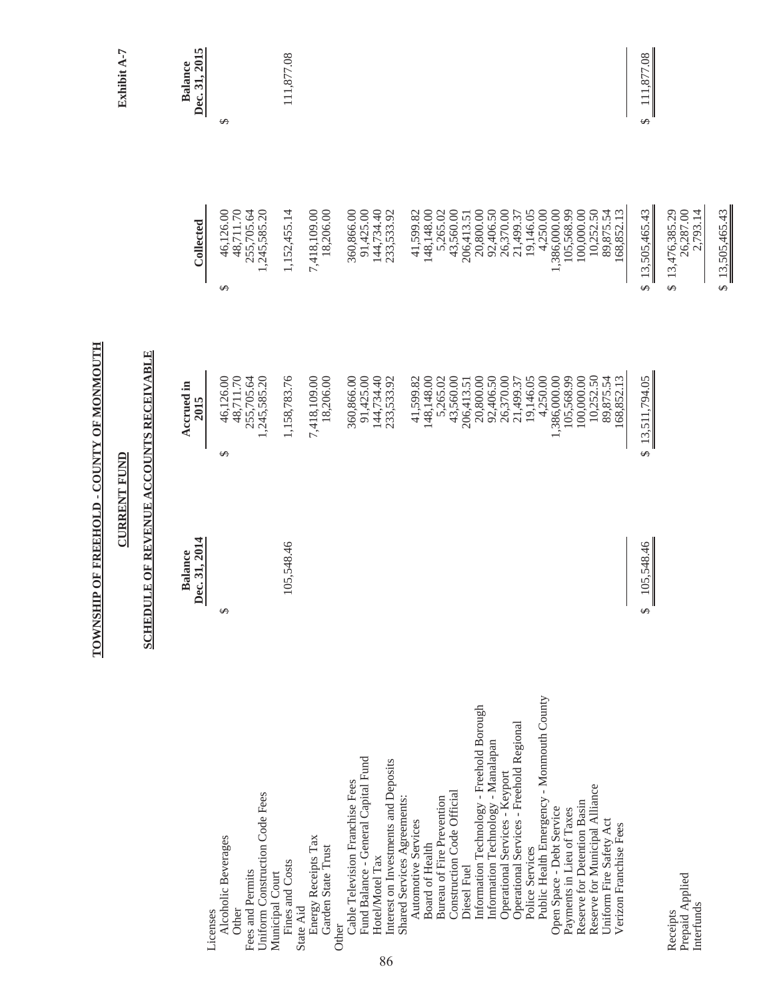|                                                                                                                                                 |                                 | <b>CURRENT FUND</b>                                              |                                                                  | Exhibit A-7                     |
|-------------------------------------------------------------------------------------------------------------------------------------------------|---------------------------------|------------------------------------------------------------------|------------------------------------------------------------------|---------------------------------|
|                                                                                                                                                 | <b>SCHE</b>                     | <b>DULE OF REVENUE ACCOUNTS RECEIVABLE</b>                       |                                                                  |                                 |
|                                                                                                                                                 | Dec. 31, 2014<br><b>Balance</b> | Accrued in<br>2015                                               | <b>Collected</b>                                                 | Dec. 31, 2015<br><b>Balance</b> |
| Uniform Construction Code Fees<br>Alcoholic Beverages<br>Fees and Permits<br>Other<br>Licenses                                                  | ↫                               | 48,711.70<br>255,705.64<br>1,245,585.20<br>46,126.00<br>↮        | 48,711.70<br>46,126.00<br>255,705.64<br>.245,585.20<br>↮         | ↮                               |
| Fines and Costs<br>Municipal Court<br>State Aid                                                                                                 | 105,548.46                      | 1,158,783.76                                                     | 1,152,455.14                                                     | 111,877.08                      |
| Energy Receipts Tax<br>Garden State Trust                                                                                                       |                                 | 7,418,109.00<br>18,206.00                                        | 7,418,109.00<br>18,206.00                                        |                                 |
| Fund Balance - General Capital Fund<br>Cable Television Franchise Fees<br>Other                                                                 |                                 | 360,866.00<br>91,425.00                                          | 360,866.00<br>91,425.00                                          |                                 |
| Interest on Investments and Deposits<br>Hotel/Motel Tax                                                                                         |                                 | 144,734.40<br>233,533.92                                         | 144,734.40<br>233,533.92                                         |                                 |
| Shared Services Agreements:<br>Automotive Services<br><b>Board of Health</b>                                                                    |                                 | 148,148.00<br>41,599.82                                          | 148,148.00<br>41,599.82                                          |                                 |
| Construction Code Official<br>Bureau of Fire Prevention                                                                                         |                                 | 43,560.00<br>5,265.02                                            | 43,560.00<br>5,265.02                                            |                                 |
| Information Technology - Freehold Borough<br>Information Technology - Manalapan<br>Diesel Fuel                                                  |                                 | 20,800.00<br>92,406.50<br>206,413.51                             | 20,800.00<br>92,406.50<br>206,413.51                             |                                 |
| Operational Services - Freehold Regional<br>Operational Services - Keyport                                                                      |                                 | 26,370.00<br>21,499.37                                           | 26,370.00<br>21,499.37                                           |                                 |
| Public Health Emergency - Monmouth County<br>Open Space - Debt Service<br>Police Services                                                       |                                 | 19,146.05<br>4,250.00<br>1,386,000.00                            | 19,146.05<br>4,250.00<br>1,386,000.00                            |                                 |
| Reserve for Municipal Alliance<br>Reserve for Detention Basin<br>Payments in Lieu of Taxes<br>Uniform Fire Safety Act<br>Verizon Franchise Fees |                                 | 105,568.99<br>100,000.00<br>10,252.50<br>89,875.54<br>168,852.13 | 105,568.99<br>100,000.00<br>10,252.50<br>89,875.54<br>168,852.13 |                                 |
|                                                                                                                                                 | 105,548.46<br>↮                 | 13,511,794.05<br>$\leftrightarrow$                               | 13,505,465.43<br>↮                                               | 111,877.08<br>$\Theta$          |
| Prepaid Applied<br>Interfunds<br>Receipts                                                                                                       |                                 |                                                                  | 13,476,385.29<br>26,287.00<br>2,793.14<br>$\varphi$              |                                 |
|                                                                                                                                                 |                                 |                                                                  | \$13,505,465.43                                                  |                                 |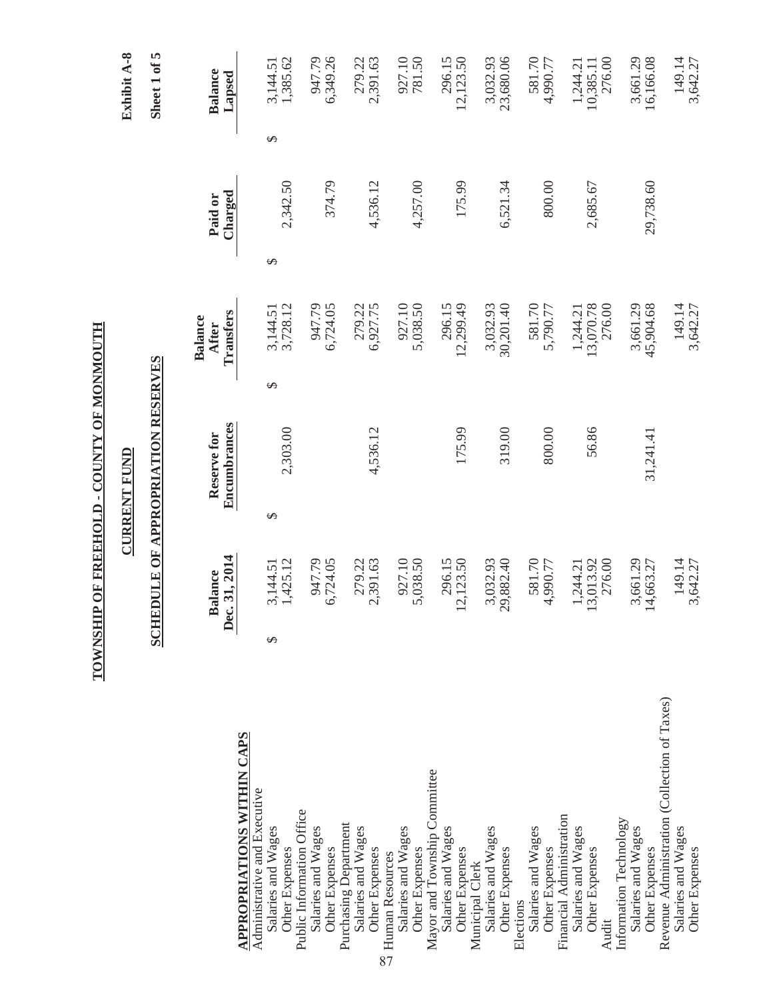|                                                                                                                |                                 | <b>CURRENT FUND</b>                    |                                             |                    |   | Exhibit A-8                     |
|----------------------------------------------------------------------------------------------------------------|---------------------------------|----------------------------------------|---------------------------------------------|--------------------|---|---------------------------------|
|                                                                                                                | <b>SCHI</b>                     | <b>EDULE OF APPROPRIATION RESERVES</b> |                                             |                    |   | Sheet 1 of 5                    |
| APPROPRIATIONS WITHIN CAPS                                                                                     | Dec. 31, 2014<br><b>Balance</b> | Encumbrances<br>Reserve for            | Transfers<br><b>Balance</b><br><b>After</b> | Charged<br>Paid or |   | <b>Balance</b><br>Lapsed        |
| Administrative and Executive<br>Salaries and Wages<br>Other Expenses                                           | 1,425.12<br>3,144.51<br>↔       | 2,303.00<br>↮                          | $3,144.51$<br>$3,728.12$<br>↔               | 2,342.50<br>↔      | ↔ | 3,144.51<br>1,385.62            |
| Public Information Office<br>Salaries and Wages<br>Other Expenses                                              | 947.79<br>6,724.05              |                                        | 947.79<br>6,724.05                          | 374.79             |   | 6,349.26<br>947.79              |
| Purchasing Department<br>Salaries and Wages<br>Other Expenses                                                  | 279.22<br>2,391.63              | 4,536.12                               | 279.22<br>6,927.75                          | 4,536.12           |   | 279.22<br>2,391.63              |
| Salaries and Wages<br>Other Expenses<br>∞ Human Resources                                                      | 927.10<br>5,038.50              |                                        | 927.10<br>5,038.50                          | 4,257.00           |   | 781.50<br>927.10                |
| Mayor and Township Committee<br>Salaries and Wages<br>Other Expenses                                           | 296.15<br>12,123.50             | 175.99                                 | 296.15<br>12,299.49                         | 175.99             |   | 12,123.50<br>296.15             |
| Salaries and Wages<br>Other Expenses<br>Municipal Clerk                                                        | 3,032.93<br>29,882.40           | 319.00                                 | 3,032.93<br>30,201.40                       | 6,521.34           |   | 23,680.06<br>3,032.93           |
| Financial Administration<br>Salaries and Wages<br>Other Expenses<br>Elections                                  | 581.70<br>4,990.77              | 800.00                                 | 581.70<br>5,790.77                          | 800.00             |   | 581.70<br>4,990.77              |
| Salaries and Wages<br>Other Expenses<br>Audit                                                                  | 276.00<br>13,013.92<br>1,244.21 | 56.86                                  | 13,070.78<br>276.00<br>1,244.21             | 2,685.67           |   | 276.00<br>10,385.11<br>1,244.21 |
| Revenue Administration (Collection of Taxes)<br>Information Technology<br>Salaries and Wages<br>Other Expenses | 3,661.29<br>14,663.27           | 31,241.41                              | 3,661.29<br>45,904.68                       | 29,738.60          |   | 3,661.29<br>16,166.08           |
| Salaries and Wages<br>Other Expenses                                                                           | 149.14<br>3,642.27              |                                        | 149.14<br>3,642.27                          |                    |   | 149.14<br>3,642.27              |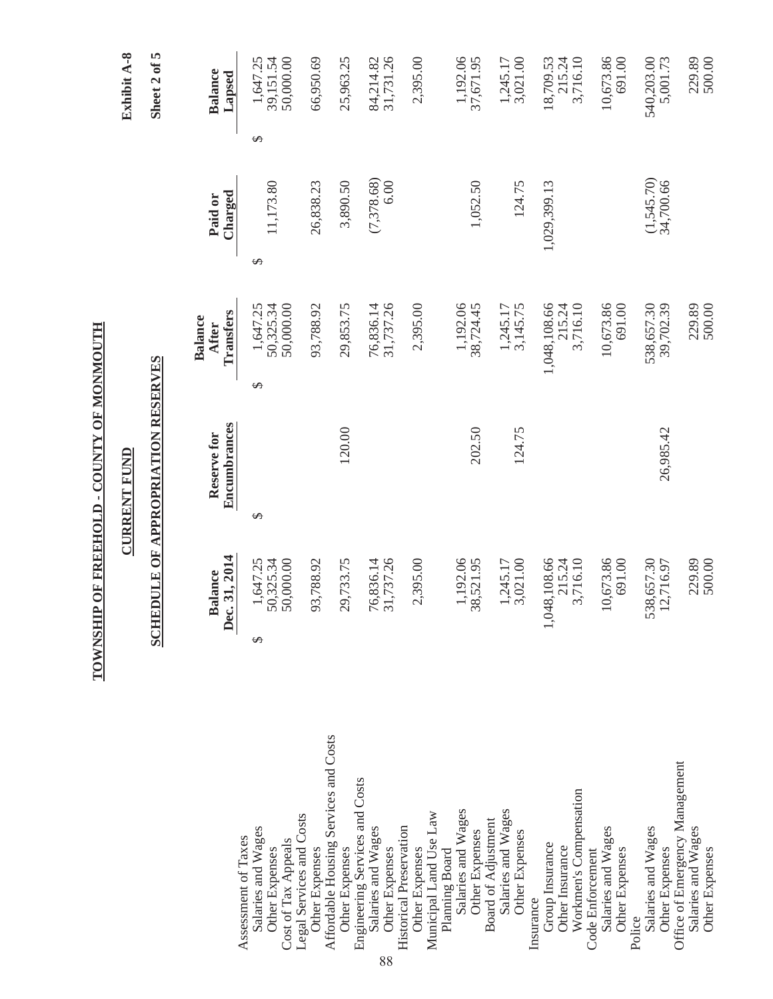|                                                                                    |                                         | <b>CURRENT FUND</b>                    |                                                |                             | Exhibit A-8                             |
|------------------------------------------------------------------------------------|-----------------------------------------|----------------------------------------|------------------------------------------------|-----------------------------|-----------------------------------------|
|                                                                                    | <b>SCHIE</b>                            | <b>IDULE OF APPROPRIATION RESERVES</b> |                                                |                             | Sheet 2 of 5                            |
|                                                                                    | Dec. 31, 2014<br><b>Balance</b>         | Encumbrances<br>Reserve for            | Transfers<br><b>Balance</b><br><b>After</b>    | Charged<br>Paid or          | <b>Balance</b><br>Lapsed                |
| Salaries and Wages<br>Assessment of Taxes<br>Cost of Tax Appeals<br>Other Expenses | 50,000.00<br>1,647.25<br>50,325.34<br>↮ | ∽                                      | 50,325.34<br>1,647.25<br>50,000.00<br>$\Theta$ | 11,173.80<br>∽              | 50,000.00<br>1,647.25<br>39,151.54<br>↮ |
| Legal Services and Costs<br>Other Expenses                                         | 93,788.92                               |                                        | 93,788.92                                      | 26,838.23                   | 66,950.69                               |
| Affordable Housing Services and Costs<br>Other Expenses                            | 29,733.75                               | 120.00                                 | 29,853.75                                      | 3,890.50                    | 25,963.25                               |
| Engineering Services and Costs<br>Salaries and Wages<br>Other Expenses             | 31,737.26<br>76,836.14                  |                                        | 31,737.26<br>76,836.14                         | (7,378.68)<br>6.00          | 84,214.82<br>31,731.26                  |
| Municipal Land Use Law<br><b>Historical Preservation</b><br>Other Expenses         | 2,395.00                                |                                        | 2,395.00                                       |                             | 2,395.00                                |
| Salaries and Wages<br>Other Expenses<br>Planning Board                             | 1,192.06<br>38,521.95                   | 202.50                                 | 1,192.06<br>38,724.45                          | 1,052.50                    | 1,192.06<br>37,671.95                   |
| Salaries and Wages<br>Board of Adjustment<br>Other Expenses                        | 3,021.00<br>1,245.17                    | 124.75                                 | 1,245.17<br>3,145.75                           | 124.75                      | 3,021.00<br>1,245.17                    |
| Workmen's Compensation<br>Group Insurance<br>Other Insurance<br>Insurance          | 1,048,108.66<br>3,716.10<br>215.24      |                                        | 1,048,108.66<br>215.24<br>3,716.10             | 1,029,399.13                | 18,709.53<br>215.24<br>3,716.10         |
| Salaries and Wages<br>Code Enforcement<br>Other Expenses                           | 10,673.86<br>691.00                     |                                        | 10,673.86<br>691.00                            |                             | 10,673.86<br>691.00                     |
| Salaries and Wages<br>Other Expenses<br>Police                                     | 538,657.30<br>12,716.97                 | 26,985.42                              | 538,657.30<br>39,702.39                        | $(1,545.70)$<br>$34,700.66$ | 540,203.00<br>5,001.73                  |
| Office of Emergency Management<br>Salaries and Wages<br>Other Expenses             | 229.89<br>500.00                        |                                        | 229.89<br>500.00                               |                             | 500.00<br>229.89                        |

### **CUTO DENTE ETNID**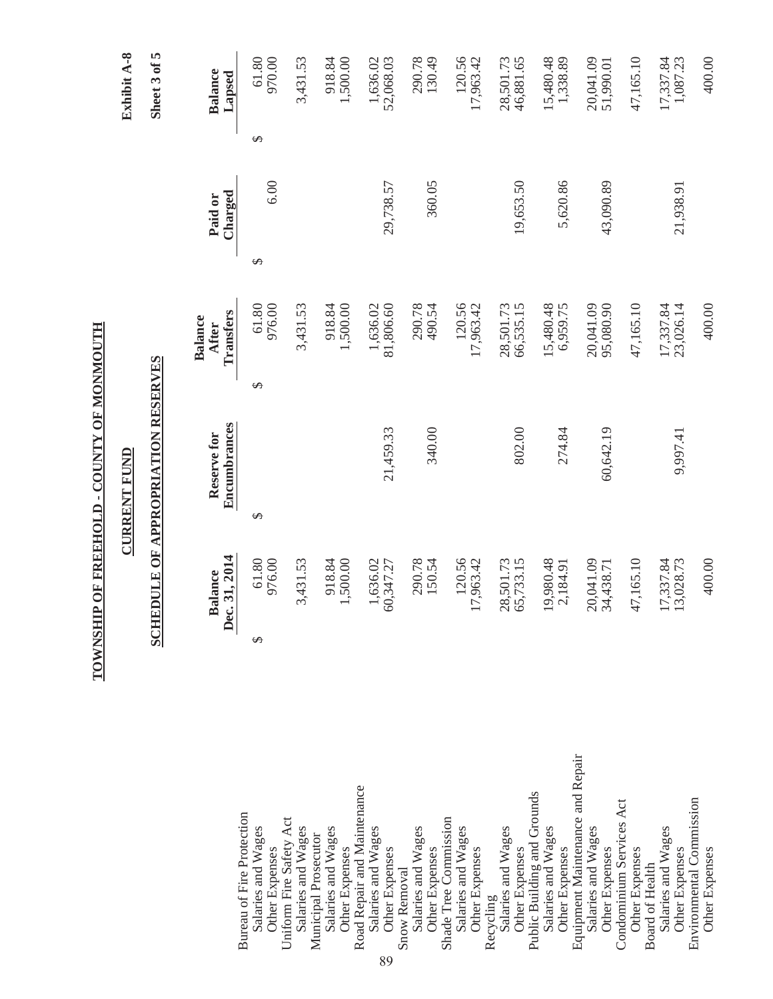|                                                                          |                                 | <b>CURRENT FUND</b>             |                                             |                    | Exhibit A-8              |
|--------------------------------------------------------------------------|---------------------------------|---------------------------------|---------------------------------------------|--------------------|--------------------------|
|                                                                          | SCHI                            | EDULE OF APPROPRIATION RESERVES |                                             |                    | Sheet 3 of 5             |
|                                                                          | Dec. 31, 2014<br><b>Balance</b> | Encumbrances<br>Reserve for     | Transfers<br><b>Balance</b><br><b>After</b> | Charged<br>Paid or | <b>Balance</b><br>Lapsed |
| Bureau of Fire Protection<br>Salaries and Wages<br>Other Expenses        | 61.80<br>976.00<br>↮            | ↔                               | 61.80<br>976.00<br>$\Theta$                 | 6.00<br>↔          | 61.80<br>970.00<br>↮     |
| Uniform Fire Safety Act<br>Salaries and Wages                            | 3,431.53                        |                                 | 3,431.53                                    |                    | 3,431.53                 |
| Salaries and Wages<br>Municipal Prosecutor<br>Other Expenses             | 918.84<br>1,500.00              |                                 | 918.84<br>1,500.00                          |                    | 918.84<br>1,500.00       |
| Road Repair and Maintenance<br>Salaries and Wages<br>Other Expenses      | 1,636.02<br>60,347.27           | 21,459.33                       | 81,806.60<br>1,636.02                       | 29,738.57          | 1,636.02<br>52,068.03    |
| Salaries and Wages<br>Other Expenses<br>Snow Removal                     | 290.78<br>150.54                | 340.00                          | 290.78<br>490.54                            | 360.05             | 290.78<br>130.49         |
| Shade Tree Commission<br>Salaries and Wages<br>Other Expenses            | 120.56<br>17,963.42             |                                 | 120.56<br>17,963.42                         |                    | 120.56<br>17,963.42      |
| Salaries and Wages<br>Other Expenses<br>Recycling                        | 28,501.73<br>65,733.15          | 802.00                          | 28,501.73<br>66,535.15                      | 19,653.50          | 46,881.65<br>28,501.73   |
| Public Building and Grounds<br>Salaries and Wages<br>Other Expenses      | 19,980.48<br>2,184.91           | 274.84                          | 15,480.48<br>6,959.75                       | 5,620.86           | 15,480.48<br>1,338.89    |
| Equipment Maintenance and Repair<br>Salaries and Wages<br>Other Expenses | 20,041.09<br>34,438.71          | 60,642.19                       | 20,041.09<br>95,080.90                      | 43,090.89          | 20,041.09<br>51,990.01   |
| Condominium Services Act<br>Other Expenses<br>Board of Health            | 47,165.10                       |                                 | 47,165.10                                   |                    | 47,165.10                |
| Salaries and Wages<br>Other Expenses                                     | 17,337.84<br>13,028.73          | 9,997.41                        | 17,337.84<br>23,026.14                      | 21,938.91          | 17,337.84<br>1,087.23    |
| Environmental Commission<br>Other Expenses                               | 400.00                          |                                 | 400.00                                      |                    | 400.00                   |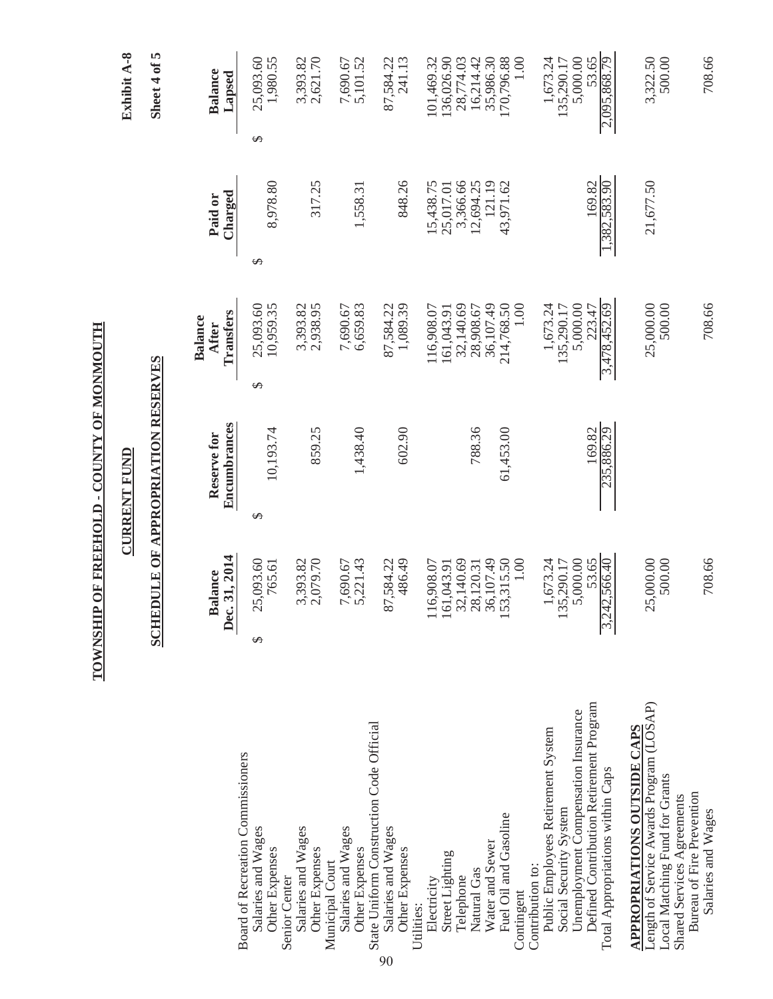|                                                                                                                                                                                                        |                                                                                        | <b>CURRENT FUND</b>                       |                                                                                       |                                                                        | Exhibit A-8                                                                           |
|--------------------------------------------------------------------------------------------------------------------------------------------------------------------------------------------------------|----------------------------------------------------------------------------------------|-------------------------------------------|---------------------------------------------------------------------------------------|------------------------------------------------------------------------|---------------------------------------------------------------------------------------|
|                                                                                                                                                                                                        |                                                                                        | <b>SCHEDULE OF APPROPRIATION RESERVES</b> |                                                                                       |                                                                        | Sheet 4 of 5                                                                          |
|                                                                                                                                                                                                        | Dec. 31, 2014<br>Balance                                                               | Encumbrances<br>Reserve for               | Transfers<br><b>Balance</b><br><b>After</b>                                           | Charged<br>Paid or                                                     | <b>Balance</b><br>Lapsed                                                              |
| Board of Recreation Commissioners<br>Salaries and Wages<br>Other Expenses                                                                                                                              | 25,093.60<br>765.61<br>↮                                                               | 10,193.74<br>↮                            | 25,093.60<br>10,959.35<br>↮                                                           | 8,978.80<br>↔                                                          | 25,093.60<br>1,980.55<br>↔                                                            |
| Salaries and Wages<br>Other Expenses<br><b>Senior Center</b>                                                                                                                                           | 3,393.82<br>2,079.70                                                                   | 859.25                                    | 3,393.82<br>2,938.95                                                                  | 317.25                                                                 | 3,393.82<br>2,621.70                                                                  |
| State Uniform Construction Code Official<br>Salaries and Wages<br>Other Expenses<br>Municipal Court                                                                                                    | 5,221.43<br>7,690.67                                                                   | 1,438.40                                  | 6,659.83<br>7,690.67                                                                  | 1,558.31                                                               | 7,690.67<br>5,101.52                                                                  |
| Salaries and Wages<br>Other Expenses<br>Utilities:                                                                                                                                                     | 486.49<br>87,584.22                                                                    | 602.90                                    | 1,089.39<br>87,584.22                                                                 | 848.26                                                                 | 87,584.22<br>241.13                                                                   |
| Fuel Oil and Gasoline<br>Water and Sewer<br>Street Lighting<br>Natural Gas<br>Telephone<br>Electricity<br>Contingent                                                                                   | 36,107.49<br>53,315.50<br>$1.00\,$<br>32,140.69<br>16,908.07<br>28,120.31<br>61,043.91 | 788.36<br>61,453.00                       | 1.00<br>36,107.49<br>214,768.50<br>32,140.69<br>116,908.07<br>28,908.67<br>161,043.91 | 3,366.66<br>15,438.75<br>12,694.25<br>121.19<br>43,971.62<br>25,017.01 | 1.00<br>136,026.90<br>35,986.30<br>170,796.88<br>101,469.32<br>28,774.03<br>16,214.42 |
| Defined Contribution Retirement Program<br>Unemployment Compensation Insurance<br>Public Employees Retirement System<br>Total Appropriations within Caps<br>Social Security System<br>Contribution to: | 1,673.24<br>5,000.00<br>3,242,566.40<br>53.65<br>35,290.17                             | 169.82<br>235,886.29                      | 5,000.00<br>3,478,452.69<br>1,673.24<br>223.47<br>135,290.17                          | 169.82<br>1,382,583.90                                                 | 1,673.24<br>5,000.00<br>2,095,868.79<br>53.65<br>135,290.17                           |
| Length of Service Awards Program (LOSAP)<br><b>APPROPRIATIONS OUTSIDE CAPS</b><br>Local Matching Fund for Grants<br>Shared Services Agreements                                                         | 25,000.00<br>500.00                                                                    |                                           | 25,000.00<br>500.00                                                                   | 21,677.50                                                              | 3,322.50<br>500.00                                                                    |
| Bureau of Fire Prevention<br>Salaries and Wages                                                                                                                                                        | 708.66                                                                                 |                                           | 708.66                                                                                |                                                                        | 708.66                                                                                |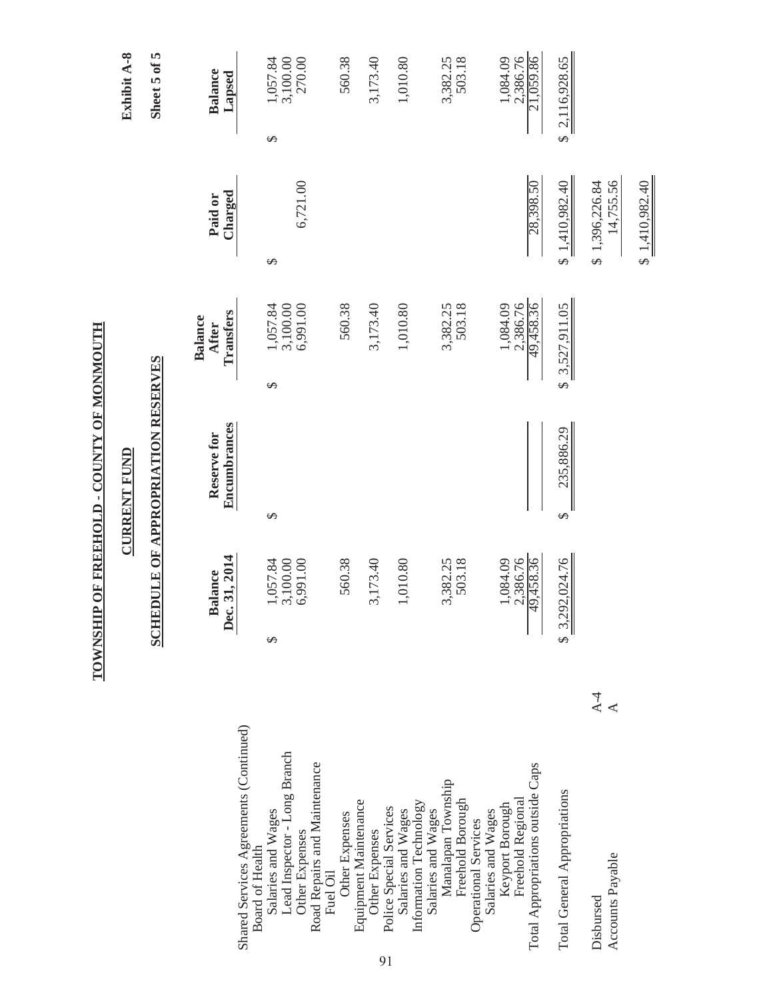|                                                                         |          |                                   | <b>CURRENT FUND</b>             |                                      |                             |                          | Exhibit A-8                       |
|-------------------------------------------------------------------------|----------|-----------------------------------|---------------------------------|--------------------------------------|-----------------------------|--------------------------|-----------------------------------|
|                                                                         | SCHI     |                                   | EDULE OF APPROPRIATION RESERVES |                                      |                             |                          | Sheet 5 of 5                      |
|                                                                         |          | Dec. 31, 2014<br><b>Balance</b>   | Encumbrances<br>Reserve for     | Transfers<br><b>Balance</b><br>After | Charged<br>Paid or          | <b>Balance</b><br>Lapsed |                                   |
| Shared Services Agreements (Continued)<br>Board of Health               |          |                                   |                                 |                                      |                             |                          |                                   |
| Lead Inspector - Long Branch<br>Salaries and Wages                      | $\Theta$ | 3,100.00<br>1,057.84              | ↮                               | 1,057.84<br>3,100.00<br>$\Theta$     | $\Theta$                    | ↮                        | 3,100.00<br>1,057.84              |
| Road Repairs and Maintenance<br>Other Expenses<br>Fuel Oil              |          | 6,991.00                          |                                 | 6,991.00                             | 6,721.00                    |                          | 270.00                            |
| Other Expenses                                                          |          | 560.38                            |                                 | 560.38                               |                             |                          | 560.38                            |
| Equipment Maintenance<br>Other Expenses                                 |          | 3,173.40                          |                                 | 3,173.40                             |                             |                          | 3,173.40                          |
| Information Technology<br>Police Special Services<br>Salaries and Wages |          | 1,010.80                          |                                 | 1,010.80                             |                             |                          | 1,010.80                          |
| Manalapan Township<br>Freehold Borough<br>Salaries and Wages            |          | 503.18<br>3,382.25                |                                 | 503.18<br>3,382.25                   |                             |                          | 503.18<br>3,382.25                |
| Keyport Borough<br>Salaries and Wages<br><b>Operational Services</b>    |          |                                   |                                 | 1,084.09                             |                             |                          |                                   |
| Total Appropriations outside Caps<br>Freehold Regional                  |          | 49,458.36<br>1,084.09<br>2,386.76 |                                 | 49,458.36<br>2,386.76                | 28,398.50                   |                          | 21,059.86<br>1,084.09<br>2,386.76 |
| Total General Appropriations                                            |          | \$3,292,024.76                    | 235,886.29<br>$\leftrightarrow$ | \$3,527,911.05                       | 1,410,982.40<br>$\varphi$   | \$2,116,928.65           |                                   |
| $\overline{A}$ 4<br>Accounts Payable<br>Disbursed                       |          |                                   |                                 |                                      | 14,755.56<br>\$1,396,226.84 |                          |                                   |
|                                                                         |          |                                   |                                 |                                      | \$1,410,982.40              |                          |                                   |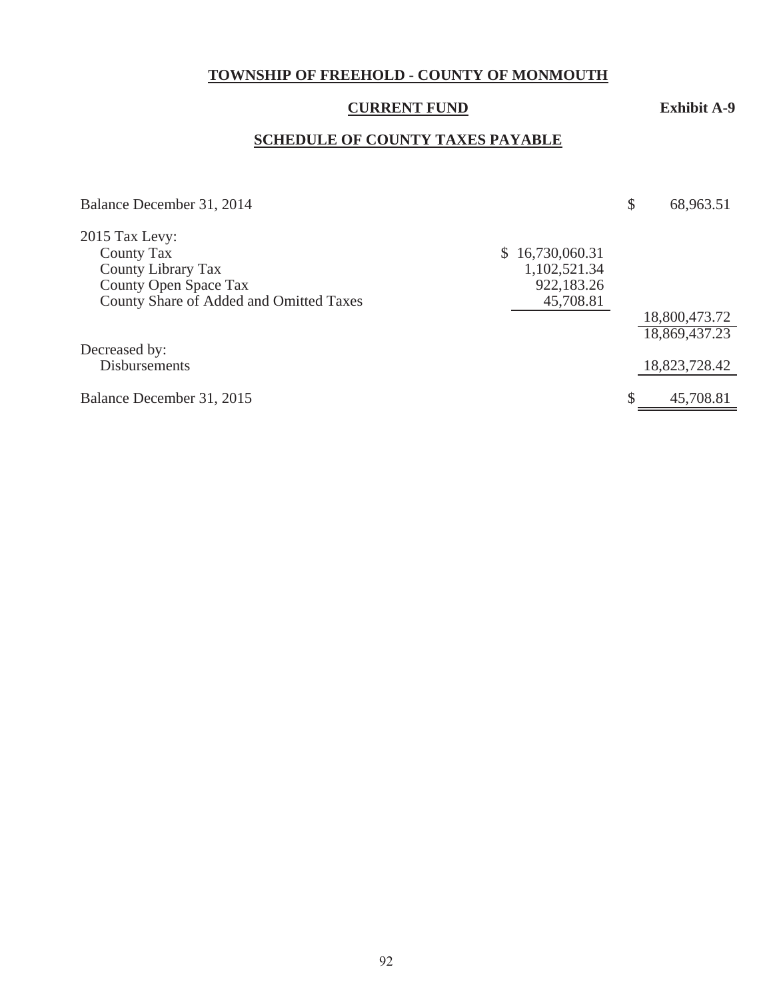### **CURRENT FUND Exhibit A-9**

### **SCHEDULE OF COUNTY TAXES PAYABLE**

| Balance December 31, 2014                                                                                                |                                                                | \$ | 68,963.51                      |
|--------------------------------------------------------------------------------------------------------------------------|----------------------------------------------------------------|----|--------------------------------|
| $2015$ Tax Levy:<br>County Tax<br>County Library Tax<br>County Open Space Tax<br>County Share of Added and Omitted Taxes | 16,730,060.31<br>S.<br>1,102,521.34<br>922,183.26<br>45,708.81 |    |                                |
|                                                                                                                          |                                                                |    | 18,800,473.72                  |
| Decreased by:<br><b>Disbursements</b>                                                                                    |                                                                |    | 18,869,437.23<br>18,823,728.42 |
| Balance December 31, 2015                                                                                                |                                                                | S  | 45,708.81                      |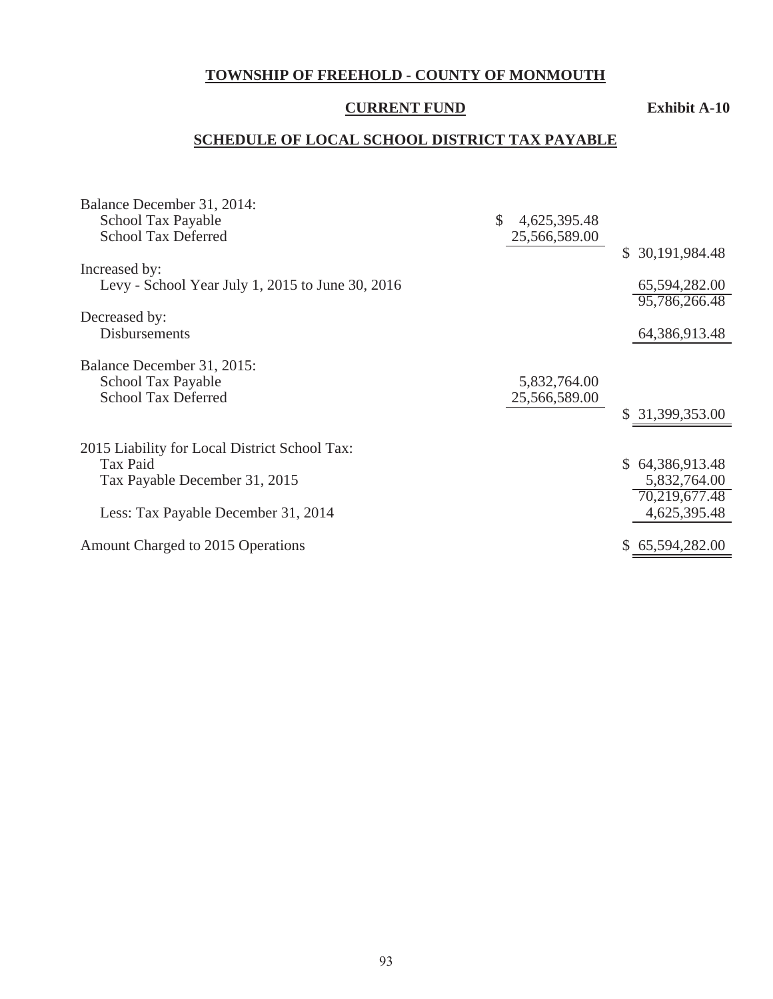### **CURRENT FUND Exhibit A-10**

### **SCHEDULE OF LOCAL SCHOOL DISTRICT TAX PAYABLE**

| Balance December 31, 2014:<br>School Tax Payable<br><b>School Tax Deferred</b> | \$<br>4,625,395.48<br>25,566,589.00 |                                |
|--------------------------------------------------------------------------------|-------------------------------------|--------------------------------|
| Increased by:                                                                  |                                     | \$ 30,191,984.48               |
| Levy - School Year July 1, 2015 to June 30, 2016                               |                                     | 65,594,282.00<br>95,786,266.48 |
| Decreased by:                                                                  |                                     |                                |
| <b>Disbursements</b>                                                           |                                     | 64,386,913.48                  |
| Balance December 31, 2015:                                                     |                                     |                                |
| School Tax Payable                                                             | 5,832,764.00                        |                                |
| <b>School Tax Deferred</b>                                                     | 25,566,589.00                       |                                |
|                                                                                |                                     | \$ 31,399,353.00               |
| 2015 Liability for Local District School Tax:                                  |                                     |                                |
| <b>Tax Paid</b>                                                                |                                     | \$64,386,913.48                |
| Tax Payable December 31, 2015                                                  |                                     | 5,832,764.00                   |
|                                                                                |                                     | 70,219,677.48                  |
| Less: Tax Payable December 31, 2014                                            |                                     | 4,625,395.48                   |
| Amount Charged to 2015 Operations                                              |                                     | 65,594,282.00                  |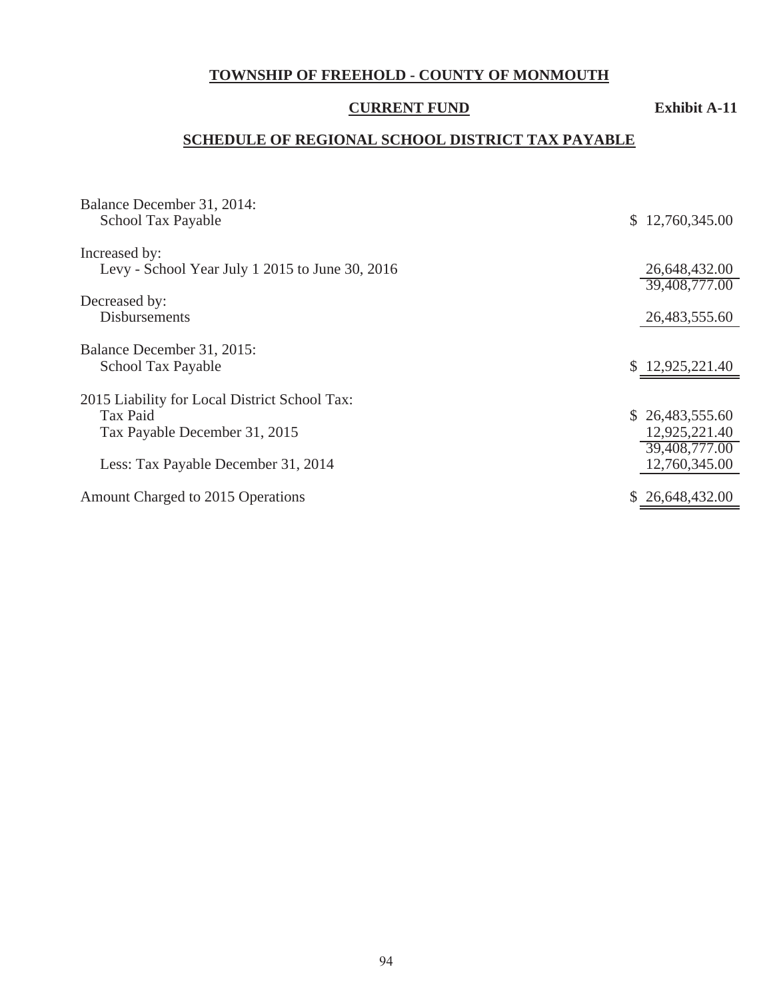### **CURRENT FUND Exhibit A-11**

### **SCHEDULE OF REGIONAL SCHOOL DISTRICT TAX PAYABLE**

| Balance December 31, 2014:<br>School Tax Payable                                                  | \$12,760,345.00                                                    |
|---------------------------------------------------------------------------------------------------|--------------------------------------------------------------------|
| Increased by:<br>Levy - School Year July 1 2015 to June 30, 2016                                  | 26,648,432.00<br>39,408,777.00                                     |
| Decreased by:<br><b>Disbursements</b>                                                             | 26,483,555.60                                                      |
| Balance December 31, 2015:<br>School Tax Payable                                                  | \$12,925,221.40                                                    |
| 2015 Liability for Local District School Tax:<br><b>Tax Paid</b><br>Tax Payable December 31, 2015 | \$26,483,555.60<br>12,925,221.40<br>39,408,777.00<br>12,760,345.00 |
| Less: Tax Payable December 31, 2014<br>Amount Charged to 2015 Operations                          | 26,648,432.00                                                      |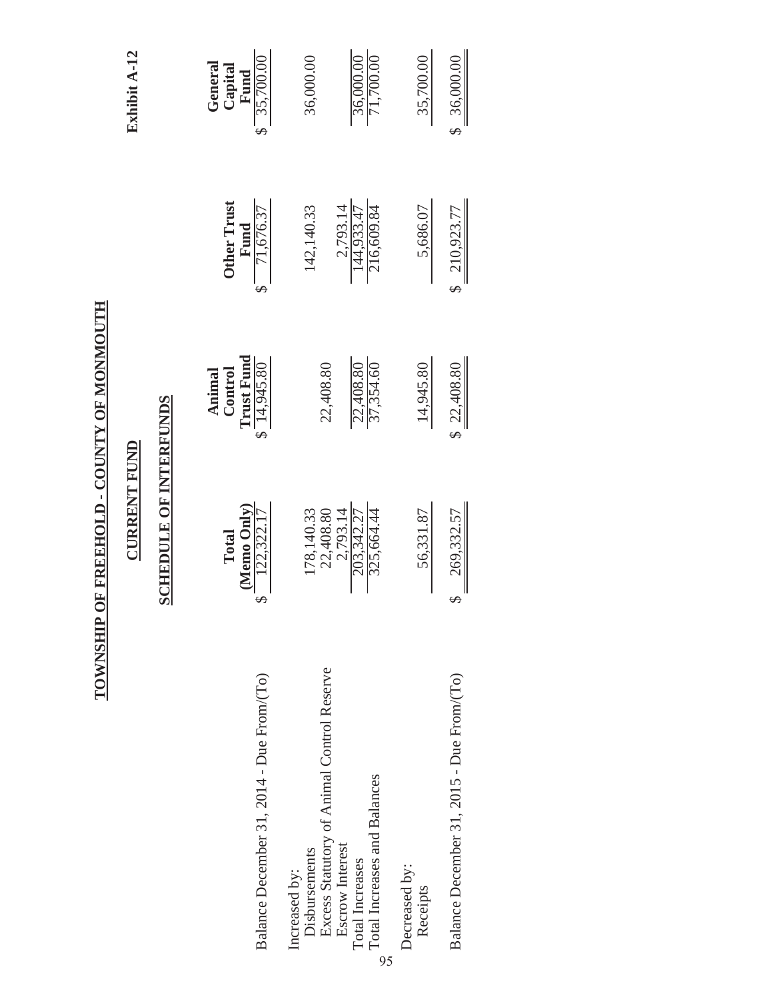|                                                                              | <b>CURRENT FUND</b>                           |                                                              |                                           | Exhibit A-12                              |
|------------------------------------------------------------------------------|-----------------------------------------------|--------------------------------------------------------------|-------------------------------------------|-------------------------------------------|
|                                                                              | <b>SCHEDULE OF INTERFUNDS</b>                 |                                                              |                                           |                                           |
| Balance December 31, 2014 - Due From/(To)                                    | (Memo Only)<br>$\sqrt{$}$ 122,322.17<br>Total | <b>Trust Fund</b><br>$\sqrt{14,945.80}$<br>Control<br>Animal | <b>Other Trust</b><br>\$71,676.37<br>Fund | \$35,700.00<br>General<br>Capital<br>Fund |
| Excess Statutory of Animal Control Reserve<br>Disbursements<br>Increased by: | 178,140.33<br>22,408.80                       | 22,408.80                                                    | 142,140.33                                | 36,000.00                                 |
| Total Increases and Balances<br>Escrow Interest<br>Total Increases<br>95     | 2.793.14<br>325,664.44<br>203,342.27          | 37,354.60<br>22,408.80                                       | 2,793.14<br>144,933.47<br>216,609.84      | $\frac{36,000.00}{71,700.00}$             |
| Decreased by:<br>Receipts                                                    | 56,331.87                                     | 14,945.80                                                    | 5,686.07                                  | 35,700.00                                 |
| Balance December 31, 2015 - Due From/(To)                                    | \$769,332.57                                  | \$22,408.80                                                  | \$210,923.77                              | \$36,000.00                               |

TOWNSHIP OF FREEHOLD - COUNTY OF MONMOUTH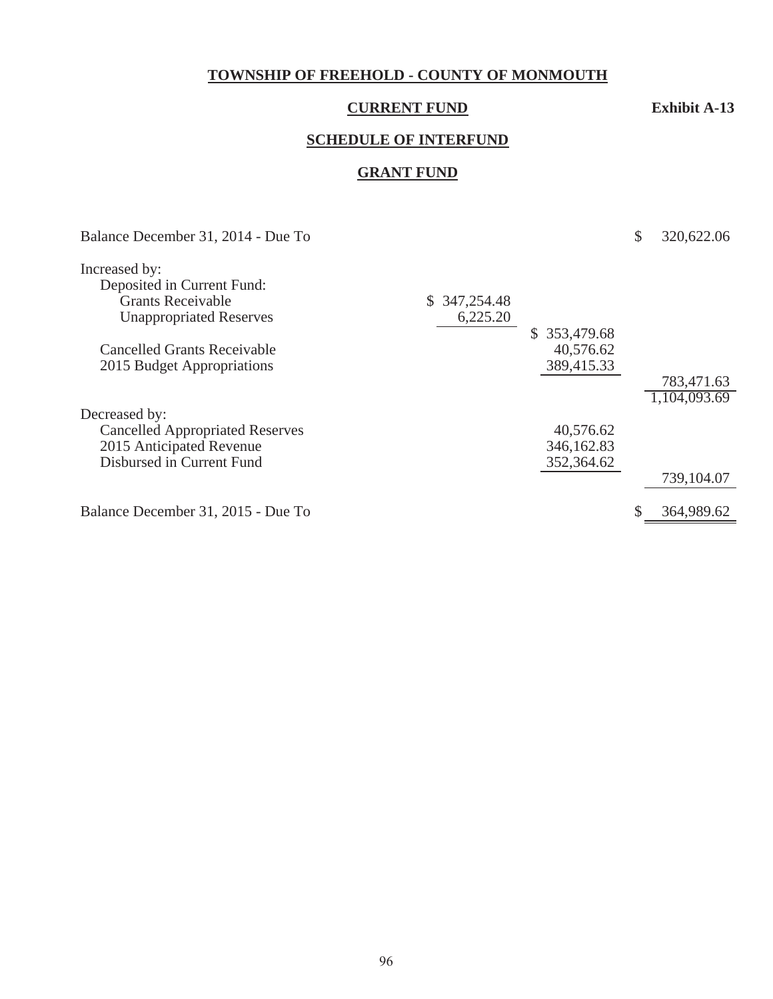### **CURRENT FUND Exhibit A-13**

### **SCHEDULE OF INTERFUND**

### **GRANT FUND**

| Balance December 31, 2014 - Due To     |              |                  | \$<br>320,622.06 |
|----------------------------------------|--------------|------------------|------------------|
| Increased by:                          |              |                  |                  |
| Deposited in Current Fund:             |              |                  |                  |
| <b>Grants Receivable</b>               | \$347,254.48 |                  |                  |
| <b>Unappropriated Reserves</b>         | 6,225.20     |                  |                  |
|                                        |              | 353,479.68<br>S. |                  |
| Cancelled Grants Receivable            |              | 40,576.62        |                  |
| 2015 Budget Appropriations             |              | 389,415.33       |                  |
|                                        |              |                  | 783,471.63       |
|                                        |              |                  | 1,104,093.69     |
| Decreased by:                          |              |                  |                  |
| <b>Cancelled Appropriated Reserves</b> |              | 40,576.62        |                  |
| 2015 Anticipated Revenue               |              | 346,162.83       |                  |
| Disbursed in Current Fund              |              | 352,364.62       |                  |
|                                        |              |                  | 739,104.07       |
|                                        |              |                  |                  |
| Balance December 31, 2015 - Due To     |              |                  | 364,989.62       |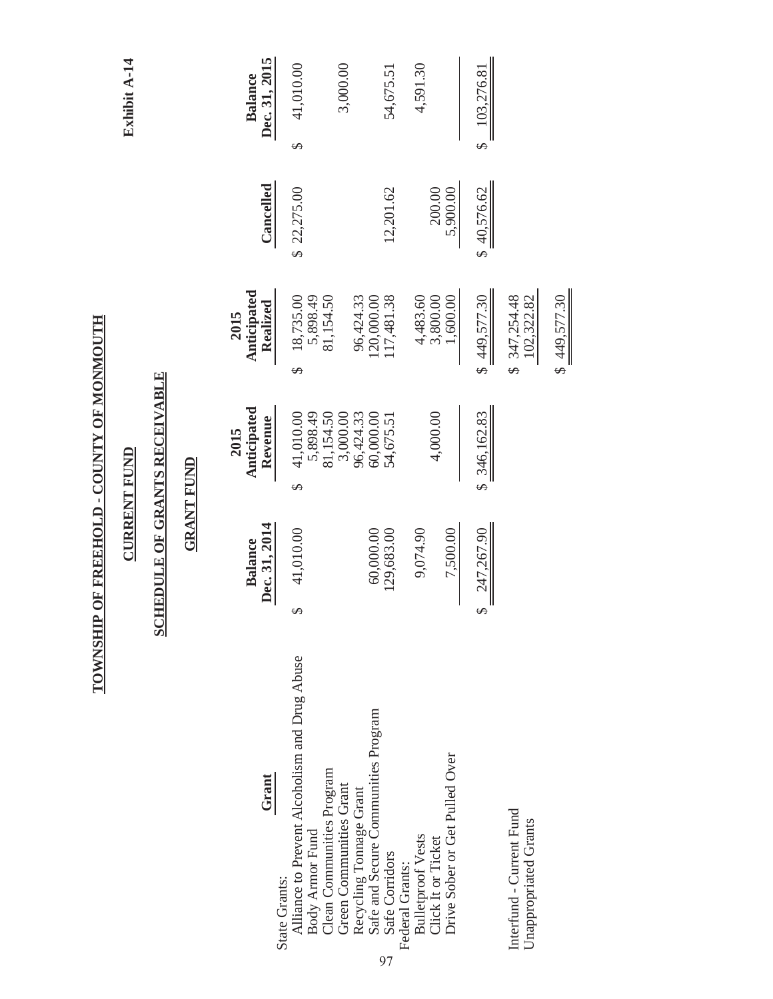# **CURRENT FUND Exhibit A-14 CURRENT FUND**

Exhibit A-14

### **SCHEDULE OF GRANTS RECEIVABLE SCHEDULE OF GRANTS RECEIVABLE**

### **GRANT FUND GRANT FUND**

|                                                          |                | 2015         | 2015                       |             |                |
|----------------------------------------------------------|----------------|--------------|----------------------------|-------------|----------------|
|                                                          | <b>Balance</b> | Anticipated  | Anticipated                |             | <b>Balance</b> |
| Grant                                                    | Dec. 31, 2014  | Revenue      | Realized                   | Cancelled   | Dec. 31, 2015  |
| State Grants:                                            |                |              |                            |             |                |
| Alliance to Prevent Alcoholism and Drug Abuse            | 41,010.00      | 41,010.00    | 18,735.00                  | \$22,275.00 | 41,010.00<br>∽ |
| Body Armor Fund                                          |                | 5,898.49     | 5,898.49                   |             |                |
| Clean Communities Program                                |                | 81,154.50    | 81,154.50                  |             |                |
| Green Communities Grant                                  |                | 3,000.00     |                            |             | 3,000.00       |
| Recycling Tonnage Grant                                  |                | 96,424.33    | 96,424.33                  |             |                |
| Safe and Secure Communities Program                      | 60,000.00      | 60,000.00    |                            |             |                |
| Safe Corridors<br>97                                     | 129,683.00     | 54,675.51    | 120,000.00<br>117,481.38   | 12,201.62   | 54,675.51      |
| Federal Grants:                                          |                |              |                            |             |                |
| <b>Bulletproof Vests</b><br>Click It or Ticket           | 9,074.90       |              | 4,483.60                   |             | 4,591.30       |
|                                                          |                | 4,000.00     | 3,800.00                   | 200.00      |                |
| Drive Sober or Get Pulled Over                           | 7,500.00       |              | 1,600.00                   | 5,900.00    |                |
|                                                          |                |              |                            |             |                |
|                                                          | 247,267.90     | \$346,162.83 | \$449,577.30               | \$40,576.62 | \$103,276.81   |
|                                                          |                |              |                            |             |                |
| Interfund - Current Fund<br><b>Unappropriated Grants</b> |                |              | \$347,254.48<br>102,322.82 |             |                |
|                                                          |                |              |                            |             |                |
|                                                          |                |              | \$449,577.30               |             |                |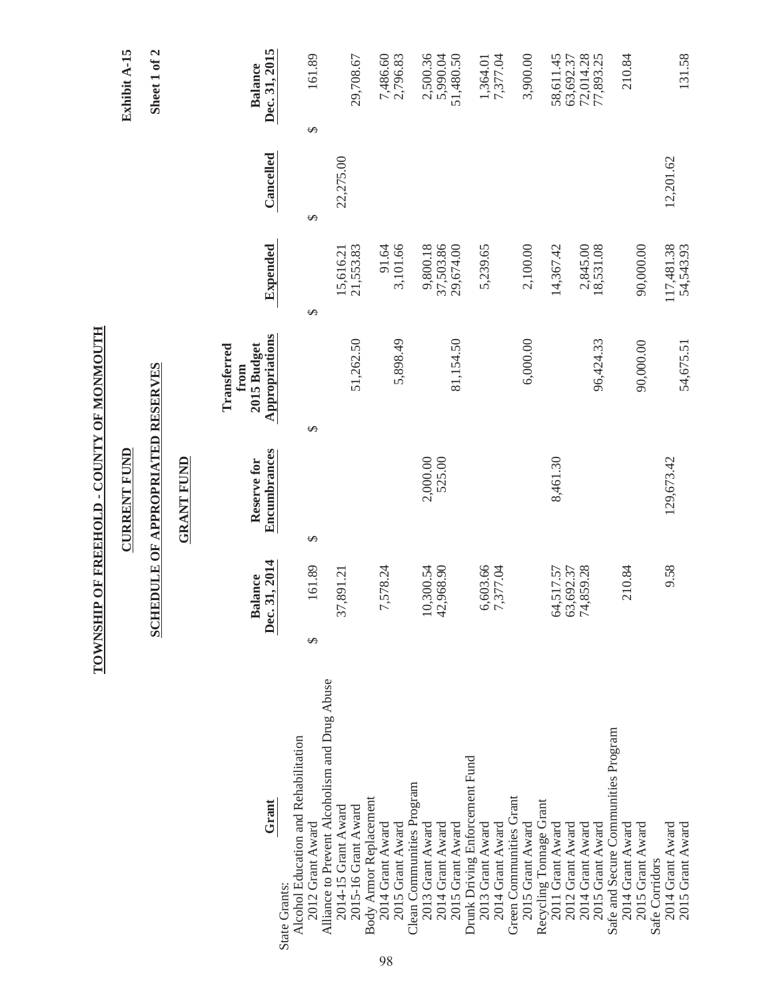|                                                                      | TOWNSHIP OF FREEHOLD - COUNTY OF MONMOUTH |                                          |                               |                         |           |                                 |
|----------------------------------------------------------------------|-------------------------------------------|------------------------------------------|-------------------------------|-------------------------|-----------|---------------------------------|
|                                                                      |                                           | <b>CURRENT FUND</b>                      |                               |                         |           | Exhibit A-15                    |
|                                                                      |                                           | <b>SCHEDULE OF APPROPRIATED RESERVES</b> |                               |                         |           | Sheet 1 of 2                    |
|                                                                      |                                           | <b>GRANT FUND</b>                        |                               |                         |           |                                 |
|                                                                      |                                           |                                          | Transferred<br>from           |                         |           |                                 |
| Grant                                                                | Dec. 31, 2014<br><b>Balance</b>           | Encumbrances<br>Reserve for              | Appropriations<br>2015 Budget | Expended                | Cancelled | Dec. 31, 2015<br><b>Balance</b> |
| Alcohol Education and Rehabilitation<br>State Grants:                |                                           |                                          |                               |                         |           |                                 |
| 2012 Grant Award                                                     | 161.89<br>↮                               | $\Theta$                                 | ↔                             | ↮                       | $\Theta$  | 161.89<br>↮                     |
| Alliance to Prevent Alcoholism and Drug Abuse<br>2014-15 Grant Award | 37,891.21                                 |                                          |                               |                         | 22,275.00 |                                 |
| 2015-16 Grant Award                                                  |                                           |                                          | 51,262.50                     | 15,616.21<br>21,553.83  |           | 29,708.67                       |
| Body Armor Replacement                                               |                                           |                                          |                               |                         |           |                                 |
| 2014 Grant Award<br>2015 Grant Award                                 | 7,578.24                                  |                                          | 5,898.49                      | 3,101.66<br>91.64       |           | 7,486.60<br>2,796.83            |
| Clean Communities Program                                            |                                           |                                          |                               |                         |           |                                 |
| 2014 Grant Award<br>2013 Grant Award                                 | 10,300.54<br>42,968.90                    | 525.00<br>2,000.00                       |                               | 37,503.86<br>9,800.18   |           | 2,500.36<br>5,990.04            |
| 2015 Grant Award                                                     |                                           |                                          | 81,154.50                     | 29,674.00               |           | 51,480.50                       |
| Drunk Driving Enforcement Fund                                       |                                           |                                          |                               |                         |           |                                 |
| 2013 Grant Award                                                     | 6,603.66<br>7,377.04                      |                                          |                               | 5,239.65                |           | 1,364.01<br>7,377.04            |
| Green Communities Grant<br>2014 Grant Award                          |                                           |                                          |                               |                         |           |                                 |
| 2015 Grant Award                                                     |                                           |                                          | 6,000.00                      | 2,100.00                |           | 3,900.00                        |
| Recycling Tonnage Grant                                              |                                           |                                          |                               |                         |           |                                 |
| 2011 Grant Award                                                     | 64,517.57                                 | 8,461.30                                 |                               | 14,367.42               |           | 58,611.45                       |
| 2012 Grant Award                                                     | 63,692.37<br>74,859.28                    |                                          |                               |                         |           | 63,692.37                       |
| 2015 Grant Award<br>2014 Grant Award                                 |                                           |                                          | 96,424.33                     | 2,845.00<br>18,531.08   |           | 72,014.28<br>77,893.25          |
| Safe and Secure Communities Program                                  |                                           |                                          |                               |                         |           |                                 |
| 2014 Grant Award                                                     | 210.84                                    |                                          |                               |                         |           | 210.84                          |
| 2015 Grant Award                                                     |                                           |                                          | 90,000.00                     | 90,000.00               |           |                                 |
| Safe Corridors                                                       |                                           |                                          |                               |                         |           |                                 |
| 2014 Grant Award<br>2015 Grant Award                                 | 9.58                                      | 129,673.42                               | 54,675.51                     | 117,481.38<br>54,543.93 | 12,201.62 | 131.58                          |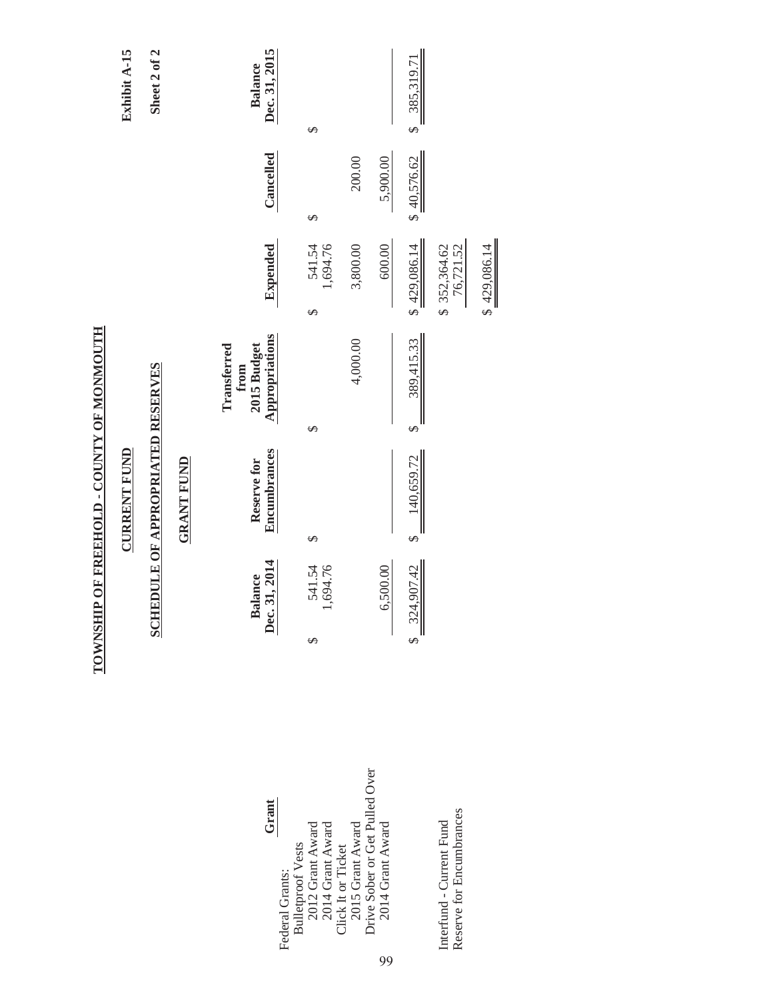|                                                                                                     | <b>TOWNSHIP OF FREEHOLD - COUNTY OF MONMOUTH</b> |                                          |                                                      |                           |                    |                                 |
|-----------------------------------------------------------------------------------------------------|--------------------------------------------------|------------------------------------------|------------------------------------------------------|---------------------------|--------------------|---------------------------------|
|                                                                                                     |                                                  | <b>CURRENT FUND</b>                      |                                                      |                           |                    | Exhibit A-15                    |
|                                                                                                     |                                                  | <b>SCHEDULE OF APPROPRIATED RESERVES</b> |                                                      |                           |                    | Sheet 2 of 2                    |
|                                                                                                     |                                                  | <b>GRANT FUND</b>                        |                                                      |                           |                    |                                 |
| Grant<br>Federal Grants:                                                                            | Dec. 31, 2014<br><b>Balance</b>                  | Encumbrances<br>Reserve for              | Appropriations<br>Transferred<br>2015 Budget<br>from | Expended                  | Cancelled          | Dec. 31, 2015<br><b>Balance</b> |
| Bulletproof Vests<br>2012 Grant Award<br>2014 Grant Award<br>Click It or Ticket<br>2015 Grant Award | 541.54<br>,694.76<br>∽                           | ↔                                        | ∽                                                    | 541.54<br>1,694.76<br>∽   | ∽                  | S                               |
| Drive Sober or Get Pulled Over<br>2014 Grant Award                                                  | 6,500.00                                         |                                          | 4,000.00                                             | 600.00<br>3,800.00        | 5,900.00<br>200.00 |                                 |
|                                                                                                     | 324,907.42<br>S                                  | $\frac{$140,659.72}{2}$                  | 389,415.33<br>↮                                      | \$429,086.14              | \$40,576.62        | \$385,319.71                    |
| Reserve for Encumbrances<br>Interfund - Current Fund                                                |                                                  |                                          |                                                      | 76,721.52<br>\$352,364.62 |                    |                                 |
|                                                                                                     |                                                  |                                          |                                                      | \$429,086.14              |                    |                                 |

Federal Grants: Bulletproof Vests Click It or Ticket Drive Sober or Get Pulled Over Federal Grants:<br>
Bulletproof Vests<br>
2012 Grant Award<br>
2014 Grant Award<br>
Click It or Ticket<br>
2015 Grant Award<br>
Drive Sober or Get Pulled Over<br>
2014 Grant Award<br>
2014 Grant Award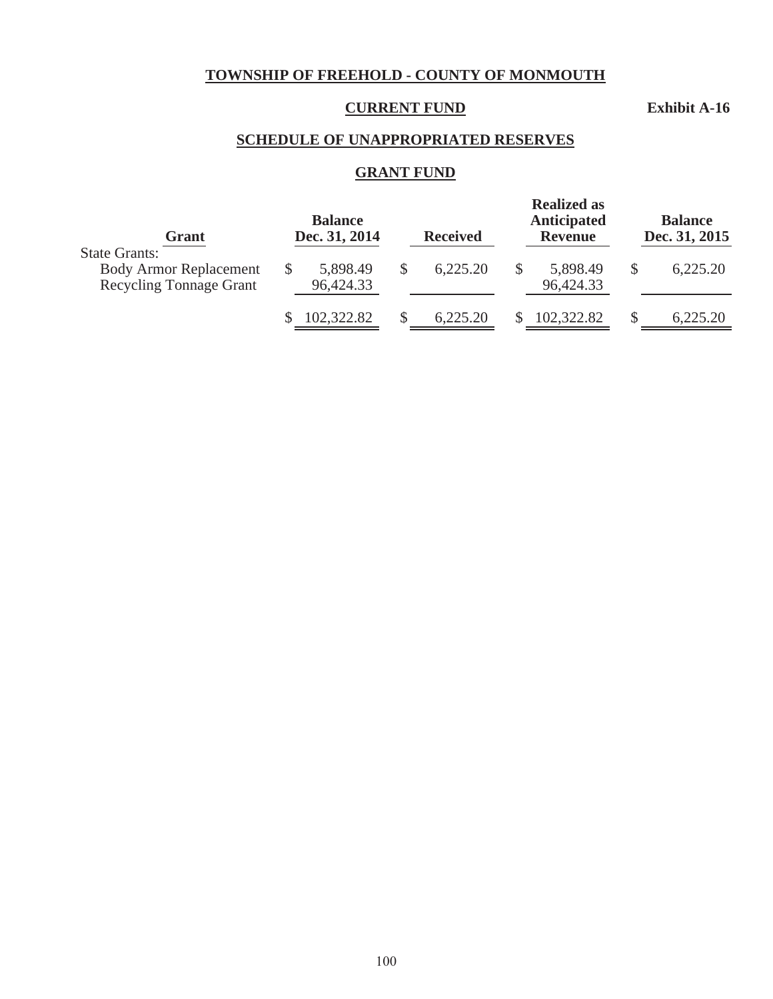### **CURRENT FUND Exhibit A-16**

### **SCHEDULE OF UNAPPROPRIATED RESERVES**

### **GRANT FUND**

| Grant<br><b>State Grants:</b>                                   | <b>Balance</b><br>Dec. 31, 2014 | <b>Received</b> | <b>Realized as</b><br><b>Anticipated</b><br><b>Revenue</b> | <b>Balance</b><br>Dec. 31, 2015 |
|-----------------------------------------------------------------|---------------------------------|-----------------|------------------------------------------------------------|---------------------------------|
| <b>Body Armor Replacement</b><br><b>Recycling Tonnage Grant</b> | 5,898.49<br>96,424.33           | 6,225.20        | \$<br>5,898.49<br>96,424.33                                | 6,225.20                        |
|                                                                 | 102,322.82                      | 6,225.20        | 102,322.82                                                 | 6,225.20                        |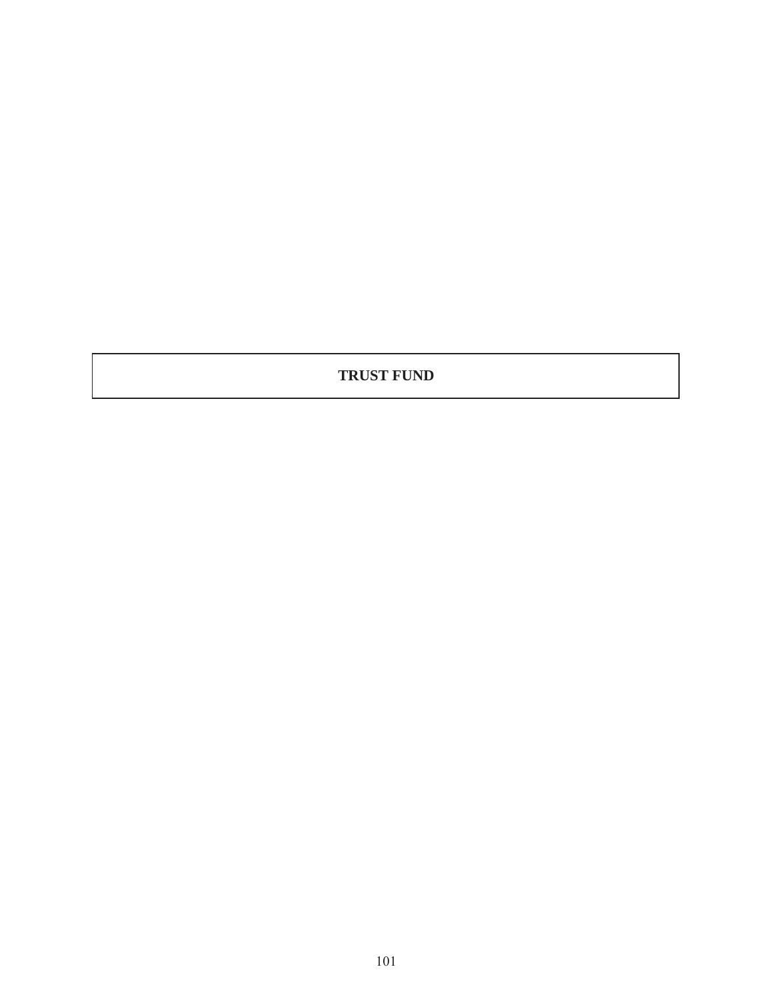**TRUST FUND**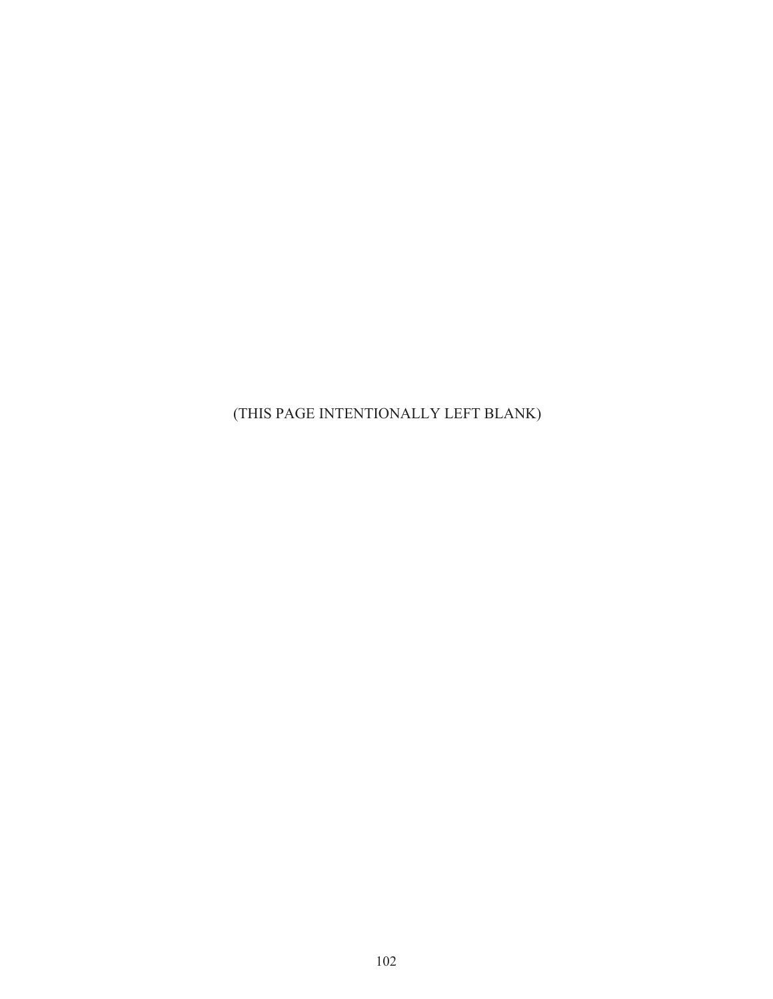(THIS PAGE INTENTIONALLY LEFT BLANK)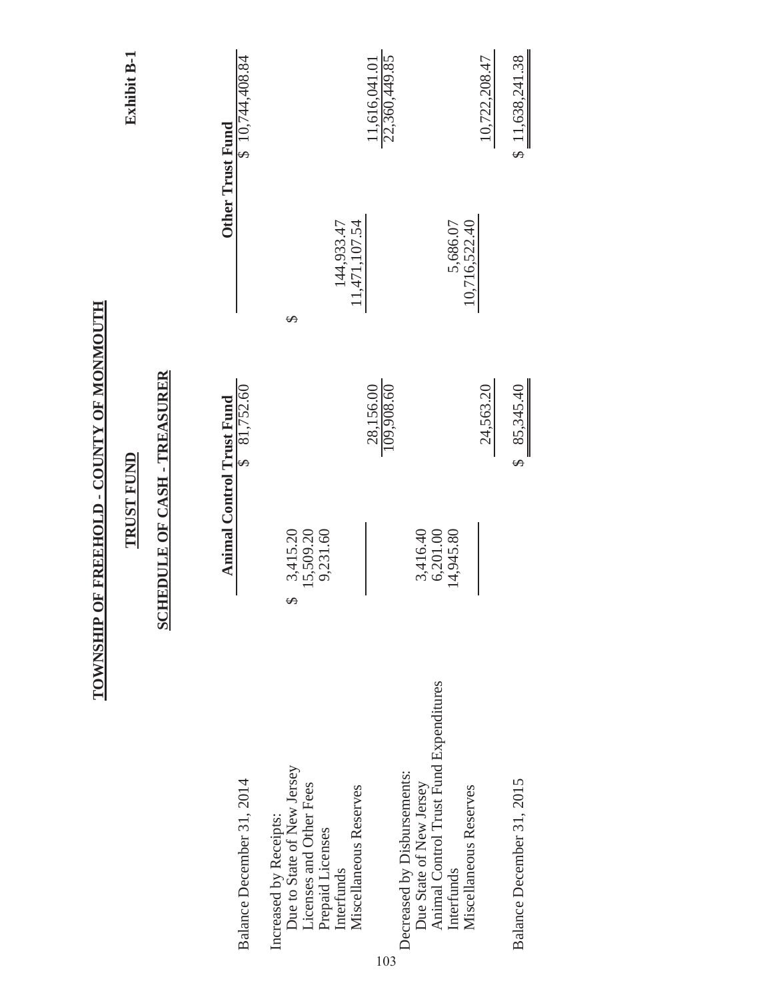|                                  | <b>Exhibit B-1</b> |                                     | \$10,744,408.84<br>Other Trust Fund             |                                                                                                                                             | 11,616,041.01<br>22,360,449.85                                                                          | 10,722,208.47                        | \$11,638,241.38           |
|----------------------------------|--------------------|-------------------------------------|-------------------------------------------------|---------------------------------------------------------------------------------------------------------------------------------------------|---------------------------------------------------------------------------------------------------------|--------------------------------------|---------------------------|
|                                  |                    |                                     |                                                 | 11,471,107.54<br>144,933.47<br>∽                                                                                                            |                                                                                                         | 10,716,522.40<br>5,686.07            |                           |
| OF FREEHOLD - COUNTY OF MONMOUTH | <b>TRUST FUND</b>  | <b>SCHEDULE OF CASH - TREASURER</b> | \$81,752.60<br><b>Animal Control Trust Fund</b> |                                                                                                                                             | 109,908.60<br>28,156.00                                                                                 | 24,563.20                            | \$85,345.40               |
| TOWNSHIP                         |                    |                                     |                                                 | 3,415.20<br>15,509.20<br>9,231.60<br>$\leftrightarrow$                                                                                      | 3,416.40<br>6,201.00                                                                                    | 14,945.80                            |                           |
|                                  |                    |                                     | Balance December 31, 2014                       | Due to State of New Jersey<br>Licenses and Other Fees<br>Miscellaneous Reserves<br>Increased by Receipts:<br>Prepaid Licenses<br>Interfunds | Due State of New Jersey<br>Animal Control Trust Fund Expenditures<br>Decreased by Disbursements:<br>103 | Miscellaneous Reserves<br>Interfunds | Balance December 31, 2015 |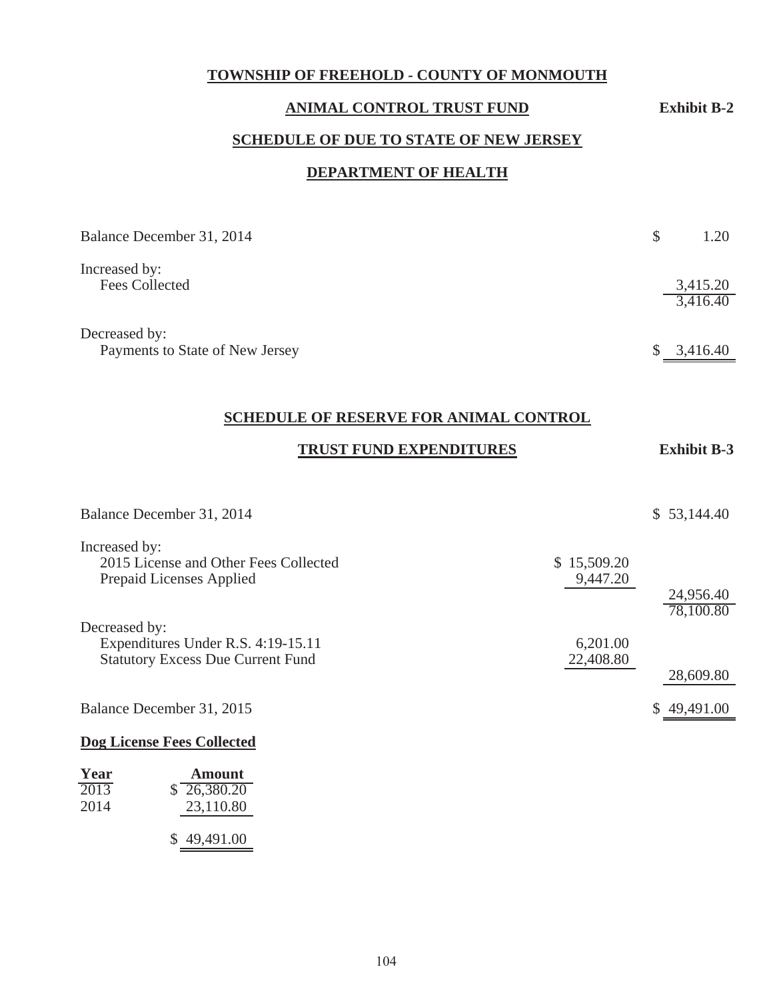## **ANIMAL CONTROL TRUST FUND Exhibit B-2**

## **SCHEDULE OF DUE TO STATE OF NEW JERSEY**

## **DEPARTMENT OF HEALTH**

| Balance December 31, 2014<br>$\mathcal{S}$ | 1.20     |
|--------------------------------------------|----------|
| Increased by:<br><b>Fees Collected</b>     | 3,415.20 |
|                                            | 3,416.40 |
| Decreased by:                              |          |
| Payments to State of New Jersey<br>\$      | 3,416.40 |

### **SCHEDULE OF RESERVE FOR ANIMAL CONTROL**

| TRUST FUND EXPENDITURES                                                                         |                         | <b>Exhibit B-3</b>     |
|-------------------------------------------------------------------------------------------------|-------------------------|------------------------|
| Balance December 31, 2014                                                                       |                         | \$53,144.40            |
| Increased by:<br>2015 License and Other Fees Collected<br><b>Prepaid Licenses Applied</b>       | \$15,509.20<br>9,447.20 | 24,956.40<br>78,100.80 |
| Decreased by:<br>Expenditures Under R.S. 4:19-15.11<br><b>Statutory Excess Due Current Fund</b> | 6,201.00<br>22,408.80   | 28,609.80              |
| Balance December 31, 2015                                                                       |                         | \$49,491.00            |

## **Dog License Fees Collected**

| Year | <b>Amount</b>      |
|------|--------------------|
| 2013 | $\sqrt{26,380.20}$ |
| 2014 | 23,110.80          |
|      | \$49,491.00        |
|      |                    |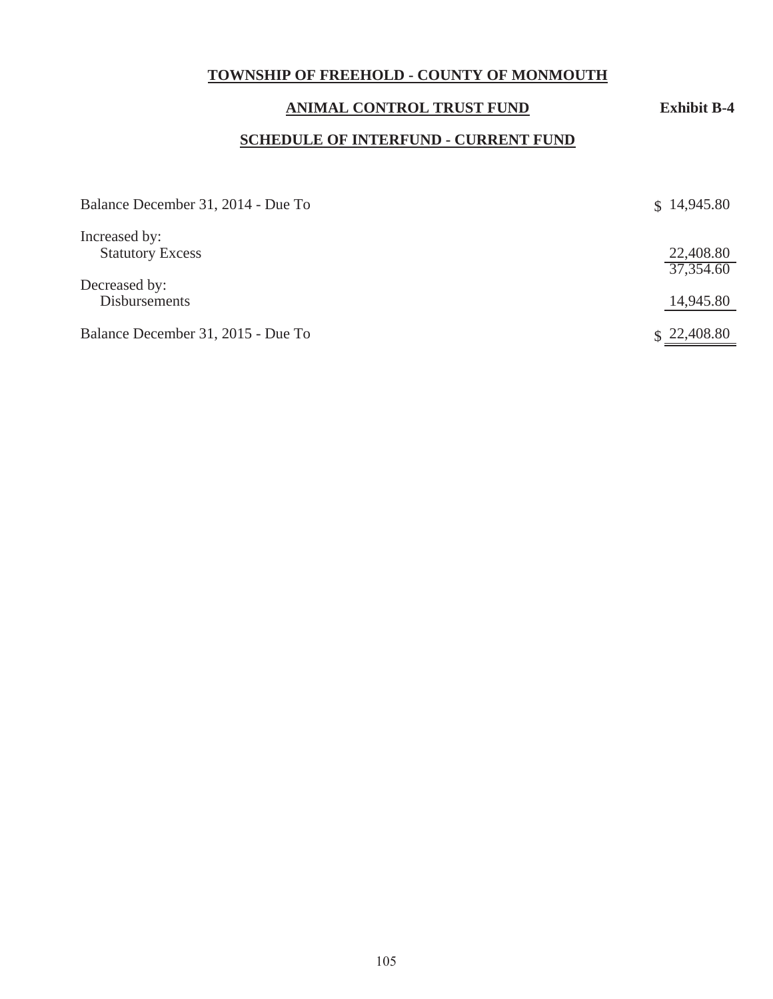## **ANIMAL CONTROL TRUST FUND Exhibit B-4**

## **SCHEDULE OF INTERFUND - CURRENT FUND**

| Balance December 31, 2014 - Due To | \$14,945.80 |
|------------------------------------|-------------|
| Increased by:                      |             |
| <b>Statutory Excess</b>            | 22,408.80   |
|                                    | 37,354.60   |
| Decreased by:                      |             |
| <b>Disbursements</b>               | 14,945.80   |
|                                    |             |
| Balance December 31, 2015 - Due To | \$22,408.80 |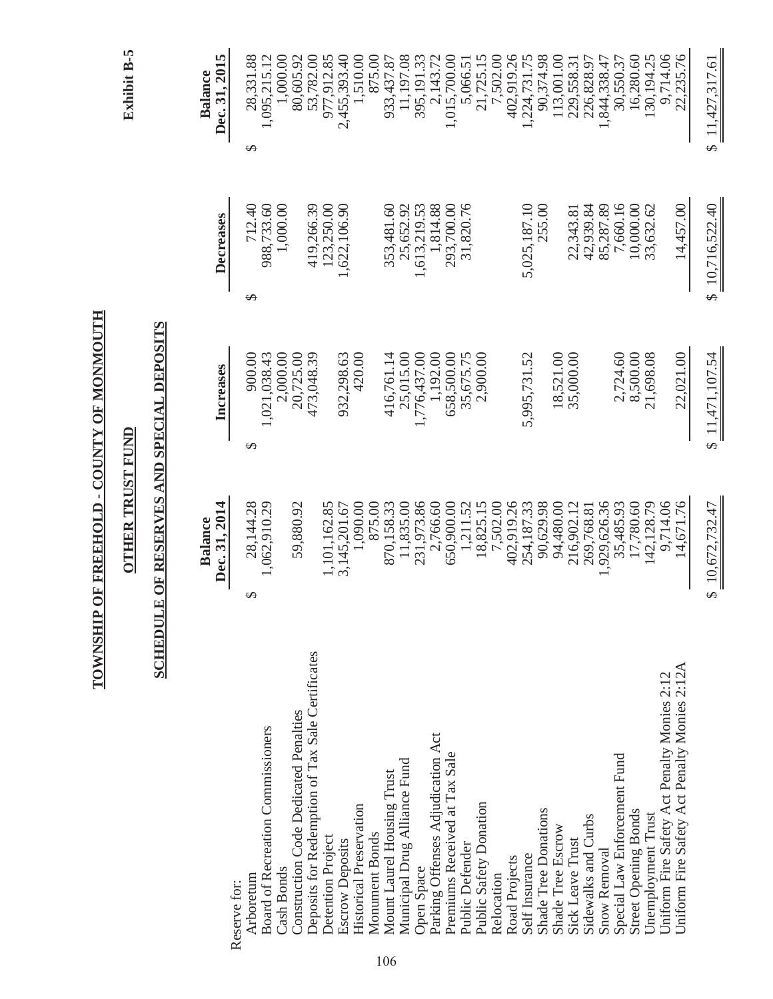## **OTHER TRUST FUND Exhibit B-5 OTHER TRUST FUND**

Exhibit B-5

## **SCHEDULE OF RESERVES AND SPECIAL DEPOSITS SCHEDULE OF RESERVES AND SPECIAL DEPOSITS**

|                                                  | Dec. 31, 2014<br><b>Balance</b> | Increases       | Decreases       | Dec. 31, 2015<br><b>Balance</b> |
|--------------------------------------------------|---------------------------------|-----------------|-----------------|---------------------------------|
| Arboretum<br>Reserve for:                        | 28,144.28<br>∽                  | 900.00<br>↔     | 712.40<br>↮     | 28,331.88<br>↔                  |
| <b>Board of Recreation Commissioners</b>         | 1,062,910.29                    | 1,021,038.43    | 988,733.60      | 1,095,215.12                    |
| Cash Bonds                                       |                                 | 2,000.00        | 1,000.00        | 1,000.00                        |
| <b>Construction Code Dedicated Penalties</b>     | 59,880.92                       | 20,725.00       |                 | 80,605.92                       |
| Deposits for Redemption of Tax Sale Certificates |                                 | 473,048.39      | 419,266.39      | 53,782.00                       |
| Detention Project                                | 1,01,162.85                     |                 | 123,250.00      | 977,912.85                      |
| <b>Escrow Deposits</b>                           | 3,145,201.67                    | 932,298.63      | 1,622,106.90    | 2,455,393.40                    |
| Historical Preservation                          | 1,090.00                        | 420.00          |                 | 1,510.00                        |
| Monument Bonds                                   | 875.00                          |                 |                 | 875.00                          |
| Mount Laurel Housing Trust                       | 870,158.33                      | 416,761.14      | 353,481.60      | 933,437.87                      |
| Municipal Drug Alliance Fund                     | 11,835.00                       | 25,015.00       | 25,652.92       | 11,197.08                       |
| Open Space                                       | 231,973.86                      | 1,776,437.00    | .,613,219.53    | 395,191.33                      |
| Parking Offenses Adjudication Act                | 2,766.60                        | 1,192.00        | 1,814.88        | 2,143.72                        |
| Premiums Received at Tax Sale                    | 650,900.00                      | 658,500.00      | 293,700.00      | 1,015,700.00                    |
| Public Defender                                  | 1,211.52                        | 35,675.75       | 31,820.76       | 5,066.51                        |
| Public Safety Donation                           | 18,825.15                       | 2,900.00        |                 | 21,725.15                       |
| Relocation                                       | 7,502.00                        |                 |                 | 7,502.00                        |
| Road Projects                                    | 402,919.26                      |                 |                 | 402,919.26                      |
| Self Insurance                                   | 254,187.33                      | 5,995,731.52    | 5,025,187.10    | 1,224,731.75                    |
| Shade Tree Donations                             | 90,629.98                       |                 | 255.00          | 90,374.98                       |
| Shade Tree Escrow                                | 94,480.00                       | 18,521.00       |                 | 113,001.00                      |
| Sick Leave Trust                                 | 216,902.12                      | 35,000.00       | 22,343.81       | 229,558.31                      |
| Sidewalks and Curbs                              | 269,768.81                      |                 | 42,939.84       | 226,828.97                      |
| Snow Removal                                     | 1,929,626.36                    |                 | 85,287.89       | 1,844,338.47                    |
| Special Law Enforcement Fund                     | 35,485.93                       | 2,724.60        | 7,660.16        | 30,550.37                       |
| <b>Street Opening Bonds</b>                      | 17,780.60                       | 8,500.00        | 10,000.00       | 16,280.60                       |
| <b>Jnemployment Trust</b>                        | 142, 128.79                     | 21,698.08       | 33,632.62       | 130,194.25                      |
| Jniform Fire Safety Act Penalty Monies 2:12      | 9,714.06                        |                 |                 | 9,714.06                        |
| Uniform Fire Safety Act Penalty Monies 2:12A     | 14,671.76                       | 22,021.00       | 14,457.00       | 22,235.76                       |
|                                                  | \$10,672,732.47                 | \$11,471,107.54 | \$10,716,522.40 | \$11,427,317.61                 |
|                                                  |                                 |                 |                 |                                 |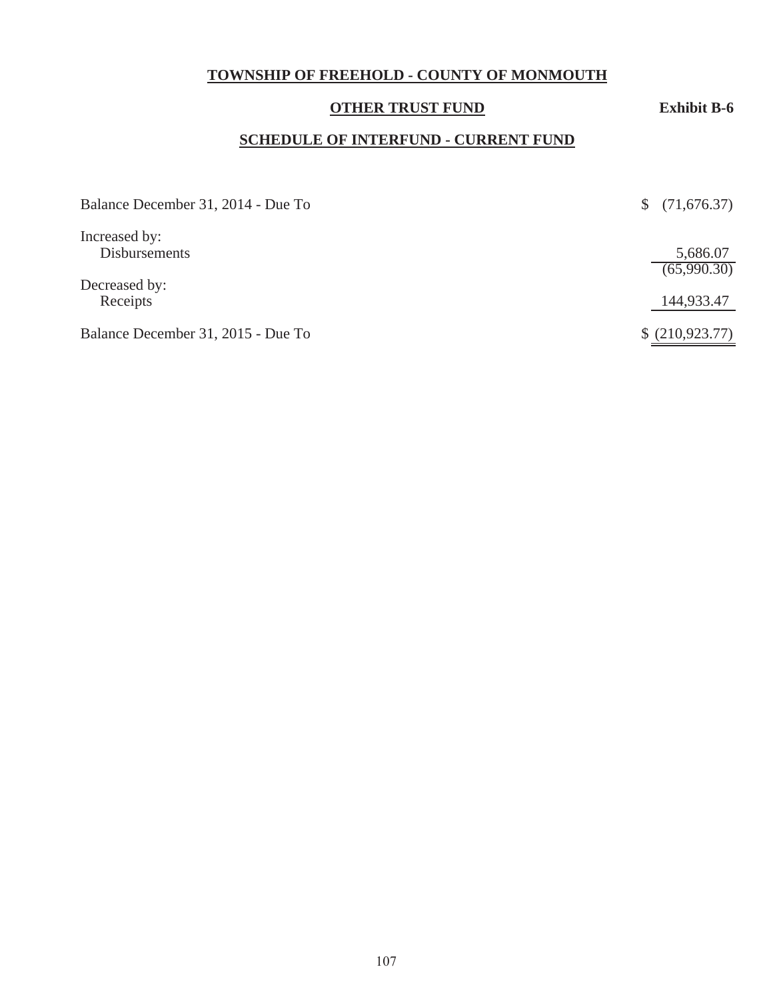## **OTHER TRUST FUND Exhibit B-6**

## **SCHEDULE OF INTERFUND - CURRENT FUND**

| Balance December 31, 2014 - Due To    | (71,676.37)             |
|---------------------------------------|-------------------------|
| Increased by:<br><b>Disbursements</b> | 5,686.07<br>(65,990.30) |
| Decreased by:<br>Receipts             | 144,933.47              |
| Balance December 31, 2015 - Due To    | \$ (210,923.77)         |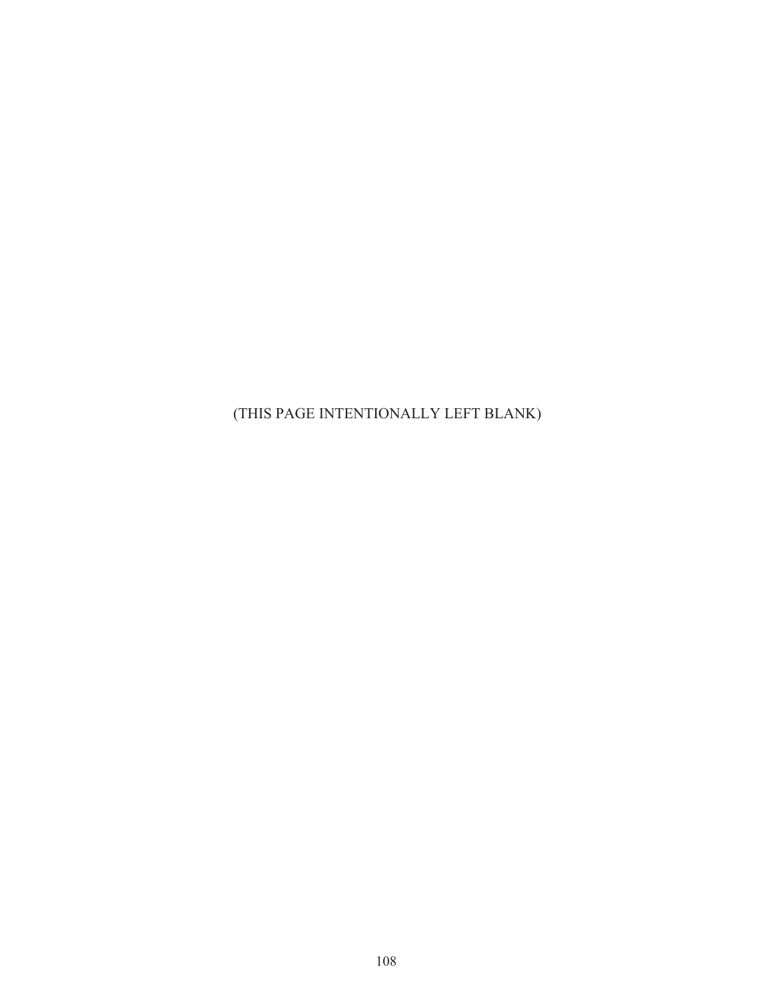(THIS PAGE INTENTIONALLY LEFT BLANK)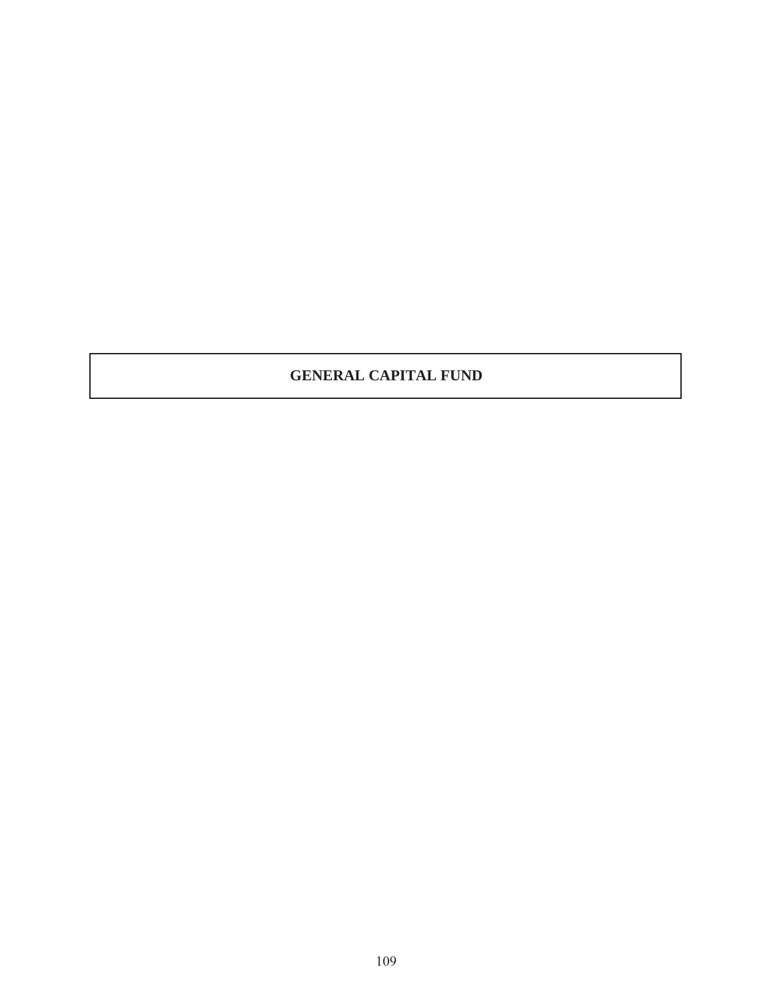## **GENERAL CAPITAL FUND**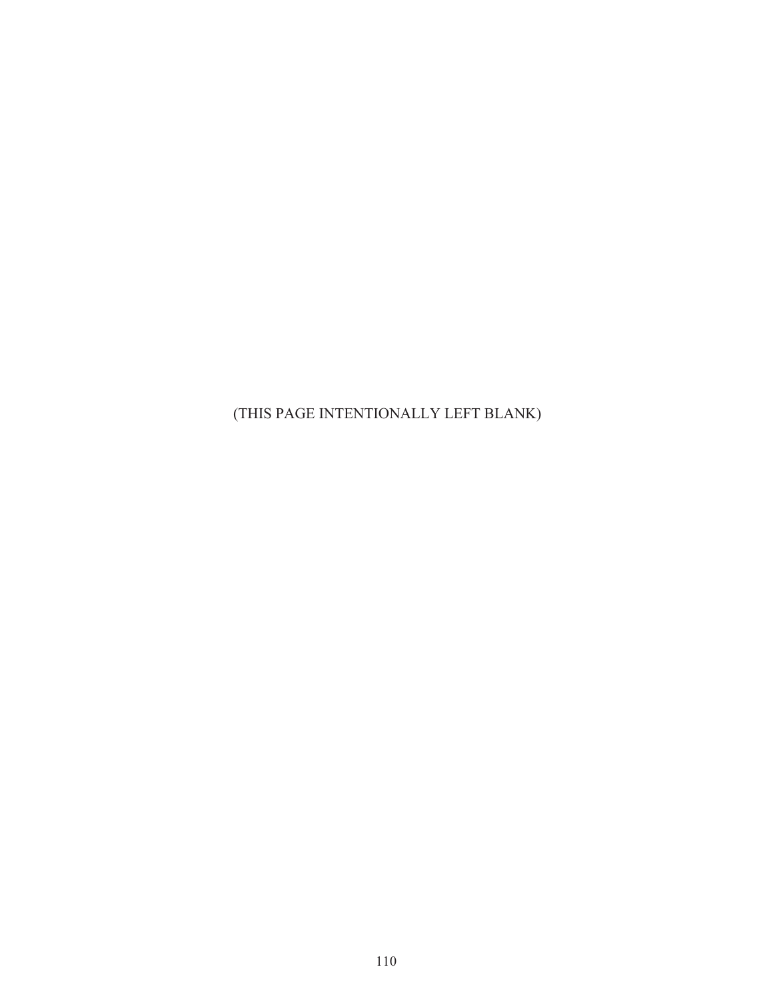(THIS PAGE INTENTIONALLY LEFT BLANK)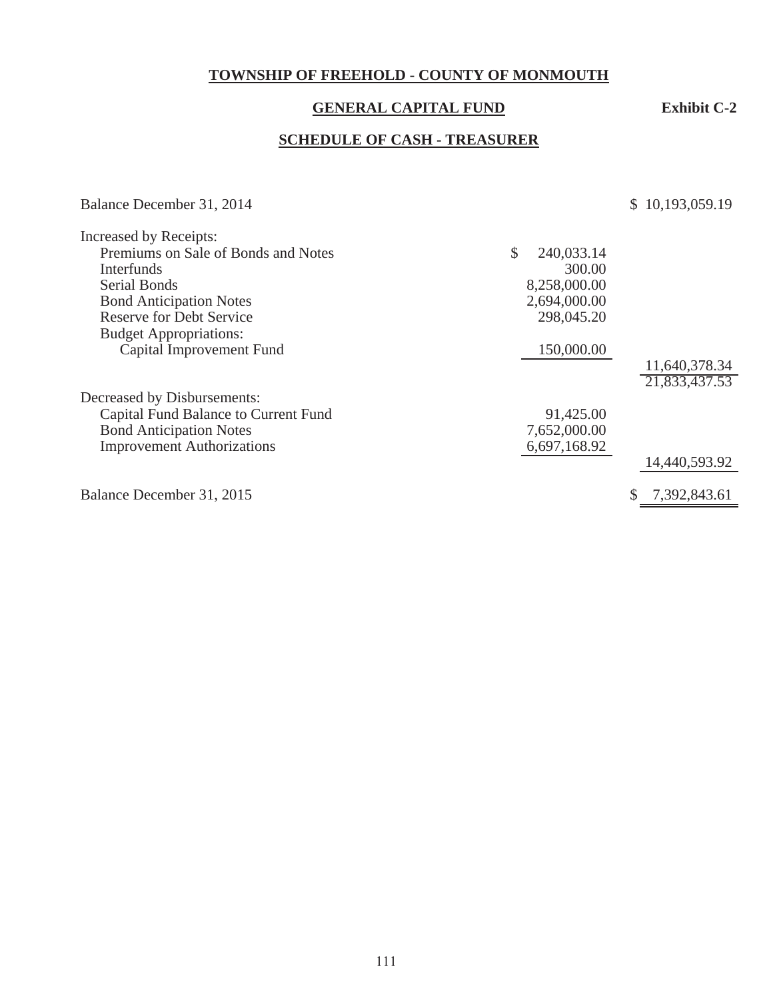## **GENERAL CAPITAL FUND Exhibit C-2**

## **SCHEDULE OF CASH - TREASURER**

| Balance December 31, 2014            |                  | 10,193,059.19 |
|--------------------------------------|------------------|---------------|
| Increased by Receipts:               |                  |               |
| Premiums on Sale of Bonds and Notes  | \$<br>240,033.14 |               |
| Interfunds                           | 300.00           |               |
| Serial Bonds                         | 8,258,000.00     |               |
| <b>Bond Anticipation Notes</b>       | 2,694,000.00     |               |
| <b>Reserve for Debt Service</b>      | 298,045.20       |               |
| <b>Budget Appropriations:</b>        |                  |               |
| Capital Improvement Fund             | 150,000.00       |               |
|                                      |                  | 11,640,378.34 |
|                                      |                  | 21,833,437.53 |
| Decreased by Disbursements:          |                  |               |
| Capital Fund Balance to Current Fund | 91,425.00        |               |
| <b>Bond Anticipation Notes</b>       | 7,652,000.00     |               |
| <b>Improvement Authorizations</b>    | 6,697,168.92     |               |
|                                      |                  | 14,440,593.92 |
| Balance December 31, 2015            |                  | 7,392,843.61  |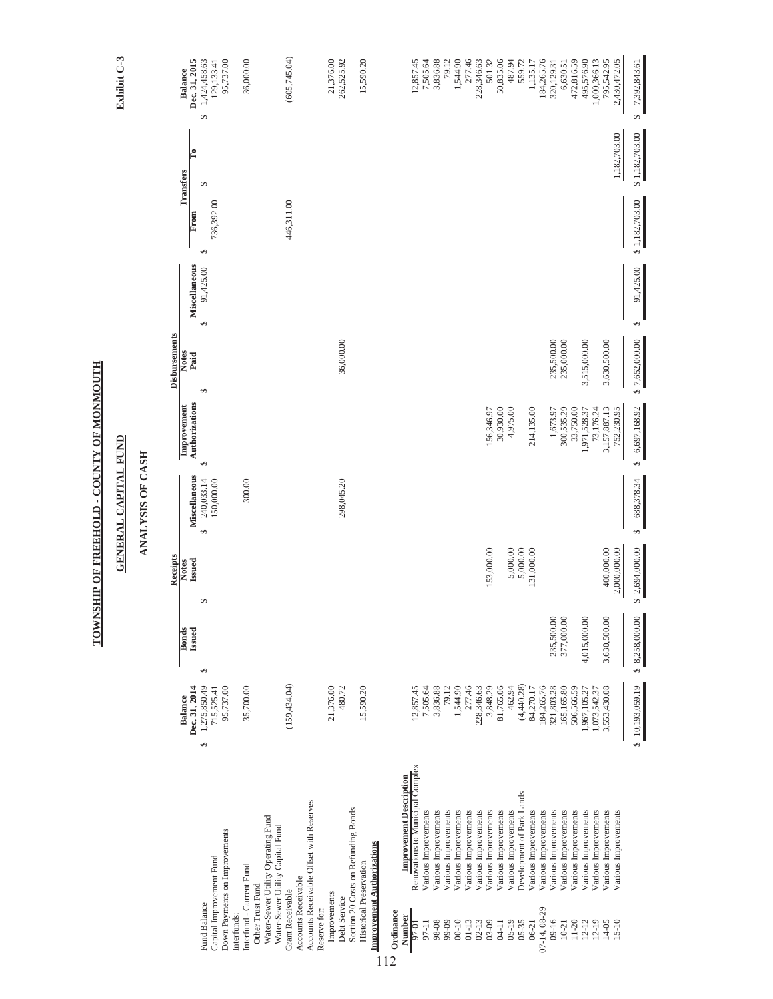| Exhibit C-3                 |                         | Balance                              | Dec. 31, 2015<br>1,424,458.63<br>129,133.41<br>٠ | 36,000.00<br>95,737.00                                                   | (605,745.04)                                                           |                                          | 21,376.00<br>262,525.92                      | 15,590.20                                                    | 3,836.88<br>277.46<br>50,835.06<br>184,265.76<br>472,816.59<br>1,000,366.13<br>12,857.45<br>7,505.64<br>79.12<br>1,544.90<br>228,346.63<br>501.32<br>487.94<br>559.72<br>495,576.90<br>1,135.17<br>6,630.51<br>320, 129.31                                                                                                                                                                                                                                                                      | 795,542.95<br>2,430,472.05                   | 7,392,843.61<br>↔  |
|-----------------------------|-------------------------|--------------------------------------|--------------------------------------------------|--------------------------------------------------------------------------|------------------------------------------------------------------------|------------------------------------------|----------------------------------------------|--------------------------------------------------------------|-------------------------------------------------------------------------------------------------------------------------------------------------------------------------------------------------------------------------------------------------------------------------------------------------------------------------------------------------------------------------------------------------------------------------------------------------------------------------------------------------|----------------------------------------------|--------------------|
|                             |                         | Transfers                            | $\mathsf{F}^{\circ}$                             |                                                                          |                                                                        |                                          |                                              |                                                              |                                                                                                                                                                                                                                                                                                                                                                                                                                                                                                 | 1,182,703.00                                 | \$1,182,703.00     |
|                             |                         |                                      | 736,392.00<br>From<br>↔                          |                                                                          | 446,311.00                                                             |                                          |                                              |                                                              |                                                                                                                                                                                                                                                                                                                                                                                                                                                                                                 |                                              | \$1,182,703.00     |
|                             |                         |                                      | Miscellaneous<br>91,425.00<br>↔                  |                                                                          |                                                                        |                                          |                                              |                                                              |                                                                                                                                                                                                                                                                                                                                                                                                                                                                                                 |                                              | 91,425.00<br>↔     |
|                             |                         | <b>Disbursements</b><br><b>Notes</b> | Paid<br>÷.                                       |                                                                          |                                                                        |                                          | 36,000.00                                    |                                                              | 235,500.00<br>235,000.00<br>3,515,000.00                                                                                                                                                                                                                                                                                                                                                                                                                                                        | 3,630,500.00                                 | \$7,652,000.00     |
|                             |                         | <b>Improvement</b>                   | Authorizations                                   |                                                                          |                                                                        |                                          |                                              |                                                              | 30,930.00<br>4,975.00<br>300,535.29<br>33,750.00<br>156,346.97<br>214,135.00<br>1,673.97<br>1,971,528.37<br>73,176.24                                                                                                                                                                                                                                                                                                                                                                           | 3,157,887.13<br>752,230.95                   | 6,697,168.92<br>÷, |
| <b>GENERAL CAPITAL FUND</b> | <b>ANALYSIS OF CASH</b> |                                      | Miscellaneous<br>150,000.00<br>240,033.14<br>↔   | 300.00                                                                   |                                                                        |                                          | 298,045.20                                   |                                                              |                                                                                                                                                                                                                                                                                                                                                                                                                                                                                                 |                                              | 688,378.34<br>↔    |
|                             |                         | Receipts<br><b>Notes</b>             | <b>Issued</b><br>Đ,                              |                                                                          |                                                                        |                                          |                                              |                                                              | 153,000.00<br>5,000.00<br>5,000.00<br>131,000.00                                                                                                                                                                                                                                                                                                                                                                                                                                                | 400,000.00<br>2,000,000.00                   | 2,694,000.00<br>s, |
|                             |                         | <b>Bonds</b>                         | Issued<br>S                                      |                                                                          |                                                                        |                                          |                                              |                                                              | 235,500.00<br>377,000.00<br>4,015,000.00                                                                                                                                                                                                                                                                                                                                                                                                                                                        | 3,630,500.00                                 | \$8,258,000.00     |
|                             |                         | <b>Balance</b>                       | Dec. 31, 2014<br>1,275,850.49<br>715,525.41<br>S | 35,700.00<br>95,737.00                                                   | (159, 434.04)                                                          |                                          | 21,376.00<br>480.72                          | 15,590.20                                                    | (4,440.28)<br>184,265.76<br>7,505.64<br>277.46<br>3,848.29<br>81,765.06<br>321,803.28<br>165,165.80<br>506,566.59<br>12,857.45<br>3,836.88<br>79.12<br>1,544.90<br>228,346.63<br>462.94<br>1,967,105.27<br>1,073,542.37<br>84,270.17                                                                                                                                                                                                                                                            | 3,553,430.08                                 | \$10,193,059.19    |
|                             |                         |                                      |                                                  |                                                                          | Water-Sewer Utility Operating Fund<br>Water-Sewer Utility Capital Fund | Accounts Receivable Offset with Reserves |                                              | Section 20 Costs on Refunding Bonds                          | Renovations to Municipal Complex<br><b>Improvement Description</b><br>Development of Park Lands<br>Various Improvements<br>Various Improvements<br>Various Improvements<br>Various Improvements<br>Various Improvements<br>Various Improvements<br>Various Improvements<br>Various Improvements<br>Various Improvements<br>Various Improvements<br>Various Improvements<br>Various Improvements<br>Various Improvements<br>Various Improvements<br>Various Improvements<br>Various Improvements | Various Improvements<br>Various Improvements |                    |
|                             |                         |                                      | Capital Improvement Fund<br>Fund Balance         | Down Payments on Improvements<br>Interfund - Current Fund<br>Interfunds: | Other Trust Fund<br>Grant Receivable                                   | Accounts Receivable                      | Improvements<br>Debt Service<br>Reserve for: | <b>Improvement Authorizations</b><br>Historical Preservation | 07-14, 08-29<br>$\begin{array}{c}\n\phantom{000}112\n\end{array}$<br>Number<br>$05 - 19$<br>$09 - 16$<br>98-08<br>99-09<br>$00 - 10$<br>$03 - 09$<br>$11 - 20$<br>$12 - 12$<br>97-11<br>$01 - 13$<br>$02 - 13$<br>04-11<br>$05 - 35$<br>$06 - 21$<br>$10 - 21$<br>$12 - 19$<br>97-01                                                                                                                                                                                                            | $15 - 10$<br>$14-05$                         |                    |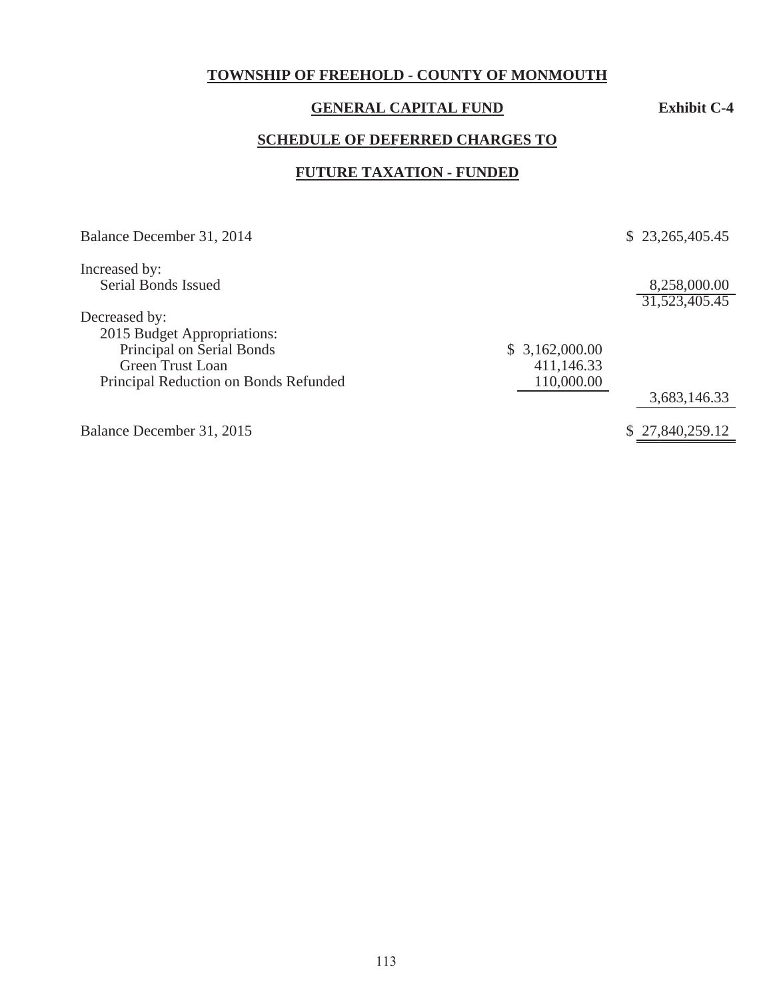## **GENERAL CAPITAL FUND Exhibit C-4**

## **SCHEDULE OF DEFERRED CHARGES TO**

## **FUTURE TAXATION - FUNDED**

| Balance December 31, 2014             |                | \$23,265,405.45 |
|---------------------------------------|----------------|-----------------|
| Increased by:                         |                |                 |
| Serial Bonds Issued                   |                | 8,258,000.00    |
| Decreased by:                         |                | 31,523,405.45   |
| 2015 Budget Appropriations:           |                |                 |
| Principal on Serial Bonds             | \$3,162,000.00 |                 |
| Green Trust Loan                      | 411,146.33     |                 |
| Principal Reduction on Bonds Refunded | 110,000.00     |                 |
|                                       |                | 3,683,146.33    |
| Balance December 31, 2015             |                | \$27,840,259.12 |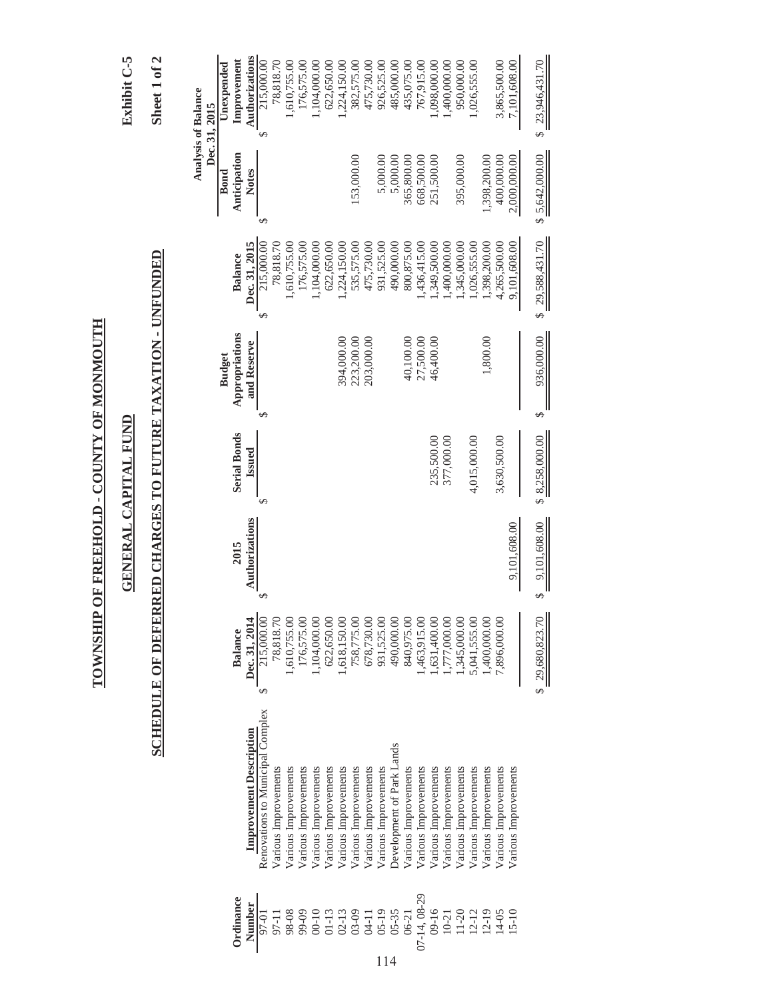| Sheet 1 of 2                                               | <b>Analysis of Balance</b><br>Dec. 31, 2015 | Unexpended    | Improvement         | Authorizations                 | 215,000.00<br>↔                  | 78,818.70            | 1,610,755.00         | 176,575.00           | 1,104,000.00         | 622,650.00           | .224,150.00          | 382,575.00           | 475,730.00           | 926,525.00           | 485,000.00                | 435,075.00           | 767,915.00           | 00.000,009,000.      | 1,400,000.00         | 950,000.00           | 1,026,555.00         |                      | 3,865,500.00         | 7,101,608.00         | \$23,946,431.70   |
|------------------------------------------------------------|---------------------------------------------|---------------|---------------------|--------------------------------|----------------------------------|----------------------|----------------------|----------------------|----------------------|----------------------|----------------------|----------------------|----------------------|----------------------|---------------------------|----------------------|----------------------|----------------------|----------------------|----------------------|----------------------|----------------------|----------------------|----------------------|-------------------|
|                                                            |                                             | Bond          | Anticipation        | <b>Notes</b>                   | ↔                                |                      |                      |                      |                      |                      |                      | 153,000.00           |                      | 5,000.00             | 5,000.00                  | 365,800.00           | 668,500.00           | 251,500.00           |                      | 395,000.00           |                      | 1,398,200.00         | 400,000.00           | 2,000,000.00         | \$5,642,000.00    |
|                                                            |                                             |               | Balance             | Dec. 31, 2015                  | 215,000.00<br>↔                  | 78.818.70            | 1,610,755.00         | 176,575.00           | 1,104,000.00         | 622,650.00           | 1,224,150.00         | 535,575.00           | 475,730.00           | 931,525.00           | 490,000.00                | 800, 875.00          | 1,436,415.00         | 1,349,500.00         | 1,400,000.00         | ,345,000.00          | 1,026,555.00         | 1,398,200.00         | 4,265,500.00         | 9,101,608.00         | \$ 29,588,431.70  |
|                                                            |                                             | <b>Budget</b> | Appropriations      | and Reserve                    | ↮                                |                      |                      |                      |                      |                      | 394,000.00           | 223,200.00           | 203,000.00           |                      |                           | 40,100.00            | 27,500.00            | 46,400.00            |                      |                      |                      | 1,800.00             |                      |                      | 936,000.00<br>S   |
|                                                            |                                             |               | <b>Serial Bonds</b> | Issued                         | ↔                                |                      |                      |                      |                      |                      |                      |                      |                      |                      |                           |                      |                      | 235,500.00           | 377,000.00           |                      | 4,015,000.00         |                      | 3,630,500.00         |                      | \$8,258,000.00    |
|                                                            |                                             |               | 2015                | Authorizations                 | ↮                                |                      |                      |                      |                      |                      |                      |                      |                      |                      |                           |                      |                      |                      |                      |                      |                      |                      |                      | 9,101,608.00         | 9,101,608.00<br>Ø |
| SCHEDULE OF DEFERRED CHARGES TO FUTURE TAXATION - UNFUNDED |                                             |               | <b>Balance</b>      | Dec. 31, 2014                  | 215,000.00<br>↮                  | 78.818.70            | 1,610,755.00         | 176,575.00           | 1,104,000.00         | 622,650.00           | 1,618,150.00         | 758,775.00           | 678,730.00           | 931,525.00           | 490,000.00                | 840.975.00           | ,463,915.00          | ,631,400.00          | ,777,000.00          | 1,345,000.00         | 5,041,555.00         | ,400,000.00          | 7,896,000.00         |                      | \$ 29,680,823.70  |
|                                                            |                                             |               |                     | <b>Improvement Description</b> | Renovations to Municipal Complex | Various Improvements | Various Improvements | Various Improvements | Various Improvements | Various Improvements | Various Improvements | Various Improvements | Various Improvements | Various Improvements | Development of Park Lands | Various Improvements | Various Improvements | Various Improvements | Various Improvements | Various Improvements | Various Improvements | Various Improvements | Various Improvements | Various Improvements |                   |
|                                                            |                                             |               | Ordinance           | Number                         | 97-01                            | 97-11                | 98-08                | 99-09                | $00 - 10$            | $01 - 13$            | $02 - 13$            | $03 - 09$            | $04 - 11$            | $05 - 19$            | $05 - 35$                 | $06 - 21$            | 07-14, 08-29         | 09-16                | $10-21$              | $11 - 20$            | $12 - 12$            | $12 - 19$            | $14 - 05$            | $15 - 10$            |                   |

**GENERAL CAPITAL FUND Exhibit C-5** GENERAL CAPITAL FUND

Exhibit C-5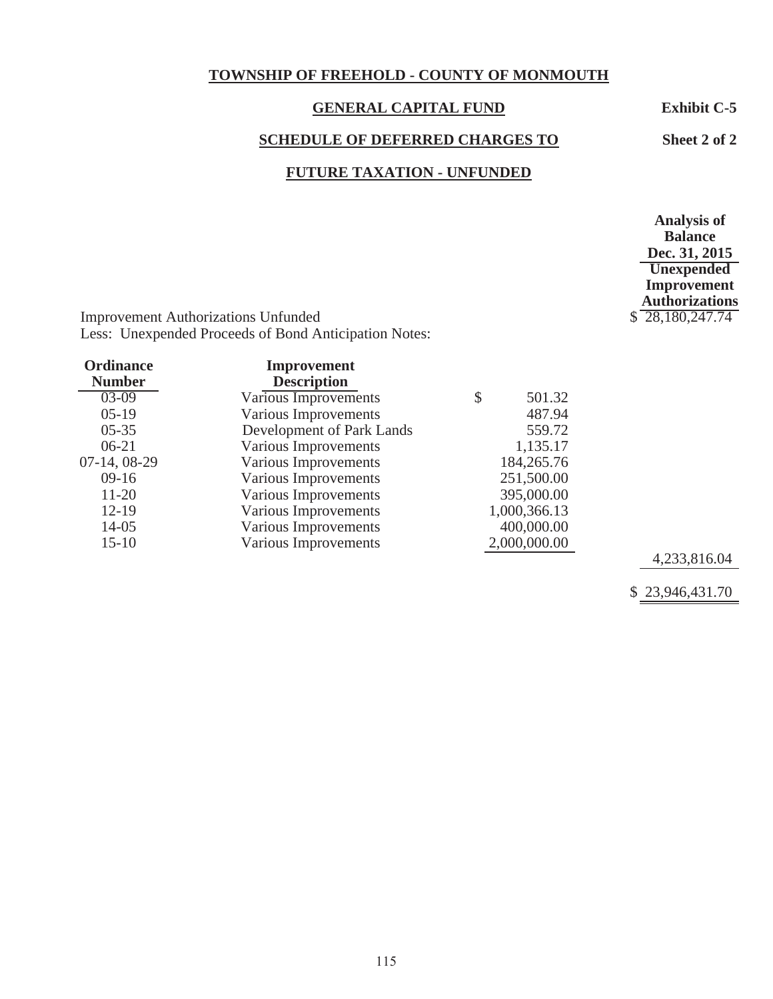### **GENERAL CAPITAL FUND Exhibit C-5**

## **SCHEDULE OF DEFERRED CHARGES TO Sheet 2 of 2**

## **FUTURE TAXATION - UNFUNDED**

**Analysis of Balance Dec. 31, 2015 Unexpended Improvement Authorizations**

Improvement Authorizations Unfunded  $$ \overline{28,180,247.74}$ Less: Unexpended Proceeds of Bond Anticipation Notes:

| <b>Ordinance</b><br><b>Number</b> | <b>Improvement</b><br><b>Description</b> |              |
|-----------------------------------|------------------------------------------|--------------|
| $03-09$                           | Various Improvements                     | \$<br>501.32 |
| $05-19$                           | Various Improvements                     | 487.94       |
| $05 - 35$                         | Development of Park Lands                | 559.72       |
| $06 - 21$                         | Various Improvements                     | 1,135.17     |
| $07-14, 08-29$                    | Various Improvements                     | 184,265.76   |
| $09-16$                           | Various Improvements                     | 251,500.00   |
| $11 - 20$                         | Various Improvements                     | 395,000.00   |
| $12 - 19$                         | Various Improvements                     | 1,000,366.13 |
| $14 - 05$                         | Various Improvements                     | 400,000.00   |
| $15 - 10$                         | Various Improvements                     | 2,000,000.00 |

4,233,816.04

\$ 23,946,431.70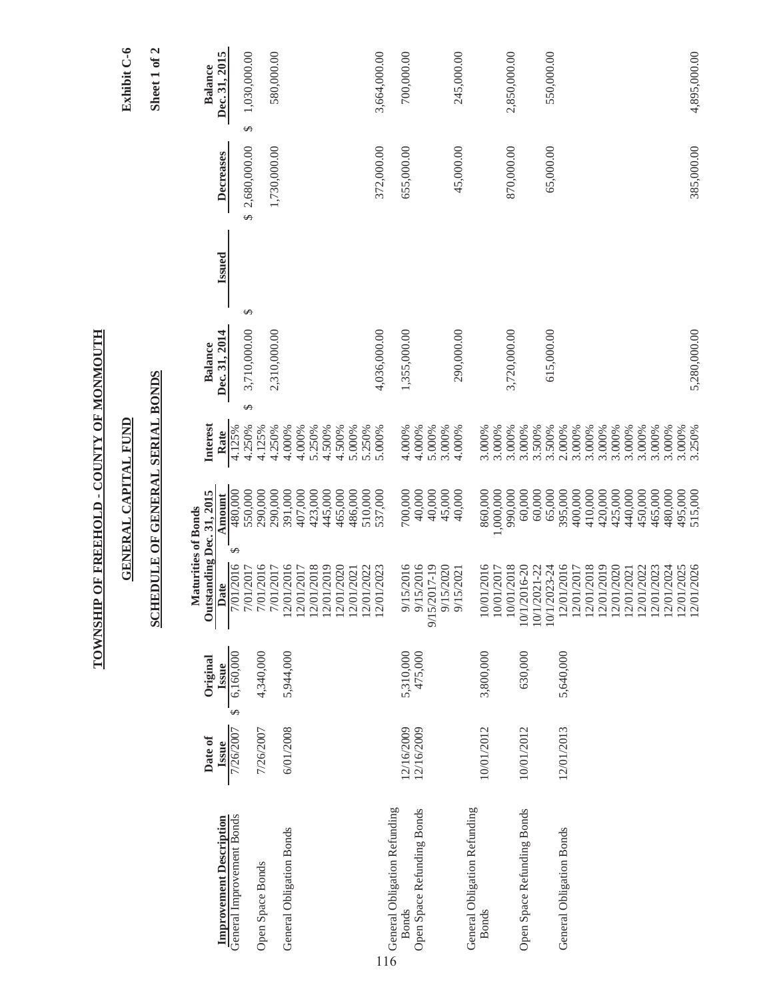|                                |                                  |                                              |                                                                                                      | GENERAL CAPITAL FUND           |                   |                   |               |                  | Exhibit C-6       |
|--------------------------------|----------------------------------|----------------------------------------------|------------------------------------------------------------------------------------------------------|--------------------------------|-------------------|-------------------|---------------|------------------|-------------------|
|                                |                                  |                                              | $\overline{\text{C}}$                                                                                | HEDULE OF GENERAL SERIAL BONDS |                   |                   |               |                  | Sheet 1 of 2      |
|                                | Date of                          | Original                                     | Outstanding Dec. 31, 2015<br><b>Maturities of Bonds</b>                                              |                                | <b>Interest</b>   | <b>Balance</b>    |               |                  | <b>Balance</b>    |
| <b>Improvement Description</b> | $\frac{\text{Issue}}{7/26/2007}$ | $\frac{\text{Isue}}{6,160,000}$<br>$\varphi$ | $\Theta$<br>7/01/2016<br>Date                                                                        | 480,000<br>Amount              | Rate<br>$4.125\%$ | Dec. 31, 2014     | <b>Issued</b> | <b>Decreases</b> | Dec. 31, 2015     |
| General Improvement Bonds      |                                  |                                              | 7/01/2017                                                                                            | 550,000                        | 4.250%            | 3,710,000.00<br>S | ↮             | \$ 2,680,000.00  | 1,030,000.00<br>S |
| Open Space Bonds               | 7/26/2007                        | 4,340,000                                    | 7/01/2016                                                                                            | 290,000                        | 4.125%            |                   |               |                  |                   |
| General Obligation Bonds       | 6/01/2008                        | 5,944,000                                    | 12/01/2016<br>7/01/2017                                                                              | 391,000<br>290,000             | 4.250%<br>4.000%  | 2,310,000.00      |               | 1,730,000.00     | 580,000.00        |
|                                |                                  |                                              | 12/01/2017<br>12/01/2018                                                                             | 407,000                        | 4.000%            |                   |               |                  |                   |
|                                |                                  |                                              |                                                                                                      | 423,000                        | 5.250%            |                   |               |                  |                   |
|                                |                                  |                                              |                                                                                                      | 445,000                        | 4.500%<br>4.500%  |                   |               |                  |                   |
|                                |                                  |                                              | 12/01/2019<br>12/01/2020<br>12/01/2021<br>12/01/2022<br>12/01/2023                                   | 465,000<br>486,000             | 5.000%            |                   |               |                  |                   |
|                                |                                  |                                              |                                                                                                      | 510,000                        | 5.250%            |                   |               |                  |                   |
|                                |                                  |                                              |                                                                                                      | 537,000                        | 5.000%            | 4,036,000.00      |               | 372,000.00       | 3,664,000.00      |
| General Obligation Refunding   |                                  |                                              |                                                                                                      |                                |                   |                   |               |                  |                   |
| <b>Bonds</b>                   | 12/16/2009<br>12/16/2009         | 5,310,000<br>475,000                         | 9/15/2016<br>9/15/2016                                                                               | 700,000                        | 4.000%<br>4.000%  | 1,355,000.00      |               | 655,000.00       | 700,000.00        |
| Open Space Refunding Bonds     |                                  |                                              |                                                                                                      | 40,000                         |                   |                   |               |                  |                   |
|                                |                                  |                                              | 9/15/2017-19<br>9/15/2020                                                                            | 40,000<br>45,000               | 5.000%<br>3.000%  |                   |               |                  |                   |
|                                |                                  |                                              | 9/15/2021                                                                                            | 40,000                         | 4.000%            | 290,000.00        |               | 45,000.00        | 245,000.00        |
| General Obligation Refunding   |                                  |                                              |                                                                                                      |                                |                   |                   |               |                  |                   |
| <b>Bonds</b>                   | 10/01/2012                       | 3,800,000                                    | 10/01/2016                                                                                           | 860,000                        | 3.000%            |                   |               |                  |                   |
|                                |                                  |                                              | 10/01/2017                                                                                           | 1,000,000                      | 3.000%            |                   |               |                  |                   |
|                                |                                  |                                              | 10/01/2018                                                                                           | 990,000                        | 3.000%            | 3,720,000.00      |               | 870,000.00       | 2,850,000.00      |
| Open Space Refunding Bonds     | 10/01/2012                       | 630,000                                      | 10/1/2016-20                                                                                         | 60,000                         | 3.000%            |                   |               |                  |                   |
|                                |                                  |                                              | 10/1/2021-22                                                                                         | 60,000                         | 3.500%            |                   |               |                  |                   |
|                                |                                  |                                              | 10/1/2023-24                                                                                         | 65,000                         | 3.500%            | 615,000.00        |               | 65,000.00        | 550,000.00        |
| General Obligation Bonds       | 12/01/2013                       | 5,640,000                                    | 12/01/2016                                                                                           | 395,000                        | 2.000%            |                   |               |                  |                   |
|                                |                                  |                                              |                                                                                                      | 400,000                        | 3.000%            |                   |               |                  |                   |
|                                |                                  |                                              |                                                                                                      | 410,000                        | 3.000%            |                   |               |                  |                   |
|                                |                                  |                                              |                                                                                                      | 420,000                        | 3.000%            |                   |               |                  |                   |
|                                |                                  |                                              |                                                                                                      | 425,000                        | 3.000%            |                   |               |                  |                   |
|                                |                                  |                                              |                                                                                                      | 440,000                        | 3.000%            |                   |               |                  |                   |
|                                |                                  |                                              |                                                                                                      | 450,000                        | 3.000%            |                   |               |                  |                   |
|                                |                                  |                                              |                                                                                                      | 465,000<br>480,000             | 3.000%<br>3.000%  |                   |               |                  |                   |
|                                |                                  |                                              |                                                                                                      | 495,000                        | 3.000%            |                   |               |                  |                   |
|                                |                                  |                                              | 1201/2017<br>1201/2018<br>1201/2019<br>1201/2021<br>1201/2022<br>1201/2023<br>1201/2023<br>1201/2023 | 515,000                        | 3.250%            | 5,280,000.00      |               | 385,000.00       | 4,895,000.00      |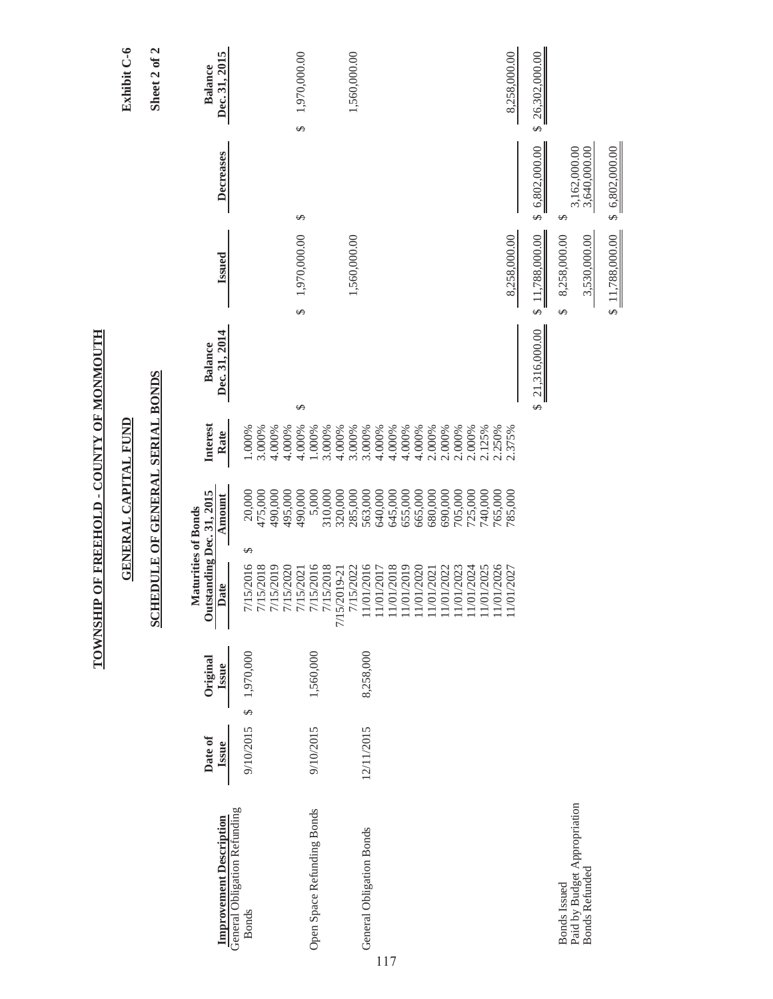|                                                     |            |             | TOWNSHIP OF FREEHOLD - COUNTY OF MONMOUTH               |                                |                  |                  |                          |                   |                                   |
|-----------------------------------------------------|------------|-------------|---------------------------------------------------------|--------------------------------|------------------|------------------|--------------------------|-------------------|-----------------------------------|
|                                                     |            |             |                                                         | GENERAL CAPITAL FUND           |                  |                  |                          |                   | Exhibit C-6                       |
|                                                     |            |             | SCI                                                     | HEDULE OF GENERAL SERIAL BONDS |                  |                  |                          |                   | Sheet 2 of 2                      |
|                                                     | Date of    | Original    | Outstanding Dec. 31, 2015<br><b>Maturities of Bonds</b> |                                | Interest         | <b>Balance</b>   |                          |                   | <b>Balance</b>                    |
| <b>Improvement Description</b>                      | Issue      | Issue       | Date                                                    | Amount                         | Rate             | Dec. 31, 2014    | <b>Issued</b>            | <b>Decreases</b>  | Dec. 31, 2015                     |
| General Obligation Refunding<br><b>Bonds</b>        | 9/10/2015  | \$1,970,000 | 7/15/2016                                               | 20,000<br>↮                    | 1.000%           |                  |                          |                   |                                   |
|                                                     |            |             | 7/15/2018                                               | 475,000                        | 3.000%           |                  |                          |                   |                                   |
|                                                     |            |             | 7/15/2019                                               | 490,000                        | 4.000%           |                  |                          |                   |                                   |
|                                                     |            |             | 7/15/2020<br>7/15/2021                                  | 495,000<br>490,000             | 4.000%<br>4.000% | $\Theta$         | 1,970,000.00<br>$\Theta$ | $\Theta$          | 1,970,000.00<br>$\leftrightarrow$ |
| Open Space Refunding Bonds                          | 9/10/2015  | 1,560,000   | 7/15/2016                                               | 5,000                          | 1.000%           |                  |                          |                   |                                   |
|                                                     |            |             | 7/15/2018                                               | 310,000                        | 3.000%           |                  |                          |                   |                                   |
|                                                     |            |             | 7/15/2019-21                                            | 320,000                        | 4.000%           |                  |                          |                   |                                   |
|                                                     |            |             | 7/15/2022                                               | 285,000                        | 3.000%           |                  | 1,560,000.00             |                   | 1,560,000.00                      |
| General Obligation Bonds                            | 12/11/2015 | 8,258,000   | 1/01/2016<br>1/01/2017                                  | 563,000<br>640,000             | 3.000%<br>4.000% |                  |                          |                   |                                   |
| 117                                                 |            |             | 1/01/2018                                               | 645,000                        | 4.000%           |                  |                          |                   |                                   |
|                                                     |            |             | 1/01/2019                                               | 655,000                        | 4.000%           |                  |                          |                   |                                   |
|                                                     |            |             | 1/01/2020                                               | 665,000                        | 4.000%           |                  |                          |                   |                                   |
|                                                     |            |             | 1/01/2021                                               | 680,000                        | 2.000%           |                  |                          |                   |                                   |
|                                                     |            |             | 1/01/2022                                               | 690,000                        | 2.000%           |                  |                          |                   |                                   |
|                                                     |            |             | 1/01/2023                                               | 705,000                        | 2.000%           |                  |                          |                   |                                   |
|                                                     |            |             | 1/01/2024<br>1/01/2025                                  | 725,000<br>740,000             | 2.125%<br>2.000% |                  |                          |                   |                                   |
|                                                     |            |             | 1/01/2026                                               | 765,000                        | 2.250%           |                  |                          |                   |                                   |
|                                                     |            |             | 1/01/2027                                               | 785,000                        | 2.375%           |                  | 8,258,000.00             |                   | 8,258,000.00                      |
|                                                     |            |             |                                                         |                                |                  | \$ 21,316,000.00 | \$11,788,000.00          | \$6,802,000.00    | 26,302,000.00<br>↮                |
|                                                     |            |             |                                                         |                                |                  |                  |                          |                   |                                   |
| Paid by Budget Appropriation<br><b>Bonds</b> Issued |            |             |                                                         |                                |                  |                  | 8,258,000.00<br>↔        | 3,162,000.00<br>↮ |                                   |
| <b>Bonds Refunded</b>                               |            |             |                                                         |                                |                  |                  | 3,530,000.00             | 3,640,000.00      |                                   |
|                                                     |            |             |                                                         |                                |                  |                  | \$11,788,000.00          | \$6,802,000.00    |                                   |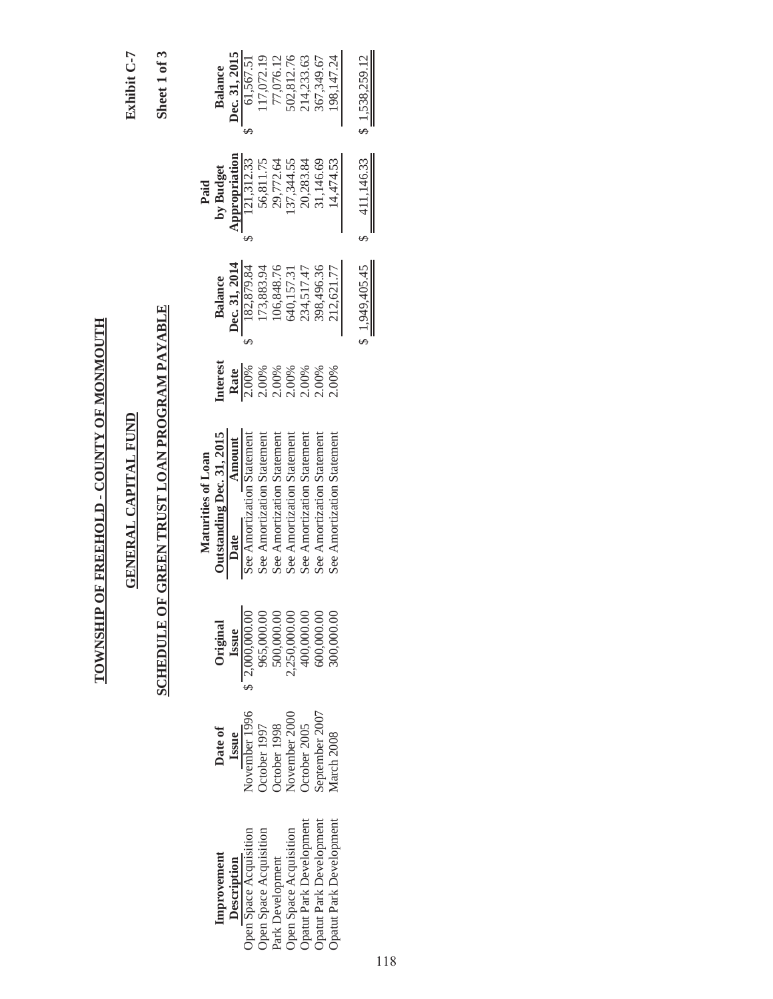| ・・・・・・・ くく<br>I<br><b>Control in the fact of the control</b> | はいりくい じょくい りしく い<br>l |  |
|--------------------------------------------------------------|-----------------------|--|
|                                                              |                       |  |
|                                                              |                       |  |

## **GENERAL CAPITAL FUND Exhibit C-7 GENERAL CAPITAL FUND**

Exhibit C-7

Sheet 1 of 3

# **SCHEDULE OF GREEN TRUST LOAN PROGRAM PAYABLE Sheet 1 of 3** SCHEDULE OF GREEN TRUST LOAN PROGRAM PAYABLE

|                                              |                        |                                     | Maturities of Loan                                                                                                                                 |                                                                                                                              |                                                                                                                               | Paid                                                                                                                             |                                                                                                                       |
|----------------------------------------------|------------------------|-------------------------------------|----------------------------------------------------------------------------------------------------------------------------------------------------|------------------------------------------------------------------------------------------------------------------------------|-------------------------------------------------------------------------------------------------------------------------------|----------------------------------------------------------------------------------------------------------------------------------|-----------------------------------------------------------------------------------------------------------------------|
| Improvement                                  | Date of                | Original                            | Outstanding Dec. 31, 2015<br>Date Amount                                                                                                           | nterest                                                                                                                      | <b>Balance</b>                                                                                                                |                                                                                                                                  | <b>Balance</b>                                                                                                        |
|                                              |                        |                                     |                                                                                                                                                    |                                                                                                                              |                                                                                                                               |                                                                                                                                  |                                                                                                                       |
| <b>Description</b><br>Open Space Acquisition | Issue<br>November 1996 | $\frac{\text{Isuse}}{2,000,000.00}$ | See Amortization Statement                                                                                                                         |                                                                                                                              |                                                                                                                               |                                                                                                                                  |                                                                                                                       |
| Open Space Acquisition                       | )ctober 1997           | 965,000.00<br>500,000.00            |                                                                                                                                                    |                                                                                                                              |                                                                                                                               |                                                                                                                                  |                                                                                                                       |
| Park Development                             | October 1998           |                                     |                                                                                                                                                    |                                                                                                                              |                                                                                                                               |                                                                                                                                  |                                                                                                                       |
| Open Space Acquisition                       | Vovember 2000          |                                     |                                                                                                                                                    |                                                                                                                              |                                                                                                                               |                                                                                                                                  |                                                                                                                       |
| Opatut Park Development                      | October 2005           | 2,250,000.00<br>400,000.00          | See Amortization Statement<br>See Amortization Statement<br>See Amortization Statement<br>See Amortization Statement<br>See Amortization Statement | $\begin{array}{c}\n\textbf{Rate} \\ \hline\n0.00\% \\ 0.00\% \\ 1.00\% \\ 0.00\% \\ 0.00\% \\ 0.00\% \\ \hline\n\end{array}$ |                                                                                                                               |                                                                                                                                  |                                                                                                                       |
| Opatut Park Development                      | September 2007         | 600,000.00                          |                                                                                                                                                    |                                                                                                                              |                                                                                                                               |                                                                                                                                  |                                                                                                                       |
| Opatut Park Development                      | <b>March 2008</b>      | 300,000.00                          | See Amortization Statement                                                                                                                         |                                                                                                                              | Dec. 31, 2014<br>182,879.84<br>173,883.94<br>173,883.94<br>106,848.76<br>234,517.47<br>234,517.47<br>398,496.36<br>212,621.77 | <b>by Budget<br/> Appropriation</b><br>121,312.33<br>56,811.75<br>56,811.75<br>20,772.64<br>137,344.55<br>20,283.84<br>31,146.69 | <b>Dec. 31, 2015</b><br>61,567.51<br>117,072.19<br>117,076.12<br>502,812.76<br>214,233.65<br>367,349.67<br>367,349.67 |

\$ 1,949,405.45 \$ 411,146.33 \$ 1,538,259.12

 $\frac{1}{\sqrt{2}}$ 

 $\frac{$1,949,405.45}{2}$ 

411,146.33

 $\frac{1,538,259.12}{2}$ 

Dec. 31, 2015<br>
61, 567.51<br>
61, 567.51<br>
117, 072.19<br>
17, 072.19<br>
502,812.76<br>
214, 233, 63<br>
367, 349.67<br>
198, 147.24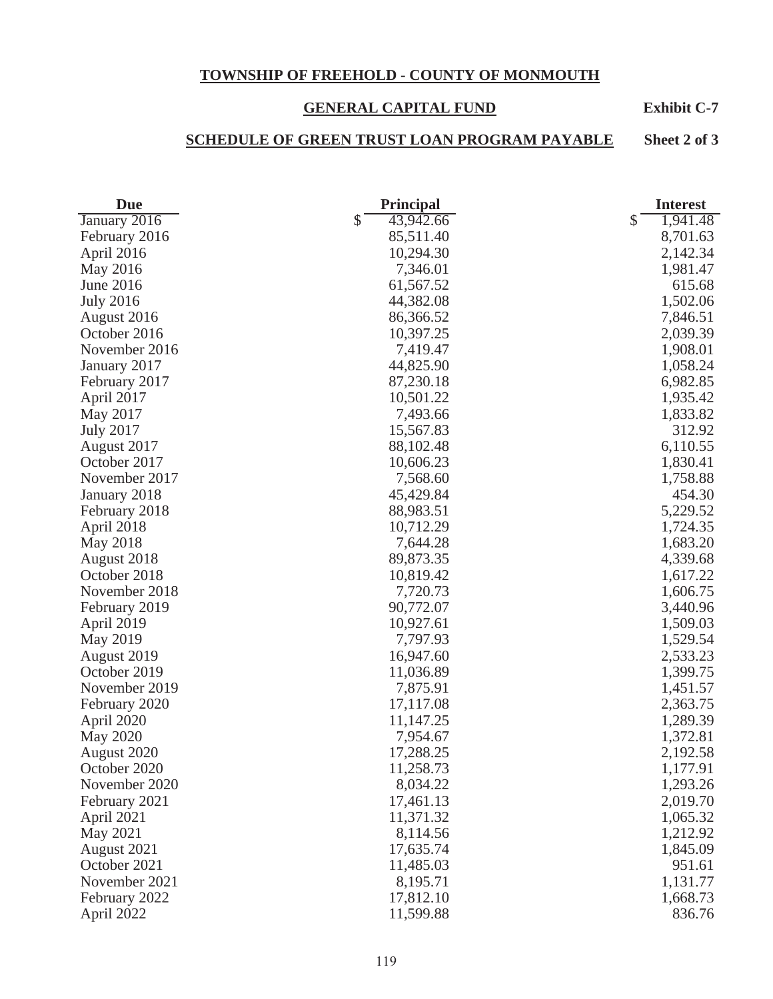## **GENERAL CAPITAL FUND Exhibit C-7**

## **SCHEDULE OF GREEN TRUST LOAN PROGRAM PAYABLE Sheet 2 of 3**

| <b>Due</b>       | <b>Principal</b> | <b>Interest</b> |
|------------------|------------------|-----------------|
| January 2016     | \$<br>43,942.66  | \$<br>1,941.48  |
| February 2016    | 85,511.40        | 8,701.63        |
| April 2016       | 10,294.30        | 2,142.34        |
| May 2016         | 7,346.01         | 1,981.47        |
| June 2016        | 61,567.52        | 615.68          |
| <b>July 2016</b> | 44,382.08        | 1,502.06        |
| August 2016      | 86,366.52        | 7,846.51        |
| October 2016     | 10,397.25        | 2,039.39        |
| November 2016    | 7,419.47         | 1,908.01        |
| January 2017     | 44,825.90        | 1,058.24        |
| February 2017    | 87,230.18        | 6,982.85        |
| April 2017       | 10,501.22        | 1,935.42        |
| May 2017         | 7,493.66         | 1,833.82        |
| <b>July 2017</b> | 15,567.83        | 312.92          |
| August 2017      | 88,102.48        | 6,110.55        |
| October 2017     | 10,606.23        | 1,830.41        |
| November 2017    | 7,568.60         | 1,758.88        |
| January 2018     | 45,429.84        | 454.30          |
| February 2018    | 88,983.51        | 5,229.52        |
| April 2018       | 10,712.29        | 1,724.35        |
| May 2018         | 7,644.28         | 1,683.20        |
| August 2018      | 89,873.35        | 4,339.68        |
| October 2018     | 10,819.42        | 1,617.22        |
| November 2018    | 7,720.73         | 1,606.75        |
| February 2019    | 90,772.07        | 3,440.96        |
| April 2019       | 10,927.61        | 1,509.03        |
| May 2019         | 7,797.93         | 1,529.54        |
| August 2019      | 16,947.60        | 2,533.23        |
| October 2019     | 11,036.89        | 1,399.75        |
| November 2019    | 7,875.91         | 1,451.57        |
| February 2020    | 17,117.08        | 2,363.75        |
| April 2020       | 11,147.25        | 1,289.39        |
| May 2020         | 7,954.67         | 1,372.81        |
| August 2020      | 17,288.25        | 2,192.58        |
| October 2020     | 11,258.73        | 1,177.91        |
| November 2020    | 8,034.22         | 1,293.26        |
| February 2021    | 17,461.13        | 2,019.70        |
| April 2021       | 11,371.32        | 1,065.32        |
| May 2021         | 8,114.56         | 1,212.92        |
| August 2021      | 17,635.74        | 1,845.09        |
| October 2021     | 11,485.03        | 951.61          |
| November 2021    | 8,195.71         | 1,131.77        |
| February 2022    | 17,812.10        | 1,668.73        |
| April 2022       | 11,599.88        | 836.76          |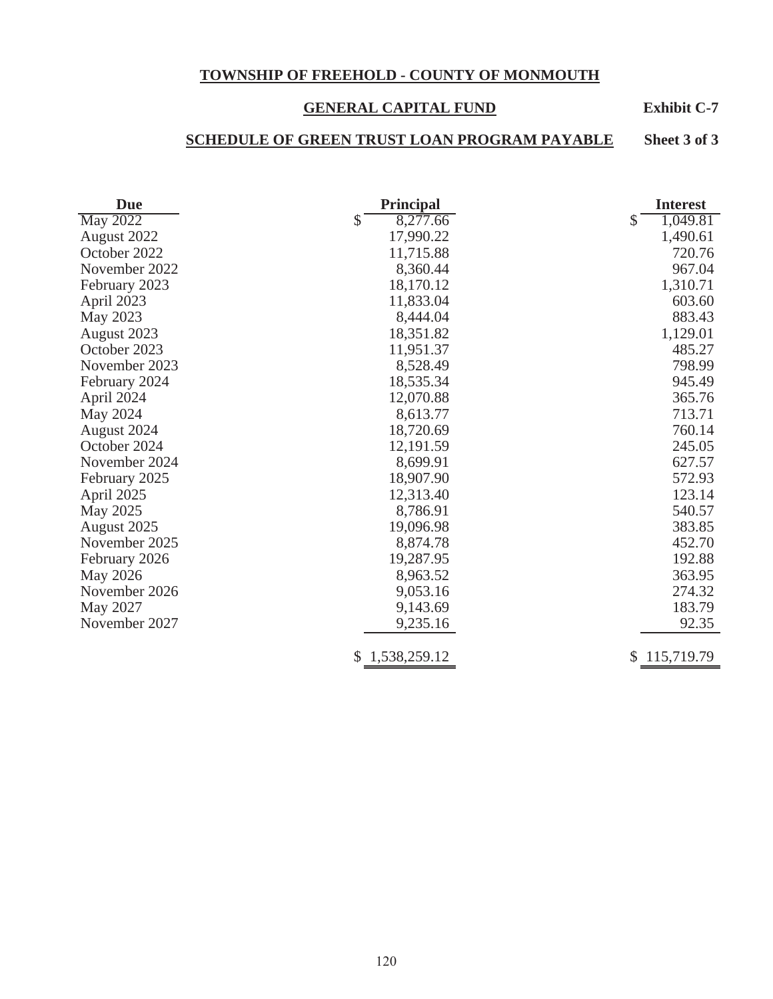## **GENERAL CAPITAL FUND Exhibit C-7**

## **SCHEDULE OF GREEN TRUST LOAN PROGRAM PAYABLE Sheet 3 of 3**

| <b>Due</b>      | <b>Principal</b> | <b>Interest</b>  |
|-----------------|------------------|------------------|
| <b>May 2022</b> | 8,277.66<br>\$   | 1,049.81<br>\$   |
| August 2022     | 17,990.22        | 1,490.61         |
| October 2022    | 11,715.88        | 720.76           |
| November 2022   | 8,360.44         | 967.04           |
| February 2023   | 18,170.12        | 1,310.71         |
| April 2023      | 11,833.04        | 603.60           |
| May 2023        | 8,444.04         | 883.43           |
| August 2023     | 18,351.82        | 1,129.01         |
| October 2023    | 11,951.37        | 485.27           |
| November 2023   | 8,528.49         | 798.99           |
| February 2024   | 18,535.34        | 945.49           |
| April 2024      | 12,070.88        | 365.76           |
| May 2024        | 8,613.77         | 713.71           |
| August 2024     | 18,720.69        | 760.14           |
| October 2024    | 12,191.59        | 245.05           |
| November 2024   | 8,699.91         | 627.57           |
| February 2025   | 18,907.90        | 572.93           |
| April 2025      | 12,313.40        | 123.14           |
| May 2025        | 8,786.91         | 540.57           |
| August 2025     | 19,096.98        | 383.85           |
| November 2025   | 8,874.78         | 452.70           |
| February 2026   | 19,287.95        | 192.88           |
| May 2026        | 8,963.52         | 363.95           |
| November 2026   | 9,053.16         | 274.32           |
| May 2027        | 9,143.69         | 183.79           |
| November 2027   | 9,235.16         | 92.35            |
|                 | 1,538,259.12     | 115,719.79<br>S. |
|                 |                  |                  |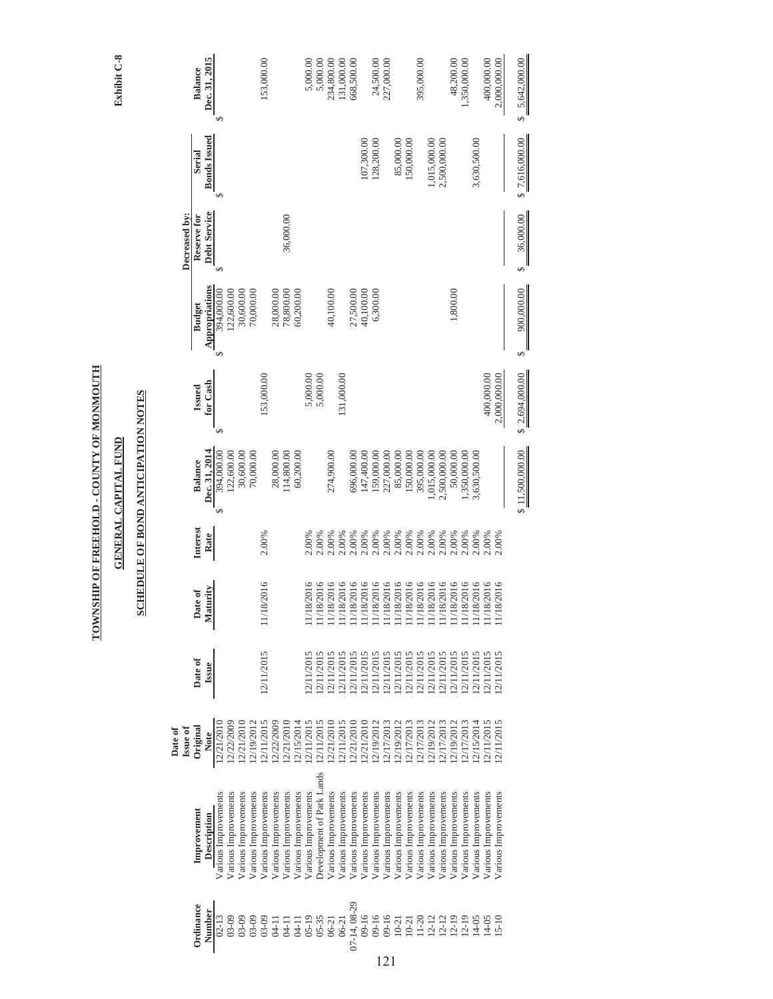## **GENERAL CAPITAL FUND Exhibit C-8** GENERAL CAPITAL FUND

## **SCHEDULE OF BOND ANTICIPATION NOTES SCHEDULE OF BOND ANTICIPATION NOTES**

|                     | <b>Balance</b>  | Dec. 31, 2015       | ∽                    |                      |                      |                         | 153,000.00           |                      |                      |                          | 5,000.00             | 5,000.00                  | 234,800.00           | 131,000.00           | 668,500.00               |                      | 24,500.00                | 227,000.00           |                               |                          | 395,000.00           |                      |                      | 48,200.00            | 1,350,000.00         |                      | 400,000.00           | 2,000,000.00         | 5,642,000.00    |
|---------------------|-----------------|---------------------|----------------------|----------------------|----------------------|-------------------------|----------------------|----------------------|----------------------|--------------------------|----------------------|---------------------------|----------------------|----------------------|--------------------------|----------------------|--------------------------|----------------------|-------------------------------|--------------------------|----------------------|----------------------|----------------------|----------------------|----------------------|----------------------|----------------------|----------------------|-----------------|
|                     | Serial          | <b>Bonds Issued</b> | ↔                    |                      |                      |                         |                      |                      |                      |                          |                      |                           |                      |                      |                          | 07,300.00            | 128,200.00               |                      | 85,000.00                     | 150,000.00               |                      | 1,015,000.00         | 2,500,000.00         |                      |                      | 3,630,500.00         |                      |                      | \$7,616,000.00  |
| Decreased by:       | Reserve for     | Debt Service        |                      |                      |                      |                         |                      |                      | 36,000.00            |                          |                      |                           |                      |                      |                          |                      |                          |                      |                               |                          |                      |                      |                      |                      |                      |                      |                      |                      | 36,000.00<br>S, |
|                     | <b>Budget</b>   | Appropriations      | 394,000.00<br>S      | 122,600.00           | 30,600.00            | 70,000.00               |                      | 28,000.00            | 78,800.00            | 60,200.00                |                      |                           | 40,100.00            |                      | 27,500.00                | 40,100.00            | 6,300.00                 |                      |                               |                          |                      |                      |                      | 1,800.00             |                      |                      |                      |                      | 900,000.00<br>S |
|                     | <b>Issued</b>   | for Cash            | G.                   |                      |                      |                         | 153,000.00           |                      |                      |                          | 5,000.00             | 5,000.00                  |                      | 131,000.00           |                          |                      |                          |                      |                               |                          |                      |                      |                      |                      |                      |                      | 400,000.00           | 2,000,000.00         | \$2,694,000.00  |
|                     | <b>Balance</b>  | Dec. 31, 2014       | 394,000.00<br>S      | 22,600.00            | 30,600.00            | 70,000.00               |                      | 28,000.00            | 14,800.00            | 60,200.00                |                      |                           | 274,900.00           |                      | 696,000.00               | 147,400.00           | 159,000.00               | 227,000.00           | 85,000.00                     | 150,000.00               | 395,000.00           | ,015,000.00          | 2,500,000.00         | 50,000.00            | ,350,000.00          | 3,630,500.00         |                      |                      | \$11,500,000.00 |
|                     | <b>Interest</b> | Rate                |                      |                      |                      |                         | 2.00%                |                      |                      |                          | 2.00%                | 2.00%                     | 2.00%                | 2.00%                | 2.00%                    | 2.00%                | 2.00%                    | 2.00%                | 2.00%                         | 2.00%                    | 2.00%                | 2.00%                | 2.00%                | 2.00%                | 2.00%                | 2.00%                | 2.00%                | 2.00%                |                 |
|                     | Date of         | Maturity            |                      |                      |                      |                         | 11/18/2016           |                      |                      |                          | 1/18/2016            | 1/18/2016                 | 1/18/2016            | 1/18/2016            | /18/2016                 | 18/2016              | 1/18/2016                | 1/18/2016            | 1/18/2016                     | 1/18/2016                | 1/18/2016            | 1/18/2016            | 11/18/2016           | 11/18/2016           | 1/18/2016            | 11/18/2016           | 11/18/2016           | 11/18/2016           |                 |
|                     | Date of         | Issue               |                      |                      |                      |                         | 12/11/2015           |                      |                      |                          | 2/11/2015            | 2/11/2015                 | 2/11/2015            | 2/11/2015            | 2/11/2015                | 2/11/2015            | 12/11/2015<br>12/11/2015 |                      | 2/11/2015                     | 2/11/2015                | 2/11/2015            | 2/11/2015            | 2/11/2015            | 2/11/2015            | 2/11/2015            | 2/11/2015            | 2/11/2015            | 2/11/2015            |                 |
| Issue of<br>Date of | Original        | Note                | 12/21/2010           | 12/22/2009           | 12/21/2010           | 12/19/2012              | 12/11/2015           | 12/22/2009           | 12/21/2010           | 12/15/2014<br>12/11/2015 |                      | 12/11/2015                | 12/21/2010           |                      | 12/11/2015<br>12/21/2010 | 12/21/2010           | 12/19/2012<br>12/17/2013 |                      | 12/19/2012                    | 12/17/2013<br>12/17/2013 |                      | 12/19/2012           | 12/17/2013           | 12/19/2012           | 12/17/2013           | 2/15/2014            | 2/11/2015            | 2/11/2015            |                 |
|                     | Improvement     | Description         | Various Improvements | Various Improvements | Various Improvements | Various Improvements    | Various Improvements | Various Improvements | Various Improvements | Various Improvements     | Various Improvements | Development of Park Lands | Various Improvements | Various Improvements | Various Improvements     | Various Improvements | Various Improvements     | Various Improvements | Various Improvements          | Various Improvements     | Various Improvements | Various Improvements | Various Improvements | Various Improvements | Various Improvements | Various Improvements | Various Improvements | Various Improvements |                 |
|                     | Ordinance       | Number              | $02 - 13$            | $03 - 09$            |                      | 03-09<br>03-09<br>03-09 |                      | $04 - 11$            | $\frac{11}{11}$      | $04 - 11$                | $05 - 19$            | $05 - 35$                 | $06 - 21$            | $06 - 21$            | 07-14, 08-29             | $09 - 16$            | $09 - 16$                | $09 - 16$            | $10-21$<br>$10-21$<br>$11-20$ |                          |                      | $12 - 12$            | $2 - 12$             | $12 - 19$            | $12 - 19$            | $14-05$              | $14-05$<br>$15-10$   |                      |                 |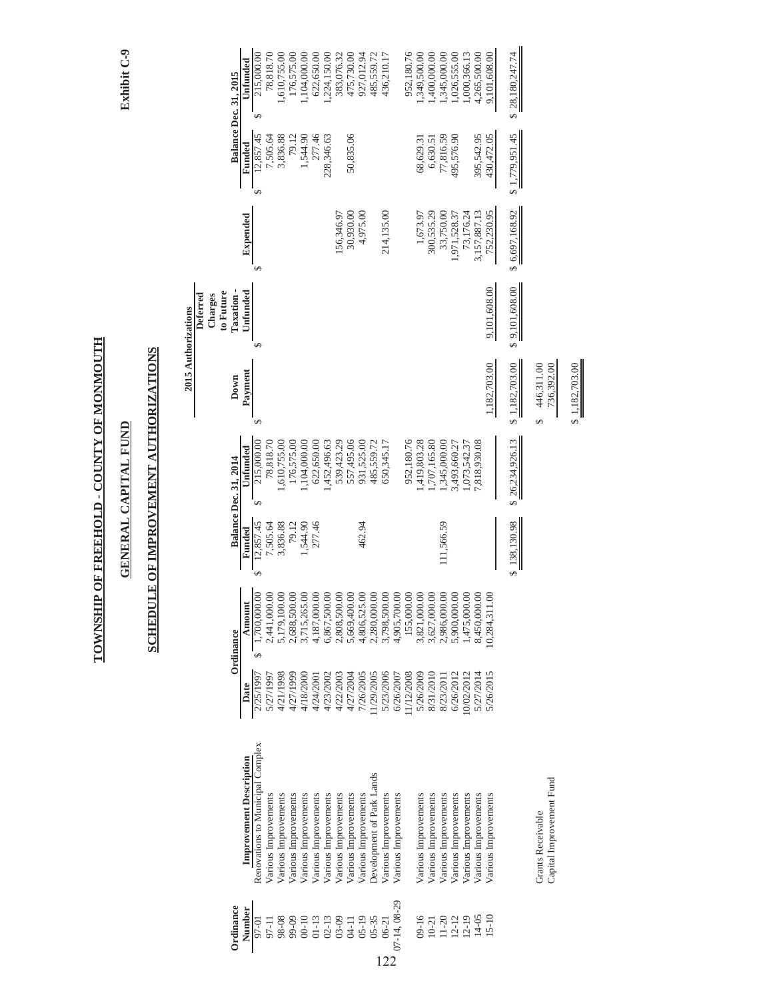Exhibit C-9

TOWNSHIP OF FREEHOLD - COUNTY OF MONMOUTH **TOWNSHIP OF FREEHOLD - COUNTY OF MONMOUTH**

## **GENERAL CAPITAL FUND Exhibit C-9 GENERAL CAPITAL FUND**

## SCHEDULE OF IMPROVEMENT AUTHORIZATIONS **SCHEDULE OF IMPROVEMENT AUTHORIZATIONS**

**2015 Authorizations**

 $\overline{\phantom{a}}$ 

2015 Authorizations

|                                  | <b>Balance Dec. 31, 2015</b> | Unfunded                       | 215,000.00                       | 78,818.70            | ,610,755.00          | 176,575.00           | ,104,000.00          | 622,650.00           | ,224,150.00          | 383,076.32           | 475,730.00           | 927,012.94           | 485,559.72                | 436,210.17           |                      | 952,180.76 | 1,349,500.00         | ,400,000.00          | 1,345,000.00         | 1,026,555.00         | 1,000,366.13         | 4,265,500.00         | 9,101,608.00         | \$28,180,247.74 |                                               |                |
|----------------------------------|------------------------------|--------------------------------|----------------------------------|----------------------|----------------------|----------------------|----------------------|----------------------|----------------------|----------------------|----------------------|----------------------|---------------------------|----------------------|----------------------|------------|----------------------|----------------------|----------------------|----------------------|----------------------|----------------------|----------------------|-----------------|-----------------------------------------------|----------------|
|                                  |                              | Funded                         | 12,857.45<br>S                   | 7,505.64             | 3,836.88             | 79.12                | 1,544.90             | 277.46               | 228,346.63           |                      | 50,835.06            |                      |                           |                      |                      |            | 68,629.31            | 6,630.51             | 77,816.59            | 495,576.90           |                      | 395,542.95           | 430,472.05           | \$1,779,951.45  |                                               |                |
|                                  |                              | Expended                       |                                  |                      |                      |                      |                      |                      |                      | 56,346.97            | 30,930.00            | 4,975.00             |                           | 214,135.00           |                      |            | 1,673.97             | 300,535.29           | 33,750.00            | 1,971,528.37         | 73,176.24            | 3,157,887.13         | 752,230.95           | \$6,697,168.92  |                                               |                |
| to Future<br>Charges<br>Deferred | Taxation-                    | Unfunded                       | S                                |                      |                      |                      |                      |                      |                      |                      |                      |                      |                           |                      |                      |            |                      |                      |                      |                      |                      |                      | 9,101,608.00         | \$9,101,608.00  |                                               |                |
|                                  | Down                         | Payment                        | S                                |                      |                      |                      |                      |                      |                      |                      |                      |                      |                           |                      |                      |            |                      |                      |                      |                      |                      |                      | 1,182,703.00         | \$1,182,703.00  | 446,311.00<br>736,392.00<br>\$                | \$1,182,703.00 |
|                                  | <b>Balance Dec. 31, 2014</b> | Unfunded                       | 215,000.00                       | 78,818.70            | ,610,755.00          | 176,575.00           | ,104,000.00          | 622,650.00           | ,452,496.63          | 539,423.29           | 557,495.06           | 931,525.00           | 485,559.72                | 650, 345.17          |                      | 952,180.76 | ,419,803.28          | ,707,165.80          | ,345,000.00          | 3,493,660.27         | 1,073,542.37         | 7,818,930.08         |                      | \$26,234,926.13 |                                               |                |
|                                  |                              | Funded                         | 12,857.45<br>C.                  | 7,505.64             | 3,836.88             | 79.12                | 1,544.90             | 277.46               |                      |                      |                      | 462.94               |                           |                      |                      |            |                      |                      | 111,566.59           |                      |                      |                      |                      | \$138,130.98    |                                               |                |
|                                  | Ordinance                    | <b>Amount</b>                  | 1,700,000.00<br>₩                | 2,441,000.00         | 5,179,100.00         | 2,688,500.00         | 3,715,265.00         | 4,187,000.00         | 6,867,500.00         | 2,808,500.00         | 5,669,400.00         | 4,806,525.00         | 2,280,000.00              | 3,798,500.00         | 4,905,700.00         | 155,000.00 | 3,821,000.00         | 3,627,000.00         | 2,986,000.00         | 5,900,000.00         | 1,475,000.00         | 8,450,000.00         | 1.00<br>0,284,31     |                 |                                               |                |
|                                  |                              | Date                           | 2/25/1997                        | 5/27/1997            | 4/21/1998            | 4/27/1999            | 4/18/2000            | 4/24/2001            | 4/23/2002            | 4/22/2003            | 4/27/2004            | 7/26/2005            | 1/29/2005                 | 5/23/2006            | 6/26/2007            | 1/12/2008  | 5/26/2009            | 8/31/2010            | 8/23/2011            | 6/26/2012            | 0/02/2012            | 5/27/2014            | 5/26/2015            |                 |                                               |                |
|                                  |                              | <b>Improvement Description</b> | Renovations to Municipal Complex | Various Improvements | Various Improvements | Various Improvements | Various Improvements | Various Improvements | Various Improvements | Various Improvements | Various Improvements | Various Improvements | Development of Park Lands | Various Improvements | Various Improvements |            | Various Improvements | Various Improvements | Various Improvements | Various Improvements | Various Improvements | Various Improvements | Various Improvements |                 | Capital Improvement Fund<br>Grants Receivable |                |
|                                  | <b>Drdinance</b>             | Number                         | 97-01                            | 97-11                | 98-08                | 99-09                | $00 - 10$            | $01 - 13$            | $02 - 13$            | $03 - 09$            | $04-11$              | $05 - 19$            | $05 - 35$                 | $06-21$              | $07-14, 08-29$       |            | $09 - 16$            | $10-21$              | $11-20$<br>$12-12$   |                      | $12 - 19$            | $14 - 05$            | $15 - 10$            |                 |                                               |                |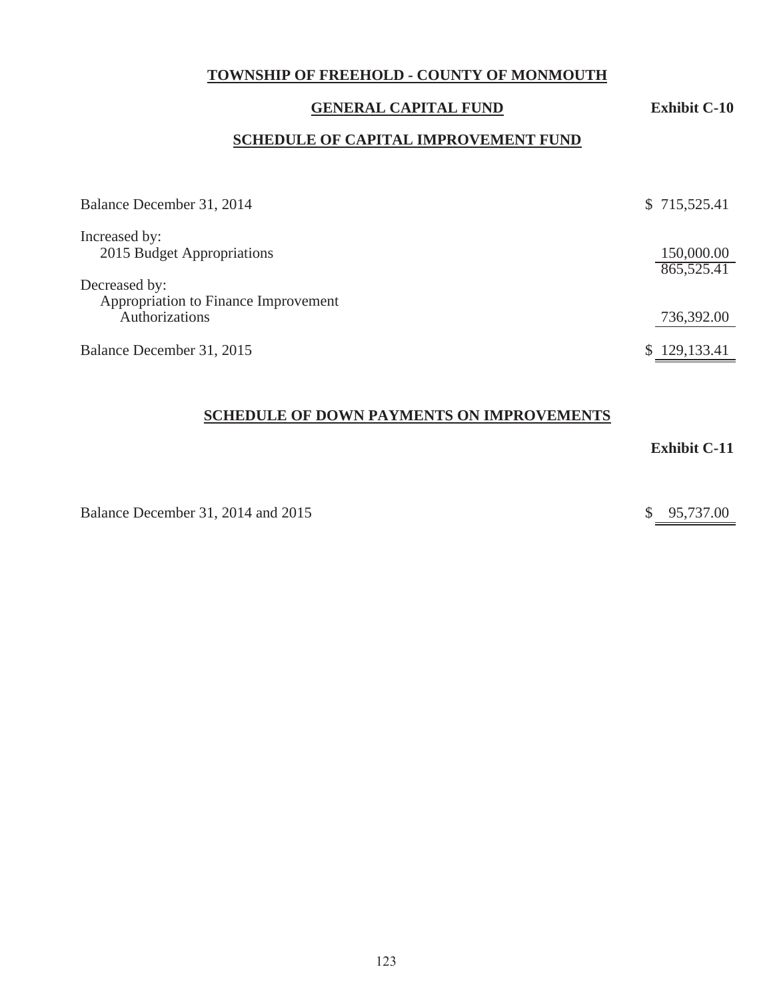### **GENERAL CAPITAL FUND Exhibit C-10**

## **SCHEDULE OF CAPITAL IMPROVEMENT FUND**

| Balance December 31, 2014            | \$715,525.41             |
|--------------------------------------|--------------------------|
| Increased by:                        |                          |
| 2015 Budget Appropriations           | 150,000.00<br>865,525.41 |
| Decreased by:                        |                          |
| Appropriation to Finance Improvement |                          |
| Authorizations                       | 736,392.00               |
| Balance December 31, 2015            | 129, 133. 41             |

## **SCHEDULE OF DOWN PAYMENTS ON IMPROVEMENTS**

**Exhibit C-11**

Balance December 31, 2014 and 2015 \$ 95,737.00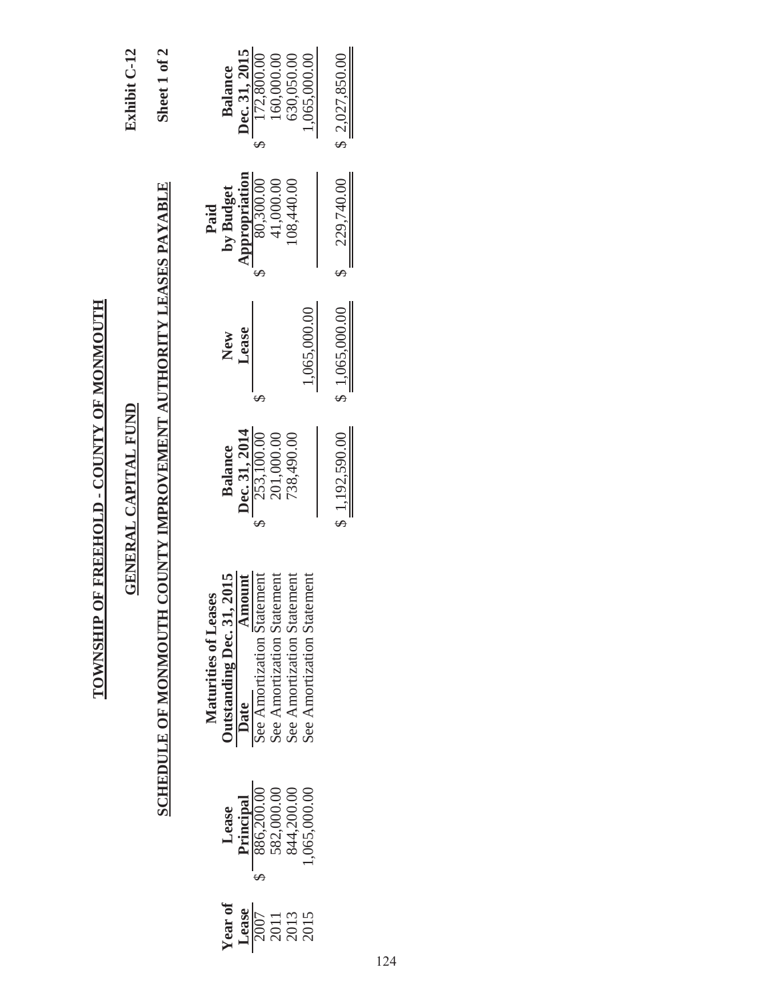|                                                  | <b>Exhibit C-12</b>  | Sheet 1 of 2                                                     | <b>Balance</b>                                    | Dec. 31, 2015<br>172,800.00                  | 160,000.00<br>630,050.00                                                             | 1,065,000.00               | \$2,027,850.00 |
|--------------------------------------------------|----------------------|------------------------------------------------------------------|---------------------------------------------------|----------------------------------------------|--------------------------------------------------------------------------------------|----------------------------|----------------|
|                                                  |                      |                                                                  | by Budget<br>Paid                                 | Appropriation<br>80,300.00                   | 41,000.00<br>0.001000                                                                |                            | 229,740.00     |
|                                                  |                      |                                                                  | New                                               | Lease                                        |                                                                                      | 1,065,000.00               | \$1,065,000.00 |
|                                                  | GENERAL CAPITAL FUND |                                                                  | <b>Balance</b>                                    | Dec. 31, 2014<br>253,100.00                  | 201,000.00<br>738,490.00                                                             |                            | \$1,192,590.00 |
| <b>FOWNSHIP OF FREEHOLD - COUNTY OF MONMOUTH</b> |                      | SCHEDULE OF MONMOUTH COUNTY IMPROVEMENT AUTHORITY LEASES PAYABLE | Dutstanding Dec. 31, 2015<br>Maturities of Leases | See Amortization Statement<br>Amount<br>Date | See Amortization Statement<br>See Amortization Statement                             | See Amortization Statement |                |
|                                                  |                      |                                                                  | Lease                                             | Principal                                    | $\frac{886,200.00}{582,000.00}$<br>$\frac{582,000.00}{844,200.00}$<br>$1,065,000.00$ |                            |                |
|                                                  |                      |                                                                  | Year of                                           | Lease                                        | 2007<br>2011<br>2013<br>2015                                                         |                            |                |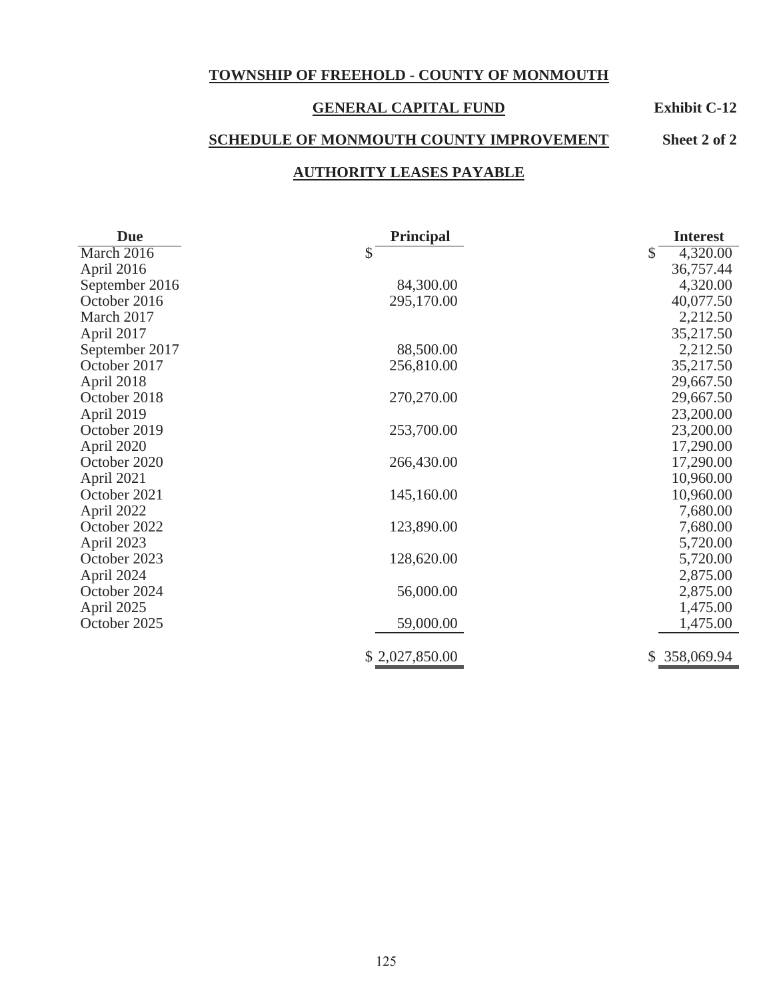## **GENERAL CAPITAL FUND Exhibit C-12**

## **SCHEDULE OF MONMOUTH COUNTY IMPROVEMENT Sheet 2 of 2**

## **AUTHORITY LEASES PAYABLE**

| <b>Due</b>     | Principal      | <b>Interest</b>  |
|----------------|----------------|------------------|
| March 2016     | \$             | \$<br>4,320.00   |
| April 2016     |                | 36,757.44        |
| September 2016 | 84,300.00      | 4,320.00         |
| October 2016   | 295,170.00     | 40,077.50        |
| March 2017     |                | 2,212.50         |
| April 2017     |                | 35,217.50        |
| September 2017 | 88,500.00      | 2,212.50         |
| October 2017   | 256,810.00     | 35,217.50        |
| April 2018     |                | 29,667.50        |
| October 2018   | 270,270.00     | 29,667.50        |
| April 2019     |                | 23,200.00        |
| October 2019   | 253,700.00     | 23,200.00        |
| April 2020     |                | 17,290.00        |
| October 2020   | 266,430.00     | 17,290.00        |
| April 2021     |                | 10,960.00        |
| October 2021   | 145,160.00     | 10,960.00        |
| April 2022     |                | 7,680.00         |
| October 2022   | 123,890.00     | 7,680.00         |
| April 2023     |                | 5,720.00         |
| October 2023   | 128,620.00     | 5,720.00         |
| April 2024     |                | 2,875.00         |
| October 2024   | 56,000.00      | 2,875.00         |
| April 2025     |                | 1,475.00         |
| October 2025   | 59,000.00      | 1,475.00         |
|                | \$2,027,850.00 | 358,069.94<br>\$ |
|                |                |                  |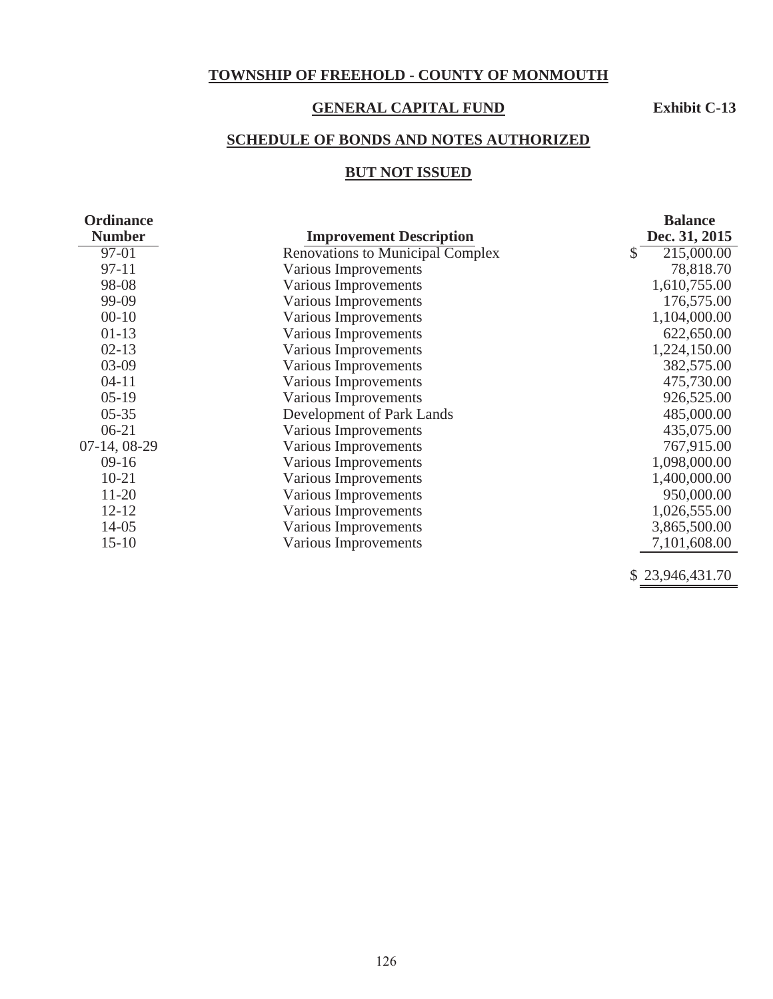## **GENERAL CAPITAL FUND Exhibit C-13**

## **SCHEDULE OF BONDS AND NOTES AUTHORIZED**

## **BUT NOT ISSUED**

| <b>Ordinance</b> |                                         | <b>Balance</b> |
|------------------|-----------------------------------------|----------------|
| <b>Number</b>    | <b>Improvement Description</b>          | Dec. 31, 2015  |
| $97 - 01$        | <b>Renovations to Municipal Complex</b> | 215,000.00     |
| $97 - 11$        | Various Improvements                    | 78,818.70      |
| 98-08            | Various Improvements                    | 1,610,755.00   |
| 99-09            | Various Improvements                    | 176,575.00     |
| $00-10$          | Various Improvements                    | 1,104,000.00   |
| $01-13$          | Various Improvements                    | 622,650.00     |
| $02 - 13$        | Various Improvements                    | 1,224,150.00   |
| $03-09$          | Various Improvements                    | 382,575.00     |
| $04 - 11$        | Various Improvements                    | 475,730.00     |
| $05-19$          | Various Improvements                    | 926,525.00     |
| $05 - 35$        | Development of Park Lands               | 485,000.00     |
| $06 - 21$        | Various Improvements                    | 435,075.00     |
| $07-14, 08-29$   | Various Improvements                    | 767,915.00     |
| $09-16$          | Various Improvements                    | 1,098,000.00   |
| $10 - 21$        | Various Improvements                    | 1,400,000.00   |
| $11 - 20$        | Various Improvements                    | 950,000.00     |
| $12 - 12$        | Various Improvements                    | 1,026,555.00   |
| $14 - 05$        | Various Improvements                    | 3,865,500.00   |
| $15 - 10$        | Various Improvements                    | 7,101,608.00   |
|                  |                                         |                |

\$ 23,946,431.70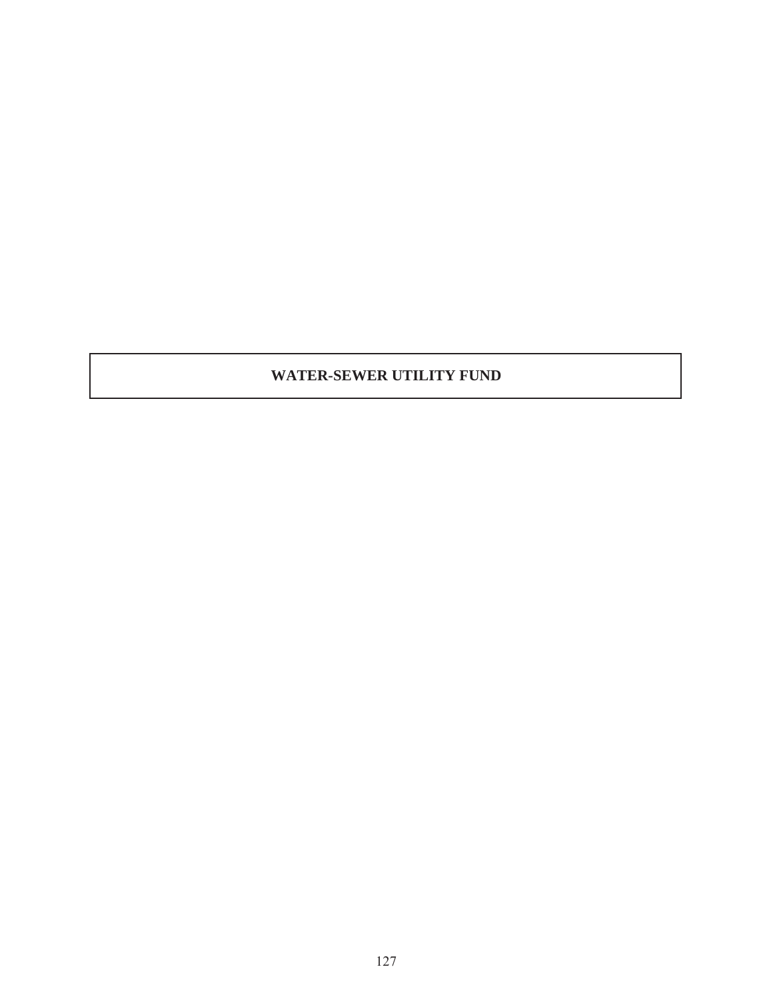## **WATER-SEWER UTILITY FUND**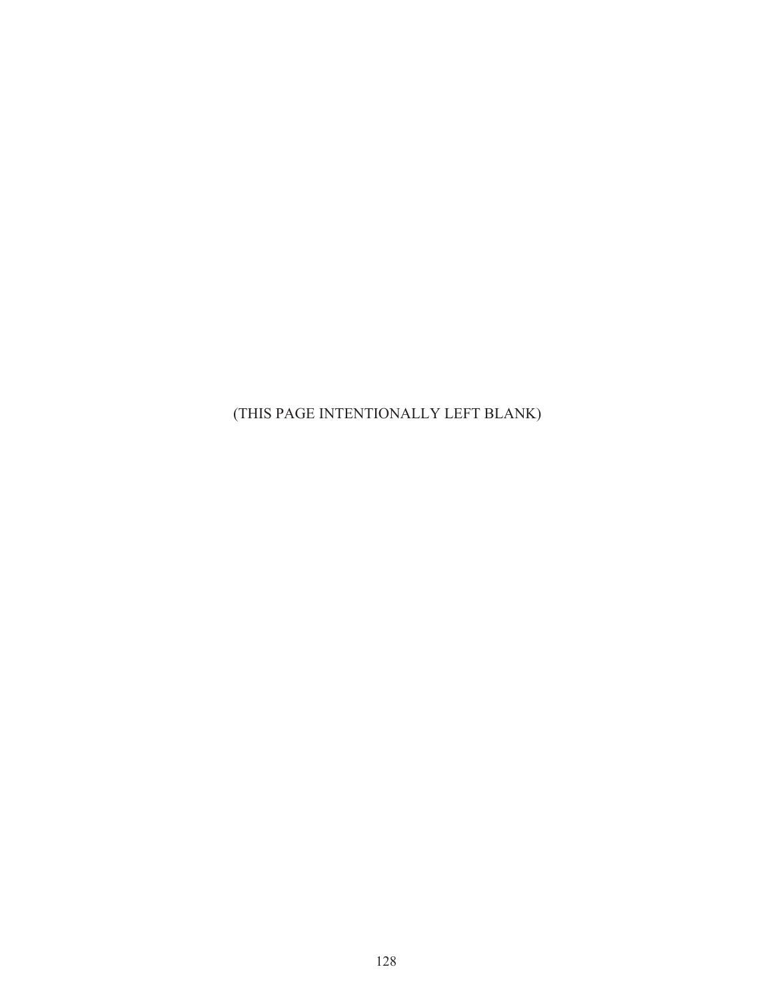(THIS PAGE INTENTIONALLY LEFT BLANK)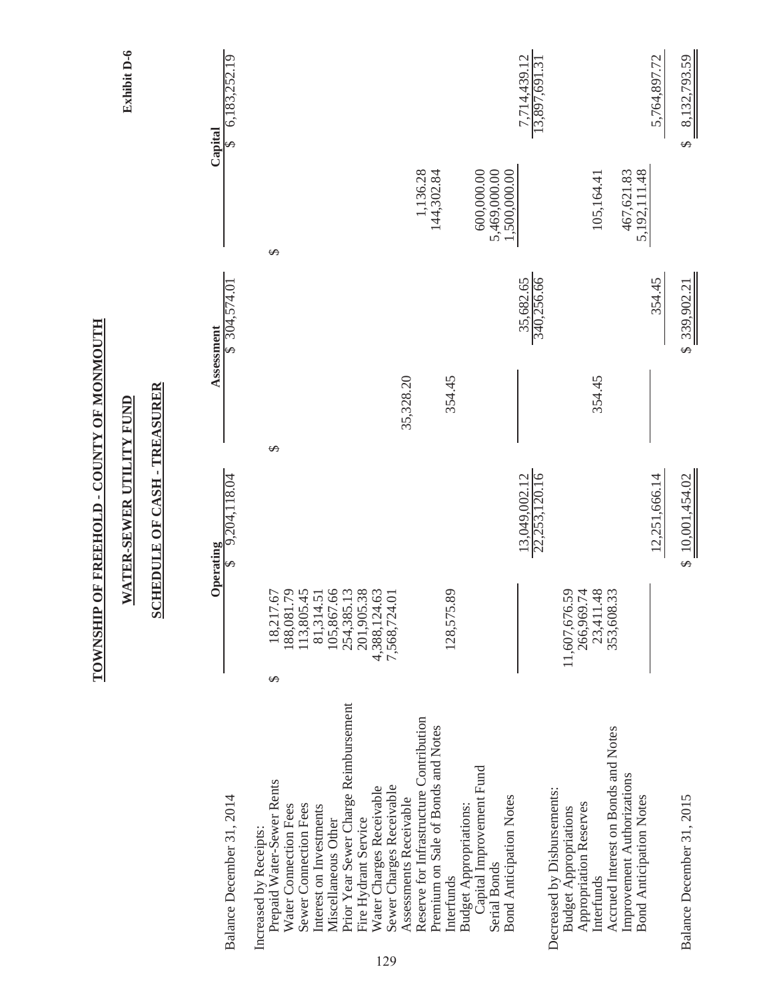|                                                                                                                                  |                                                                        | <b>SCHEDULE OF CASH - TREASURER</b><br>WATER-SEWER UTILITY FUND |           |                         |                            | Exhibit D-6                       |
|----------------------------------------------------------------------------------------------------------------------------------|------------------------------------------------------------------------|-----------------------------------------------------------------|-----------|-------------------------|----------------------------|-----------------------------------|
|                                                                                                                                  |                                                                        | Operating<br>$\frac{1}{2}$<br>$\frac{9,204,118.04}{9,204}$      |           | Assessment              |                            | Capital                           |
| Balance December 31, 2014                                                                                                        |                                                                        |                                                                 |           | 304,574.01<br>G         |                            | 6,183,252.19                      |
| Prepaid Water-Sewer Rents<br>Sewer Connection Fees<br>Water Connection Fees<br>Interest on Investments<br>Increased by Receipts: | 18,217.67<br>188,081.79<br>113,805.45<br>81,314.51<br>↮                |                                                                 | $\Theta$  |                         | $\varphi$                  |                                   |
| Prior Year Sewer Charge Reimbursement<br>Fire Hydrant Service<br>Miscellaneous Other                                             | 105,867.66<br>254,385.13<br>201,905.38<br>4,388,124.63<br>7,568,724.01 |                                                                 |           |                         |                            |                                   |
| Sewer Charges Receivable<br>Water Charges Receivable                                                                             |                                                                        |                                                                 |           |                         |                            |                                   |
| Reserve for Infrastructure Contribution<br>Premium on Sale of Bonds and Notes<br>Assessments Receivable                          |                                                                        |                                                                 | 35,328.20 |                         | 1,136.28<br>144,302.84     |                                   |
| Interfunds                                                                                                                       | 128,575.89                                                             |                                                                 | 354.45    |                         |                            |                                   |
| Capital Improvement Fund<br><b>Budget Appropriations:</b><br>Serial Bonds                                                        |                                                                        |                                                                 |           |                         | 5,469,000.00<br>600,000.00 |                                   |
| <b>Bond Anticipation Notes</b>                                                                                                   |                                                                        | 22,253,120.16<br>13,049,002.12                                  |           | 340,256.66<br>35,682.65 | 1,500,000.00               | 7,714,439.12<br>13,897,691.31     |
| Decreased by Disbursements:<br>Appropriation Reserves<br><b>Budget Appropriations</b><br>Interfunds                              | 11,607,676.59<br>266,969.74<br>23,411.48<br>353,608.33                 |                                                                 | 354.45    |                         | 105,164.41                 |                                   |
| Accrued Interest on Bonds and Notes<br>Improvement Authorizations<br><b>Bond Anticipation Notes</b>                              |                                                                        |                                                                 |           |                         | 467,621.83<br>5,192,111.48 |                                   |
|                                                                                                                                  |                                                                        | 12,251,666.14                                                   |           | 354.45                  |                            | 5,764,897.72                      |
| Balance December 31, 2015                                                                                                        |                                                                        | $\frac{$10,001,454.02}{2}$                                      |           | $\frac{$39,902.21}{2}$  |                            | 8,132,793.59<br>$\leftrightarrow$ |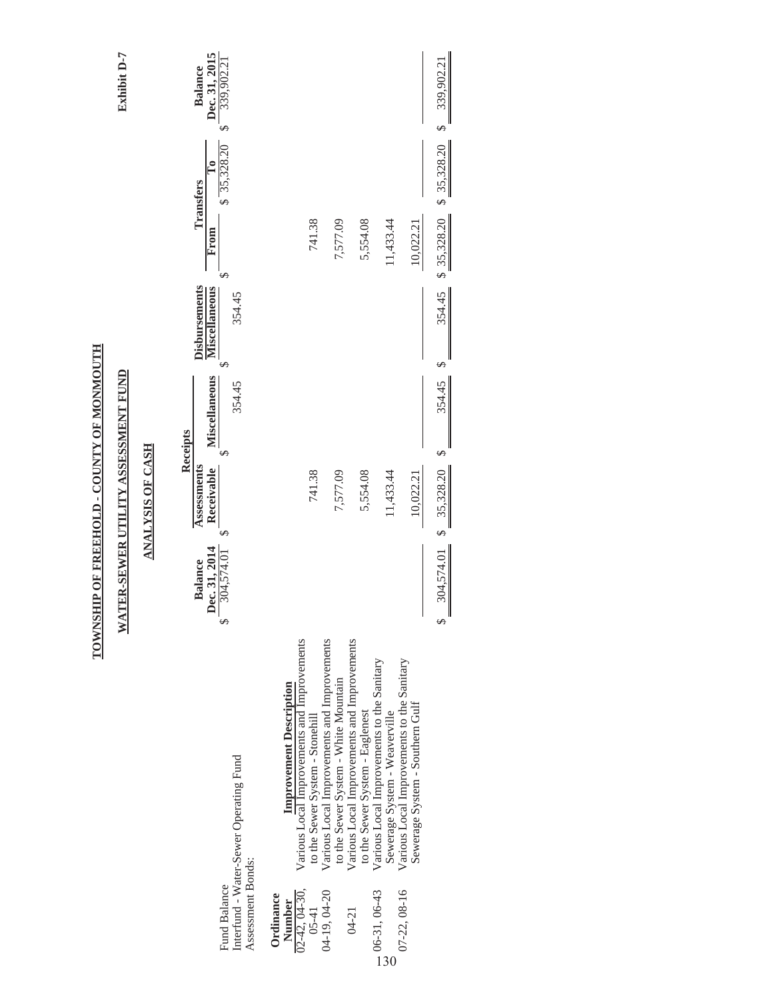|                         | Dec. 31, 2015<br>\$739,902.21<br><b>Balance</b>         |                                                                                                                                                                                                                                                                                                                                                                                                                                                           |  |
|-------------------------|---------------------------------------------------------|-----------------------------------------------------------------------------------------------------------------------------------------------------------------------------------------------------------------------------------------------------------------------------------------------------------------------------------------------------------------------------------------------------------------------------------------------------------|--|
|                         | \$35,328.20<br>$\epsilon$<br>Transfers                  | 354.45 \$ 35,328.20 \$ 35,328.20 \$ 339,902.21                                                                                                                                                                                                                                                                                                                                                                                                            |  |
|                         | From<br>$\Theta$                                        | 741.38<br>7,577.09<br>5,554.08<br>11,433.44<br>10,022.21                                                                                                                                                                                                                                                                                                                                                                                                  |  |
|                         | <b>Disbursements</b><br><b>Miscellaneous</b><br>354.45  |                                                                                                                                                                                                                                                                                                                                                                                                                                                           |  |
|                         | <b>Miscellaneous</b><br>354.45<br>Receipts              | $\frac{354.45}{\ }$ \$                                                                                                                                                                                                                                                                                                                                                                                                                                    |  |
| <b>ANALYSIS OF CASH</b> | Assessments<br>Receivable<br>∽                          | $304,574.01$ \$ $35,328.20$ \$<br>7,577.09<br>741.38<br>5,554.08<br>11,433.44<br>10,022.21                                                                                                                                                                                                                                                                                                                                                                |  |
|                         | Dec. 31, 2014<br>304,574.01<br><b>Balance</b><br>.<br>∽ | ↮                                                                                                                                                                                                                                                                                                                                                                                                                                                         |  |
|                         | Interfund - Water-Sewer Operating Fund                  | Various Local Improvements and Improvements<br>Various Local Improvements and Improvements<br>Various Local Improvements and Improvements<br>Various Local Improvements to the Sanitary<br>Various Local Improvements to the Sanitary<br>to the Sewer System - White Mountain<br><b>Improvement Description</b><br>Sewerage System - Southern Gulf<br>to the Sewer System - Eaglenest<br>Sewerage System - Weaverville<br>to the Sewer System - Stonehill |  |
|                         | Assessment Bonds:<br>Fund Balance                       | 07-22, 08-16<br>$02-42, 04-30,$<br>$6-31, 06-43$<br>130<br>04-19, 04-20<br>Ordinance<br>Number<br>$05-41$<br>$04 - 21$                                                                                                                                                                                                                                                                                                                                    |  |

# **WATER-SEWER UTILITY ASSESSMENT FUND Exhibit D-7** WATER-SEWER UTILITY ASSESSMENT FUND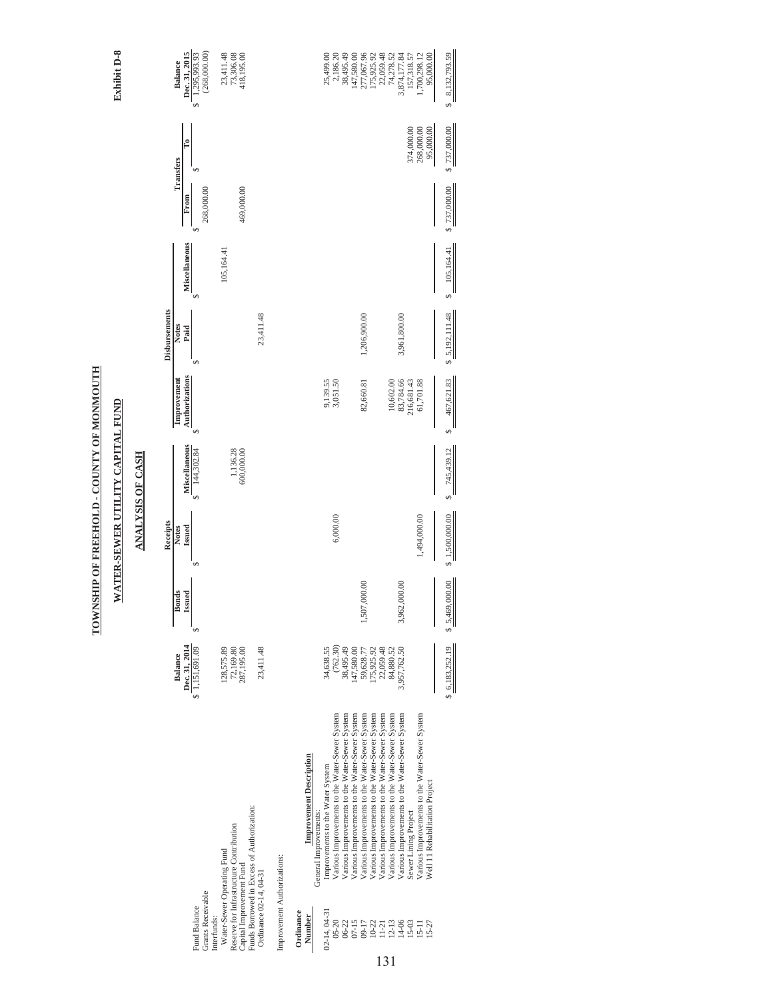| $\frac{1}{2}$     |  |
|-------------------|--|
|                   |  |
|                   |  |
|                   |  |
|                   |  |
|                   |  |
|                   |  |
|                   |  |
| トイくしょ じょく トリミングトリ |  |
|                   |  |
|                   |  |
|                   |  |
|                   |  |
|                   |  |
|                   |  |
|                   |  |
| トレート こうしょう        |  |
|                   |  |
|                   |  |
| י<br>ו<br>        |  |
|                   |  |
|                   |  |
| こくりしょ             |  |
|                   |  |
|                   |  |
|                   |  |
|                   |  |
|                   |  |

## **WATER-SEWER UTILITY CAPITAL FUND Exhibit D-8** WATER-SEWER UTILITY CAPITAL FUND

Exhibit D-8

## **ANALYSIS OF CASH ANALYSIS OF CASH**

|                      | Dec. 31, 2015<br>(268,000.00)<br>1,295,993.93<br>Balance<br>'∽ | 23,411.48<br>73,306.08<br>118,195.00                                                                                |                             |                                                         | 25,499.00<br>38,495.49<br>2,186.20                                                                                                   | 147,580.00<br>277,067.96<br>175,925.92                                                                                                             | 22,059.48<br>74,278.52<br>1,700,298.12<br>95,000.00<br>3,874,177.84<br>157,318.57                                                                                                                                                                              | 8,132,793.59    |
|----------------------|----------------------------------------------------------------|---------------------------------------------------------------------------------------------------------------------|-----------------------------|---------------------------------------------------------|--------------------------------------------------------------------------------------------------------------------------------------|----------------------------------------------------------------------------------------------------------------------------------------------------|----------------------------------------------------------------------------------------------------------------------------------------------------------------------------------------------------------------------------------------------------------------|-----------------|
|                      | Ê٥<br>Transfers                                                |                                                                                                                     |                             |                                                         |                                                                                                                                      |                                                                                                                                                    | 374,000.00<br>268,000.00<br>95,000.00                                                                                                                                                                                                                          | \$27,000.00     |
|                      | 268,000.00<br>From                                             | 469,000.00                                                                                                          |                             |                                                         |                                                                                                                                      |                                                                                                                                                    |                                                                                                                                                                                                                                                                | \$737,000.00    |
|                      | Miscellaneous                                                  | 105,164.41                                                                                                          |                             |                                                         |                                                                                                                                      |                                                                                                                                                    |                                                                                                                                                                                                                                                                | 105,164.41      |
| <b>Disbursements</b> | <b>Notes</b><br>Paid                                           |                                                                                                                     | 23,411.48                   |                                                         |                                                                                                                                      | 1,206,900.00                                                                                                                                       | 3,961,800.00                                                                                                                                                                                                                                                   | \$5,192,111.48  |
|                      | Authorizations<br>Improvement                                  |                                                                                                                     |                             |                                                         | 9,139.55<br>3,051.50                                                                                                                 | 82,660.81                                                                                                                                          | 83,784.66<br>10,602.00<br>216,681.43<br>61,701.88                                                                                                                                                                                                              | 467,621.83      |
|                      | Miscellaneous<br>$\frac{144,302.84}{1}$                        | 1,136.28<br>600,000.00                                                                                              |                             |                                                         |                                                                                                                                      |                                                                                                                                                    |                                                                                                                                                                                                                                                                | 745,439.12      |
| Receipts             | <b>Issued</b><br><b>Notes</b>                                  |                                                                                                                     |                             |                                                         | 6,000.00                                                                                                                             |                                                                                                                                                    | 1,494,000.00                                                                                                                                                                                                                                                   | \$1,500,000.00  |
|                      | <b>Bonds</b><br>Issued                                         |                                                                                                                     |                             |                                                         |                                                                                                                                      | 07,000.00<br>1,5(                                                                                                                                  | 3,962,000.00                                                                                                                                                                                                                                                   | \$.5,469,000.00 |
|                      | Dec. 31, 2014<br>\$1,151,691.09<br><b>Balance</b>              | 128,575.89<br>287,195.00<br>72,169.80                                                                               | 23,411.48                   |                                                         | (762.30)<br>34,638.55<br>38,495.49                                                                                                   | 147,580.00<br>175,925.92<br>59,628.77                                                                                                              | 22,059.48<br>3,957,762.50<br>84,880.52                                                                                                                                                                                                                         | \$6,183,252.19  |
|                      |                                                                | Funds Borrowed in Excess of Authorization:<br>Reserve for Infrastructure Contribution<br>Water-Sewer Operating Fund | Improvement Authorizations: | <b>Improvement Description</b><br>General Improvements: | Various Improvements to the Water-Sewer System<br>Various Improvements to the Water-Sewer System<br>Improvements to the Water System | Various Improvements to the Water-Sewer System<br>Various Improvements to the Water-Sewer System<br>Various Improvements to the Water-Sewer System | Various Improvements to the Water-Sewer System<br>Various Improvements to the Water-Sewer System<br>Various Improvements to the Water-Sewer System<br>Various Improvements to the Water-Sewer System<br>Well 11 Rehabilitation Project<br>Sewer Lining Project |                 |
|                      | Grants Receivable<br>Fund Balance<br>Interfunds:               | Capital Improvement Fund                                                                                            | Ordinance 02-14, 04-31      | Ordinance<br>Number                                     | $02 - 14, 04 - 31$<br>$05 - 20$<br>$06 - 22$                                                                                         | $07 - 15$<br>09-17<br>$10 - 22$                                                                                                                    | $15-27$<br>$12 - 13$<br>$15 - 03$<br>$14-06$<br>$15-11$<br>$1 - 21$<br>131                                                                                                                                                                                     |                 |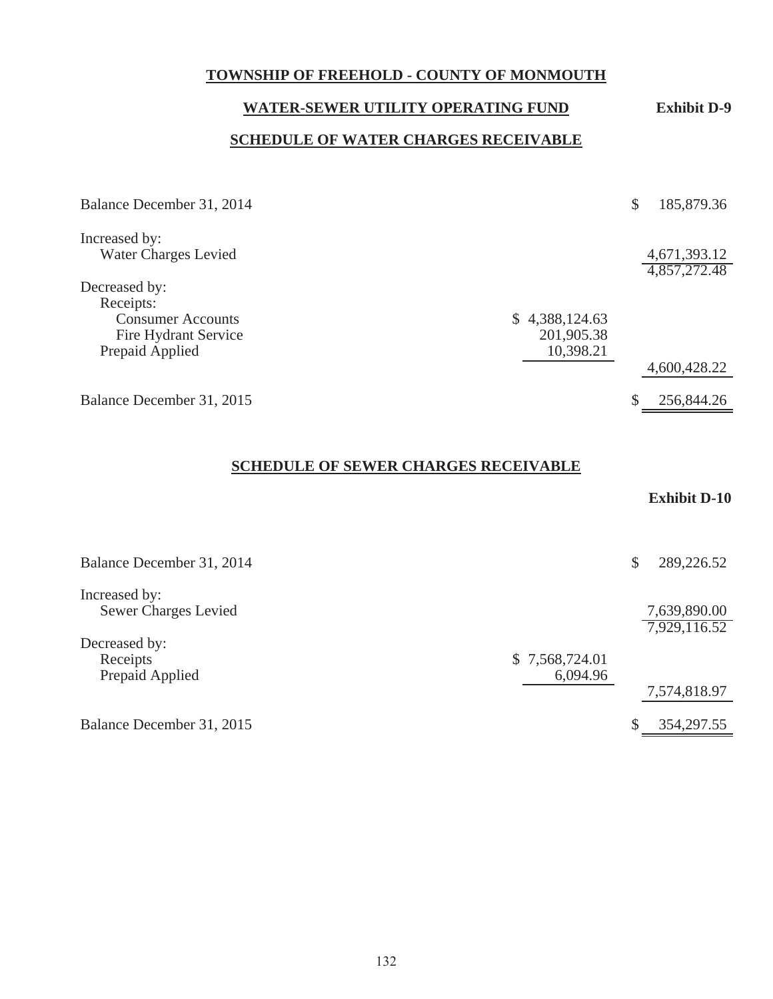| WATER-SEWER UTILITY OPERATING FUND          |                    | <b>Exhibit D-9</b> |
|---------------------------------------------|--------------------|--------------------|
| <b>SCHEDULE OF WATER CHARGES RECEIVABLE</b> |                    |                    |
|                                             |                    |                    |
| Balance December 31, 2014                   |                    | \$<br>185,879.36   |
| Increased by:                               |                    |                    |
| Water Charges Levied                        |                    | 4,671,393.12       |
| Decreased by:                               |                    | 4,857,272.48       |
| Receipts:                                   |                    |                    |
| <b>Consumer Accounts</b>                    | 4,388,124.63<br>\$ |                    |
| Fire Hydrant Service                        | 201,905.38         |                    |
| Prepaid Applied                             | 10,398.21          | 4,600,428.22       |
| Balance December 31, 2015                   |                    | \$<br>256,844.26   |

## **SCHEDULE OF SEWER CHARGES RECEIVABLE**

**Exhibit D-10**

| Balance December 31, 2014 |                | \$<br>289,226.52  |
|---------------------------|----------------|-------------------|
| Increased by:             |                |                   |
| Sewer Charges Levied      |                | 7,639,890.00      |
|                           |                | 7,929,116.52      |
| Decreased by:             |                |                   |
| Receipts                  | \$7,568,724.01 |                   |
| Prepaid Applied           | 6,094.96       |                   |
|                           |                | 7,574,818.97      |
|                           |                |                   |
| Balance December 31, 2015 |                | \$<br>354, 297.55 |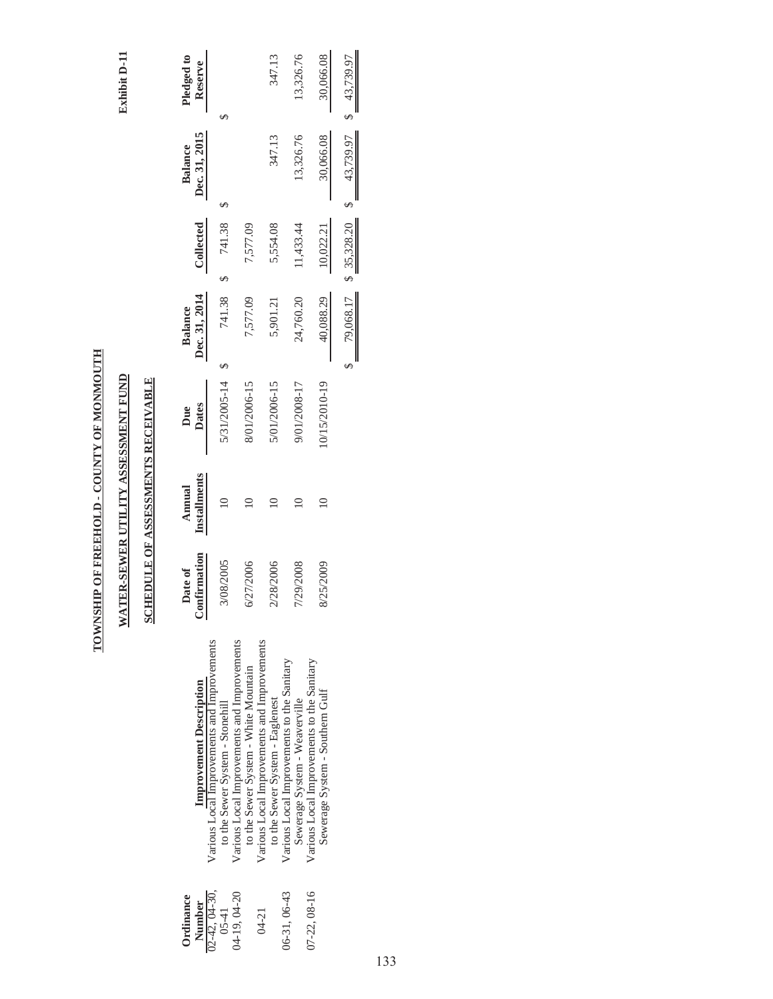**WATER-SEWER UTILITY ASSESSMENT FUND Exhibit D-11** WATER-SEWER UTILITY ASSESSMENT FUND

Exhibit D-11

## **SCHEDULE OF ASSESSMENTS RECEIVABLE SCHEDULE OF ASSESSMENTS RECEIVABLE**

| Pledged to<br>Reserve           |                                                                                |                                                                                     | 347.13                                                                         | 13,326.76                                                                   | 30,066.08                                                                     |                                                  |
|---------------------------------|--------------------------------------------------------------------------------|-------------------------------------------------------------------------------------|--------------------------------------------------------------------------------|-----------------------------------------------------------------------------|-------------------------------------------------------------------------------|--------------------------------------------------|
| Dec. 31, 2015<br><b>Balance</b> |                                                                                |                                                                                     | 347.13                                                                         | 13,326.76                                                                   | 30,066.08                                                                     | $$35,328.20 \quad$ \$ 43,739.97 \cdots 43,739.97 |
| Collected                       | 741.38                                                                         | 7,577.09                                                                            | 5,554.08                                                                       | 11,433.44                                                                   | 10,022.21                                                                     |                                                  |
| Dec. 31, 2014<br><b>Balance</b> | 741.38                                                                         | 7,577.09                                                                            | 5,901.21                                                                       | 24,760.20                                                                   | 40,088.29                                                                     | 79,068.17                                        |
| <b>Dates</b><br>Due             | 5/31/2005-14                                                                   | 8/01/2006-15                                                                        | 5/01/2006-15                                                                   | 9/01/2008-17                                                                | 0/15/2010-19                                                                  |                                                  |
| Installments<br>Annual          |                                                                                |                                                                                     |                                                                                |                                                                             |                                                                               |                                                  |
| Confirmation<br>Date of         | ,708/2005                                                                      | 6/27/2006                                                                           | 2/28/2006                                                                      | 7/29/2008                                                                   | 8/25/2009                                                                     |                                                  |
| <b>Improvement Description</b>  | Various Local Improvements and Improvements<br>to the Sewer System - Stonehill | Various Local Improvements and Improvements<br>to the Sewer System - White Mountain | Various Local Improvements and Improvements<br>to the Sewer System - Eaglenest | Various Local Improvements to the Sanitary<br>Sewerage System - Weaverville | Various Local Improvements to the Sanitary<br>Sewerage System - Southern Gulf |                                                  |
| Ordinance<br>Number             | 02-42, 04-30,<br>$05-41$                                                       | 04-19, 04-20                                                                        | $04 - 21$                                                                      | 06-31, 06-43                                                                | 07-22, 08-16                                                                  |                                                  |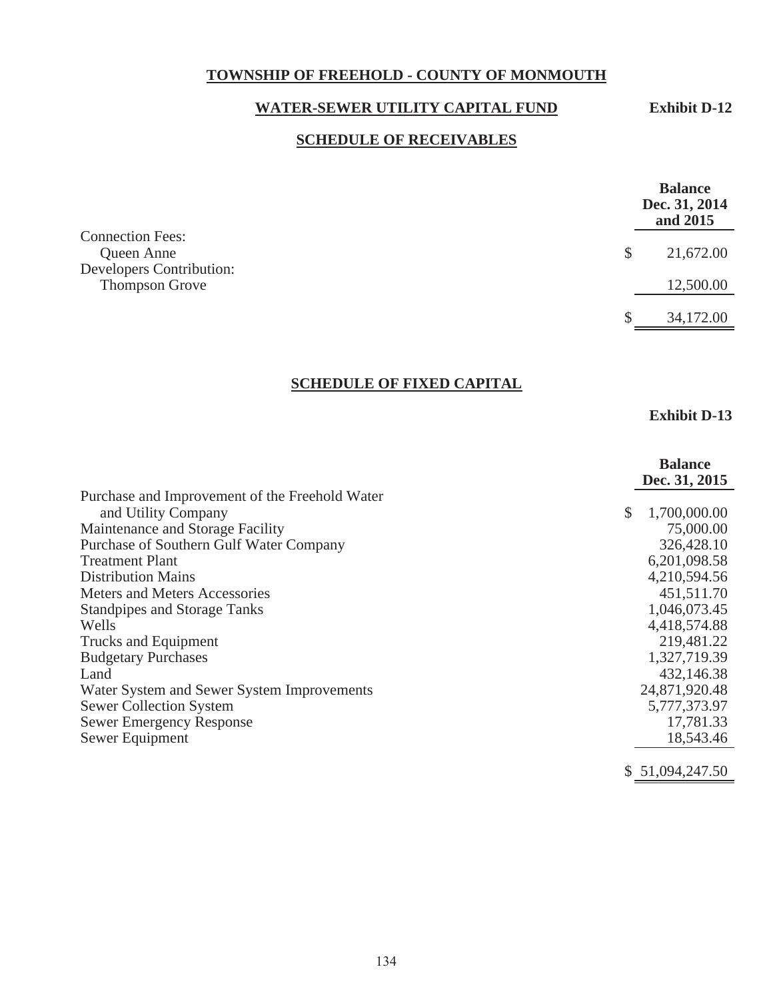## **WATER-SEWER UTILITY CAPITAL FUND Exhibit D-12**

## **SCHEDULE OF RECEIVABLES**

|                                            |    | <b>Balance</b><br>Dec. 31, 2014<br>and 2015 |
|--------------------------------------------|----|---------------------------------------------|
| <b>Connection Fees:</b><br>Queen Anne      | \$ | 21,672.00                                   |
| Developers Contribution:<br>Thompson Grove |    | 12,500.00                                   |
|                                            | S  | 34,172.00                                   |

## **SCHEDULE OF FIXED CAPITAL**

**Exhibit D-13**

|                                                | <b>Balance</b>                |
|------------------------------------------------|-------------------------------|
|                                                | Dec. 31, 2015                 |
| Purchase and Improvement of the Freehold Water |                               |
| and Utility Company                            | $\mathcal{S}$<br>1,700,000.00 |
| Maintenance and Storage Facility               | 75,000.00                     |
| Purchase of Southern Gulf Water Company        | 326,428.10                    |
| <b>Treatment Plant</b>                         | 6,201,098.58                  |
| <b>Distribution Mains</b>                      | 4,210,594.56                  |
| Meters and Meters Accessories                  | 451,511.70                    |
| Standpipes and Storage Tanks                   | 1,046,073.45                  |
| Wells                                          | 4,418,574.88                  |
| Trucks and Equipment                           | 219,481.22                    |
| <b>Budgetary Purchases</b>                     | 1,327,719.39                  |
| Land                                           | 432,146.38                    |
| Water System and Sewer System Improvements     | 24,871,920.48                 |
| <b>Sewer Collection System</b>                 | 5,777,373.97                  |
| <b>Sewer Emergency Response</b>                | 17,781.33                     |
| Sewer Equipment                                | 18,543.46                     |
|                                                |                               |
|                                                | \$51,094,247.50               |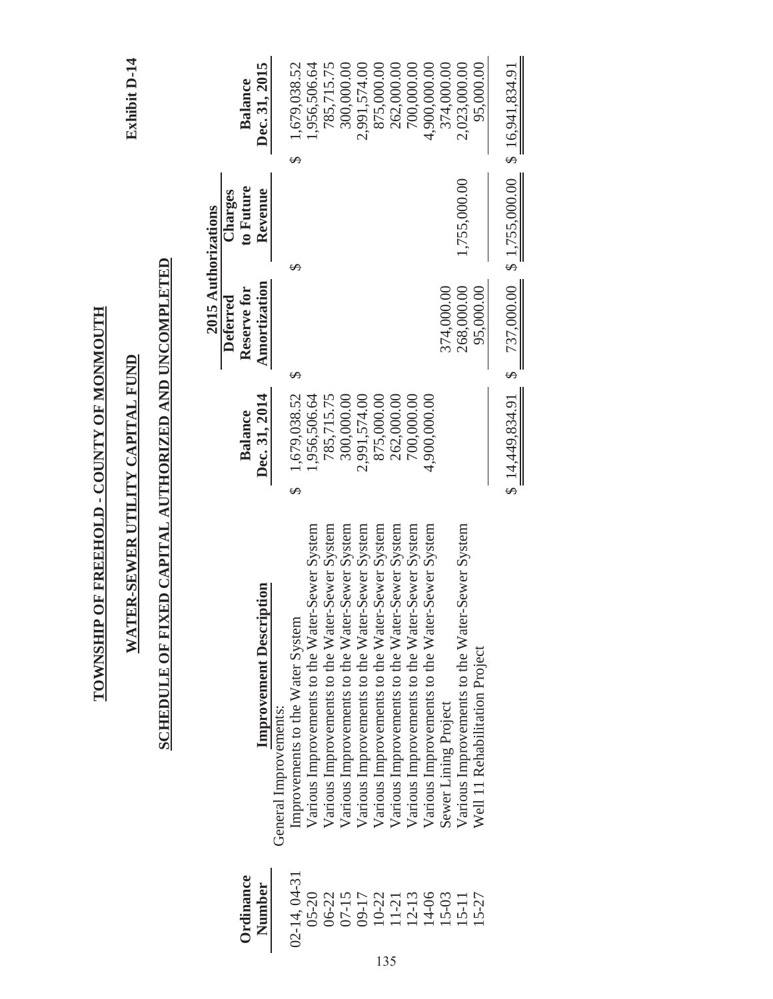|                                                      |                     | <b>Balance</b>          | Dec. 31, 2015                  |                       | 1,679,038.52                     | 1,956,506.64                                   | 785,715.75                                     | 300,000.00                                     | 2,991,574.00                                   | 875,000.00                                     | 262,000.00                                     | 700,000.00                                     | 4,900,000.00                                   | 374,000.00           | 2,023,000.00                                   | 95,000.00                      |                                                              |
|------------------------------------------------------|---------------------|-------------------------|--------------------------------|-----------------------|----------------------------------|------------------------------------------------|------------------------------------------------|------------------------------------------------|------------------------------------------------|------------------------------------------------|------------------------------------------------|------------------------------------------------|------------------------------------------------|----------------------|------------------------------------------------|--------------------------------|--------------------------------------------------------------|
|                                                      | 2015 Authorizations | to Future<br>Charges    | Revenue                        |                       | ∽                                |                                                |                                                |                                                |                                                |                                                |                                                |                                                |                                                |                      | 1,755,000.00                                   |                                |                                                              |
|                                                      |                     | Reserve for<br>Deferred | Amortization                   |                       | $\Theta$                         |                                                |                                                |                                                |                                                |                                                |                                                |                                                |                                                | 374,000.00           | 268,000.00                                     | 95,000.00                      |                                                              |
|                                                      |                     | <b>Balance</b>          | Dec. 31, 2014                  |                       | 1,679,038.52                     | 1.956.506.64                                   | 785,715.75                                     | 300,000.00                                     | 2,991,574.00                                   | 875,000.00                                     | 262,000.00                                     | 700,000.00                                     | 4,900,000.00                                   |                      |                                                |                                | $14,449,834.91$ \$ 155,000.000 \$ 1,755,000 \$ 16,941,834.91 |
| SCHEDULE OF FIXED CAPITAL AUTHORIZED AND UNCOMPLETED |                     |                         | <b>Improvement Description</b> | General Improvements: | Improvements to the Water System | Various Improvements to the Water-Sewer System | Various Improvements to the Water-Sewer System | Various Improvements to the Water-Sewer System | Various Improvements to the Water-Sewer System | Various Improvements to the Water-Sewer System | Various Improvements to the Water-Sewer System | Various Improvements to the Water-Sewer System | Various Improvements to the Water-Sewer System | Sewer Lining Project | Various Improvements to the Water-Sewer System | Well 11 Rehabilitation Project |                                                              |
|                                                      |                     | Ordinance               | Number                         |                       | $02-14, 04-31$                   | $05 - 20$                                      | $06 - 22$                                      | $07 - 15$                                      | 09-17                                          | $10 - 22$                                      | $11-21$<br>$12-13$                             |                                                | 14-06                                          | $15 - 03$            | $15 - 11$                                      | $15 - 27$                      |                                                              |

**WATER-SEWER UTILITY CAPITAL FUND Exhibit D-14** WATER-SEWER UTILITY CAPITAL FUND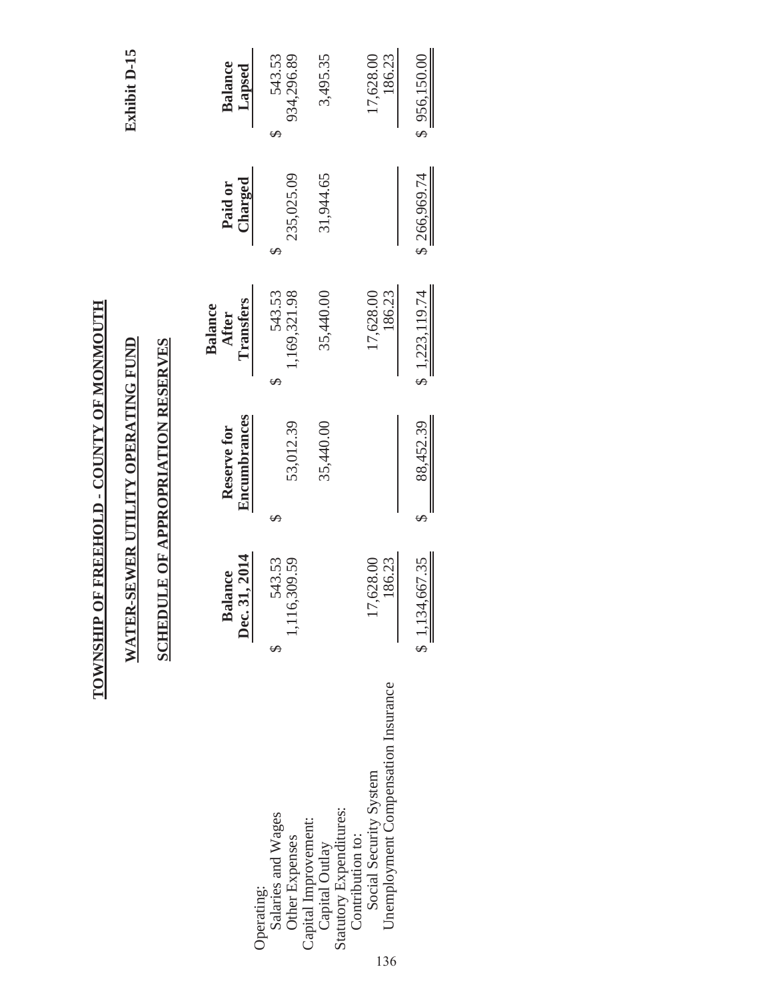| <b>CONTAINTY OF ALAMAN ANTICH</b><br>;<br>;                                                                                                                                                                                          |  |
|--------------------------------------------------------------------------------------------------------------------------------------------------------------------------------------------------------------------------------------|--|
|                                                                                                                                                                                                                                      |  |
|                                                                                                                                                                                                                                      |  |
|                                                                                                                                                                                                                                      |  |
|                                                                                                                                                                                                                                      |  |
|                                                                                                                                                                                                                                      |  |
|                                                                                                                                                                                                                                      |  |
|                                                                                                                                                                                                                                      |  |
|                                                                                                                                                                                                                                      |  |
|                                                                                                                                                                                                                                      |  |
|                                                                                                                                                                                                                                      |  |
|                                                                                                                                                                                                                                      |  |
|                                                                                                                                                                                                                                      |  |
|                                                                                                                                                                                                                                      |  |
|                                                                                                                                                                                                                                      |  |
|                                                                                                                                                                                                                                      |  |
|                                                                                                                                                                                                                                      |  |
| <b>Contraction of the property of the contract of the contract of the contract of the contract of the contract of the contract of the contract of the contract of the contract of the contract of the contract of the contract o</b> |  |
|                                                                                                                                                                                                                                      |  |
|                                                                                                                                                                                                                                      |  |
|                                                                                                                                                                                                                                      |  |
|                                                                                                                                                                                                                                      |  |
|                                                                                                                                                                                                                                      |  |

# **WATER-SEWER UTILITY OPERATING FUND Exhibit D-15** WATER-SEWER UTILITY OPERATING FUND

Exhibit D-15

## **SCHEDULE OF APPROPRIATION RESERVES SCHEDULE OF APPROPRIATION RESERVES**

|                                                                                   | Dec. 31, 2014<br><b>Balance</b> | Encumbrances<br>Reserve for | Transfers<br><b>Balance</b><br><b>After</b> | Charged<br>Paid or | Balance<br>Lapsed    |
|-----------------------------------------------------------------------------------|---------------------------------|-----------------------------|---------------------------------------------|--------------------|----------------------|
| Salaries and Wages<br>Other Expenses<br>Operating:                                | 543.53<br>1,116,309.59<br>∽     | 53,012.39                   | 543.53<br>1,169,321.98                      | 235,025.09         | 543.53<br>934,296.89 |
| Statutory Expenditures:<br>Capital Improvement:<br>Capital Outlay                 |                                 | 35,440.00                   | 35,440.00                                   | 31,944.65          | 3,495.35             |
| Unemployment Compensation Insurance<br>Social Security System<br>Contribution to: | 186.23<br>17,628.00             |                             | 17,628.00<br>186.23                         |                    | 17,628.00<br>186.23  |
|                                                                                   | $\frac{$1,134,667.35}{2}$       | 88,452.39                   | \$1,223,119.74                              | \$ 266,969.74      | \$956,150.00         |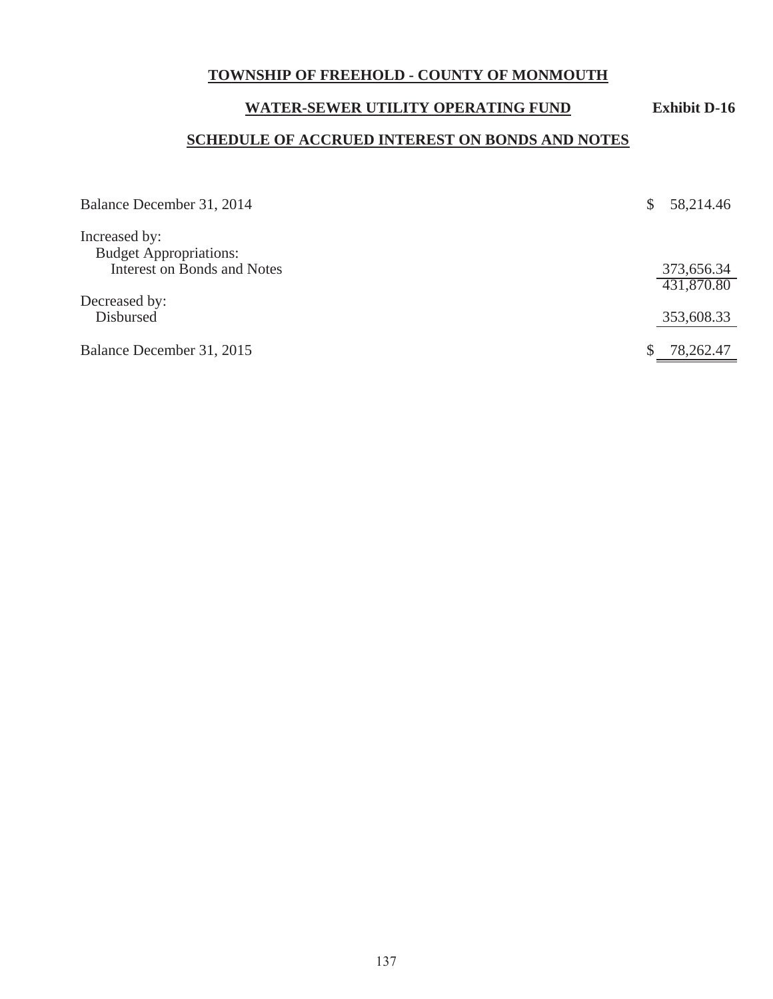## **WATER-SEWER UTILITY OPERATING FUND** Exhibit D-16

## **SCHEDULE OF ACCRUED INTEREST ON BONDS AND NOTES**

| Balance December 31, 2014          | 58,214.46<br>S |
|------------------------------------|----------------|
| Increased by:                      |                |
| <b>Budget Appropriations:</b>      |                |
| <b>Interest on Bonds and Notes</b> | 373,656.34     |
|                                    | 431,870.80     |
| Decreased by:                      |                |
| Disbursed                          | 353,608.33     |
|                                    |                |
| Balance December 31, 2015          | 78,262.47      |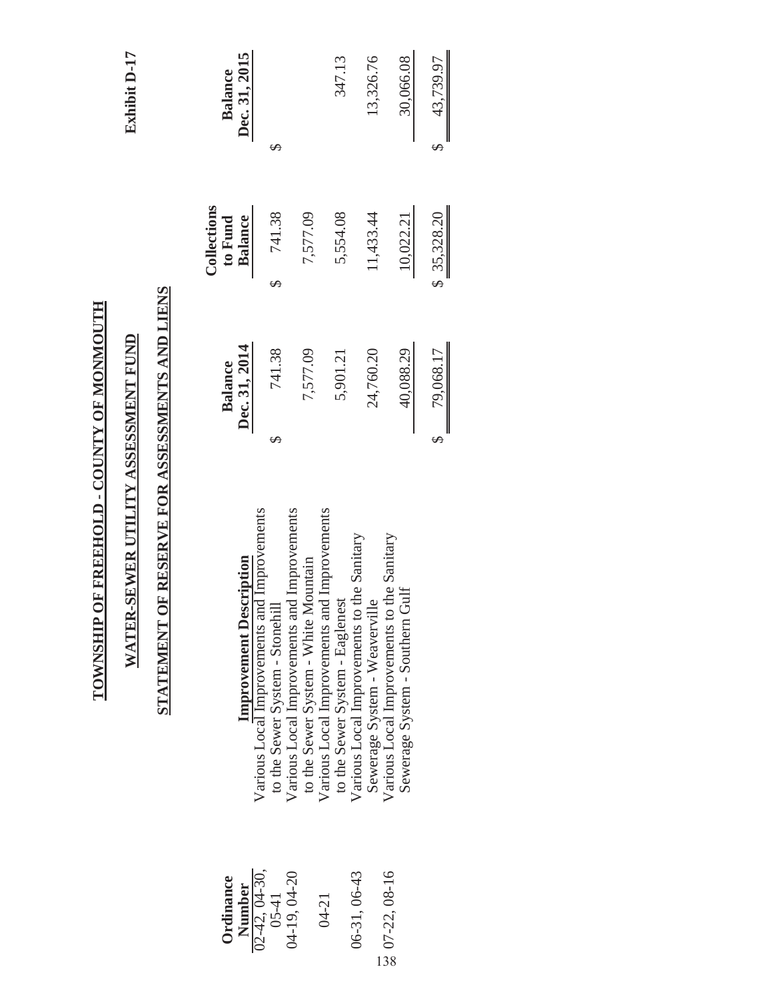| Exhibit D-17                        |                                                       | Dec. 31, 2015<br><b>Balance</b>          | ∽                                                                                                                            |                                      | 347.13                                                                         | 13,326.76                                                                   | 30,066.08                                                                     | \$43,739.97    |
|-------------------------------------|-------------------------------------------------------|------------------------------------------|------------------------------------------------------------------------------------------------------------------------------|--------------------------------------|--------------------------------------------------------------------------------|-----------------------------------------------------------------------------|-------------------------------------------------------------------------------|----------------|
|                                     |                                                       | Collections<br><b>Balance</b><br>to Fund | 741.38                                                                                                                       | 7,577.09                             | 5,554.08                                                                       | 11,433.44                                                                   | 10,022.21                                                                     | \$35,328.20    |
|                                     |                                                       | Dec. 31, 2014<br><b>Balance</b>          | 741.38<br>∽                                                                                                                  | 7,577.09                             | 5,901.21                                                                       | 24,760.20                                                                   | 40,088.29                                                                     | 79,068.17<br>S |
| WATER-SEWER UTILITY ASSESSMENT FUND | <u>STATEMENT OF RESERVE FOR ASSESSMENTS AND LIENS</u> | <b>Improvement Description</b>           | Various Local Improvements and Improvements<br>Various Local Improvements and Improvements<br>to the Sewer System - Stonehil | to the Sewer System - White Mountain | Various Local Improvements and Improvements<br>to the Sewer System - Eaglenest | Various Local Improvements to the Sanitary<br>Sewerage System - Weaverville | Various Local Improvements to the Sanitary<br>Sewerage System - Southern Gulf |                |
|                                     |                                                       | Ordinance<br>Number                      | 02-42, 04-30,<br>04-19, 04-20<br>$05-41$                                                                                     |                                      | $04 - 21$                                                                      | $06-31, 06-43$                                                              | $\frac{12}{8}$ 07-22, 08-16                                                   |                |

TOWNSHIP OF FREEHOLD - COUNTY OF MONMOUTH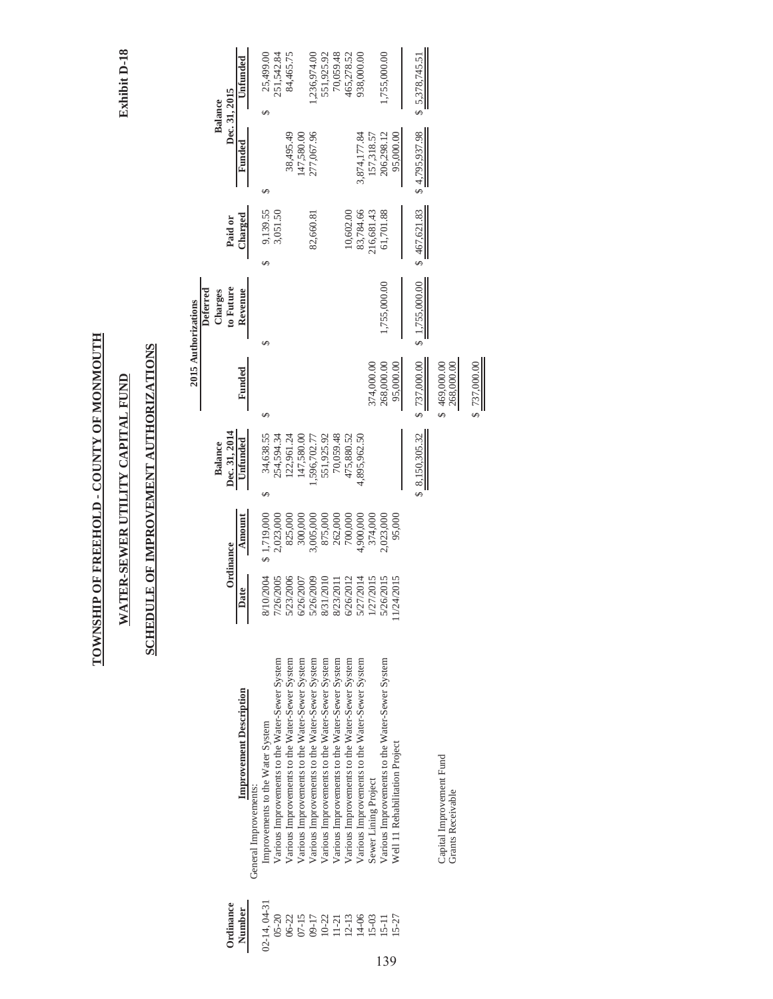Exhibit D-18 **WATER-SEWER UTILITY CAPITAL FUND Exhibit D-18**

## TOWNSHIP OF FREEHOLD - COUNTY OF MONMOUTH WATER-SEWER UTILITY CAPITAL FUND

**TOWNSHIP OF FREEHOLD - COUNTY OF MONMOUTH**

## **SCHEDULE OF IMPROVEMENT AUTHORIZATIONS SCHEDULE OF IMPROVEMENT AUTHORIZATIONS**

|                     |          |                |               | Unfunded                       |                       | 25,499.00<br>5                   | 251,542.84                                     | 84,465.75                                                                                                                                                                     |                                                | ,236,974.00                                    | 551,925.92                                     | 70,059.48                                      | 465,278.52                                                  | 938,000.00                                     |                      | 1,755,000.00                                   |                                | \$5,378,745.51    |                                               |            |
|---------------------|----------|----------------|---------------|--------------------------------|-----------------------|----------------------------------|------------------------------------------------|-------------------------------------------------------------------------------------------------------------------------------------------------------------------------------|------------------------------------------------|------------------------------------------------|------------------------------------------------|------------------------------------------------|-------------------------------------------------------------|------------------------------------------------|----------------------|------------------------------------------------|--------------------------------|-------------------|-----------------------------------------------|------------|
|                     |          | <b>Balance</b> | Dec. 31, 2015 | Funded                         |                       | s.                               |                                                | 38,495.49                                                                                                                                                                     | 47,580.00                                      | 277,067.96                                     |                                                |                                                |                                                             | ,874,177.84                                    | 157,318.57           | 206,298.12                                     | 95,000.00                      | 4,795,937.98      |                                               |            |
|                     |          |                | Paid or       | Charged                        |                       | 9,139.55                         | 3,051.50                                       |                                                                                                                                                                               |                                                | 82,660.81                                      |                                                |                                                | 10,602.00                                                   | 83,784.66                                      | 216,681.43           | 61,701.88                                      |                                | \$467,621.83      |                                               |            |
| 2015 Authorizations | Deferred | Charges        | to Future     | Revenue                        |                       | s.                               |                                                |                                                                                                                                                                               |                                                |                                                |                                                |                                                |                                                             |                                                |                      | .755,000.00                                    |                                | \$1,755,000.00    |                                               |            |
|                     |          |                |               | Funded                         |                       | s.                               |                                                |                                                                                                                                                                               |                                                |                                                |                                                |                                                |                                                             |                                                | 374,000.00           | 268,000.00                                     | 95,000.00                      | \$737,000.00      | 268,000.00<br>\$469,000.00                    | 737,000.00 |
|                     |          | <b>Balance</b> | Dec. 31, 2014 | Unfunded                       |                       | 34,638.55<br>₩                   | 254,594.34                                     | 122,961.24                                                                                                                                                                    | 147,580.00                                     | ,596,702.77                                    | 551,925.92                                     | 70,059.48                                      | 475,880.52                                                  | 4,895,962.50                                   |                      |                                                |                                | 8,150,305.32<br>S |                                               |            |
|                     |          |                |               | Amount                         |                       | \$1,719,000                      | 2,023,000                                      | 825,000                                                                                                                                                                       | 300,000                                        | 3,005,000                                      | 875,000                                        | 262,000                                        | 700,000                                                     | ,900,000                                       | 374,000              | 2,023,000                                      | 95,000                         |                   |                                               |            |
|                     |          |                | Ordinance     | Date                           |                       | 8/10/2004                        |                                                | $\begin{array}{l} 7/26/2005 \\ 5/23/2006 \\ 6/26/2007 \\ 5/26/2009 \\ 5/26/2009 \\ 8/31/2010 \\ 8/23/2011 \\ 6/26/2012 \\ 6/26/2012 \\ 5/27/2014 \\ 5/27/2014 \\ \end{array}$ |                                                |                                                |                                                |                                                |                                                             |                                                | 1/27/2015            | 5/26/2015                                      | 1/24/2015                      |                   |                                               |            |
|                     |          |                |               | <b>Improvement Description</b> | General Improvements: | Improvements to the Water System | Various Improvements to the Water-Sewer System | Various Improvements to the Water-Sewer System                                                                                                                                | Various Improvements to the Water-Sewer System | Various Improvements to the Water-Sewer System | Various Improvements to the Water-Sewer System | Various Improvements to the Water-Sewer System | Various Improvements to the Water-Sewer System              | Various Improvements to the Water-Sewer System | Sewer Lining Project | Various Improvements to the Water-Sewer System | Well 11 Rehabilitation Project |                   | Capital Improvement Fund<br>Grants Receivable |            |
|                     |          |                | Ordinance     | Number                         |                       | $02-14, 04-31$                   | $05 - 20$                                      |                                                                                                                                                                               |                                                |                                                |                                                |                                                | 06-22<br>07-15<br>09-17<br>10-22<br>11-21<br>12-13<br>14-06 |                                                | $15 - 03$            | $15-11$                                        | $15 - 27$                      |                   |                                               |            |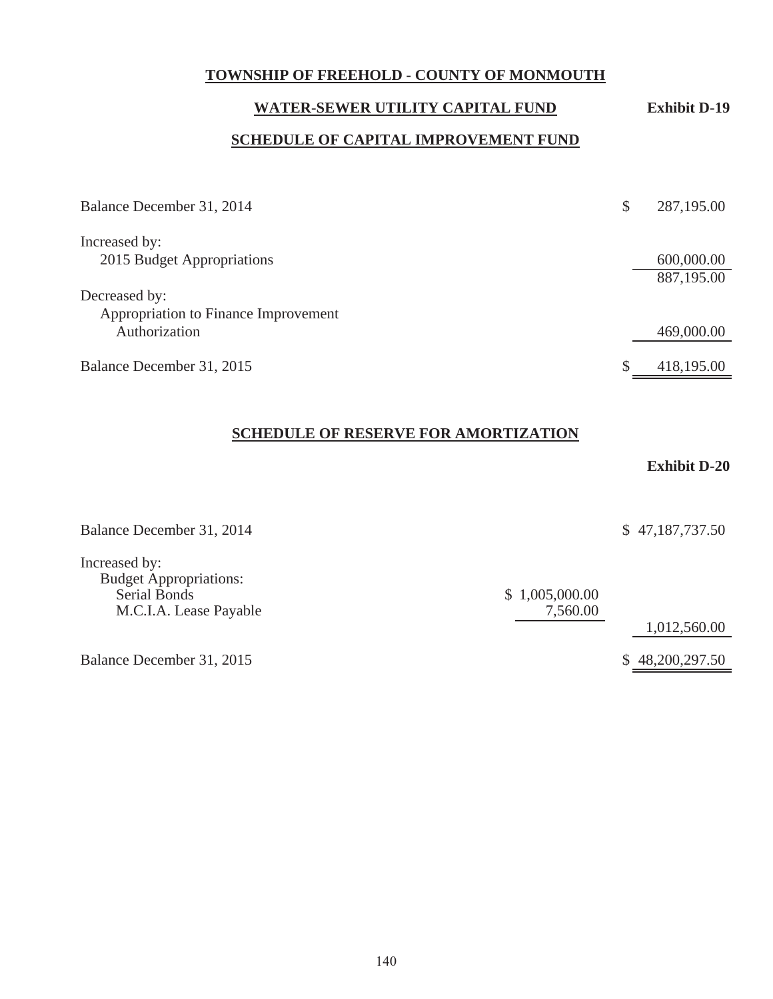### **WATER-SEWER UTILITY CAPITAL FUND Exhibit D-19**

### **SCHEDULE OF CAPITAL IMPROVEMENT FUND**

| Balance December 31, 2014            | \$<br>287,195.00 |
|--------------------------------------|------------------|
| Increased by:                        |                  |
| 2015 Budget Appropriations           | 600,000.00       |
|                                      | 887,195.00       |
| Decreased by:                        |                  |
| Appropriation to Finance Improvement |                  |
| Authorization                        | 469,000.00       |
|                                      |                  |
| Balance December 31, 2015            | \$<br>418,195.00 |

### **SCHEDULE OF RESERVE FOR AMORTIZATION**

### **Exhibit D-20**

| Balance December 31, 2014                                                                       |                            | \$47,187,737.50 |
|-------------------------------------------------------------------------------------------------|----------------------------|-----------------|
| Increased by:<br><b>Budget Appropriations:</b><br><b>Serial Bonds</b><br>M.C.I.A. Lease Payable | \$1,005,000.00<br>7,560.00 | 1,012,560.00    |
| Balance December 31, 2015                                                                       |                            | \$48,200,297.50 |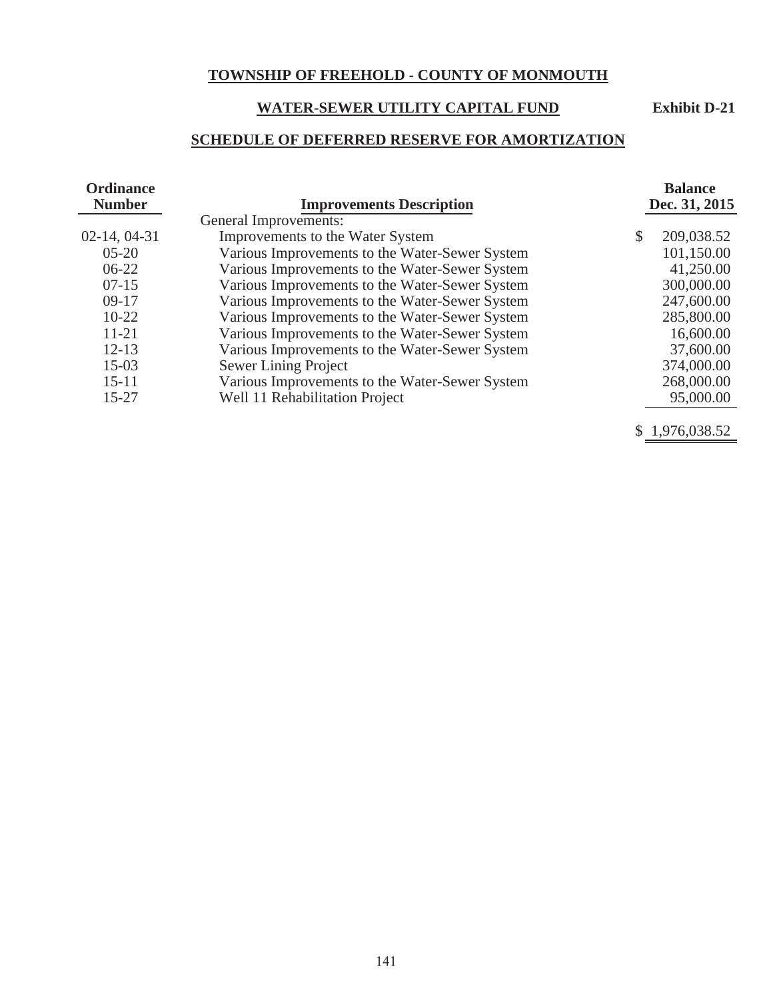### **WATER-SEWER UTILITY CAPITAL FUND Exhibit D-21**

### **SCHEDULE OF DEFERRED RESERVE FOR AMORTIZATION**

| <b>Ordinance</b><br><b>Number</b> | <b>Improvements Description</b>                | <b>Balance</b><br>Dec. 31, 2015 |
|-----------------------------------|------------------------------------------------|---------------------------------|
|                                   | General Improvements:                          |                                 |
| $02-14, 04-31$                    | Improvements to the Water System               | \$<br>209,038.52                |
| $05 - 20$                         | Various Improvements to the Water-Sewer System | 101,150.00                      |
| $06-22$                           | Various Improvements to the Water-Sewer System | 41,250.00                       |
| $07 - 15$                         | Various Improvements to the Water-Sewer System | 300,000.00                      |
| $09-17$                           | Various Improvements to the Water-Sewer System | 247,600.00                      |
| $10 - 22$                         | Various Improvements to the Water-Sewer System | 285,800.00                      |
| $11 - 21$                         | Various Improvements to the Water-Sewer System | 16,600.00                       |
| $12 - 13$                         | Various Improvements to the Water-Sewer System | 37,600.00                       |
| $15-03$                           | <b>Sewer Lining Project</b>                    | 374,000.00                      |
| $15 - 11$                         | Various Improvements to the Water-Sewer System | 268,000.00                      |
| $15 - 27$                         | Well 11 Rehabilitation Project                 | 95,000.00                       |

\$ 1,976,038.52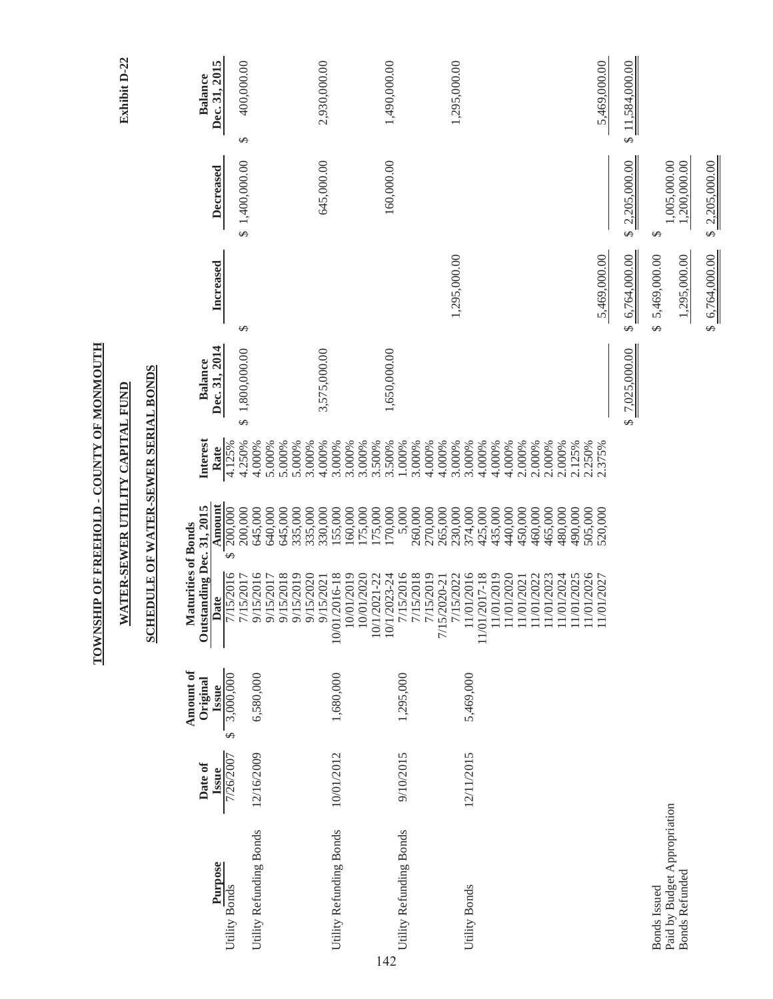|                              |                  |                                       | <b>NA</b>                                                       | TER-SEWER UTILITY CAPITAL FUND   |                         |                                    |                   |                          | Exhibit D-22                    |
|------------------------------|------------------|---------------------------------------|-----------------------------------------------------------------|----------------------------------|-------------------------|------------------------------------|-------------------|--------------------------|---------------------------------|
|                              |                  |                                       | <b>SCHEI</b>                                                    | DULE OF WATER-SEWER SERIAL BONDS |                         |                                    |                   |                          |                                 |
| Purpose                      | Date of<br>Issue | <b>Amount of</b><br>Original<br>Issue | Outstanding Dec. 31, 2015<br><b>Maturities of Bonds</b><br>Date | Amount                           | <b>Interest</b><br>Rate | 2014<br><b>Balance</b><br>Dec. 31, | <b>Increased</b>  | Decreased                | Dec. 31, 2015<br><b>Balance</b> |
| Utility Bonds                | 7/26/2007        | $\frac{1}{2}$ 3,000,000               | 7/15/2016<br>7/15/2017                                          | 200,000<br>200,000<br>$\Theta$   | 4.125%<br>4.250%        | \$1,800,000.00                     | ↔                 | \$1,400,000.00           | 400,000.00<br>$\mathbf{\Theta}$ |
| Utility Refunding Bonds      | 12/16/2009       | 6,580,000                             | 9/15/2016                                                       | 645,000                          | 4.000%                  |                                    |                   |                          |                                 |
|                              |                  |                                       | 9/15/2017                                                       | 640,000                          | 5.000%                  |                                    |                   |                          |                                 |
|                              |                  |                                       | 9/15/2018<br>9/15/2019                                          | 645,000<br>335,000               | 5.000%<br>5.000%        |                                    |                   |                          |                                 |
|                              |                  |                                       | 9/15/2020                                                       | 335,000                          | 3.000%                  |                                    |                   |                          |                                 |
| Utility Refunding Bonds      | 10/01/2012       | 1,680,000                             | 10/01/2016-18<br>9/15/2021                                      | 330,000<br>155,000               | 4.000%<br>3.000%        | 3,575,000.00                       |                   | 645,000.00               | 2,930,000.00                    |
|                              |                  |                                       | 10/01/2019                                                      | 160,000                          | 3.000%                  |                                    |                   |                          |                                 |
|                              |                  |                                       | 10/01/2020<br>10/1/2021-22                                      | 175,000                          | 3.000%                  |                                    |                   |                          |                                 |
|                              |                  |                                       |                                                                 | 175,000<br>170,000               | 3.500%<br>3.500%        | 1,650,000.00                       |                   | 160,000.00               | 1,490,000.00                    |
| Utility Refunding Bonds      | 9/10/2015        | 1,295,000                             |                                                                 | 5,000                            | 1.000%                  |                                    |                   |                          |                                 |
|                              |                  |                                       | 10/1/2023-24<br>7/15/2016<br>7/15/2018<br>7/15/2019             | 260,000                          | 3.000%                  |                                    |                   |                          |                                 |
|                              |                  |                                       |                                                                 | 270,000                          | 4.000%                  |                                    |                   |                          |                                 |
|                              |                  |                                       | 7/15/2020-21<br>7/15/2022                                       | 265,000                          | 4.000%                  |                                    |                   |                          |                                 |
|                              |                  |                                       |                                                                 | 230,000                          | 3.000%                  |                                    | 1,295,000.00      |                          | 1,295,000.00                    |
| Utility Bonds                | 12/11/2015       | 5,469,000                             | 11/01/2016<br>11/01/2017-18                                     | 374,000<br>425,000               | 3.000%<br>4.000%        |                                    |                   |                          |                                 |
|                              |                  |                                       |                                                                 | 435,000                          | 4.000%                  |                                    |                   |                          |                                 |
|                              |                  |                                       | 11/01/2019<br>11/01/2020                                        | 440,000                          | 4.000%                  |                                    |                   |                          |                                 |
|                              |                  |                                       | 11/01/2021                                                      | 450,000                          | 2.000%                  |                                    |                   |                          |                                 |
|                              |                  |                                       | 11/01/2022                                                      | 460,000                          | 2.000%                  |                                    |                   |                          |                                 |
|                              |                  |                                       | 1/01/2023<br>11/01/2024                                         | 465,000<br>480,000               | 2.000%<br>2.000%        |                                    |                   |                          |                                 |
|                              |                  |                                       | 11/01/2025                                                      | 490,000                          | 2.125%                  |                                    |                   |                          |                                 |
|                              |                  |                                       | 1/01/2026                                                       | 505,000                          | 2.250%                  |                                    |                   |                          |                                 |
|                              |                  |                                       | 1/01/2027                                                       | 520,000                          | .375%                   |                                    | 5,469,000.00      |                          | 5,469,000.00                    |
|                              |                  |                                       |                                                                 |                                  |                         | 7,025,000.00<br>S                  | 6,764,000.00<br>Ø | 2,205,000.00<br>$\Theta$ | \$11,584,000.00                 |
| <b>Bonds</b> Issued          |                  |                                       |                                                                 |                                  |                         |                                    | 5,469,000.00<br>Ø | ↔                        |                                 |
| Paid by Budget Appropriation |                  |                                       |                                                                 |                                  |                         |                                    |                   | 1,005,000.00             |                                 |
| <b>Bonds Refunded</b>        |                  |                                       |                                                                 |                                  |                         |                                    | 1,295,000.00      | 1,200,000.00             |                                 |

\$ 6,764,000.00 \$ 2,205,000.00

 $$6,764,000.00$$  \$ 2,205,000.00

TOWNSHIP OF FREEHOLD - COUNTY OF MONMOUTH **TOWNSHIP OF FREEHOLD - COUNTY OF MONMOUTH**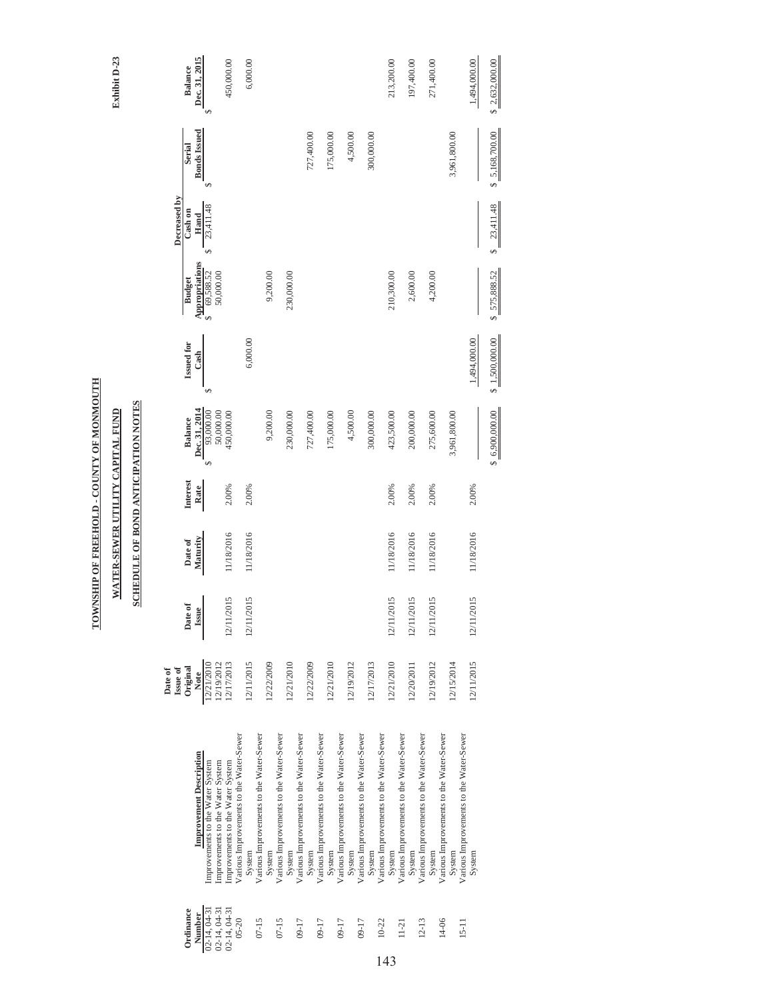|                                            | <b>Balance</b>                  | Dec. 31, 2015<br>S                                                 |                                  | 450,000.00                                                                  | 6,000.00                  |                                                   |                                         |            |                                         |            |                                         |            |                                         |            |                                         |            |                                         | 213,200.00                                        | 197,400.00                |                                         | 271,400.00                |                                         |              | 1,494,000.00                                      | \$2,632,000.00  |
|--------------------------------------------|---------------------------------|--------------------------------------------------------------------|----------------------------------|-----------------------------------------------------------------------------|---------------------------|---------------------------------------------------|-----------------------------------------|------------|-----------------------------------------|------------|-----------------------------------------|------------|-----------------------------------------|------------|-----------------------------------------|------------|-----------------------------------------|---------------------------------------------------|---------------------------|-----------------------------------------|---------------------------|-----------------------------------------|--------------|---------------------------------------------------|-----------------|
|                                            | Serial                          | <b>Bonds Issued</b>                                                |                                  |                                                                             |                           |                                                   |                                         |            |                                         | 727,400.00 |                                         | 175,000.00 |                                         | 4,500.00   |                                         | 300,000.00 |                                         |                                                   |                           |                                         |                           |                                         | 3,961,800.00 |                                                   | \$5,168,700.00  |
|                                            | Decreased by<br>Cash on         | 23,411.48<br>Hand                                                  |                                  |                                                                             |                           |                                                   |                                         |            |                                         |            |                                         |            |                                         |            |                                         |            |                                         |                                                   |                           |                                         |                           |                                         |              |                                                   | 23,411.48       |
|                                            | <b>Budget</b>                   | Appropriations<br>69,588.52                                        | 50,000.00                        |                                                                             |                           | 9,200.00                                          |                                         | 230,000.00 |                                         |            |                                         |            |                                         |            |                                         |            |                                         | 210,300.00                                        | 2,600.00                  |                                         | 4,200.00                  |                                         |              |                                                   | \$ 575,888.52   |
|                                            | <b>Issued for</b>               | Cash<br>÷                                                          |                                  |                                                                             | 6,000.00                  |                                                   |                                         |            |                                         |            |                                         |            |                                         |            |                                         |            |                                         |                                                   |                           |                                         |                           |                                         |              | 1,494,000.00                                      | \$1,500,000.00  |
| <b>SCHEDULE OF BOND ANTICIPATION NOTES</b> | Balance                         | Dec. 31, 2014<br>93,000.00                                         | 50,000.00                        | 450,000.00                                                                  |                           | 9,200.00                                          |                                         | 230,000.00 |                                         | 727,400.00 |                                         | 175,000.00 |                                         | 4,500.00   |                                         | 300,000.00 |                                         | 423,500.00                                        | 200,000.00                |                                         | 275,600.00                |                                         | 3,961,800.00 |                                                   | \$ 6,900,000.00 |
|                                            | <b>Interest</b>                 | Rate                                                               |                                  | 2.00%                                                                       | 2.00%                     |                                                   |                                         |            |                                         |            |                                         |            |                                         |            |                                         |            |                                         | 2.00%                                             | 2.00%                     |                                         | 2.00%                     |                                         |              | 2.00%                                             |                 |
|                                            | Date of                         | Maturity                                                           |                                  | 11/18/2016                                                                  | 11/18/2016                |                                                   |                                         |            |                                         |            |                                         |            |                                         |            |                                         |            |                                         | 11/18/2016                                        | 11/18/2016                |                                         | 11/18/2016                |                                         |              | 11/18/2016                                        |                 |
|                                            | Date of                         | Issue                                                              |                                  | 12/11/2015                                                                  | 11/2015<br>$\overline{2}$ |                                                   |                                         |            |                                         |            |                                         |            |                                         |            |                                         |            |                                         | 11/2015<br>$\overline{2}$                         | 11/2015<br>$\overline{2}$ |                                         | 11/2015<br>$\overline{2}$ |                                         |              | 11/2015<br>$\overline{2}$                         |                 |
|                                            | Original<br>Issue of<br>Date of | 12/21/2010<br>Note                                                 | 12/19/2012                       | 12/17/2013                                                                  | 12/11/2015                | 12/22/2009                                        |                                         | 12/21/2010 |                                         | 12/22/2009 |                                         | 12/21/2010 |                                         | 12/19/2012 |                                         | 12/17/2013 |                                         | 12/21/2010                                        | 12/20/2011                |                                         | 12/19/2012                |                                         | 12/15/2014   | 12/11/2015                                        |                 |
|                                            |                                 | <b>Improvement Description</b><br>Improvements to the Water System | Improvements to the Water System | Various Improvements to the Water-Sewer<br>Improvements to the Water System | System                    | Various Improvements to the Water-Sewer<br>System | Various Improvements to the Water-Sewer | System     | Various Improvements to the Water-Sewer | System     | Various Improvements to the Water-Sewer | System     | Various Improvements to the Water-Sewer | System     | Various Improvements to the Water-Sewer | System     | Various Improvements to the Water-Sewer | Various Improvements to the Water-Sewer<br>System | System                    | Various Improvements to the Water-Sewer | System                    | Various Improvements to the Water-Sewer | System       | Various Improvements to the Water-Sewer<br>System |                 |
|                                            | Ordinance                       | $02-14, 04-31$<br>Number                                           | $02-14, 04-31$                   | $02-14, 04-31$<br>$05 - 20$                                                 |                           | $07 - 15$                                         | $07 - 15$                               |            | $09 - 17$                               |            | $09 - 17$                               |            | $09 - 17$                               |            | $09 - 17$                               |            | $10 - 22$                               | $11 - 21$                                         |                           | $12 - 13$                               |                           | 14-06                                   |              | 15-11                                             |                 |

### TOWNSHIP OF FREEHOLD - COUNTY OF MONMOUTH **TOWNSHIP OF FREEHOLD - COUNTY OF MONMOUTH**

# **WATER-SEWER UTILITY CAPITAL FUND Exhibit D-23** WATER-SEWER UTILITY CAPITAL FUND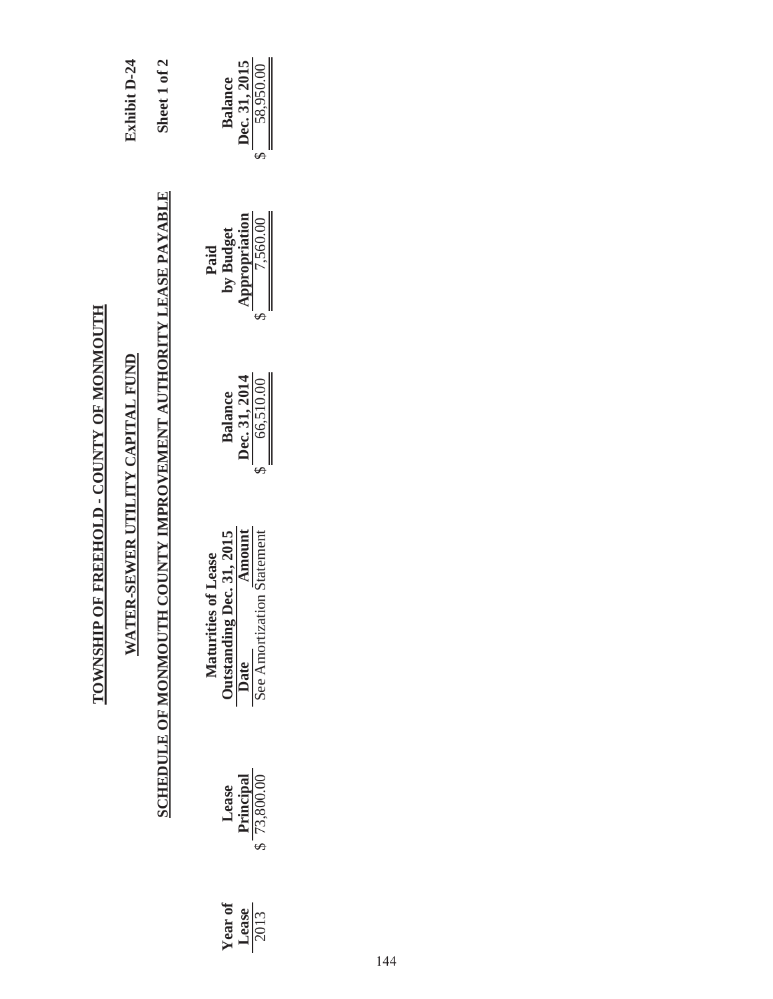|                                  | Exhibit D-24                            | Sheet 1 of 2                                        | Dec. 31, 2015<br>58,950.00<br><b>Balance</b>                                                       |
|----------------------------------|-----------------------------------------|-----------------------------------------------------|----------------------------------------------------------------------------------------------------|
|                                  |                                         |                                                     | <b>Appropriation</b><br>7,560.00<br>by Budget<br>Paid                                              |
| OF FREEHOLD - COUNTY OF MONMOUTH | <u>WATER-SEWER UTILITY CAPITAL FUND</u> | <b>H COUNTY IMPROVEMENT AUTHORITY LEASE PAYABLE</b> | Dec. 31, 2014<br><b>Balance</b>                                                                    |
| <b>TOWNSHIP</b>                  |                                         |                                                     | <b>Outstanding Dec. 31, 2015</b><br>Date<br>See Amortization Statement<br>as of Lease<br>Maturitic |
|                                  |                                         | <b>CHEDULE OF MONMOUTI</b>                          | Lease<br>Principal<br>5 73,800.00                                                                  |
|                                  |                                         |                                                     | Year of<br>Lease<br>$\frac{L}{2013}$                                                               |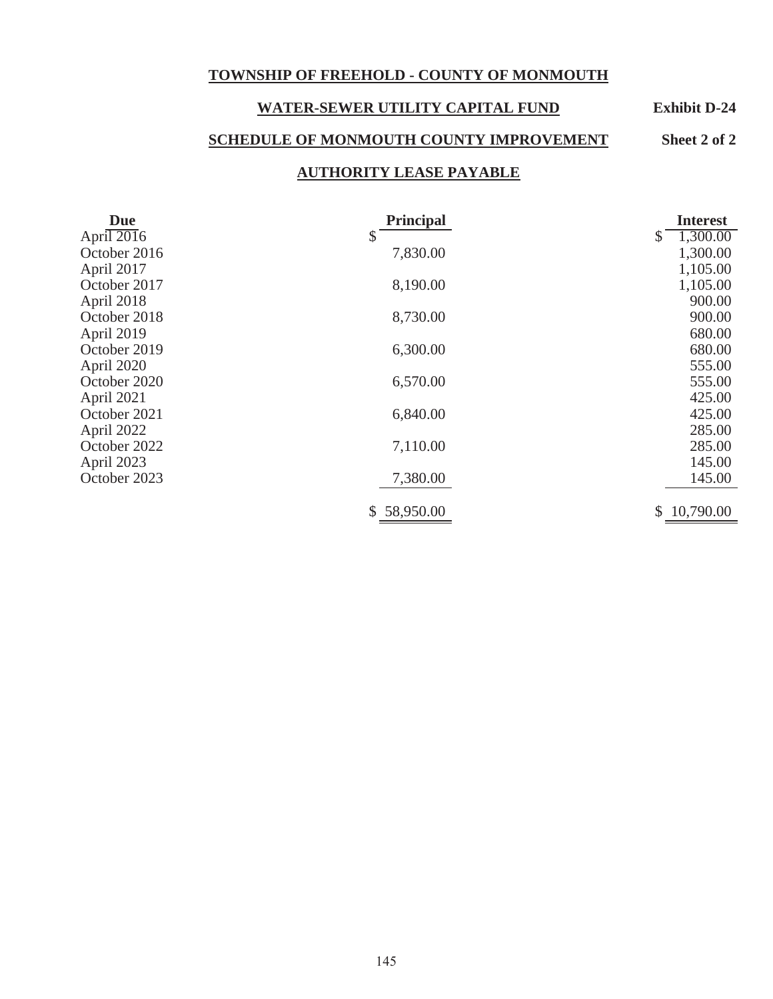### **WATER-SEWER UTILITY CAPITAL FUND Exhibit D-24**

### **SCHEDULE OF MONMOUTH COUNTY IMPROVEMENT Sheet 2 of 2**

### **AUTHORITY LEASE PAYABLE**

| <b>Due</b>   | Principal       | <b>Interest</b> |
|--------------|-----------------|-----------------|
| April $2016$ | \$              | 1,300.00<br>\$  |
| October 2016 | 7,830.00        | 1,300.00        |
| April 2017   |                 | 1,105.00        |
| October 2017 | 8,190.00        | 1,105.00        |
| April 2018   |                 | 900.00          |
| October 2018 | 8,730.00        | 900.00          |
| April 2019   |                 | 680.00          |
| October 2019 | 6,300.00        | 680.00          |
| April 2020   |                 | 555.00          |
| October 2020 | 6,570.00        | 555.00          |
| April 2021   |                 | 425.00          |
| October 2021 | 6,840.00        | 425.00          |
| April 2022   |                 | 285.00          |
| October 2022 | 7,110.00        | 285.00          |
| April 2023   |                 | 145.00          |
| October 2023 | 7,380.00        | 145.00          |
|              | 58,950.00<br>\$ | \$10,790.00     |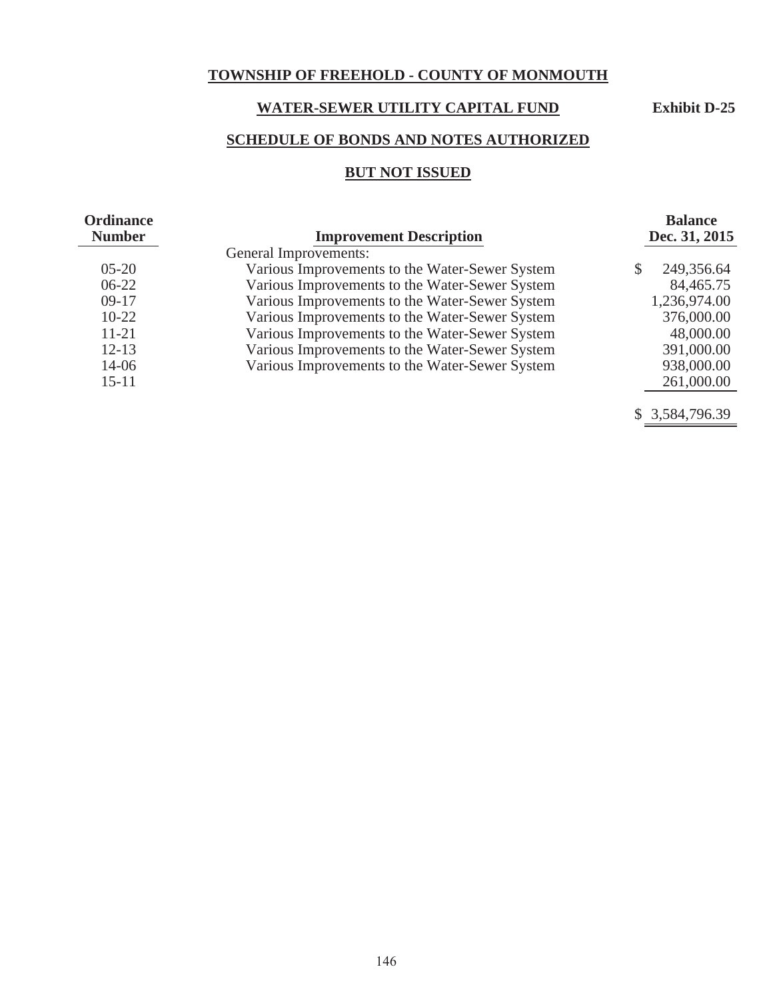### **WATER-SEWER UTILITY CAPITAL FUND Exhibit D-25**

### **SCHEDULE OF BONDS AND NOTES AUTHORIZED**

### **BUT NOT ISSUED**

| <b>Ordinance</b><br><b>Number</b> | <b>Improvement Description</b>                 |   | <b>Balance</b><br>Dec. 31, 2015 |
|-----------------------------------|------------------------------------------------|---|---------------------------------|
|                                   |                                                |   |                                 |
|                                   | General Improvements:                          |   |                                 |
| $05 - 20$                         | Various Improvements to the Water-Sewer System | S | 249,356.64                      |
| $06-22$                           | Various Improvements to the Water-Sewer System |   | 84,465.75                       |
| $09-17$                           | Various Improvements to the Water-Sewer System |   | 1,236,974.00                    |
| $10 - 22$                         | Various Improvements to the Water-Sewer System |   | 376,000.00                      |
| 11-21                             | Various Improvements to the Water-Sewer System |   | 48,000.00                       |
| $12 - 13$                         | Various Improvements to the Water-Sewer System |   | 391,000.00                      |
| 14-06                             | Various Improvements to the Water-Sewer System |   | 938,000.00                      |
| $15 - 11$                         |                                                |   | 261,000.00                      |
|                                   |                                                |   |                                 |

\$ 3,584,796.39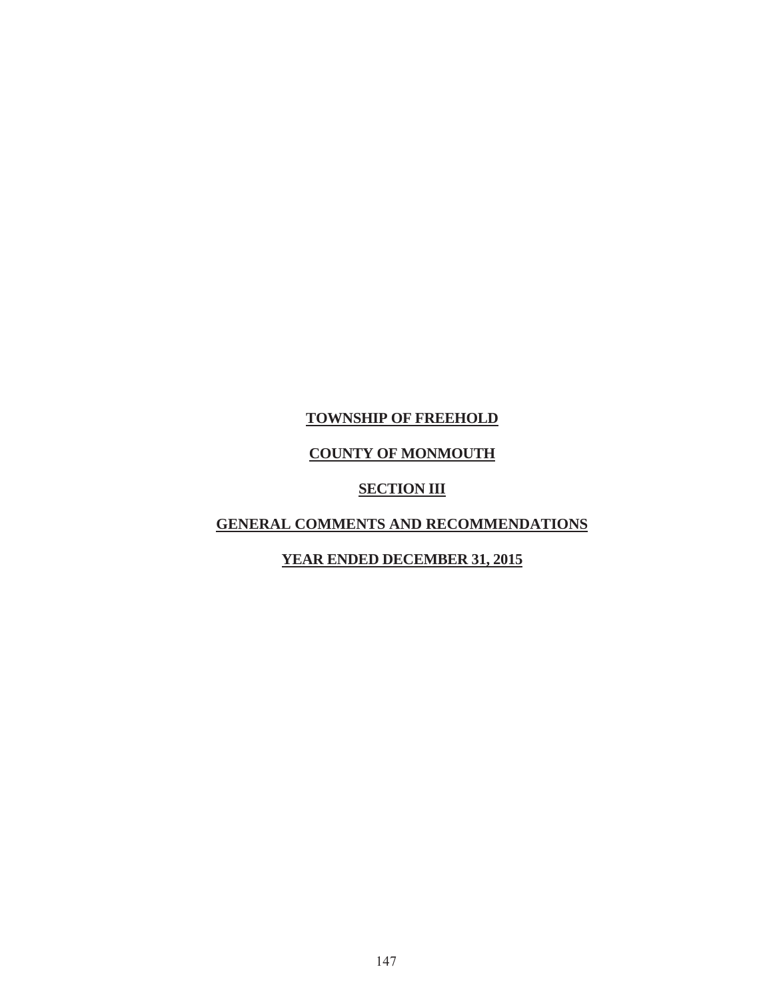### **TOWNSHIP OF FREEHOLD**

### **COUNTY OF MONMOUTH**

### **SECTION III**

### **GENERAL COMMENTS AND RECOMMENDATIONS**

### **YEAR ENDED DECEMBER 31, 2015**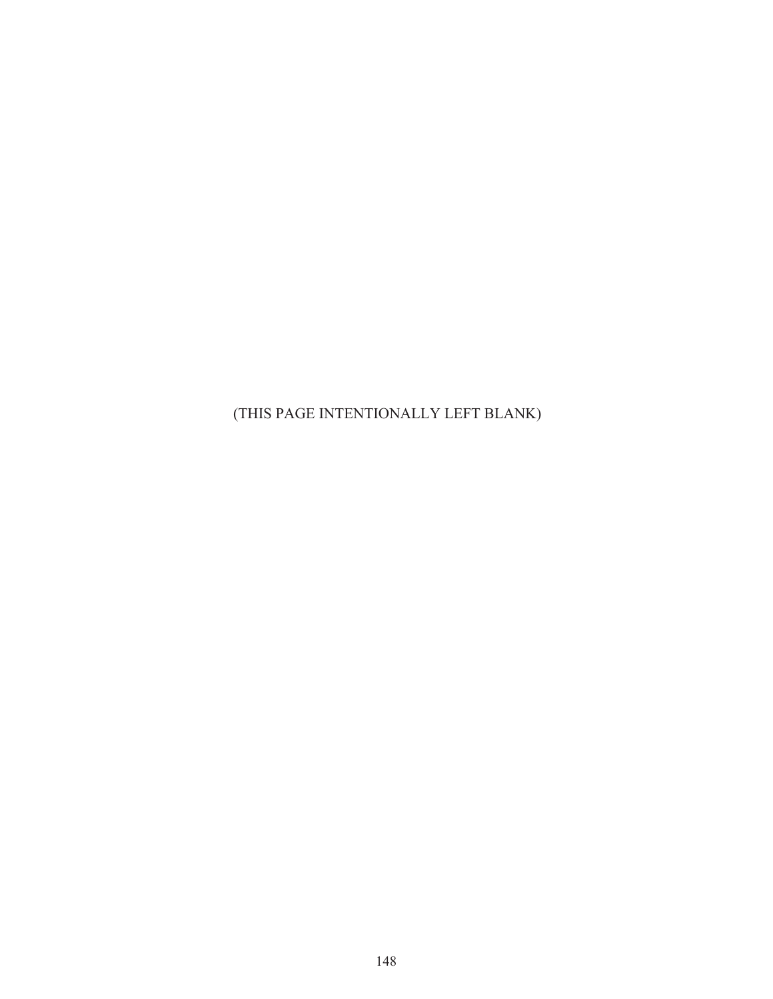(THIS PAGE INTENTIONALLY LEFT BLANK)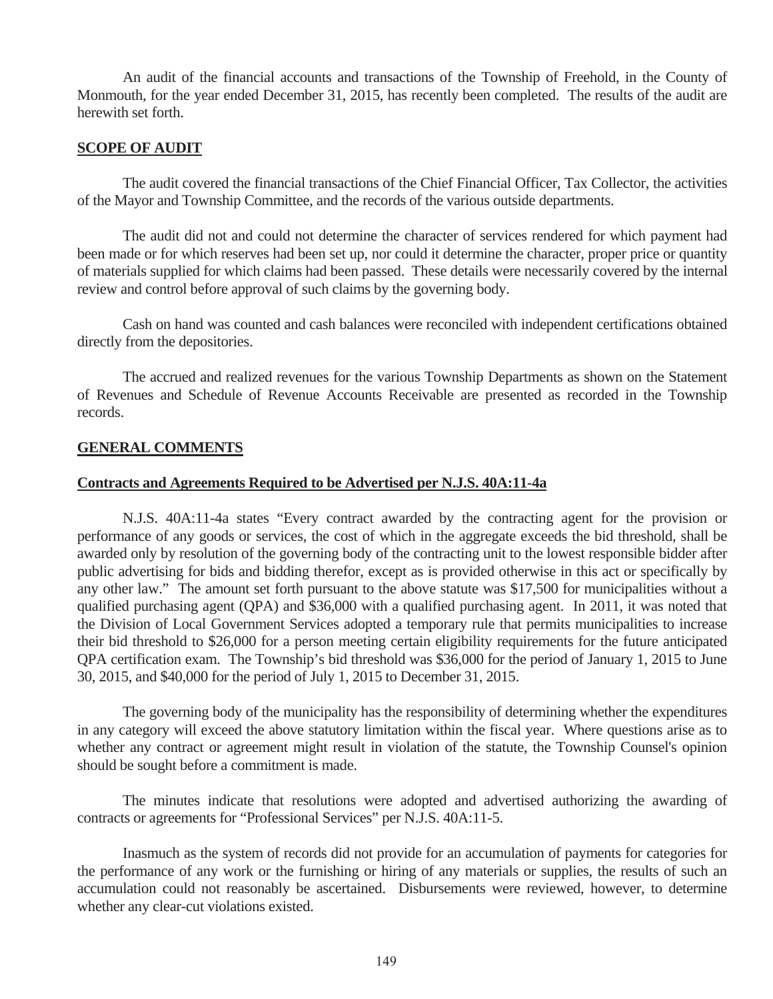An audit of the financial accounts and transactions of the Township of Freehold, in the County of Monmouth, for the year ended December 31, 2015, has recently been completed. The results of the audit are herewith set forth.

### **SCOPE OF AUDIT**

 The audit covered the financial transactions of the Chief Financial Officer, Tax Collector, the activities of the Mayor and Township Committee, and the records of the various outside departments.

 The audit did not and could not determine the character of services rendered for which payment had been made or for which reserves had been set up, nor could it determine the character, proper price or quantity of materials supplied for which claims had been passed. These details were necessarily covered by the internal review and control before approval of such claims by the governing body.

 Cash on hand was counted and cash balances were reconciled with independent certifications obtained directly from the depositories.

 The accrued and realized revenues for the various Township Departments as shown on the Statement of Revenues and Schedule of Revenue Accounts Receivable are presented as recorded in the Township records.

### **GENERAL COMMENTS**

### **Contracts and Agreements Required to be Advertised per N.J.S. 40A:11-4a**

 N.J.S. 40A:11-4a states "Every contract awarded by the contracting agent for the provision or performance of any goods or services, the cost of which in the aggregate exceeds the bid threshold, shall be awarded only by resolution of the governing body of the contracting unit to the lowest responsible bidder after public advertising for bids and bidding therefor, except as is provided otherwise in this act or specifically by any other law." The amount set forth pursuant to the above statute was \$17,500 for municipalities without a qualified purchasing agent (QPA) and \$36,000 with a qualified purchasing agent. In 2011, it was noted that the Division of Local Government Services adopted a temporary rule that permits municipalities to increase their bid threshold to \$26,000 for a person meeting certain eligibility requirements for the future anticipated QPA certification exam. The Township's bid threshold was \$36,000 for the period of January 1, 2015 to June 30, 2015, and \$40,000 for the period of July 1, 2015 to December 31, 2015.

 The governing body of the municipality has the responsibility of determining whether the expenditures in any category will exceed the above statutory limitation within the fiscal year. Where questions arise as to whether any contract or agreement might result in violation of the statute, the Township Counsel's opinion should be sought before a commitment is made.

 The minutes indicate that resolutions were adopted and advertised authorizing the awarding of contracts or agreements for "Professional Services" per N.J.S. 40A:11-5.

 Inasmuch as the system of records did not provide for an accumulation of payments for categories for the performance of any work or the furnishing or hiring of any materials or supplies, the results of such an accumulation could not reasonably be ascertained. Disbursements were reviewed, however, to determine whether any clear-cut violations existed.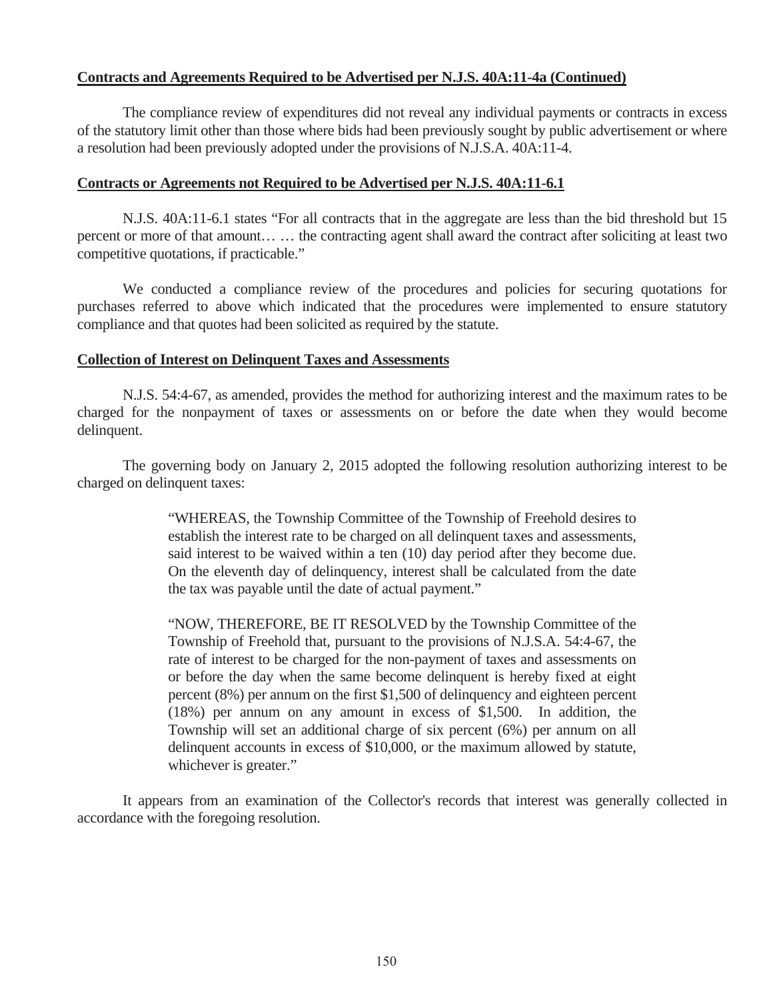### **Contracts and Agreements Required to be Advertised per N.J.S. 40A:11-4a (Continued)**

 The compliance review of expenditures did not reveal any individual payments or contracts in excess of the statutory limit other than those where bids had been previously sought by public advertisement or where a resolution had been previously adopted under the provisions of N.J.S.A. 40A:11-4.

### **Contracts or Agreements not Required to be Advertised per N.J.S. 40A:11-6.1**

 N.J.S. 40A:11-6.1 states "For all contracts that in the aggregate are less than the bid threshold but 15 percent or more of that amount… … the contracting agent shall award the contract after soliciting at least two competitive quotations, if practicable."

 We conducted a compliance review of the procedures and policies for securing quotations for purchases referred to above which indicated that the procedures were implemented to ensure statutory compliance and that quotes had been solicited as required by the statute.

### **Collection of Interest on Delinquent Taxes and Assessments**

 N.J.S. 54:4-67, as amended, provides the method for authorizing interest and the maximum rates to be charged for the nonpayment of taxes or assessments on or before the date when they would become delinquent.

 The governing body on January 2, 2015 adopted the following resolution authorizing interest to be charged on delinquent taxes:

> "WHEREAS, the Township Committee of the Township of Freehold desires to establish the interest rate to be charged on all delinquent taxes and assessments, said interest to be waived within a ten (10) day period after they become due. On the eleventh day of delinquency, interest shall be calculated from the date the tax was payable until the date of actual payment."

> "NOW, THEREFORE, BE IT RESOLVED by the Township Committee of the Township of Freehold that, pursuant to the provisions of N.J.S.A. 54:4-67, the rate of interest to be charged for the non-payment of taxes and assessments on or before the day when the same become delinquent is hereby fixed at eight percent (8%) per annum on the first \$1,500 of delinquency and eighteen percent (18%) per annum on any amount in excess of \$1,500. In addition, the Township will set an additional charge of six percent (6%) per annum on all delinquent accounts in excess of \$10,000, or the maximum allowed by statute, whichever is greater."

 It appears from an examination of the Collector's records that interest was generally collected in accordance with the foregoing resolution.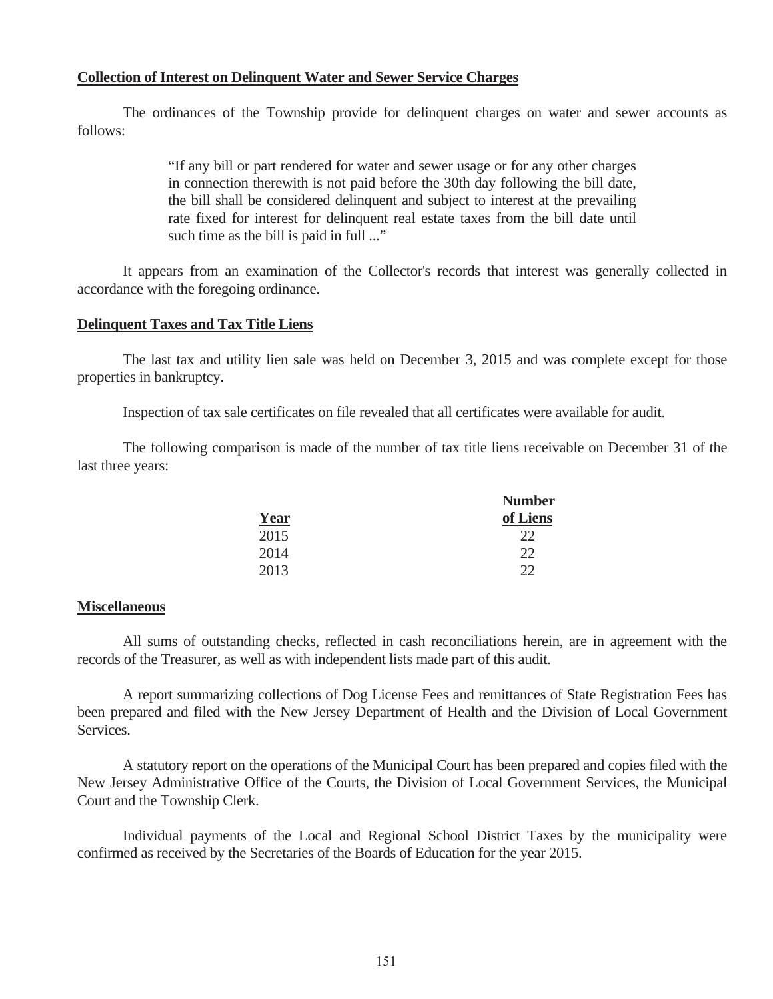### **Collection of Interest on Delinquent Water and Sewer Service Charges**

 The ordinances of the Township provide for delinquent charges on water and sewer accounts as follows:

> "If any bill or part rendered for water and sewer usage or for any other charges in connection therewith is not paid before the 30th day following the bill date, the bill shall be considered delinquent and subject to interest at the prevailing rate fixed for interest for delinquent real estate taxes from the bill date until such time as the bill is paid in full ..."

 It appears from an examination of the Collector's records that interest was generally collected in accordance with the foregoing ordinance.

### **Delinquent Taxes and Tax Title Liens**

 The last tax and utility lien sale was held on December 3, 2015 and was complete except for those properties in bankruptcy.

Inspection of tax sale certificates on file revealed that all certificates were available for audit.

 The following comparison is made of the number of tax title liens receivable on December 31 of the last three years:

|             | <b>Number</b> |
|-------------|---------------|
| <u>Year</u> | of Liens      |
| 2015        | 22            |
| 2014        | 22            |
| 2013        | ററ            |

### **Miscellaneous**

 All sums of outstanding checks, reflected in cash reconciliations herein, are in agreement with the records of the Treasurer, as well as with independent lists made part of this audit.

 A report summarizing collections of Dog License Fees and remittances of State Registration Fees has been prepared and filed with the New Jersey Department of Health and the Division of Local Government Services.

 A statutory report on the operations of the Municipal Court has been prepared and copies filed with the New Jersey Administrative Office of the Courts, the Division of Local Government Services, the Municipal Court and the Township Clerk.

 Individual payments of the Local and Regional School District Taxes by the municipality were confirmed as received by the Secretaries of the Boards of Education for the year 2015.